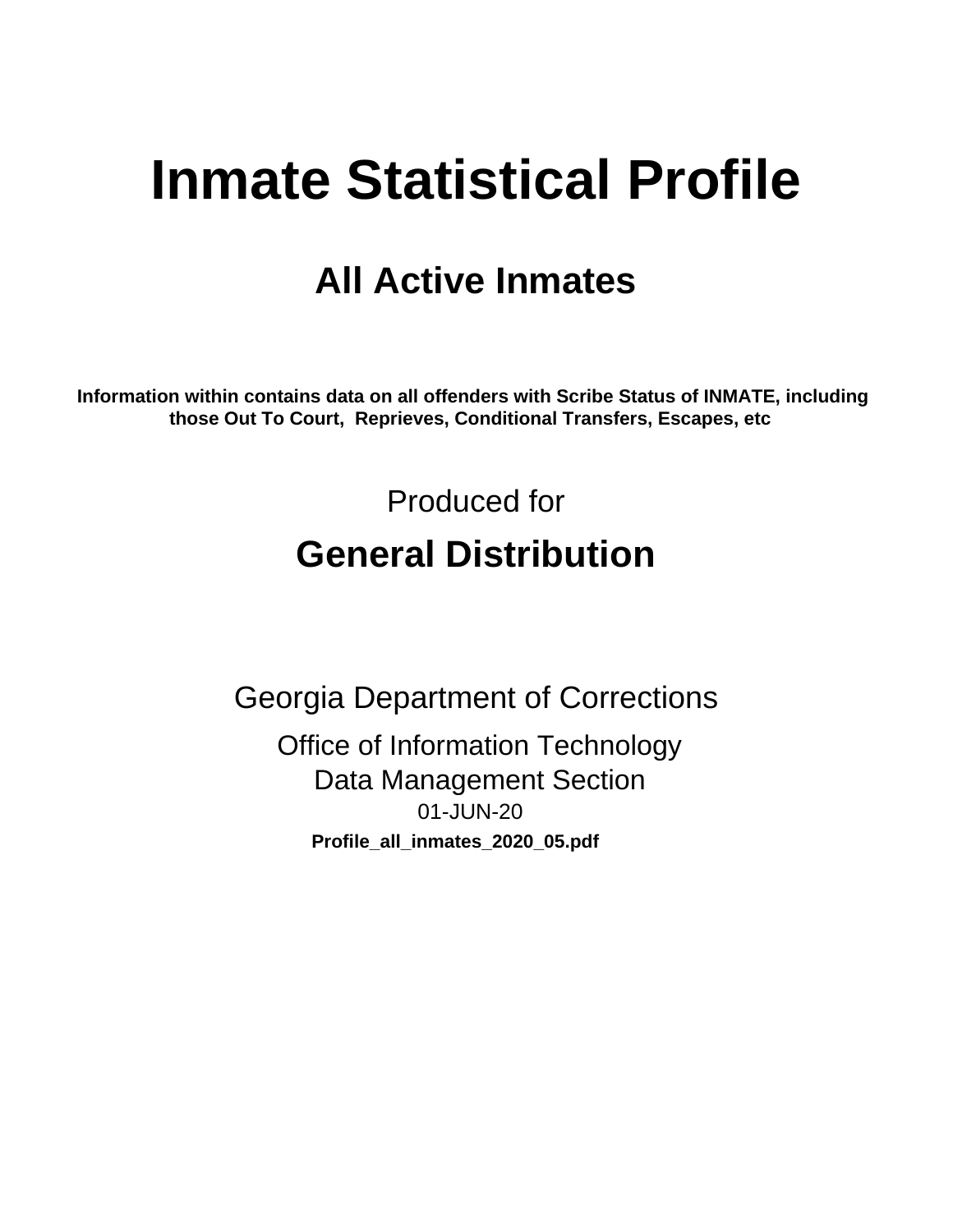# **Inmate Statistical Profile**

## **All Active Inmates**

Information within contains data on all offenders with Scribe Status of INMATE, including those Out To Court, Reprieves, Conditional Transfers, Escapes, etc

> Produced for **General Distribution**

**Georgia Department of Corrections Office of Information Technology Data Management Section** 01-JUN-20 Profile\_all\_inmates\_2020\_05.pdf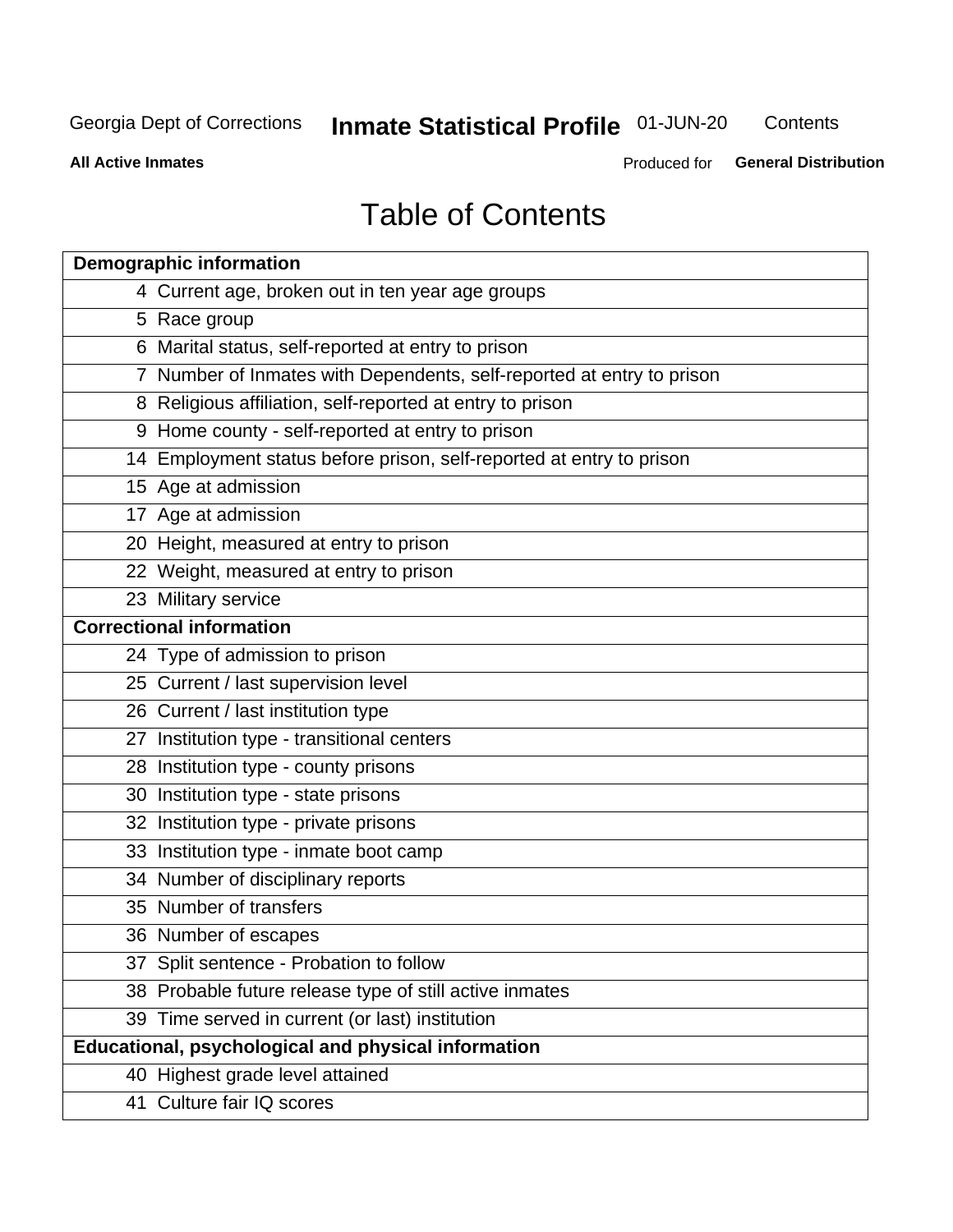## **Inmate Statistical Profile 01-JUN-20**

Contents

**All Active Inmates** 

Produced for General Distribution

## **Table of Contents**

| <b>Demographic information</b>                                        |
|-----------------------------------------------------------------------|
| 4 Current age, broken out in ten year age groups                      |
| 5 Race group                                                          |
| 6 Marital status, self-reported at entry to prison                    |
| 7 Number of Inmates with Dependents, self-reported at entry to prison |
| 8 Religious affiliation, self-reported at entry to prison             |
| 9 Home county - self-reported at entry to prison                      |
| 14 Employment status before prison, self-reported at entry to prison  |
| 15 Age at admission                                                   |
| 17 Age at admission                                                   |
| 20 Height, measured at entry to prison                                |
| 22 Weight, measured at entry to prison                                |
| 23 Military service                                                   |
| <b>Correctional information</b>                                       |
| 24 Type of admission to prison                                        |
| 25 Current / last supervision level                                   |
| 26 Current / last institution type                                    |
| 27 Institution type - transitional centers                            |
| 28 Institution type - county prisons                                  |
| 30 Institution type - state prisons                                   |
| 32 Institution type - private prisons                                 |
| 33 Institution type - inmate boot camp                                |
| 34 Number of disciplinary reports                                     |
| 35 Number of transfers                                                |
| 36 Number of escapes                                                  |
| 37 Split sentence - Probation to follow                               |
| 38 Probable future release type of still active inmates               |
| 39 Time served in current (or last) institution                       |
| Educational, psychological and physical information                   |
| 40 Highest grade level attained                                       |
| 41 Culture fair IQ scores                                             |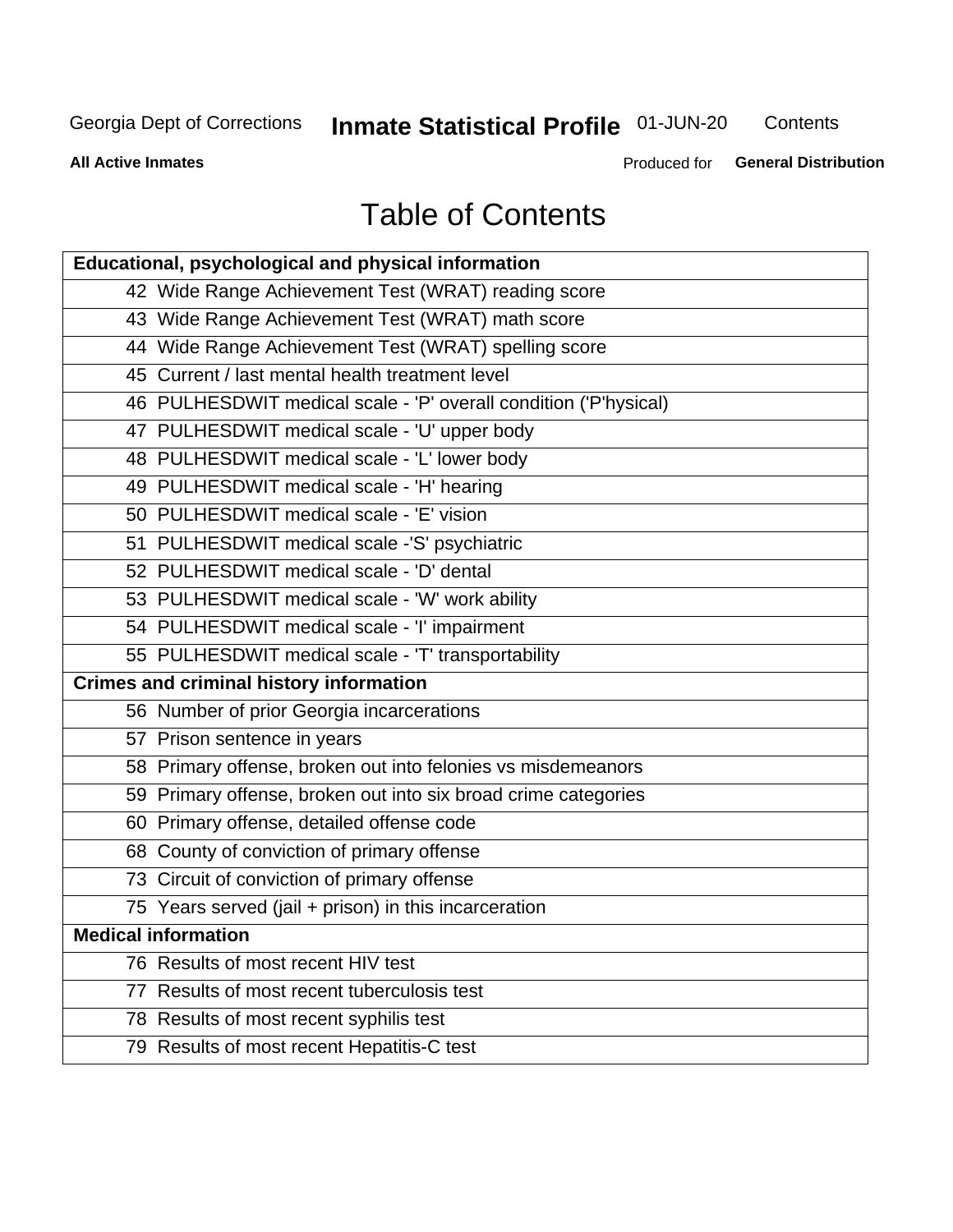## **Inmate Statistical Profile 01-JUN-20**

Contents

**All Active Inmates** 

Produced for General Distribution

## **Table of Contents**

| Educational, psychological and physical information              |
|------------------------------------------------------------------|
| 42 Wide Range Achievement Test (WRAT) reading score              |
| 43 Wide Range Achievement Test (WRAT) math score                 |
| 44 Wide Range Achievement Test (WRAT) spelling score             |
| 45 Current / last mental health treatment level                  |
| 46 PULHESDWIT medical scale - 'P' overall condition ('P'hysical) |
| 47 PULHESDWIT medical scale - 'U' upper body                     |
| 48 PULHESDWIT medical scale - 'L' lower body                     |
| 49 PULHESDWIT medical scale - 'H' hearing                        |
| 50 PULHESDWIT medical scale - 'E' vision                         |
| 51 PULHESDWIT medical scale -'S' psychiatric                     |
| 52 PULHESDWIT medical scale - 'D' dental                         |
| 53 PULHESDWIT medical scale - 'W' work ability                   |
| 54 PULHESDWIT medical scale - 'I' impairment                     |
| 55 PULHESDWIT medical scale - 'T' transportability               |
| <b>Crimes and criminal history information</b>                   |
| 56 Number of prior Georgia incarcerations                        |
| 57 Prison sentence in years                                      |
| 58 Primary offense, broken out into felonies vs misdemeanors     |
| 59 Primary offense, broken out into six broad crime categories   |
| 60 Primary offense, detailed offense code                        |
| 68 County of conviction of primary offense                       |
| 73 Circuit of conviction of primary offense                      |
| 75 Years served (jail + prison) in this incarceration            |
| <b>Medical information</b>                                       |
| 76 Results of most recent HIV test                               |
| 77 Results of most recent tuberculosis test                      |
| 78 Results of most recent syphilis test                          |
| 79 Results of most recent Hepatitis-C test                       |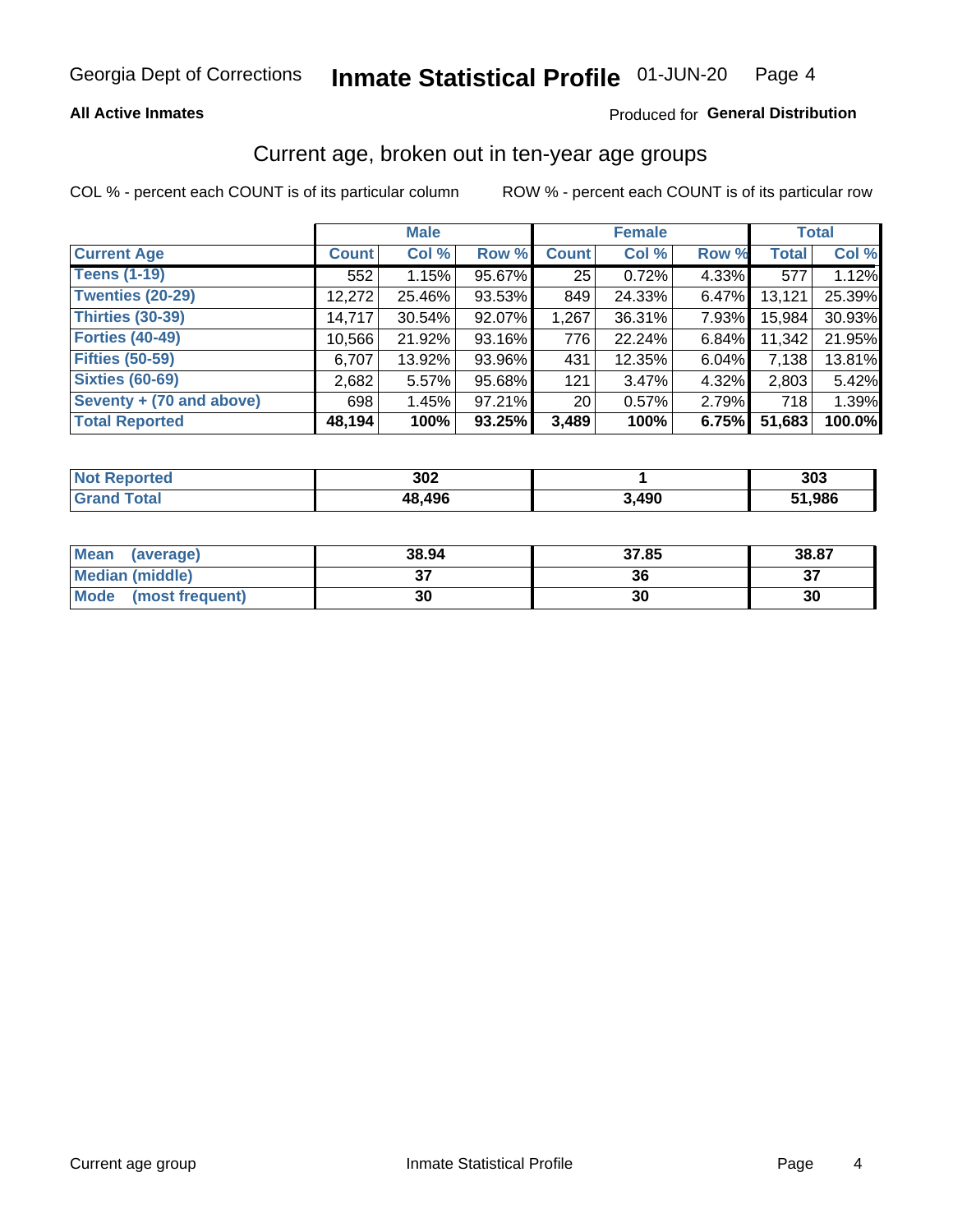#### Inmate Statistical Profile 01-JUN-20 Page 4

## **All Active Inmates**

## Produced for General Distribution

## Current age, broken out in ten-year age groups

COL % - percent each COUNT is of its particular column

|                          | <b>Male</b>  |        |        | <b>Female</b>   |          |          | <b>Total</b> |        |
|--------------------------|--------------|--------|--------|-----------------|----------|----------|--------------|--------|
| <b>Current Age</b>       | <b>Count</b> | Col %  | Row %  | <b>Count</b>    | Col %    | Row %    | <b>Total</b> | Col %  |
| <b>Teens (1-19)</b>      | 552          | 1.15%  | 95.67% | 25              | 0.72%    | 4.33%    | 577          | 1.12%  |
| <b>Twenties (20-29)</b>  | 12,272       | 25.46% | 93.53% | 849             | 24.33%   | $6.47\%$ | 13,121       | 25.39% |
| Thirties (30-39)         | 14,717       | 30.54% | 92.07% | 1,267           | 36.31%   | 7.93%    | 15,984       | 30.93% |
| <b>Forties (40-49)</b>   | 10,566       | 21.92% | 93.16% | 776             | 22.24%   | 6.84%    | 11,342       | 21.95% |
| <b>Fifties (50-59)</b>   | 6,707        | 13.92% | 93.96% | 431             | 12.35%   | $6.04\%$ | 7,138        | 13.81% |
| <b>Sixties (60-69)</b>   | 2,682        | 5.57%  | 95.68% | 121             | $3.47\%$ | 4.32%    | 2,803        | 5.42%  |
| Seventy + (70 and above) | 698          | 1.45%  | 97.21% | 20 <sub>1</sub> | 0.57%    | 2.79%    | 718          | 1.39%  |
| <b>Total Reported</b>    | 48,194       | 100%   | 93.25% | 3,489           | 100%     | 6.75%    | 51,683       | 100.0% |

| <b>Not Repo</b><br><b>Enorted</b> | 200<br>JUZ |               | 303  |
|-----------------------------------|------------|---------------|------|
| Total                             | 48,496     | . ⊿ര∩<br>4J J | .986 |

| Mean<br>(average)       | 38.94   | 37.85 | 38.87     |
|-------------------------|---------|-------|-----------|
| <b>Median (middle)</b>  | ົ<br>J. | 36    | $-$<br>o. |
| Mode<br>(most frequent) | 30      | 30    | 30        |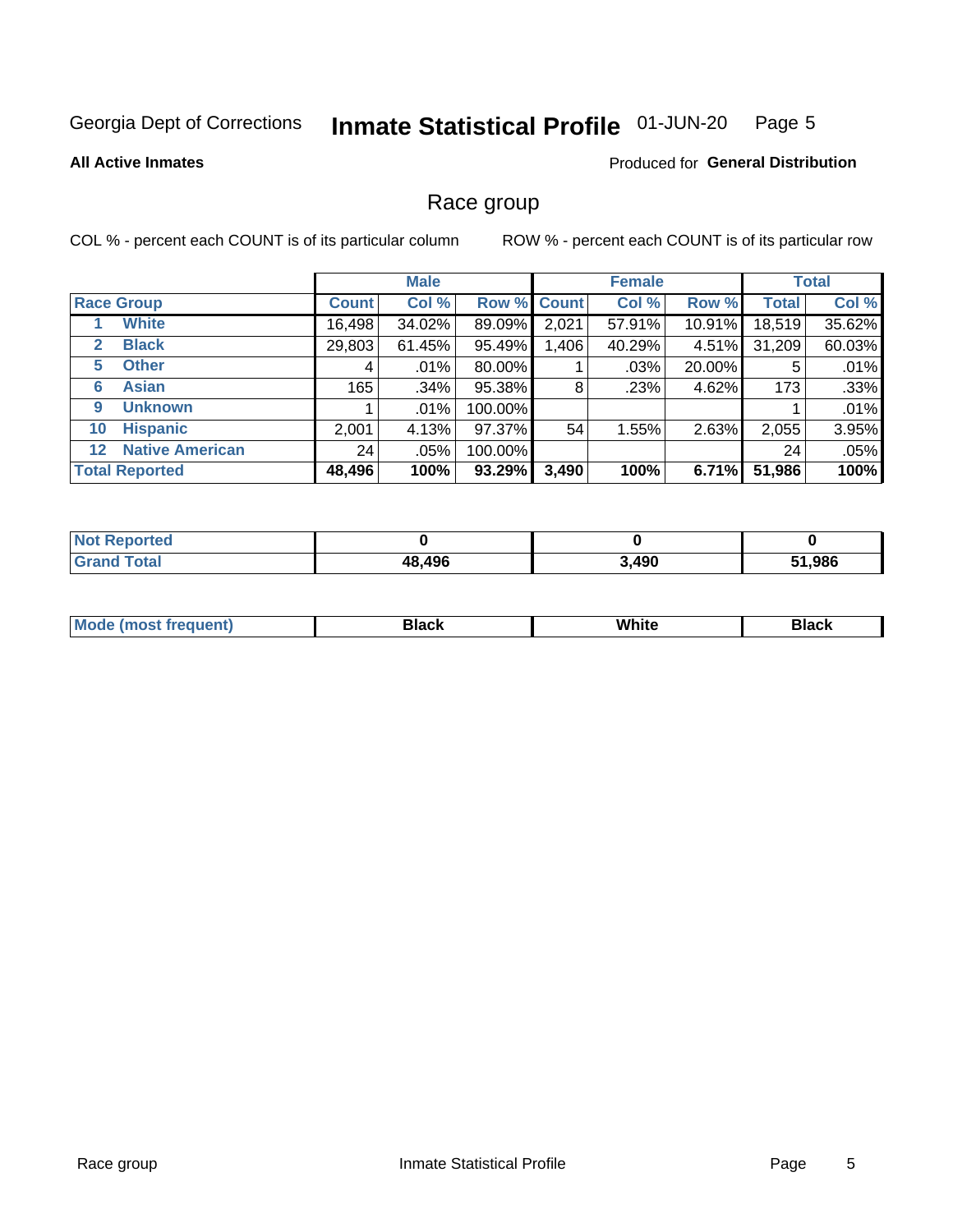### Inmate Statistical Profile 01-JUN-20 Page 5

### **All Active Inmates**

## **Produced for General Distribution**

## Race group

COL % - percent each COUNT is of its particular column

|                                   |              | <b>Male</b> |         |             | <b>Female</b> |          |              | <b>Total</b> |  |
|-----------------------------------|--------------|-------------|---------|-------------|---------------|----------|--------------|--------------|--|
| <b>Race Group</b>                 | <b>Count</b> | Col %       |         | Row % Count | Col %         | Row %    | <b>Total</b> | Col %        |  |
| <b>White</b>                      | 16,498       | 34.02%      | 89.09%  | 2,021       | 57.91%        | 10.91%   | 18,519       | 35.62%       |  |
| <b>Black</b><br>2                 | 29,803       | 61.45%      | 95.49%  | 1,406       | 40.29%        | $4.51\%$ | 31,209       | 60.03%       |  |
| <b>Other</b><br>5.                | 4            | $.01\%$     | 80.00%  |             | .03%          | 20.00%   | 5            | .01%         |  |
| <b>Asian</b><br>6                 | 165          | .34%        | 95.38%  | 8           | .23%          | 4.62%    | 173          | .33%         |  |
| <b>Unknown</b><br>9               |              | $.01\%$     | 100.00% |             |               |          |              | .01%         |  |
| <b>Hispanic</b><br>10             | 2,001        | 4.13%       | 97.37%  | 54          | 1.55%         | 2.63%    | 2,055        | 3.95%        |  |
| <b>Native American</b><br>$12 \,$ | 24           | .05%        | 100.00% |             |               |          | 24           | .05%         |  |
| <b>Total Reported</b>             | 48,496       | 100%        | 93.29%  | 3,490       | 100%          | 6.71%    | 51,986       | 100%         |  |

| eported<br>∵N∩t        |        |       |        |
|------------------------|--------|-------|--------|
| <b>Total</b><br>'Grano | 48,496 | 3,490 | 51,986 |

| M | . |  |
|---|---|--|
|   |   |  |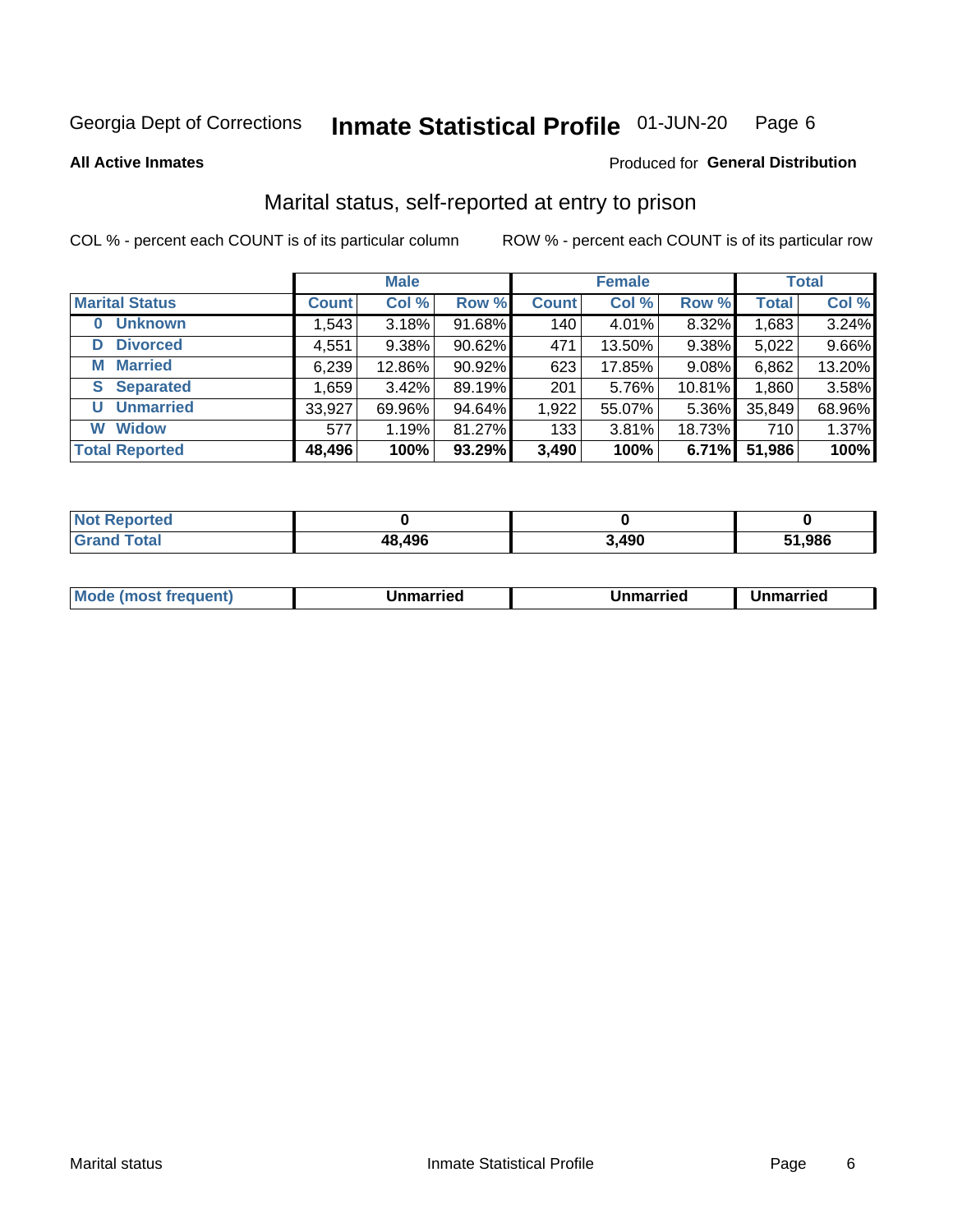### Inmate Statistical Profile 01-JUN-20 Page 6

**All Active Inmates** 

## Produced for General Distribution

## Marital status, self-reported at entry to prison

COL % - percent each COUNT is of its particular column

|                            | <b>Male</b>  |        |        | <b>Female</b> |        |        | <b>Total</b> |        |
|----------------------------|--------------|--------|--------|---------------|--------|--------|--------------|--------|
| <b>Marital Status</b>      | <b>Count</b> | Col %  | Row %  | <b>Count</b>  | Col %  | Row %  | <b>Total</b> | Col %  |
| <b>Unknown</b><br>$\bf{0}$ | 1,543        | 3.18%  | 91.68% | 140           | 4.01%  | 8.32%  | 1,683        | 3.24%  |
| <b>Divorced</b><br>D       | 4,551        | 9.38%  | 90.62% | 471           | 13.50% | 9.38%  | 5,022        | 9.66%  |
| <b>Married</b><br>M        | 6,239        | 12.86% | 90.92% | 623           | 17.85% | 9.08%  | 6,862        | 13.20% |
| <b>S</b> Separated         | 1,659        | 3.42%  | 89.19% | 201           | 5.76%  | 10.81% | 1,860        | 3.58%  |
| <b>Unmarried</b><br>U      | 33,927       | 69.96% | 94.64% | 1,922         | 55.07% | 5.36%  | 35,849       | 68.96% |
| <b>Widow</b><br>W          | 577          | 1.19%  | 81.27% | 133           | 3.81%  | 18.73% | 710          | 1.37%  |
| <b>Total Reported</b>      | 48,496       | 100%   | 93.29% | 3,490         | 100%   | 6.71%  | 51,986       | 100%   |

| <b>orted</b><br>I NOT |        |       |        |
|-----------------------|--------|-------|--------|
| int                   | 48,496 | 3,490 | 51.986 |

|--|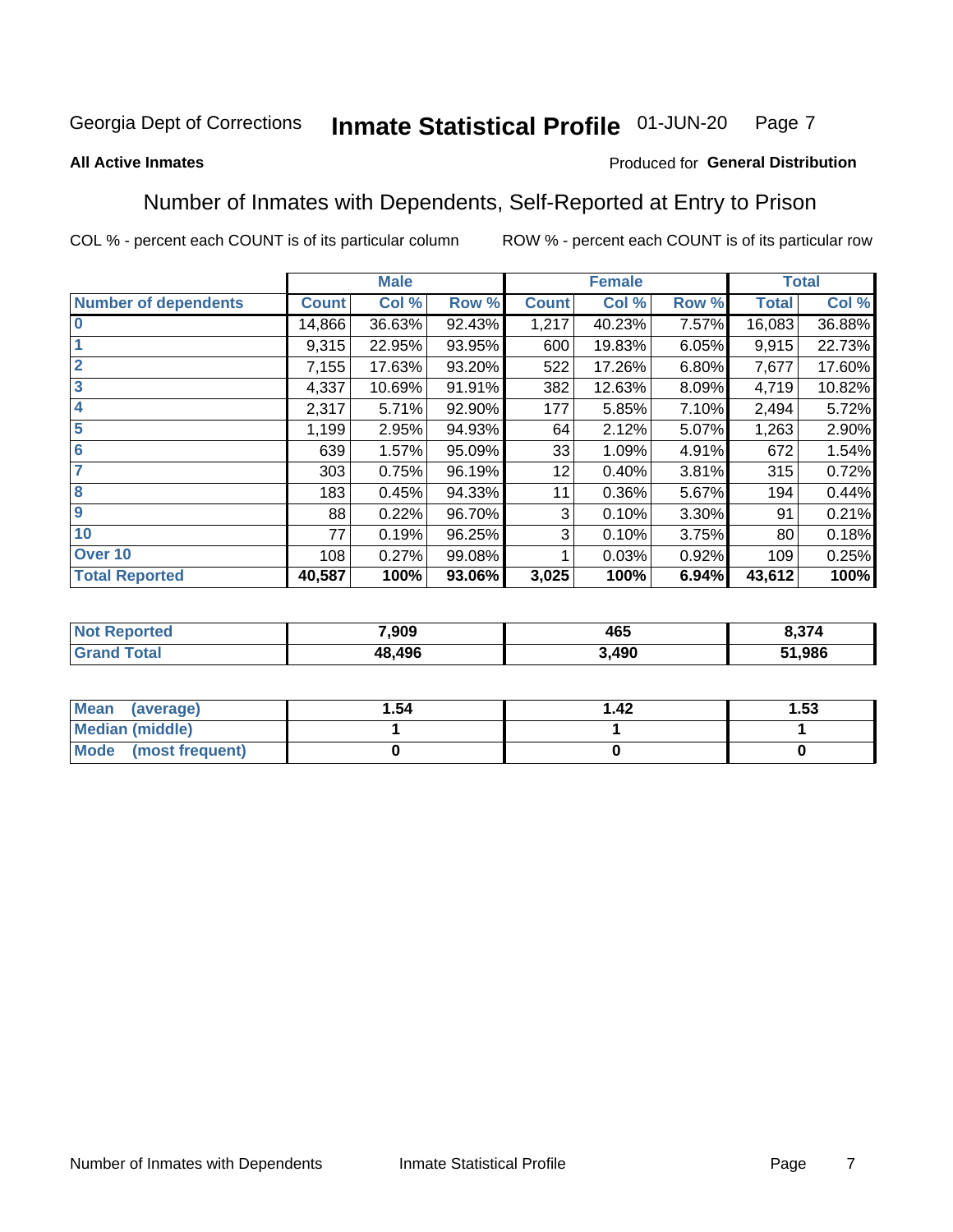#### Inmate Statistical Profile 01-JUN-20 Page 7

## **All Active Inmates**

## Produced for General Distribution

## Number of Inmates with Dependents, Self-Reported at Entry to Prison

COL % - percent each COUNT is of its particular column

|                             |              | <b>Male</b> |        |              | <b>Female</b> |       | <b>Total</b> |        |
|-----------------------------|--------------|-------------|--------|--------------|---------------|-------|--------------|--------|
| <b>Number of dependents</b> | <b>Count</b> | Col %       | Row %  | <b>Count</b> | Col %         | Row % | <b>Total</b> | Col %  |
| l 0                         | 14,866       | 36.63%      | 92.43% | 1,217        | 40.23%        | 7.57% | 16,083       | 36.88% |
|                             | 9,315        | 22.95%      | 93.95% | 600          | 19.83%        | 6.05% | 9,915        | 22.73% |
| $\overline{2}$              | 7,155        | 17.63%      | 93.20% | 522          | 17.26%        | 6.80% | 7,677        | 17.60% |
| $\mathbf{3}$                | 4,337        | 10.69%      | 91.91% | 382          | 12.63%        | 8.09% | 4,719        | 10.82% |
| $\overline{\mathbf{4}}$     | 2,317        | 5.71%       | 92.90% | 177          | 5.85%         | 7.10% | 2,494        | 5.72%  |
| 5                           | 1,199        | 2.95%       | 94.93% | 64           | 2.12%         | 5.07% | 1,263        | 2.90%  |
| 6                           | 639          | 1.57%       | 95.09% | 33           | 1.09%         | 4.91% | 672          | 1.54%  |
| 7                           | 303          | 0.75%       | 96.19% | 12           | 0.40%         | 3.81% | 315          | 0.72%  |
| 8                           | 183          | 0.45%       | 94.33% | 11           | 0.36%         | 5.67% | 194          | 0.44%  |
| 9                           | 88           | 0.22%       | 96.70% | 3            | 0.10%         | 3.30% | 91           | 0.21%  |
| 10                          | 77           | 0.19%       | 96.25% | 3            | 0.10%         | 3.75% | 80           | 0.18%  |
| Over 10                     | 108          | 0.27%       | 99.08% |              | 0.03%         | 0.92% | 109          | 0.25%  |
| <b>Total Reported</b>       | 40,587       | 100%        | 93.06% | 3,025        | 100%          | 6.94% | 43,612       | 100%   |

| 7,909  | 465              | $\sim$ |
|--------|------------------|--------|
| 18.496 | <b>100</b><br>юu | ,986   |

| Mean (average)         | 1.54 | l 42 | l.53 |
|------------------------|------|------|------|
| <b>Median (middle)</b> |      |      |      |
| Mode (most frequent)   |      |      |      |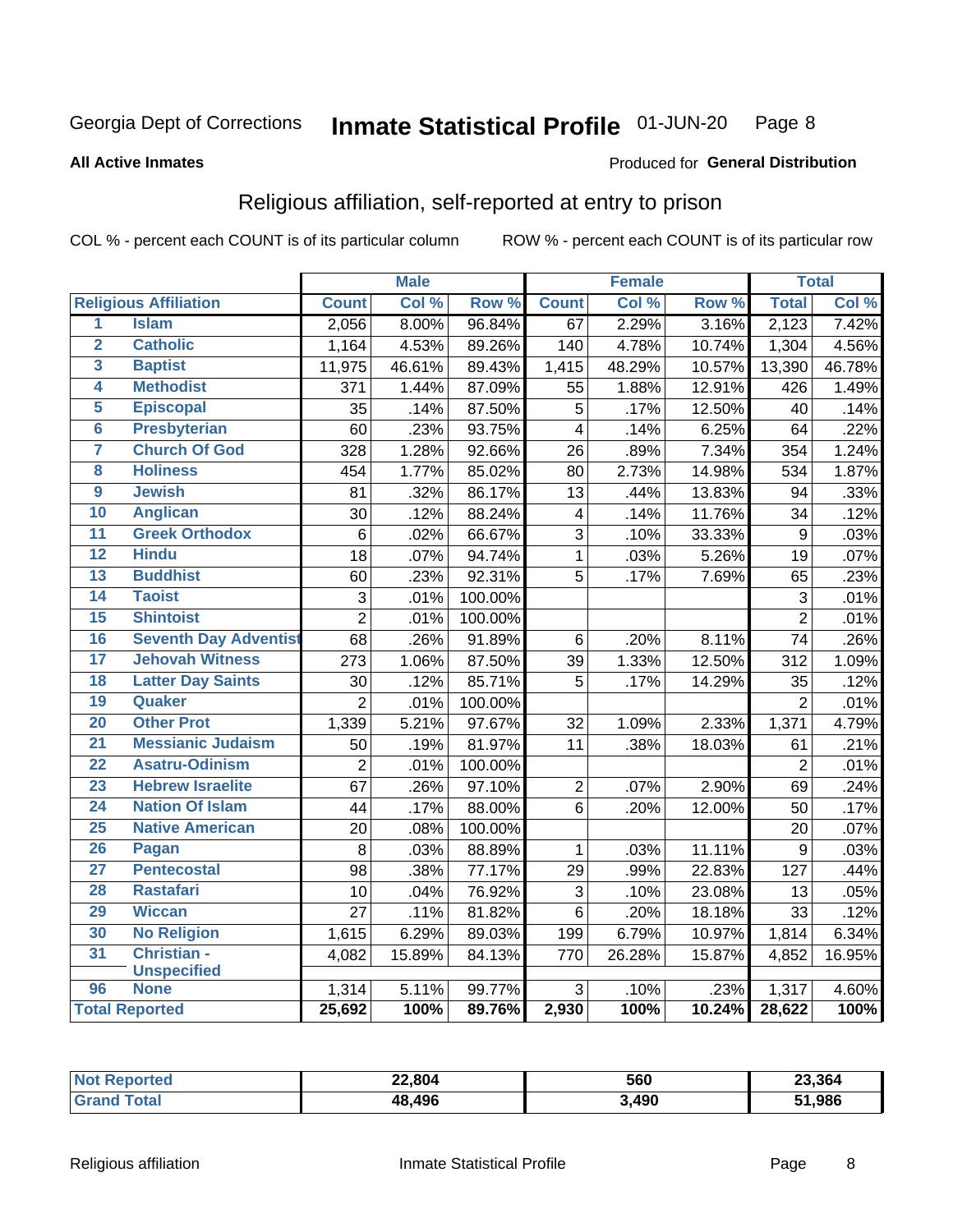### Inmate Statistical Profile 01-JUN-20 Page 8

### **All Active Inmates**

## Produced for General Distribution

## Religious affiliation, self-reported at entry to prison

COL % - percent each COUNT is of its particular column

|                         |                              |                 | <b>Male</b> |         |                         | <b>Female</b> |                  |                | <b>Total</b> |
|-------------------------|------------------------------|-----------------|-------------|---------|-------------------------|---------------|------------------|----------------|--------------|
|                         | <b>Religious Affiliation</b> | <b>Count</b>    | Col %       | Row %   | <b>Count</b>            | Col %         | Row <sup>%</sup> | <b>Total</b>   | Col %        |
| $\overline{\mathbf{1}}$ | <b>Islam</b>                 | 2,056           | 8.00%       | 96.84%  | 67                      | 2.29%         | 3.16%            | 2,123          | 7.42%        |
| $\overline{\mathbf{2}}$ | <b>Catholic</b>              | 1,164           | 4.53%       | 89.26%  | 140                     | 4.78%         | 10.74%           | 1,304          | 4.56%        |
| 3                       | <b>Baptist</b>               | 11,975          | 46.61%      | 89.43%  | 1,415                   | 48.29%        | 10.57%           | 13,390         | 46.78%       |
| 4                       | <b>Methodist</b>             | 371             | 1.44%       | 87.09%  | 55                      | 1.88%         | 12.91%           | 426            | 1.49%        |
| 5                       | <b>Episcopal</b>             | 35              | .14%        | 87.50%  | 5                       | .17%          | 12.50%           | 40             | .14%         |
| $\overline{6}$          | <b>Presbyterian</b>          | 60              | .23%        | 93.75%  | $\overline{4}$          | .14%          | 6.25%            | 64             | .22%         |
| 7                       | <b>Church Of God</b>         | 328             | 1.28%       | 92.66%  | 26                      | .89%          | 7.34%            | 354            | 1.24%        |
| 8                       | <b>Holiness</b>              | 454             | 1.77%       | 85.02%  | 80                      | 2.73%         | 14.98%           | 534            | 1.87%        |
| $\overline{9}$          | <b>Jewish</b>                | 81              | .32%        | 86.17%  | 13                      | .44%          | 13.83%           | 94             | .33%         |
| 10                      | <b>Anglican</b>              | 30              | .12%        | 88.24%  | $\overline{\mathbf{4}}$ | .14%          | 11.76%           | 34             | .12%         |
| 11                      | <b>Greek Orthodox</b>        | 6               | .02%        | 66.67%  | $\overline{3}$          | .10%          | 33.33%           | $\overline{9}$ | .03%         |
| 12                      | <b>Hindu</b>                 | 18              | .07%        | 94.74%  | $\mathbf{1}$            | .03%          | 5.26%            | 19             | .07%         |
| 13                      | <b>Buddhist</b>              | 60              | .23%        | 92.31%  | 5                       | .17%          | 7.69%            | 65             | .23%         |
| 14                      | <b>Taoist</b>                | $\mathbf{3}$    | .01%        | 100.00% |                         |               |                  | 3              | .01%         |
| 15                      | <b>Shintoist</b>             | $\overline{2}$  | .01%        | 100.00% |                         |               |                  | $\overline{2}$ | .01%         |
| 16                      | <b>Seventh Day Adventist</b> | 68              | .26%        | 91.89%  | $6\phantom{1}6$         | .20%          | 8.11%            | 74             | .26%         |
| 17                      | <b>Jehovah Witness</b>       | 273             | 1.06%       | 87.50%  | 39                      | 1.33%         | 12.50%           | 312            | 1.09%        |
| 18                      | <b>Latter Day Saints</b>     | 30              | .12%        | 85.71%  | 5                       | .17%          | 14.29%           | 35             | .12%         |
| 19                      | Quaker                       | $\overline{2}$  | .01%        | 100.00% |                         |               |                  | $\overline{2}$ | .01%         |
| 20                      | <b>Other Prot</b>            | 1,339           | 5.21%       | 97.67%  | 32                      | 1.09%         | 2.33%            | 1,371          | 4.79%        |
| $\overline{21}$         | <b>Messianic Judaism</b>     | 50              | .19%        | 81.97%  | 11                      | .38%          | 18.03%           | 61             | .21%         |
| 22                      | <b>Asatru-Odinism</b>        | $\overline{2}$  | .01%        | 100.00% |                         |               |                  | $\overline{2}$ | .01%         |
| 23                      | <b>Hebrew Israelite</b>      | 67              | .26%        | 97.10%  | $\sqrt{2}$              | .07%          | 2.90%            | 69             | .24%         |
| 24                      | <b>Nation Of Islam</b>       | 44              | .17%        | 88.00%  | 6                       | .20%          | 12.00%           | 50             | .17%         |
| 25                      | <b>Native American</b>       | 20              | .08%        | 100.00% |                         |               |                  | 20             | .07%         |
| 26                      | Pagan                        | 8               | .03%        | 88.89%  | $\mathbf{1}$            | .03%          | 11.11%           | 9              | .03%         |
| $\overline{27}$         | <b>Pentecostal</b>           | 98              | .38%        | 77.17%  | 29                      | .99%          | 22.83%           | 127            | .44%         |
| 28                      | <b>Rastafari</b>             | 10              | .04%        | 76.92%  | $\mathfrak{S}$          | .10%          | 23.08%           | 13             | .05%         |
| 29                      | <b>Wiccan</b>                | $\overline{27}$ | .11%        | 81.82%  | $6\phantom{1}$          | .20%          | 18.18%           | 33             | .12%         |
| 30                      | <b>No Religion</b>           | 1,615           | 6.29%       | 89.03%  | 199                     | 6.79%         | 10.97%           | 1,814          | 6.34%        |
| 31                      | Christian -                  | 4,082           | 15.89%      | 84.13%  | 770                     | 26.28%        | 15.87%           | 4,852          | 16.95%       |
|                         | <b>Unspecified</b>           |                 |             |         |                         |               |                  |                |              |
| 96                      | <b>None</b>                  | 1,314           | 5.11%       | 99.77%  | 3                       | .10%          | .23%             | 1,317          | 4.60%        |
|                         | <b>Total Reported</b>        | 25,692          | 100%        | 89.76%  | 2,930                   | 100%          | 10.24%           | 28,622         | 100%         |

| <b>orted</b> | 22,804<br>__ | 560   | 23.364 |
|--------------|--------------|-------|--------|
| المقماد      | 48,496       | 3,490 | 51,986 |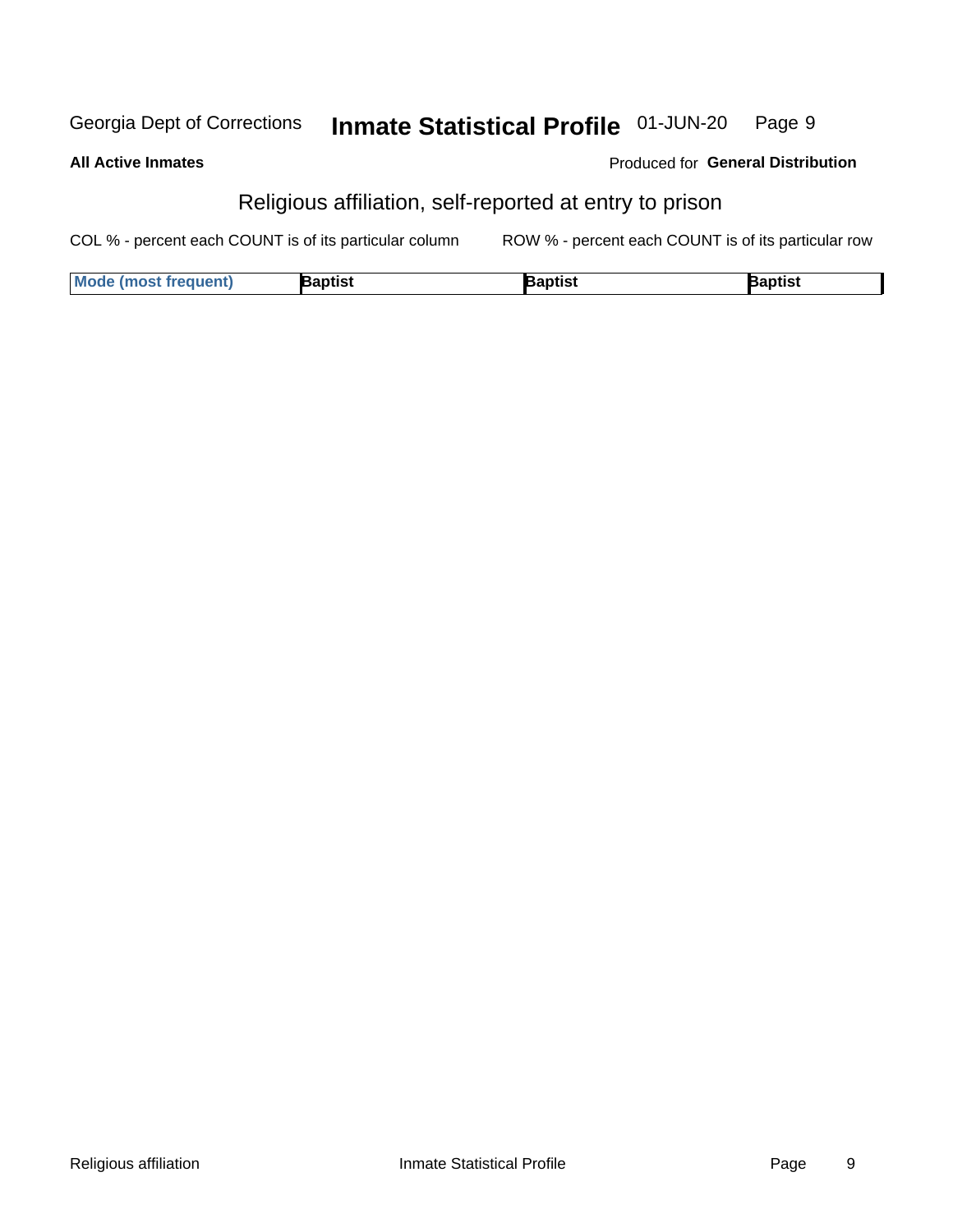#### Inmate Statistical Profile 01-JUN-20 Georgia Dept of Corrections Page 9

**All Active Inmates** 

| <b>Produced for General Distribution</b> |  |
|------------------------------------------|--|
|------------------------------------------|--|

## Religious affiliation, self-reported at entry to prison

COL % - percent each COUNT is of its particular column ROW % - percent each COUNT is of its particular row

| <b>Mode (most frequent)</b> | Baptist | Baptist | <b>Baptist</b> |
|-----------------------------|---------|---------|----------------|
|-----------------------------|---------|---------|----------------|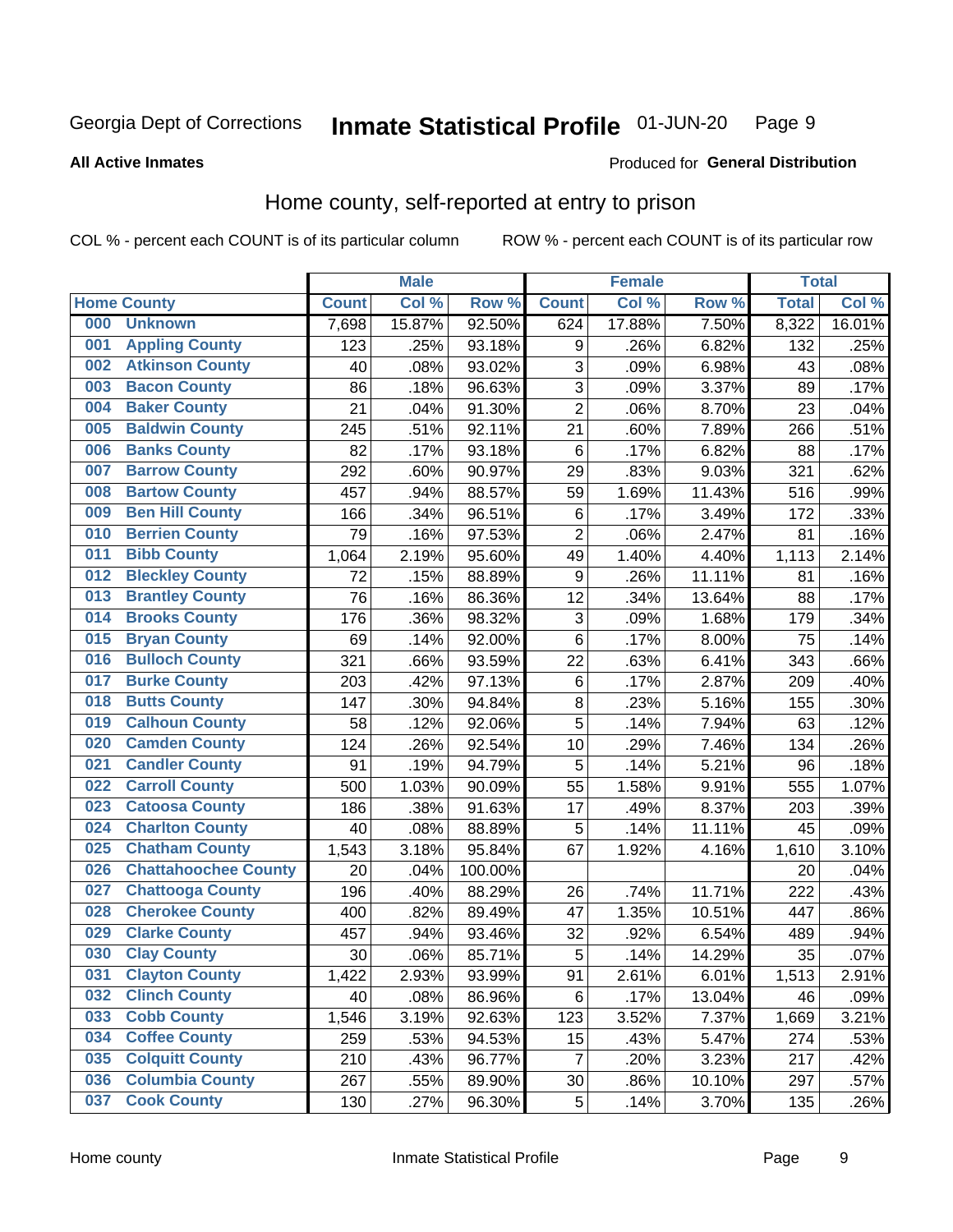### Inmate Statistical Profile 01-JUN-20 Page 9

**All Active Inmates** 

## Produced for General Distribution

## Home county, self-reported at entry to prison

COL % - percent each COUNT is of its particular column

|     |                             |              | <b>Male</b> |         |                | <b>Female</b> |        | <b>Total</b> |        |
|-----|-----------------------------|--------------|-------------|---------|----------------|---------------|--------|--------------|--------|
|     | <b>Home County</b>          | <b>Count</b> | Col %       | Row %   | <b>Count</b>   | Col %         | Row %  | <b>Total</b> | Col %  |
| 000 | <b>Unknown</b>              | 7,698        | 15.87%      | 92.50%  | 624            | 17.88%        | 7.50%  | 8,322        | 16.01% |
| 001 | <b>Appling County</b>       | 123          | .25%        | 93.18%  | 9              | .26%          | 6.82%  | 132          | .25%   |
| 002 | <b>Atkinson County</b>      | 40           | .08%        | 93.02%  | 3              | .09%          | 6.98%  | 43           | .08%   |
| 003 | <b>Bacon County</b>         | 86           | .18%        | 96.63%  | 3              | .09%          | 3.37%  | 89           | .17%   |
| 004 | <b>Baker County</b>         | 21           | .04%        | 91.30%  | $\overline{c}$ | .06%          | 8.70%  | 23           | .04%   |
| 005 | <b>Baldwin County</b>       | 245          | .51%        | 92.11%  | 21             | .60%          | 7.89%  | 266          | .51%   |
| 006 | <b>Banks County</b>         | 82           | .17%        | 93.18%  | $\,6$          | .17%          | 6.82%  | 88           | .17%   |
| 007 | <b>Barrow County</b>        | 292          | .60%        | 90.97%  | 29             | .83%          | 9.03%  | 321          | .62%   |
| 008 | <b>Bartow County</b>        | 457          | .94%        | 88.57%  | 59             | 1.69%         | 11.43% | 516          | .99%   |
| 009 | <b>Ben Hill County</b>      | 166          | .34%        | 96.51%  | $\,6$          | .17%          | 3.49%  | 172          | .33%   |
| 010 | <b>Berrien County</b>       | 79           | .16%        | 97.53%  | $\overline{2}$ | .06%          | 2.47%  | 81           | .16%   |
| 011 | <b>Bibb County</b>          | 1,064        | 2.19%       | 95.60%  | 49             | 1.40%         | 4.40%  | 1,113        | 2.14%  |
| 012 | <b>Bleckley County</b>      | 72           | .15%        | 88.89%  | 9              | .26%          | 11.11% | 81           | .16%   |
| 013 | <b>Brantley County</b>      | 76           | .16%        | 86.36%  | 12             | .34%          | 13.64% | 88           | .17%   |
| 014 | <b>Brooks County</b>        | 176          | .36%        | 98.32%  | 3              | .09%          | 1.68%  | 179          | .34%   |
| 015 | <b>Bryan County</b>         | 69           | .14%        | 92.00%  | 6              | .17%          | 8.00%  | 75           | .14%   |
| 016 | <b>Bulloch County</b>       | 321          | .66%        | 93.59%  | 22             | .63%          | 6.41%  | 343          | .66%   |
| 017 | <b>Burke County</b>         | 203          | .42%        | 97.13%  | $\,6$          | .17%          | 2.87%  | 209          | .40%   |
| 018 | <b>Butts County</b>         | 147          | .30%        | 94.84%  | $\bf 8$        | .23%          | 5.16%  | 155          | .30%   |
| 019 | <b>Calhoun County</b>       | 58           | .12%        | 92.06%  | 5              | .14%          | 7.94%  | 63           | .12%   |
| 020 | <b>Camden County</b>        | 124          | .26%        | 92.54%  | 10             | .29%          | 7.46%  | 134          | .26%   |
| 021 | <b>Candler County</b>       | 91           | .19%        | 94.79%  | 5              | .14%          | 5.21%  | 96           | .18%   |
| 022 | <b>Carroll County</b>       | 500          | 1.03%       | 90.09%  | 55             | 1.58%         | 9.91%  | 555          | 1.07%  |
| 023 | <b>Catoosa County</b>       | 186          | .38%        | 91.63%  | 17             | .49%          | 8.37%  | 203          | .39%   |
| 024 | <b>Charlton County</b>      | 40           | .08%        | 88.89%  | 5              | .14%          | 11.11% | 45           | .09%   |
| 025 | <b>Chatham County</b>       | 1,543        | 3.18%       | 95.84%  | 67             | 1.92%         | 4.16%  | 1,610        | 3.10%  |
| 026 | <b>Chattahoochee County</b> | 20           | .04%        | 100.00% |                |               |        | 20           | .04%   |
| 027 | <b>Chattooga County</b>     | 196          | .40%        | 88.29%  | 26             | .74%          | 11.71% | 222          | .43%   |
| 028 | <b>Cherokee County</b>      | 400          | .82%        | 89.49%  | 47             | 1.35%         | 10.51% | 447          | .86%   |
| 029 | <b>Clarke County</b>        | 457          | .94%        | 93.46%  | 32             | .92%          | 6.54%  | 489          | .94%   |
| 030 | <b>Clay County</b>          | 30           | .06%        | 85.71%  | $\overline{5}$ | .14%          | 14.29% | 35           | .07%   |
| 031 | <b>Clayton County</b>       | 1,422        | 2.93%       | 93.99%  | 91             | 2.61%         | 6.01%  | 1,513        | 2.91%  |
| 032 | <b>Clinch County</b>        | 40           | .08%        | 86.96%  | 6              | .17%          | 13.04% | 46           | .09%   |
| 033 | <b>Cobb County</b>          | 1,546        | 3.19%       | 92.63%  | 123            | 3.52%         | 7.37%  | 1,669        | 3.21%  |
| 034 | <b>Coffee County</b>        | 259          | .53%        | 94.53%  | 15             | .43%          | 5.47%  | 274          | .53%   |
| 035 | <b>Colquitt County</b>      | 210          | .43%        | 96.77%  | $\overline{7}$ | .20%          | 3.23%  | 217          | .42%   |
| 036 | <b>Columbia County</b>      | 267          | .55%        | 89.90%  | 30             | .86%          | 10.10% | 297          | .57%   |
| 037 | <b>Cook County</b>          | 130          | .27%        | 96.30%  | $\mathbf 5$    | .14%          | 3.70%  | 135          | .26%   |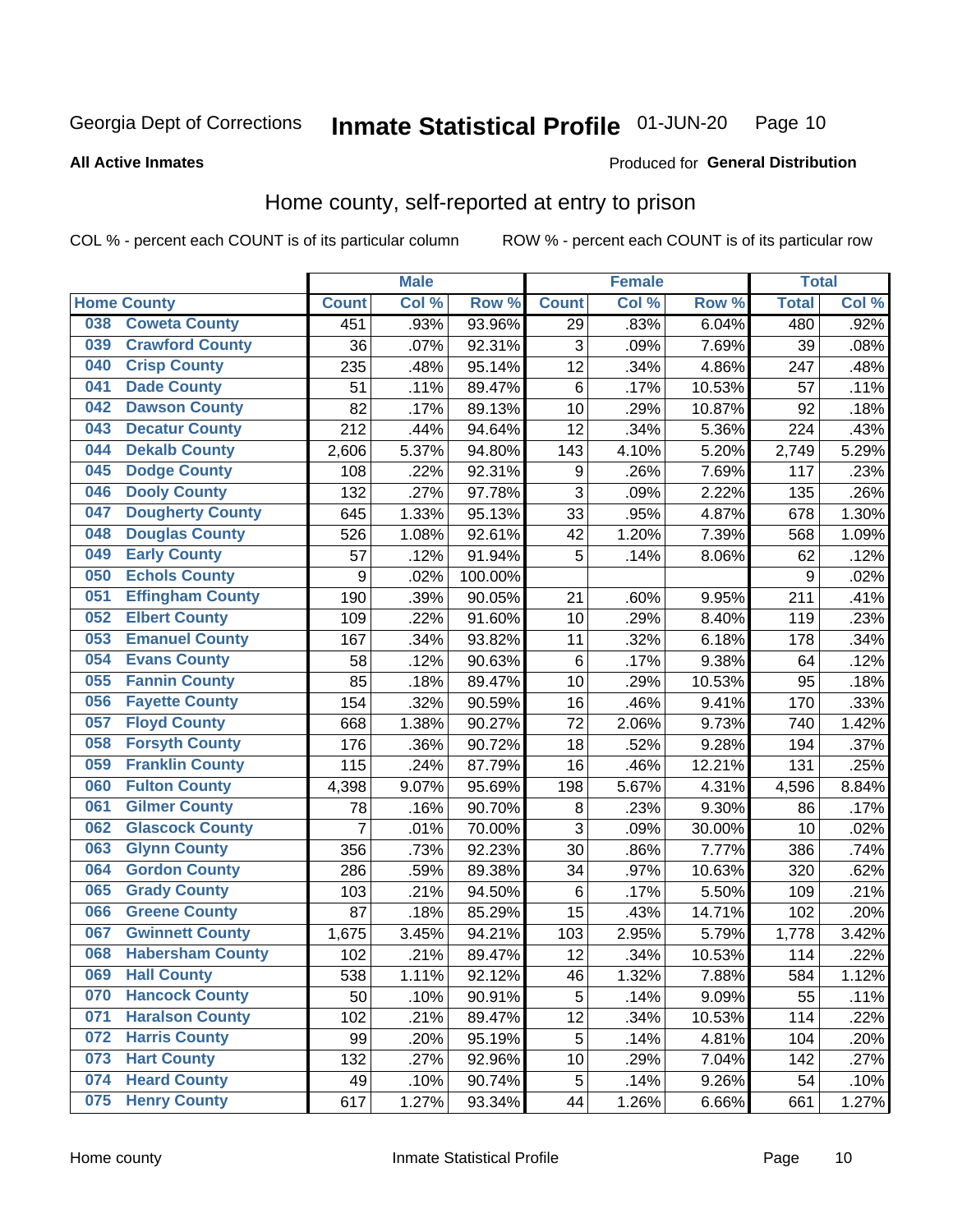### Inmate Statistical Profile 01-JUN-20 Page 10

## **All Active Inmates**

## Produced for General Distribution

## Home county, self-reported at entry to prison

COL % - percent each COUNT is of its particular column

|     |                         |                | <b>Male</b> |         |                 | <b>Female</b> |        | <b>Total</b> |       |
|-----|-------------------------|----------------|-------------|---------|-----------------|---------------|--------|--------------|-------|
|     | <b>Home County</b>      | <b>Count</b>   | Col %       | Row %   | <b>Count</b>    | Col %         | Row %  | <b>Total</b> | Col%  |
| 038 | <b>Coweta County</b>    | 451            | .93%        | 93.96%  | $\overline{29}$ | .83%          | 6.04%  | 480          | .92%  |
| 039 | <b>Crawford County</b>  | 36             | .07%        | 92.31%  | 3               | .09%          | 7.69%  | 39           | .08%  |
| 040 | <b>Crisp County</b>     | 235            | .48%        | 95.14%  | 12              | .34%          | 4.86%  | 247          | .48%  |
| 041 | <b>Dade County</b>      | 51             | .11%        | 89.47%  | 6               | .17%          | 10.53% | 57           | .11%  |
| 042 | <b>Dawson County</b>    | 82             | .17%        | 89.13%  | 10              | .29%          | 10.87% | 92           | .18%  |
| 043 | <b>Decatur County</b>   | 212            | .44%        | 94.64%  | 12              | .34%          | 5.36%  | 224          | .43%  |
| 044 | <b>Dekalb County</b>    | 2,606          | 5.37%       | 94.80%  | 143             | 4.10%         | 5.20%  | 2,749        | 5.29% |
| 045 | <b>Dodge County</b>     | 108            | .22%        | 92.31%  | 9               | .26%          | 7.69%  | 117          | .23%  |
| 046 | <b>Dooly County</b>     | 132            | .27%        | 97.78%  | 3               | .09%          | 2.22%  | 135          | .26%  |
| 047 | <b>Dougherty County</b> | 645            | 1.33%       | 95.13%  | 33              | .95%          | 4.87%  | 678          | 1.30% |
| 048 | <b>Douglas County</b>   | 526            | 1.08%       | 92.61%  | 42              | 1.20%         | 7.39%  | 568          | 1.09% |
| 049 | <b>Early County</b>     | 57             | .12%        | 91.94%  | 5               | .14%          | 8.06%  | 62           | .12%  |
| 050 | <b>Echols County</b>    | 9              | .02%        | 100.00% |                 |               |        | 9            | .02%  |
| 051 | <b>Effingham County</b> | 190            | .39%        | 90.05%  | 21              | .60%          | 9.95%  | 211          | .41%  |
| 052 | <b>Elbert County</b>    | 109            | .22%        | 91.60%  | 10              | .29%          | 8.40%  | 119          | .23%  |
| 053 | <b>Emanuel County</b>   | 167            | .34%        | 93.82%  | 11              | .32%          | 6.18%  | 178          | .34%  |
| 054 | <b>Evans County</b>     | 58             | .12%        | 90.63%  | 6               | .17%          | 9.38%  | 64           | .12%  |
| 055 | <b>Fannin County</b>    | 85             | .18%        | 89.47%  | 10              | .29%          | 10.53% | 95           | .18%  |
| 056 | <b>Fayette County</b>   | 154            | .32%        | 90.59%  | 16              | .46%          | 9.41%  | 170          | .33%  |
| 057 | <b>Floyd County</b>     | 668            | 1.38%       | 90.27%  | 72              | 2.06%         | 9.73%  | 740          | 1.42% |
| 058 | <b>Forsyth County</b>   | 176            | .36%        | 90.72%  | 18              | .52%          | 9.28%  | 194          | .37%  |
| 059 | <b>Franklin County</b>  | 115            | .24%        | 87.79%  | 16              | .46%          | 12.21% | 131          | .25%  |
| 060 | <b>Fulton County</b>    | 4,398          | 9.07%       | 95.69%  | 198             | 5.67%         | 4.31%  | 4,596        | 8.84% |
| 061 | <b>Gilmer County</b>    | 78             | .16%        | 90.70%  | 8               | .23%          | 9.30%  | 86           | .17%  |
| 062 | <b>Glascock County</b>  | $\overline{7}$ | .01%        | 70.00%  | 3               | .09%          | 30.00% | 10           | .02%  |
| 063 | <b>Glynn County</b>     | 356            | .73%        | 92.23%  | 30              | .86%          | 7.77%  | 386          | .74%  |
| 064 | <b>Gordon County</b>    | 286            | .59%        | 89.38%  | 34              | .97%          | 10.63% | 320          | .62%  |
| 065 | <b>Grady County</b>     | 103            | .21%        | 94.50%  | 6               | .17%          | 5.50%  | 109          | .21%  |
| 066 | <b>Greene County</b>    | 87             | .18%        | 85.29%  | 15              | .43%          | 14.71% | 102          | .20%  |
| 067 | <b>Gwinnett County</b>  | 1,675          | 3.45%       | 94.21%  | 103             | 2.95%         | 5.79%  | 1,778        | 3.42% |
| 068 | <b>Habersham County</b> | 102            | .21%        | 89.47%  | 12              | .34%          | 10.53% | 114          | .22%  |
| 069 | <b>Hall County</b>      | 538            | 1.11%       | 92.12%  | 46              | 1.32%         | 7.88%  | 584          | 1.12% |
| 070 | <b>Hancock County</b>   | 50             | .10%        | 90.91%  | 5               | .14%          | 9.09%  | 55           | .11%  |
| 071 | <b>Haralson County</b>  | 102            | .21%        | 89.47%  | 12              | .34%          | 10.53% | 114          | .22%  |
| 072 | <b>Harris County</b>    | 99             | .20%        | 95.19%  | 5               | .14%          | 4.81%  | 104          | .20%  |
| 073 | <b>Hart County</b>      | 132            | .27%        | 92.96%  | 10              | .29%          | 7.04%  | 142          | .27%  |
| 074 | <b>Heard County</b>     | 49             | .10%        | 90.74%  | 5               | .14%          | 9.26%  | 54           | .10%  |
| 075 | <b>Henry County</b>     | 617            | 1.27%       | 93.34%  | 44              | 1.26%         | 6.66%  | 661          | 1.27% |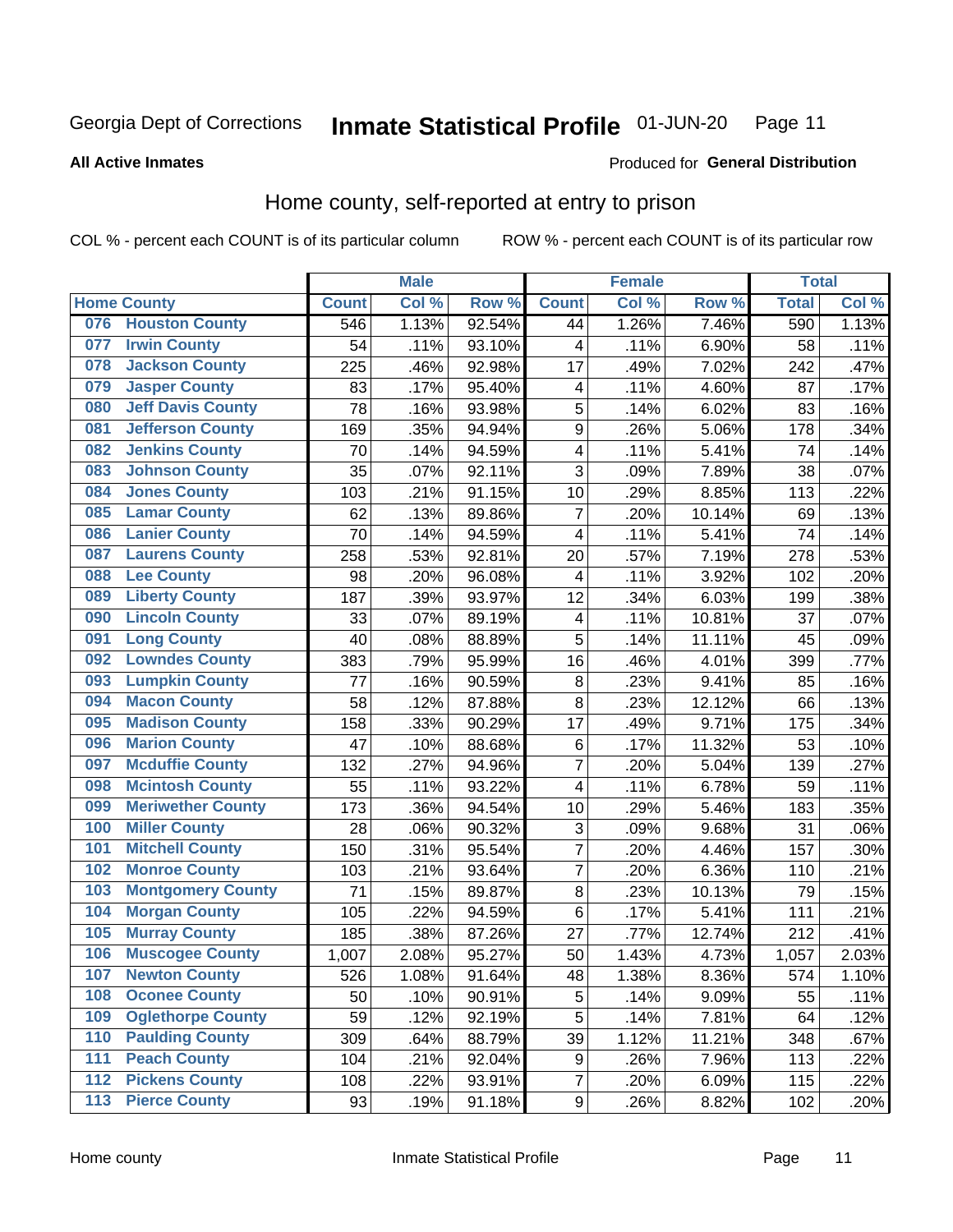### Inmate Statistical Profile 01-JUN-20 Page 11

**All Active Inmates** 

### Produced for General Distribution

## Home county, self-reported at entry to prison

COL % - percent each COUNT is of its particular column

|                  |                          |              | <b>Male</b> |        |                  | <b>Female</b> |                  | <b>Total</b> |       |
|------------------|--------------------------|--------------|-------------|--------|------------------|---------------|------------------|--------------|-------|
|                  | <b>Home County</b>       | <b>Count</b> | Col %       | Row %  | <b>Count</b>     | Col %         | Row <sup>%</sup> | <b>Total</b> | Col % |
| 076              | <b>Houston County</b>    | 546          | 1.13%       | 92.54% | 44               | 1.26%         | 7.46%            | 590          | 1.13% |
| 077              | <b>Irwin County</b>      | 54           | .11%        | 93.10% | 4                | .11%          | 6.90%            | 58           | .11%  |
| 078              | <b>Jackson County</b>    | 225          | .46%        | 92.98% | 17               | .49%          | 7.02%            | 242          | .47%  |
| 079              | <b>Jasper County</b>     | 83           | .17%        | 95.40% | 4                | .11%          | 4.60%            | 87           | .17%  |
| 080              | <b>Jeff Davis County</b> | 78           | .16%        | 93.98% | 5                | .14%          | 6.02%            | 83           | .16%  |
| 081              | <b>Jefferson County</b>  | 169          | .35%        | 94.94% | 9                | .26%          | 5.06%            | 178          | .34%  |
| 082              | <b>Jenkins County</b>    | 70           | .14%        | 94.59% | 4                | .11%          | 5.41%            | 74           | .14%  |
| 083              | <b>Johnson County</b>    | 35           | .07%        | 92.11% | 3                | .09%          | 7.89%            | 38           | .07%  |
| 084              | <b>Jones County</b>      | 103          | .21%        | 91.15% | 10               | .29%          | 8.85%            | 113          | .22%  |
| 085              | <b>Lamar County</b>      | 62           | .13%        | 89.86% | $\overline{7}$   | .20%          | 10.14%           | 69           | .13%  |
| 086              | <b>Lanier County</b>     | 70           | .14%        | 94.59% | 4                | .11%          | 5.41%            | 74           | .14%  |
| 087              | <b>Laurens County</b>    | 258          | .53%        | 92.81% | 20               | .57%          | 7.19%            | 278          | .53%  |
| 088              | <b>Lee County</b>        | 98           | .20%        | 96.08% | 4                | .11%          | 3.92%            | 102          | .20%  |
| 089              | <b>Liberty County</b>    | 187          | .39%        | 93.97% | 12               | .34%          | 6.03%            | 199          | .38%  |
| 090              | <b>Lincoln County</b>    | 33           | .07%        | 89.19% | 4                | .11%          | 10.81%           | 37           | .07%  |
| 091              | <b>Long County</b>       | 40           | .08%        | 88.89% | 5                | .14%          | 11.11%           | 45           | .09%  |
| 092              | <b>Lowndes County</b>    | 383          | .79%        | 95.99% | 16               | .46%          | 4.01%            | 399          | .77%  |
| 093              | <b>Lumpkin County</b>    | 77           | .16%        | 90.59% | 8                | .23%          | 9.41%            | 85           | .16%  |
| 094              | <b>Macon County</b>      | 58           | .12%        | 87.88% | 8                | .23%          | 12.12%           | 66           | .13%  |
| 095              | <b>Madison County</b>    | 158          | .33%        | 90.29% | 17               | .49%          | 9.71%            | 175          | .34%  |
| 096              | <b>Marion County</b>     | 47           | .10%        | 88.68% | $\,6$            | .17%          | 11.32%           | 53           | .10%  |
| 097              | <b>Mcduffie County</b>   | 132          | .27%        | 94.96% | $\overline{7}$   | .20%          | 5.04%            | 139          | .27%  |
| 098              | <b>Mcintosh County</b>   | 55           | .11%        | 93.22% | 4                | .11%          | 6.78%            | 59           | .11%  |
| 099              | <b>Meriwether County</b> | 173          | .36%        | 94.54% | 10               | .29%          | 5.46%            | 183          | .35%  |
| 100              | <b>Miller County</b>     | 28           | .06%        | 90.32% | 3                | .09%          | 9.68%            | 31           | .06%  |
| 101              | <b>Mitchell County</b>   | 150          | .31%        | 95.54% | $\overline{7}$   | .20%          | 4.46%            | 157          | .30%  |
| 102              | <b>Monroe County</b>     | 103          | .21%        | 93.64% | $\overline{7}$   | .20%          | 6.36%            | 110          | .21%  |
| 103              | <b>Montgomery County</b> | 71           | .15%        | 89.87% | 8                | .23%          | 10.13%           | 79           | .15%  |
| 104              | <b>Morgan County</b>     | 105          | .22%        | 94.59% | $\,6$            | .17%          | 5.41%            | 111          | .21%  |
| 105              | <b>Murray County</b>     | 185          | .38%        | 87.26% | 27               | .77%          | 12.74%           | 212          | .41%  |
| 106              | <b>Muscogee County</b>   | 1,007        | 2.08%       | 95.27% | 50               | 1.43%         | 4.73%            | 1,057        | 2.03% |
| 107              | <b>Newton County</b>     | 526          | 1.08%       | 91.64% | 48               | 1.38%         | 8.36%            | 574          | 1.10% |
| 108              | <b>Oconee County</b>     | 50           | .10%        | 90.91% | 5                | .14%          | 9.09%            | 55           | .11%  |
| 109              | <b>Oglethorpe County</b> | 59           | .12%        | 92.19% | 5                | .14%          | 7.81%            | 64           | .12%  |
| 110              | <b>Paulding County</b>   | 309          | .64%        | 88.79% | 39               | 1.12%         | 11.21%           | 348          | .67%  |
| 111              | <b>Peach County</b>      | 104          | .21%        | 92.04% | 9                | .26%          | 7.96%            | 113          | .22%  |
| $\overline{112}$ | <b>Pickens County</b>    | 108          | .22%        | 93.91% | $\overline{7}$   | .20%          | 6.09%            | 115          | .22%  |
| 113              | <b>Pierce County</b>     | 93           | .19%        | 91.18% | $\boldsymbol{9}$ | .26%          | 8.82%            | 102          | .20%  |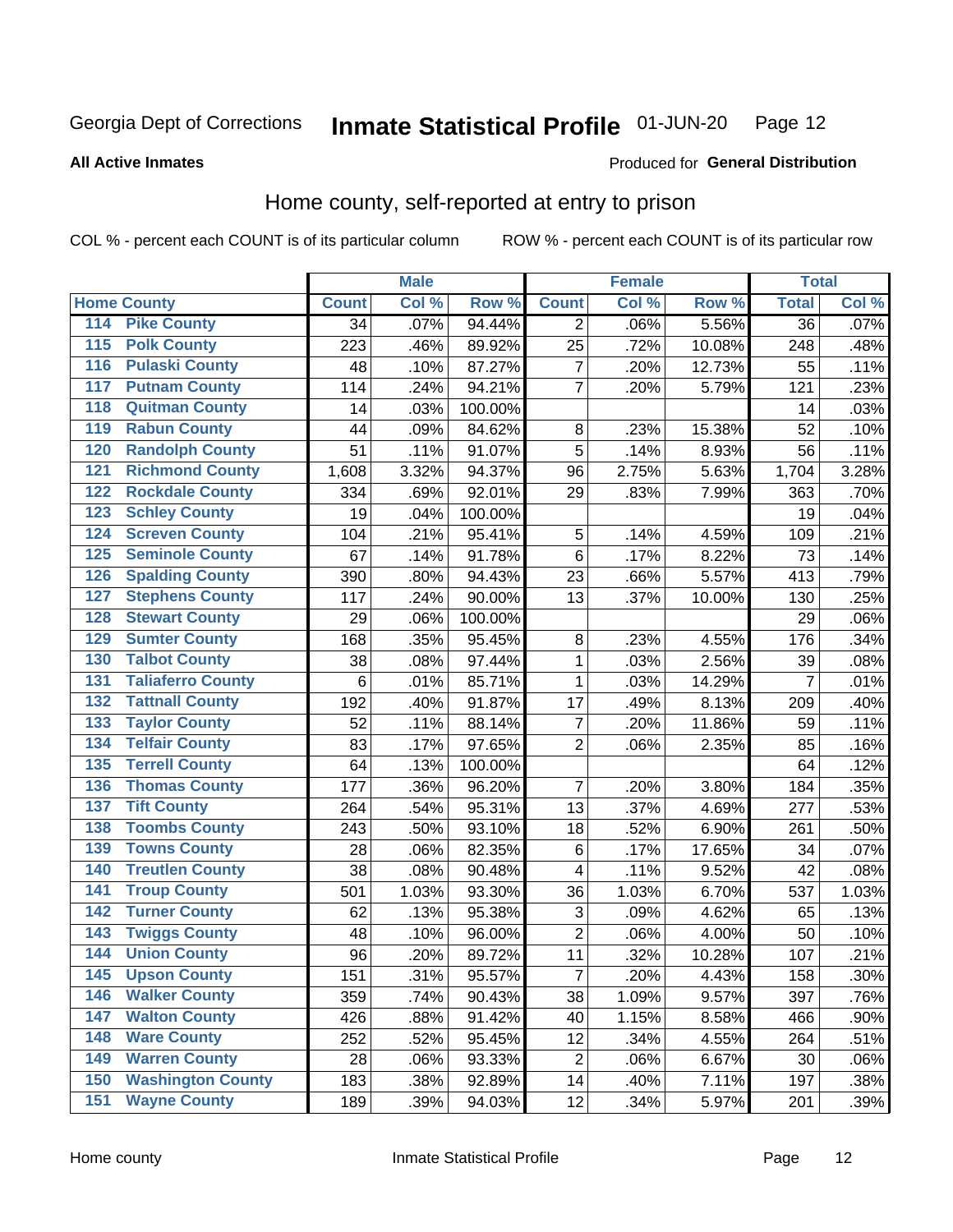### Inmate Statistical Profile 01-JUN-20 Page 12

**All Active Inmates** 

## Produced for General Distribution

## Home county, self-reported at entry to prison

COL % - percent each COUNT is of its particular column

|                  |                          |              | <b>Male</b> |         |                         | <b>Female</b> |        | <b>Total</b>    |       |
|------------------|--------------------------|--------------|-------------|---------|-------------------------|---------------|--------|-----------------|-------|
|                  | <b>Home County</b>       | <b>Count</b> | Col %       | Row %   | <b>Count</b>            | Col %         | Row %  | <b>Total</b>    | Col % |
| 114              | <b>Pike County</b>       | 34           | .07%        | 94.44%  | $\overline{2}$          | .06%          | 5.56%  | $\overline{36}$ | .07%  |
| $\overline{115}$ | <b>Polk County</b>       | 223          | .46%        | 89.92%  | 25                      | .72%          | 10.08% | 248             | .48%  |
| 116              | <b>Pulaski County</b>    | 48           | .10%        | 87.27%  | $\overline{\mathbf{7}}$ | .20%          | 12.73% | 55              | .11%  |
| 117              | <b>Putnam County</b>     | 114          | .24%        | 94.21%  | $\overline{7}$          | .20%          | 5.79%  | 121             | .23%  |
| 118              | <b>Quitman County</b>    | 14           | .03%        | 100.00% |                         |               |        | 14              | .03%  |
| 119              | <b>Rabun County</b>      | 44           | .09%        | 84.62%  | $\bf 8$                 | .23%          | 15.38% | 52              | .10%  |
| 120              | <b>Randolph County</b>   | 51           | .11%        | 91.07%  | 5                       | .14%          | 8.93%  | 56              | .11%  |
| $\overline{121}$ | <b>Richmond County</b>   | 1,608        | 3.32%       | 94.37%  | 96                      | 2.75%         | 5.63%  | 1,704           | 3.28% |
| 122              | <b>Rockdale County</b>   | 334          | .69%        | 92.01%  | 29                      | .83%          | 7.99%  | 363             | .70%  |
| 123              | <b>Schley County</b>     | 19           | .04%        | 100.00% |                         |               |        | 19              | .04%  |
| 124              | <b>Screven County</b>    | 104          | .21%        | 95.41%  | $\sqrt{5}$              | .14%          | 4.59%  | 109             | .21%  |
| 125              | <b>Seminole County</b>   | 67           | .14%        | 91.78%  | $\,6$                   | .17%          | 8.22%  | 73              | .14%  |
| 126              | <b>Spalding County</b>   | 390          | .80%        | 94.43%  | 23                      | .66%          | 5.57%  | 413             | .79%  |
| 127              | <b>Stephens County</b>   | 117          | .24%        | 90.00%  | 13                      | .37%          | 10.00% | 130             | .25%  |
| 128              | <b>Stewart County</b>    | 29           | .06%        | 100.00% |                         |               |        | 29              | .06%  |
| 129              | <b>Sumter County</b>     | 168          | .35%        | 95.45%  | 8                       | .23%          | 4.55%  | 176             | .34%  |
| 130              | <b>Talbot County</b>     | 38           | .08%        | 97.44%  | 1                       | .03%          | 2.56%  | 39              | .08%  |
| 131              | <b>Taliaferro County</b> | 6            | .01%        | 85.71%  | $\mathbf{1}$            | .03%          | 14.29% | $\overline{7}$  | .01%  |
| 132              | <b>Tattnall County</b>   | 192          | .40%        | 91.87%  | 17                      | .49%          | 8.13%  | 209             | .40%  |
| 133              | <b>Taylor County</b>     | 52           | .11%        | 88.14%  | $\overline{7}$          | .20%          | 11.86% | 59              | .11%  |
| 134              | <b>Telfair County</b>    | 83           | .17%        | 97.65%  | $\overline{2}$          | .06%          | 2.35%  | 85              | .16%  |
| 135              | <b>Terrell County</b>    | 64           | .13%        | 100.00% |                         |               |        | 64              | .12%  |
| 136              | <b>Thomas County</b>     | 177          | .36%        | 96.20%  | $\overline{7}$          | .20%          | 3.80%  | 184             | .35%  |
| 137              | <b>Tift County</b>       | 264          | .54%        | 95.31%  | 13                      | .37%          | 4.69%  | 277             | .53%  |
| 138              | <b>Toombs County</b>     | 243          | .50%        | 93.10%  | 18                      | .52%          | 6.90%  | 261             | .50%  |
| 139              | <b>Towns County</b>      | 28           | .06%        | 82.35%  | $\,6$                   | .17%          | 17.65% | 34              | .07%  |
| 140              | <b>Treutlen County</b>   | 38           | .08%        | 90.48%  | 4                       | .11%          | 9.52%  | 42              | .08%  |
| 141              | <b>Troup County</b>      | 501          | 1.03%       | 93.30%  | 36                      | 1.03%         | 6.70%  | 537             | 1.03% |
| 142              | <b>Turner County</b>     | 62           | .13%        | 95.38%  | 3                       | .09%          | 4.62%  | 65              | .13%  |
| 143              | <b>Twiggs County</b>     | 48           | .10%        | 96.00%  | $\mathbf 2$             | .06%          | 4.00%  | 50              | .10%  |
| 144              | <b>Union County</b>      | 96           | .20%        | 89.72%  | 11                      | .32%          | 10.28% | 107             | .21%  |
| 145              | <b>Upson County</b>      | 151          | .31%        | 95.57%  | $\overline{7}$          | .20%          | 4.43%  | 158             | .30%  |
| 146              | <b>Walker County</b>     | 359          | .74%        | 90.43%  | 38                      | 1.09%         | 9.57%  | 397             | .76%  |
| 147              | <b>Walton County</b>     | 426          | .88%        | 91.42%  | 40                      | 1.15%         | 8.58%  | 466             | .90%  |
| 148              | <b>Ware County</b>       | 252          | .52%        | 95.45%  | 12                      | .34%          | 4.55%  | 264             | .51%  |
| 149              | <b>Warren County</b>     | 28           | .06%        | 93.33%  | $\overline{c}$          | .06%          | 6.67%  | 30              | .06%  |
| 150              | <b>Washington County</b> | 183          | .38%        | 92.89%  | 14                      | .40%          | 7.11%  | 197             | .38%  |
| 151              | <b>Wayne County</b>      | 189          | .39%        | 94.03%  | 12                      | .34%          | 5.97%  | 201             | .39%  |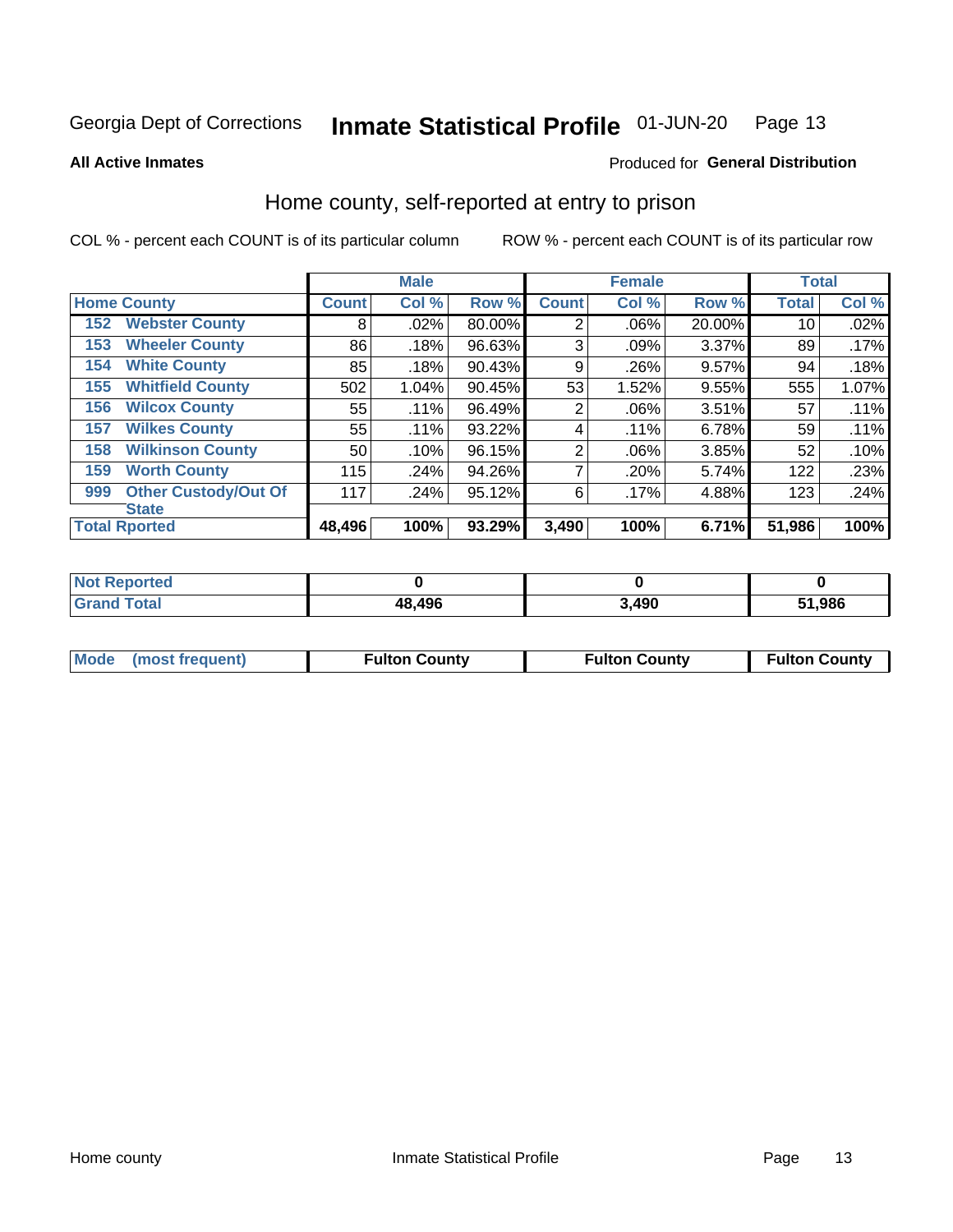### Inmate Statistical Profile 01-JUN-20 Page 13

**All Active Inmates** 

## Produced for General Distribution

## Home county, self-reported at entry to prison

COL % - percent each COUNT is of its particular column

|                                    |                 | <b>Male</b> |        |                | <b>Female</b> |        | <b>Total</b> |       |
|------------------------------------|-----------------|-------------|--------|----------------|---------------|--------|--------------|-------|
| <b>Home County</b>                 | <b>Count</b>    | Col %       | Row %  | <b>Count</b>   | Col %         | Row %  | <b>Total</b> | Col % |
| <b>Webster County</b><br>152       | 8               | .02%        | 80.00% | $\overline{2}$ | .06%          | 20.00% | 10           | .02%  |
| <b>Wheeler County</b><br>153       | 86              | .18%        | 96.63% | 3              | .09%          | 3.37%  | 89           | .17%  |
| <b>White County</b><br>154         | 85              | .18%        | 90.43% | 9              | .26%          | 9.57%  | 94           | .18%  |
| <b>Whitfield County</b><br>155     | 502             | 1.04%       | 90.45% | 53             | 1.52%         | 9.55%  | 555          | 1.07% |
| <b>Wilcox County</b><br>156        | 55              | $.11\%$     | 96.49% | $\overline{2}$ | .06%          | 3.51%  | 57           | .11%  |
| <b>Wilkes County</b><br>157        | 55              | $.11\%$     | 93.22% | 4              | .11%          | 6.78%  | 59           | .11%  |
| <b>Wilkinson County</b><br>158     | 50 <sup>°</sup> | .10%        | 96.15% | $\overline{2}$ | .06%          | 3.85%  | 52           | .10%  |
| <b>Worth County</b><br>159         | 115             | .24%        | 94.26% | 7              | .20%          | 5.74%  | 122          | .23%  |
| <b>Other Custody/Out Of</b><br>999 | 117             | .24%        | 95.12% | 6              | .17%          | 4.88%  | 123          | .24%  |
| <b>State</b>                       |                 |             |        |                |               |        |              |       |
| <b>Total Rported</b>               | 48,496          | 100%        | 93.29% | 3,490          | 100%          | 6.71%  | 51,986       | 100%  |

| Reported<br>Not |        |      |        |
|-----------------|--------|------|--------|
| 'otal           | 48,496 | ,490 | 51,986 |

|  | Mode (most frequent) | <b>Fulton County</b> | <b>Fulton County</b> | <b>Fulton County</b> |
|--|----------------------|----------------------|----------------------|----------------------|
|--|----------------------|----------------------|----------------------|----------------------|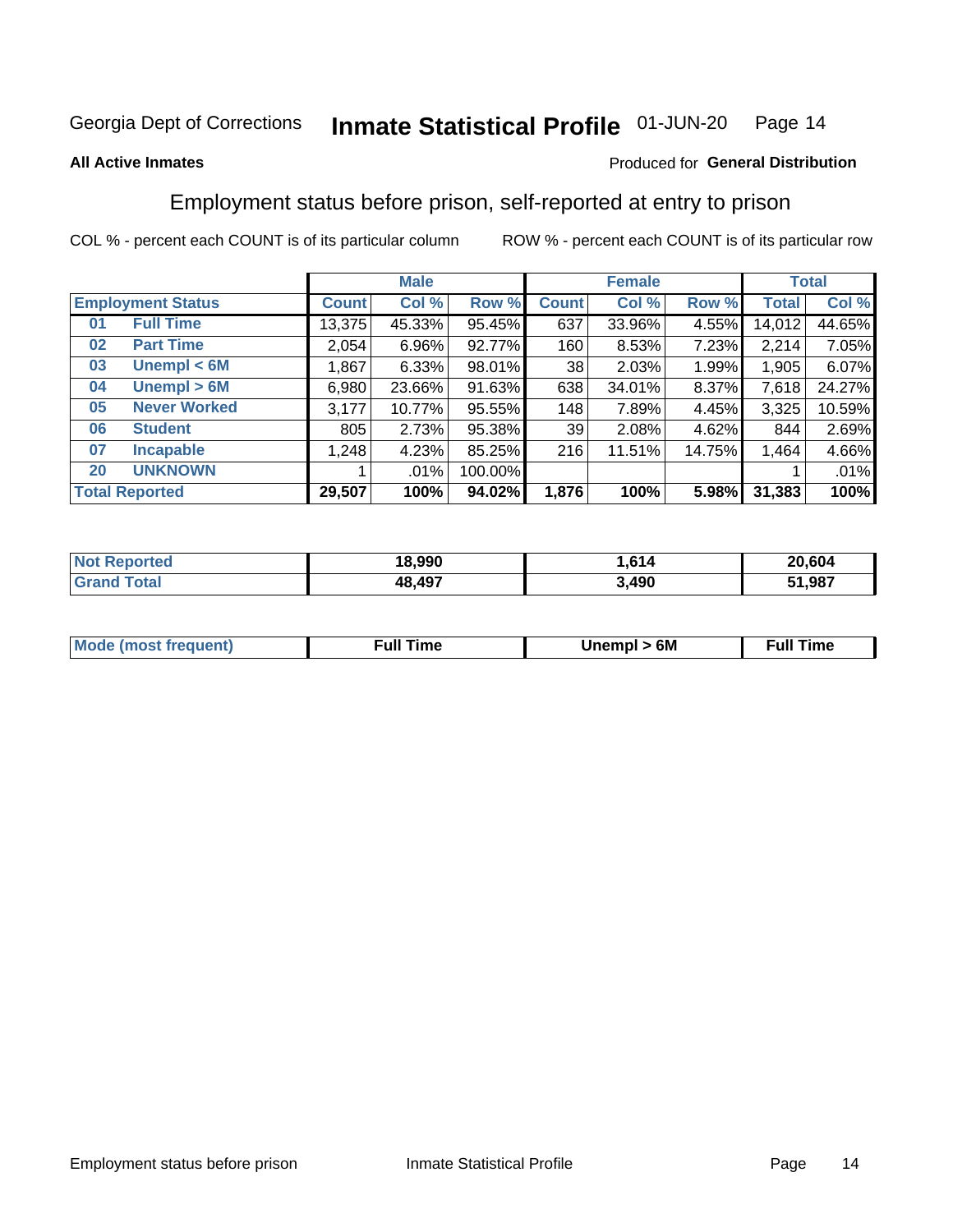### Inmate Statistical Profile 01-JUN-20 Page 14

## **All Active Inmates**

## Produced for General Distribution

## Employment status before prison, self-reported at entry to prison

COL % - percent each COUNT is of its particular column

|                                    | <b>Male</b><br><b>Female</b> |        |         | <b>Total</b>    |        |        |        |        |
|------------------------------------|------------------------------|--------|---------|-----------------|--------|--------|--------|--------|
| <b>Employment Status</b>           | <b>Count</b>                 | Col %  | Row %   | <b>Count</b>    | Col %  | Row %  | Total  | Col %  |
| <b>Full Time</b><br>0 <sub>1</sub> | 13,375                       | 45.33% | 95.45%  | 637             | 33.96% | 4.55%  | 14,012 | 44.65% |
| <b>Part Time</b><br>02             | 2,054                        | 6.96%  | 92.77%  | 160             | 8.53%  | 7.23%  | 2,214  | 7.05%  |
| Unempl $<$ 6M<br>03                | .867                         | 6.33%  | 98.01%  | 38 <sup>1</sup> | 2.03%  | 1.99%  | 1,905  | 6.07%  |
| Unempl > 6M<br>04                  | 6,980                        | 23.66% | 91.63%  | 638             | 34.01% | 8.37%  | 7,618  | 24.27% |
| <b>Never Worked</b><br>05          | 3,177                        | 10.77% | 95.55%  | 148             | 7.89%  | 4.45%  | 3,325  | 10.59% |
| <b>Student</b><br>06               | 805                          | 2.73%  | 95.38%  | 39              | 2.08%  | 4.62%  | 844    | 2.69%  |
| <b>Incapable</b><br>07             | ا 248.⊦                      | 4.23%  | 85.25%  | 216             | 11.51% | 14.75% | 1,464  | 4.66%  |
| <b>UNKNOWN</b><br>20               |                              | .01%   | 100.00% |                 |        |        |        | .01%   |
| <b>Total Reported</b>              | 29,507                       | 100%   | 94.02%  | 1,876           | 100%   | 5.98%  | 31,383 | 100%   |

| <b>Not Reported</b> | 18,990 | .614  | 20,604 |
|---------------------|--------|-------|--------|
| <b>Grand Total</b>  | 48,497 | 3,490 | 51,987 |

| <b>Mode (most frequent)</b> | Unempl > 6M | <b>Full Time</b> |
|-----------------------------|-------------|------------------|
|                             |             |                  |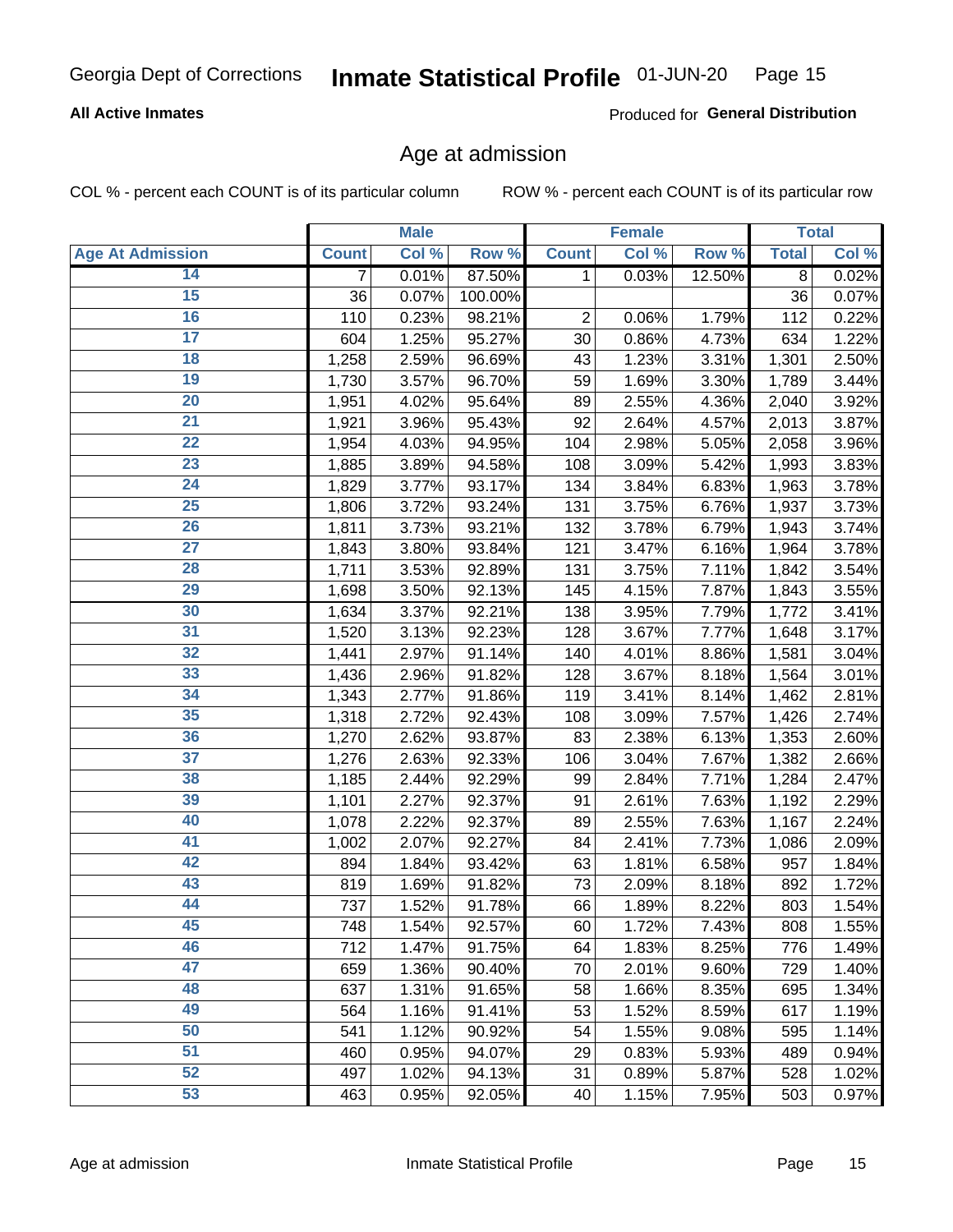### Inmate Statistical Profile 01-JUN-20 Page 15

## **All Active Inmates**

Produced for General Distribution

## Age at admission

COL % - percent each COUNT is of its particular column

|                         |              | <b>Male</b> |         |              | <b>Female</b> |        |              | <b>Total</b> |
|-------------------------|--------------|-------------|---------|--------------|---------------|--------|--------------|--------------|
| <b>Age At Admission</b> | <b>Count</b> | Col %       | Row %   | <b>Count</b> | Col %         | Row %  | <b>Total</b> | Col %        |
| 14                      | 7            | 0.01%       | 87.50%  | 1            | 0.03%         | 12.50% | 8            | 0.02%        |
| $\overline{15}$         | 36           | 0.07%       | 100.00% |              |               |        | 36           | 0.07%        |
| 16                      | 110          | 0.23%       | 98.21%  | 2            | 0.06%         | 1.79%  | 112          | 0.22%        |
| 17                      | 604          | 1.25%       | 95.27%  | 30           | 0.86%         | 4.73%  | 634          | 1.22%        |
| 18                      | 1,258        | 2.59%       | 96.69%  | 43           | 1.23%         | 3.31%  | 1,301        | 2.50%        |
| 19                      | 1,730        | 3.57%       | 96.70%  | 59           | 1.69%         | 3.30%  | 1,789        | 3.44%        |
| 20                      | 1,951        | 4.02%       | 95.64%  | 89           | 2.55%         | 4.36%  | 2,040        | 3.92%        |
| 21                      | 1,921        | 3.96%       | 95.43%  | 92           | 2.64%         | 4.57%  | 2,013        | 3.87%        |
| $\overline{22}$         | 1,954        | 4.03%       | 94.95%  | 104          | 2.98%         | 5.05%  | 2,058        | 3.96%        |
| $\overline{23}$         | 1,885        | 3.89%       | 94.58%  | 108          | 3.09%         | 5.42%  | 1,993        | 3.83%        |
| 24                      | 1,829        | 3.77%       | 93.17%  | 134          | 3.84%         | 6.83%  | 1,963        | 3.78%        |
| 25                      | 1,806        | 3.72%       | 93.24%  | 131          | 3.75%         | 6.76%  | 1,937        | 3.73%        |
| 26                      | 1,811        | 3.73%       | 93.21%  | 132          | 3.78%         | 6.79%  | 1,943        | 3.74%        |
| $\overline{27}$         | 1,843        | 3.80%       | 93.84%  | 121          | 3.47%         | 6.16%  | 1,964        | 3.78%        |
| 28                      | 1,711        | 3.53%       | 92.89%  | 131          | 3.75%         | 7.11%  | 1,842        | 3.54%        |
| 29                      | 1,698        | 3.50%       | 92.13%  | 145          | 4.15%         | 7.87%  | 1,843        | 3.55%        |
| 30                      | 1,634        | 3.37%       | 92.21%  | 138          | 3.95%         | 7.79%  | 1,772        | 3.41%        |
| 31                      | 1,520        | 3.13%       | 92.23%  | 128          | 3.67%         | 7.77%  | 1,648        | 3.17%        |
| 32                      | 1,441        | 2.97%       | 91.14%  | 140          | 4.01%         | 8.86%  | 1,581        | 3.04%        |
| 33                      | 1,436        | 2.96%       | 91.82%  | 128          | 3.67%         | 8.18%  | 1,564        | 3.01%        |
| 34                      | 1,343        | 2.77%       | 91.86%  | 119          | 3.41%         | 8.14%  | 1,462        | 2.81%        |
| 35                      | 1,318        | 2.72%       | 92.43%  | 108          | 3.09%         | 7.57%  | 1,426        | 2.74%        |
| 36                      | 1,270        | 2.62%       | 93.87%  | 83           | 2.38%         | 6.13%  | 1,353        | 2.60%        |
| 37                      | 1,276        | 2.63%       | 92.33%  | 106          | 3.04%         | 7.67%  | 1,382        | 2.66%        |
| 38                      | 1,185        | 2.44%       | 92.29%  | 99           | 2.84%         | 7.71%  | 1,284        | 2.47%        |
| 39                      | 1,101        | 2.27%       | 92.37%  | 91           | 2.61%         | 7.63%  | 1,192        | 2.29%        |
| 40                      | 1,078        | 2.22%       | 92.37%  | 89           | 2.55%         | 7.63%  | 1,167        | 2.24%        |
| 41                      | 1,002        | 2.07%       | 92.27%  | 84           | 2.41%         | 7.73%  | 1,086        | 2.09%        |
| 42                      | 894          | 1.84%       | 93.42%  | 63           | 1.81%         | 6.58%  | 957          | 1.84%        |
| 43                      | 819          | 1.69%       | 91.82%  | 73           | 2.09%         | 8.18%  | 892          | 1.72%        |
| 44                      | 737          | 1.52%       | 91.78%  | 66           | 1.89%         | 8.22%  | 803          | 1.54%        |
| 45                      | 748          | 1.54%       | 92.57%  | 60           | 1.72%         | 7.43%  | 808          | 1.55%        |
| 46                      | 712          | 1.47%       | 91.75%  | 64           | 1.83%         | 8.25%  | 776          | 1.49%        |
| 47                      | 659          | 1.36%       | 90.40%  | 70           | 2.01%         | 9.60%  | 729          | 1.40%        |
| 48                      | 637          | 1.31%       | 91.65%  | 58           | 1.66%         | 8.35%  | 695          | 1.34%        |
| 49                      | 564          | 1.16%       | 91.41%  | 53           | 1.52%         | 8.59%  | 617          | 1.19%        |
| 50                      | 541          | 1.12%       | 90.92%  | 54           | 1.55%         | 9.08%  | 595          | 1.14%        |
| 51                      | 460          | 0.95%       | 94.07%  | 29           | 0.83%         | 5.93%  | 489          | 0.94%        |
| 52                      | 497          | 1.02%       | 94.13%  | 31           | 0.89%         | 5.87%  | 528          | 1.02%        |
| 53                      | 463          | 0.95%       | 92.05%  | 40           | 1.15%         | 7.95%  | 503          | 0.97%        |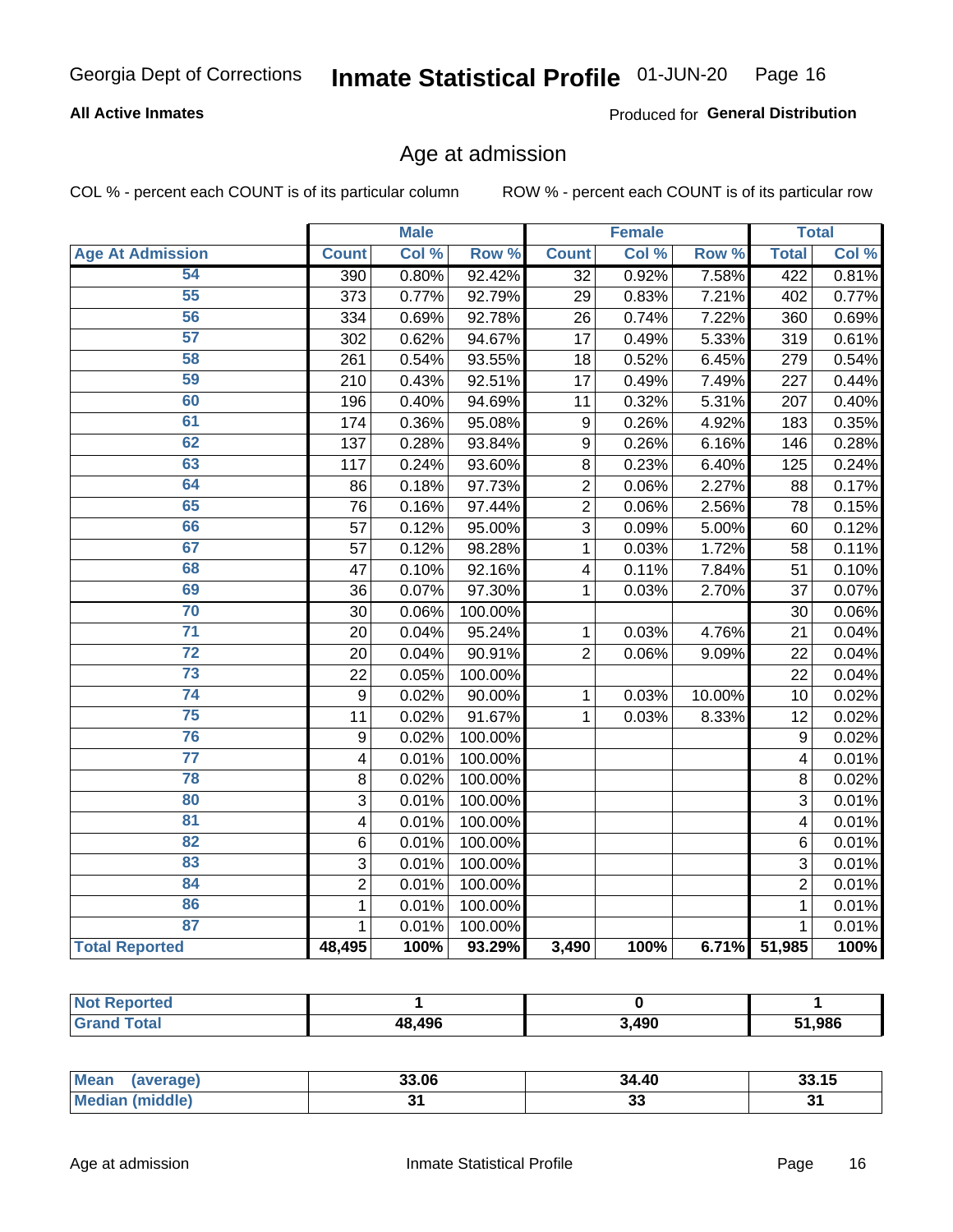### Inmate Statistical Profile 01-JUN-20 Page 16

## **All Active Inmates**

Produced for General Distribution

## Age at admission

COL % - percent each COUNT is of its particular column

|                         |                         | <b>Male</b> |         |                 | <b>Female</b> |                  |                | <b>Total</b> |
|-------------------------|-------------------------|-------------|---------|-----------------|---------------|------------------|----------------|--------------|
| <b>Age At Admission</b> | <b>Count</b>            | Col %       | Row %   | <b>Count</b>    | Col %         | Row <sup>%</sup> | <b>Total</b>   | Col %        |
| 54                      | 390                     | 0.80%       | 92.42%  | $\overline{32}$ | 0.92%         | 7.58%            | 422            | 0.81%        |
| 55                      | 373                     | 0.77%       | 92.79%  | 29              | 0.83%         | 7.21%            | 402            | 0.77%        |
| 56                      | 334                     | 0.69%       | 92.78%  | 26              | 0.74%         | 7.22%            | 360            | 0.69%        |
| 57                      | 302                     | 0.62%       | 94.67%  | $\overline{17}$ | 0.49%         | 5.33%            | 319            | 0.61%        |
| 58                      | 261                     | 0.54%       | 93.55%  | 18              | 0.52%         | 6.45%            | 279            | 0.54%        |
| 59                      | 210                     | 0.43%       | 92.51%  | 17              | 0.49%         | 7.49%            | 227            | 0.44%        |
| 60                      | 196                     | 0.40%       | 94.69%  | 11              | 0.32%         | 5.31%            | 207            | 0.40%        |
| 61                      | 174                     | 0.36%       | 95.08%  | 9               | 0.26%         | 4.92%            | 183            | 0.35%        |
| 62                      | 137                     | 0.28%       | 93.84%  | 9               | 0.26%         | 6.16%            | 146            | 0.28%        |
| 63                      | 117                     | 0.24%       | 93.60%  | 8               | 0.23%         | 6.40%            | 125            | 0.24%        |
| 64                      | 86                      | 0.18%       | 97.73%  | $\overline{2}$  | 0.06%         | 2.27%            | 88             | 0.17%        |
| 65                      | 76                      | 0.16%       | 97.44%  | $\overline{2}$  | 0.06%         | 2.56%            | 78             | 0.15%        |
| 66                      | 57                      | 0.12%       | 95.00%  | $\overline{3}$  | 0.09%         | 5.00%            | 60             | 0.12%        |
| 67                      | 57                      | 0.12%       | 98.28%  | $\mathbf{1}$    | 0.03%         | 1.72%            | 58             | 0.11%        |
| 68                      | 47                      | 0.10%       | 92.16%  | 4               | 0.11%         | 7.84%            | 51             | 0.10%        |
| 69                      | 36                      | 0.07%       | 97.30%  | $\mathbf{1}$    | 0.03%         | 2.70%            | 37             | 0.07%        |
| 70                      | 30                      | 0.06%       | 100.00% |                 |               |                  | 30             | 0.06%        |
| $\overline{71}$         | 20                      | 0.04%       | 95.24%  | 1               | 0.03%         | 4.76%            | 21             | 0.04%        |
| $\overline{72}$         | 20                      | 0.04%       | 90.91%  | $\overline{2}$  | 0.06%         | 9.09%            | 22             | 0.04%        |
| $\overline{73}$         | 22                      | 0.05%       | 100.00% |                 |               |                  | 22             | 0.04%        |
| $\overline{74}$         | $\boldsymbol{9}$        | 0.02%       | 90.00%  | 1               | 0.03%         | 10.00%           | 10             | 0.02%        |
| 75                      | 11                      | 0.02%       | 91.67%  | $\mathbf{1}$    | 0.03%         | 8.33%            | 12             | 0.02%        |
| 76                      | 9                       | 0.02%       | 100.00% |                 |               |                  | 9              | 0.02%        |
| $\overline{77}$         | $\overline{\mathbf{4}}$ | 0.01%       | 100.00% |                 |               |                  | 4              | 0.01%        |
| 78                      | 8                       | 0.02%       | 100.00% |                 |               |                  | 8              | 0.02%        |
| 80                      | 3                       | 0.01%       | 100.00% |                 |               |                  | 3              | 0.01%        |
| 81                      | $\overline{\mathbf{4}}$ | 0.01%       | 100.00% |                 |               |                  | 4              | 0.01%        |
| $\overline{82}$         | 6                       | 0.01%       | 100.00% |                 |               |                  | $\overline{6}$ | 0.01%        |
| 83                      | 3                       | 0.01%       | 100.00% |                 |               |                  | $\overline{3}$ | 0.01%        |
| 84                      | $\overline{2}$          | 0.01%       | 100.00% |                 |               |                  | $\overline{2}$ | 0.01%        |
| 86                      | $\mathbf{1}$            | 0.01%       | 100.00% |                 |               |                  | $\mathbf{1}$   | 0.01%        |
| 87                      | $\mathbf{1}$            | 0.01%       | 100.00% |                 |               |                  | $\mathbf{1}$   | 0.01%        |
| <b>Total Reported</b>   | 48,495                  | 100%        | 93.29%  | 3,490           | 100%          |                  | 6.71% 51,985   | 100%         |

| <b>Not Reported</b> |        |       |        |
|---------------------|--------|-------|--------|
| Tota'               | 48,496 | 3,490 | 51,986 |

| <b>Mean</b><br>aaverade) – | 33.06 | 34.40    | <b>AP</b><br>JJ.IJ |
|----------------------------|-------|----------|--------------------|
| middle,<br>Me              |       | ^'<br>ູບ | ັ                  |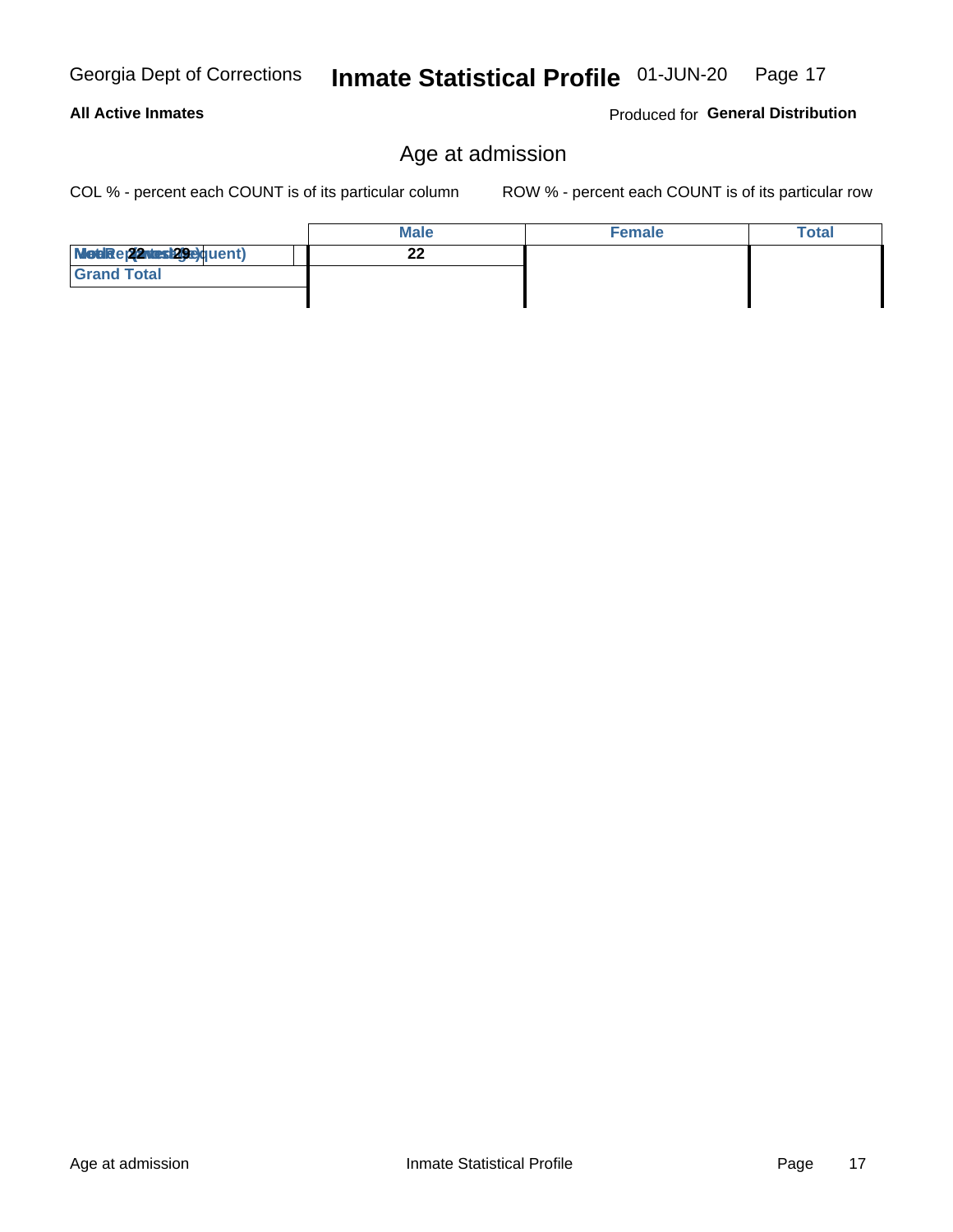Age at admission

### Inmate Statistical Profile 01-JUN-20 Page 17

## **All Active Inmates**

Georgia Dept of Corrections

Produced for General Distribution

## Age at admission

COL % - percent each COUNT is of its particular column

|                            | <b>Male</b> | <b>Female</b> | Total |
|----------------------------|-------------|---------------|-------|
| Modiae 22 Mest 29e) quent) | ົ<br>LL     |               |       |
| <b>Grand Total</b>         |             |               |       |
|                            |             |               |       |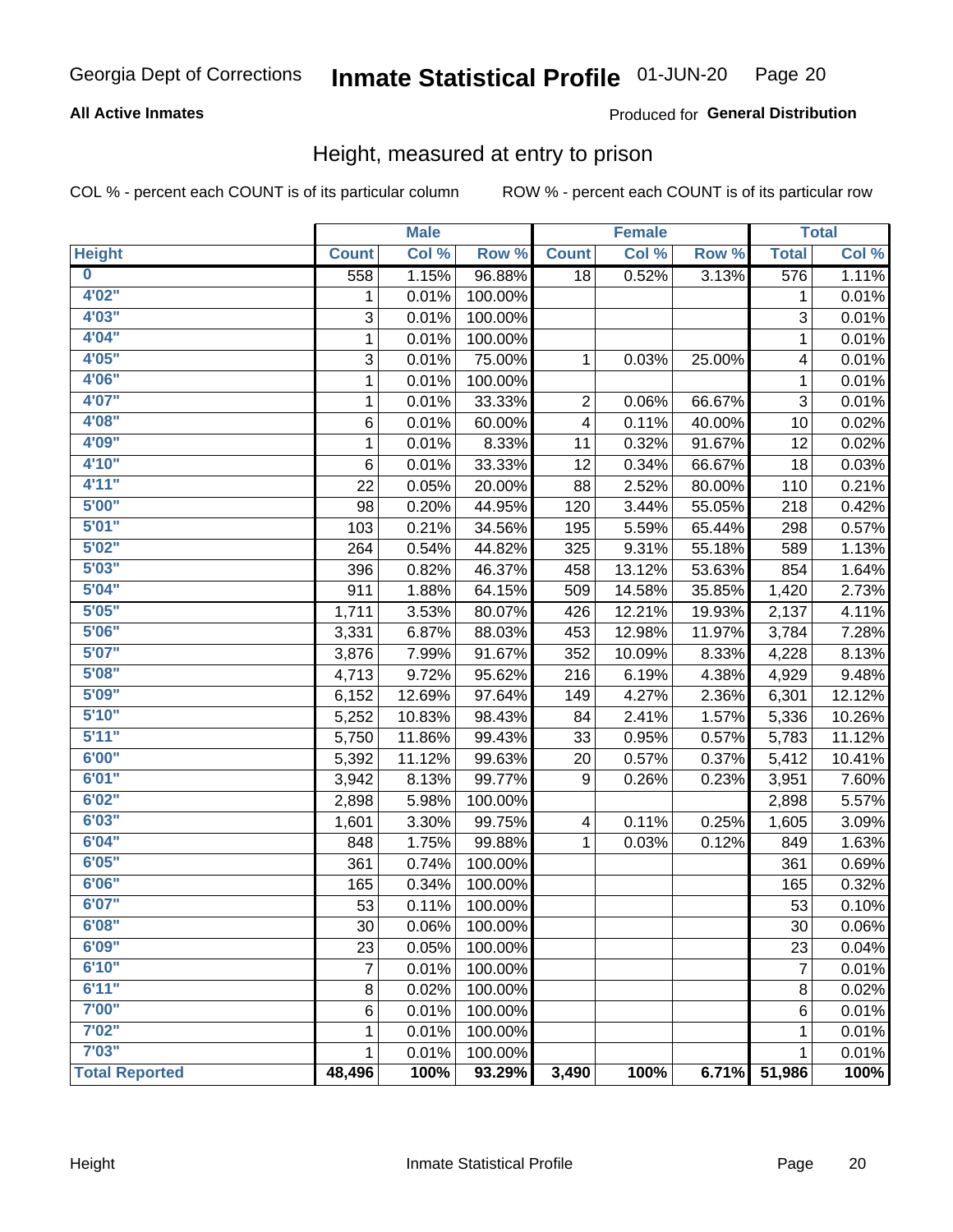### Inmate Statistical Profile 01-JUN-20 Page 20

## **All Active Inmates**

## Produced for General Distribution

## Height, measured at entry to prison

COL % - percent each COUNT is of its particular column

|                       |              | <b>Male</b> |         |                | <b>Female</b> |        |                 | <b>Total</b> |
|-----------------------|--------------|-------------|---------|----------------|---------------|--------|-----------------|--------------|
| <b>Height</b>         | <b>Count</b> | Col %       | Row %   | <b>Count</b>   | Col %         | Row %  | <b>Total</b>    | Col %        |
| $\bf{0}$              | 558          | 1.15%       | 96.88%  | 18             | 0.52%         | 3.13%  | 576             | 1.11%        |
| 4'02''                | 1            | 0.01%       | 100.00% |                |               |        | 1               | 0.01%        |
| 4'03''                | 3            | 0.01%       | 100.00% |                |               |        | 3               | 0.01%        |
| 4'04"                 | 1            | 0.01%       | 100.00% |                |               |        | 1               | 0.01%        |
| 4'05"                 | 3            | 0.01%       | 75.00%  | $\mathbf 1$    | 0.03%         | 25.00% | 4               | 0.01%        |
| 4'06"                 | 1            | 0.01%       | 100.00% |                |               |        | 1               | 0.01%        |
| 4'07"                 | $\mathbf{1}$ | 0.01%       | 33.33%  | $\overline{2}$ | 0.06%         | 66.67% | $\sqrt{3}$      | 0.01%        |
| 4'08"                 | 6            | 0.01%       | 60.00%  | 4              | 0.11%         | 40.00% | 10              | 0.02%        |
| 4'09"                 | 1            | 0.01%       | 8.33%   | 11             | 0.32%         | 91.67% | 12              | 0.02%        |
| 4'10"                 | 6            | 0.01%       | 33.33%  | 12             | 0.34%         | 66.67% | 18              | 0.03%        |
| 4'11''                | 22           | 0.05%       | 20.00%  | 88             | 2.52%         | 80.00% | 110             | 0.21%        |
| 5'00''                | 98           | 0.20%       | 44.95%  | 120            | 3.44%         | 55.05% | 218             | 0.42%        |
| 5'01"                 | 103          | 0.21%       | 34.56%  | 195            | 5.59%         | 65.44% | 298             | 0.57%        |
| 5'02"                 | 264          | 0.54%       | 44.82%  | 325            | 9.31%         | 55.18% | 589             | 1.13%        |
| 5'03''                | 396          | 0.82%       | 46.37%  | 458            | 13.12%        | 53.63% | 854             | 1.64%        |
| 5'04"                 | 911          | 1.88%       | 64.15%  | 509            | 14.58%        | 35.85% | 1,420           | 2.73%        |
| 5'05"                 | 1,711        | 3.53%       | 80.07%  | 426            | 12.21%        | 19.93% | 2,137           | 4.11%        |
| 5'06''                | 3,331        | 6.87%       | 88.03%  | 453            | 12.98%        | 11.97% | 3,784           | 7.28%        |
| 5'07"                 | 3,876        | 7.99%       | 91.67%  | 352            | 10.09%        | 8.33%  | 4,228           | 8.13%        |
| 5'08''                | 4,713        | 9.72%       | 95.62%  | 216            | 6.19%         | 4.38%  | 4,929           | 9.48%        |
| 5'09''                | 6,152        | 12.69%      | 97.64%  | 149            | 4.27%         | 2.36%  | 6,301           | 12.12%       |
| 5'10''                | 5,252        | 10.83%      | 98.43%  | 84             | 2.41%         | 1.57%  | 5,336           | 10.26%       |
| 5'11''                | 5,750        | 11.86%      | 99.43%  | 33             | 0.95%         | 0.57%  | 5,783           | 11.12%       |
| 6'00''                | 5,392        | 11.12%      | 99.63%  | 20             | 0.57%         | 0.37%  | 5,412           | 10.41%       |
| 6'01''                | 3,942        | 8.13%       | 99.77%  | 9              | 0.26%         | 0.23%  | 3,951           | 7.60%        |
| 6'02"                 | 2,898        | 5.98%       | 100.00% |                |               |        | 2,898           | 5.57%        |
| 6'03''                | 1,601        | 3.30%       | 99.75%  | 4              | 0.11%         | 0.25%  | 1,605           | 3.09%        |
| 6'04"                 | 848          | 1.75%       | 99.88%  | 1              | 0.03%         | 0.12%  | 849             | 1.63%        |
| 6'05"                 | 361          | 0.74%       | 100.00% |                |               |        | 361             | 0.69%        |
| 6'06''                | 165          | 0.34%       | 100.00% |                |               |        | 165             | 0.32%        |
| 6'07''                | 53           | 0.11%       | 100.00% |                |               |        | 53              | 0.10%        |
| 6'08"                 | 30           | 0.06%       | 100.00% |                |               |        | $\overline{30}$ | 0.06%        |
| 6'09''                | 23           | 0.05%       | 100.00% |                |               |        | 23              | 0.04%        |
| 6'10''                | 7            | 0.01%       | 100.00% |                |               |        | $\overline{7}$  | 0.01%        |
| 6'11''                | 8            | 0.02%       | 100.00% |                |               |        | $\bf 8$         | 0.02%        |
| 7'00"                 | 6            | 0.01%       | 100.00% |                |               |        | $\,6$           | 0.01%        |
| 7'02"                 | 1            | 0.01%       | 100.00% |                |               |        | 1               | 0.01%        |
| 7'03''                | 1            | 0.01%       | 100.00% |                |               |        | 1               | 0.01%        |
| <b>Total Reported</b> | 48,496       | 100%        | 93.29%  | 3,490          | 100%          | 6.71%  | 51,986          | 100%         |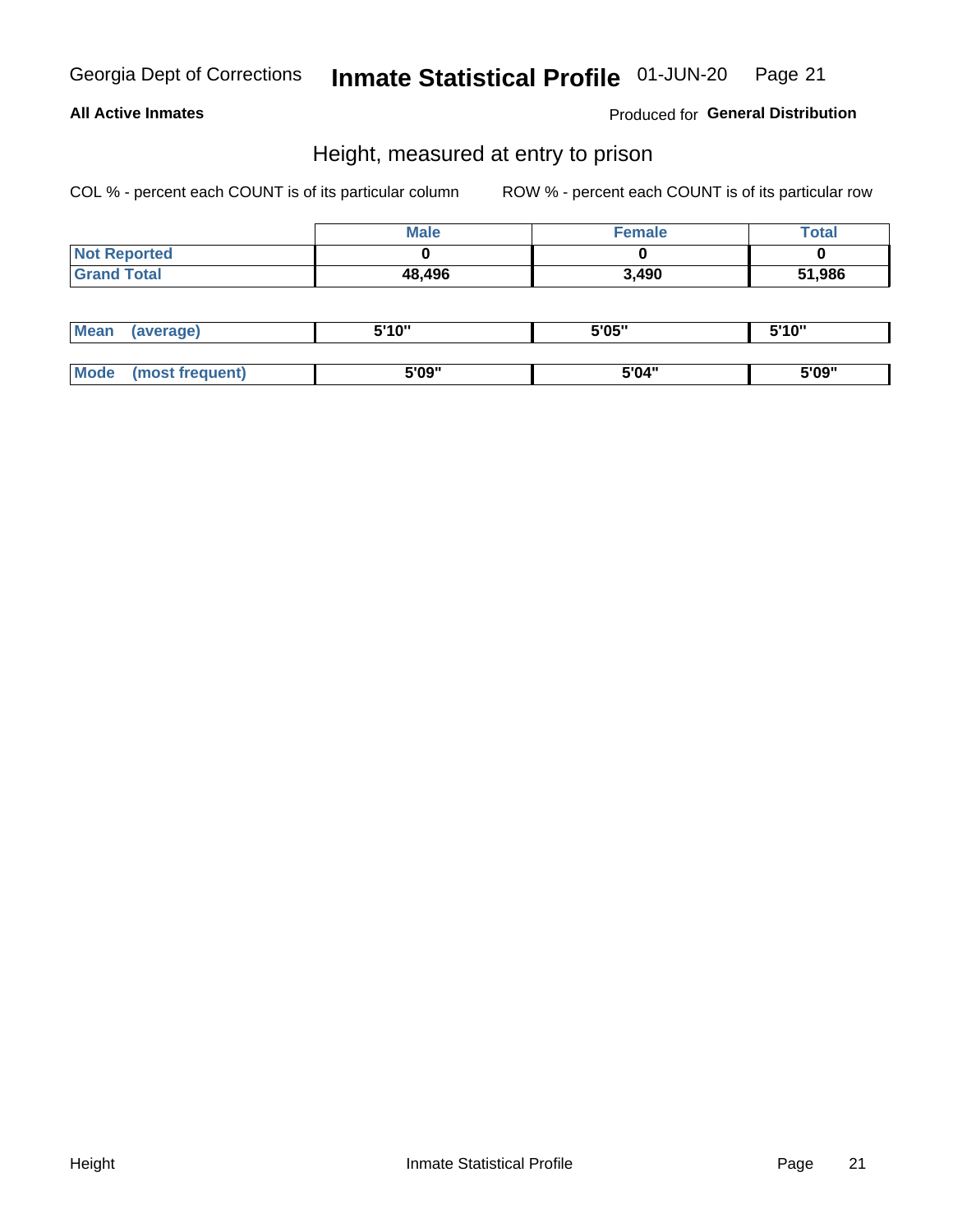## Inmate Statistical Profile 01-JUN-20 Page 21

## **All Active Inmates**

Produced for General Distribution

## Height, measured at entry to prison

COL % - percent each COUNT is of its particular column

|                     | <b>Male</b> | Female | $\tau$ otal |
|---------------------|-------------|--------|-------------|
| <b>Not Reported</b> |             |        |             |
| <b>Grand Total</b>  | 48,496      | 3,490  | 51,986      |

| <b>Mean</b> | erage) | 5'10" | 5'05" | <b>CIA AIL</b><br>. . |
|-------------|--------|-------|-------|-----------------------|
|             |        |       |       |                       |
| <b>Mode</b> |        | 5'09" | 5'04" | 5'09"                 |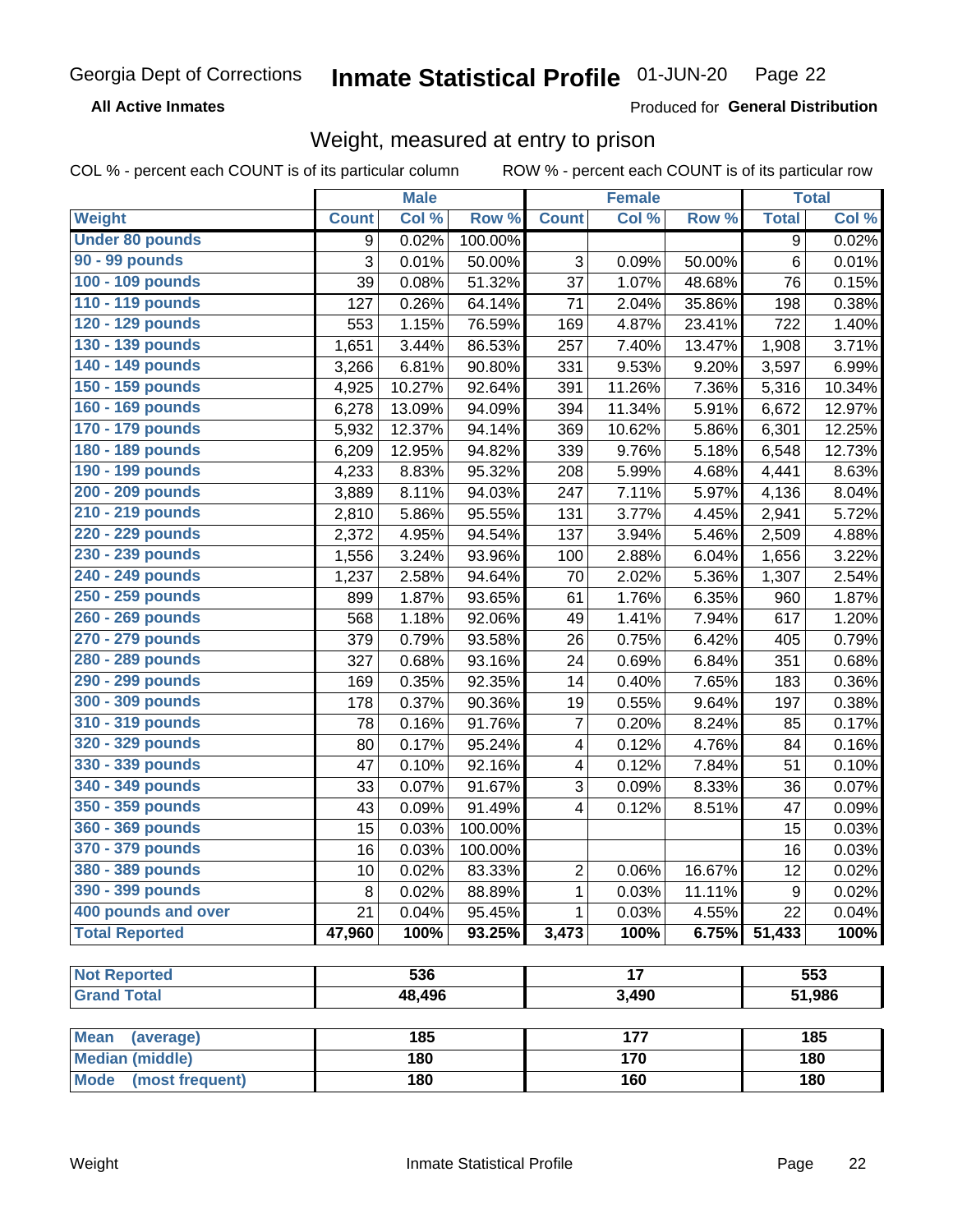#### Inmate Statistical Profile 01-JUN-20 Page 22

**All Active Inmates** 

Produced for General Distribution

## Weight, measured at entry to prison

COL % - percent each COUNT is of its particular column ROW % - percent each COUNT is of its particular row

|                                |              | <b>Male</b> |         |                         | <b>Female</b>   |        |              | <b>Total</b> |
|--------------------------------|--------------|-------------|---------|-------------------------|-----------------|--------|--------------|--------------|
| Weight                         | <b>Count</b> | Col %       | Row %   | <b>Count</b>            | Col %           | Row %  | <b>Total</b> | Col %        |
| <b>Under 80 pounds</b>         | 9            | 0.02%       | 100.00% |                         |                 |        | 9            | 0.02%        |
| 90 - 99 pounds                 | 3            | 0.01%       | 50.00%  | 3                       | 0.09%           | 50.00% | 6            | 0.01%        |
| 100 - 109 pounds               | 39           | 0.08%       | 51.32%  | 37                      | 1.07%           | 48.68% | 76           | 0.15%        |
| 110 - 119 pounds               | 127          | 0.26%       | 64.14%  | 71                      | 2.04%           | 35.86% | 198          | 0.38%        |
| 120 - 129 pounds               | 553          | 1.15%       | 76.59%  | 169                     | 4.87%           | 23.41% | 722          | 1.40%        |
| 130 - 139 pounds               | 1,651        | 3.44%       | 86.53%  | 257                     | 7.40%           | 13.47% | 1,908        | 3.71%        |
| 140 - 149 pounds               | 3,266        | 6.81%       | 90.80%  | 331                     | 9.53%           | 9.20%  | 3,597        | 6.99%        |
| 150 - 159 pounds               | 4,925        | 10.27%      | 92.64%  | 391                     | 11.26%          | 7.36%  | 5,316        | 10.34%       |
| 160 - 169 pounds               | 6,278        | 13.09%      | 94.09%  | 394                     | 11.34%          | 5.91%  | 6,672        | 12.97%       |
| 170 - 179 pounds               | 5,932        | 12.37%      | 94.14%  | 369                     | 10.62%          | 5.86%  | 6,301        | 12.25%       |
| 180 - 189 pounds               | 6,209        | 12.95%      | 94.82%  | 339                     | 9.76%           | 5.18%  | 6,548        | 12.73%       |
| 190 - 199 pounds               | 4,233        | 8.83%       | 95.32%  | 208                     | 5.99%           | 4.68%  | 4,441        | 8.63%        |
| 200 - 209 pounds               | 3,889        | 8.11%       | 94.03%  | 247                     | 7.11%           | 5.97%  | 4,136        | 8.04%        |
| 210 - 219 pounds               | 2,810        | 5.86%       | 95.55%  | 131                     | 3.77%           | 4.45%  | 2,941        | 5.72%        |
| 220 - 229 pounds               | 2,372        | 4.95%       | 94.54%  | 137                     | 3.94%           | 5.46%  | 2,509        | 4.88%        |
| 230 - 239 pounds               | 1,556        | 3.24%       | 93.96%  | 100                     | 2.88%           | 6.04%  | 1,656        | 3.22%        |
| 240 - 249 pounds               | 1,237        | 2.58%       | 94.64%  | 70                      | 2.02%           | 5.36%  | 1,307        | 2.54%        |
| 250 - 259 pounds               | 899          | 1.87%       | 93.65%  | 61                      | 1.76%           | 6.35%  | 960          | 1.87%        |
| 260 - 269 pounds               | 568          | 1.18%       | 92.06%  | 49                      | 1.41%           | 7.94%  | 617          | 1.20%        |
| 270 - 279 pounds               | 379          | 0.79%       | 93.58%  | 26                      | 0.75%           | 6.42%  | 405          | 0.79%        |
| 280 - 289 pounds               | 327          | 0.68%       | 93.16%  | 24                      | 0.69%           | 6.84%  | 351          | 0.68%        |
| 290 - 299 pounds               | 169          | 0.35%       | 92.35%  | 14                      | 0.40%           | 7.65%  | 183          | 0.36%        |
| 300 - 309 pounds               | 178          | 0.37%       | 90.36%  | 19                      | 0.55%           | 9.64%  | 197          | 0.38%        |
| 310 - 319 pounds               | 78           | 0.16%       | 91.76%  | $\overline{7}$          | 0.20%           | 8.24%  | 85           | 0.17%        |
| 320 - 329 pounds               | 80           | 0.17%       | 95.24%  | $\overline{\mathbf{4}}$ | 0.12%           | 4.76%  | 84           | 0.16%        |
| 330 - 339 pounds               | 47           | 0.10%       | 92.16%  | 4                       | 0.12%           | 7.84%  | 51           | 0.10%        |
| 340 - 349 pounds               | 33           | 0.07%       | 91.67%  | $\sqrt{3}$              | 0.09%           | 8.33%  | 36           | 0.07%        |
| 350 - 359 pounds               | 43           | 0.09%       | 91.49%  | 4                       | 0.12%           | 8.51%  | 47           | 0.09%        |
| 360 - 369 pounds               | 15           | 0.03%       | 100.00% |                         |                 |        | 15           | 0.03%        |
| 370 - 379 pounds               | 16           | 0.03%       | 100.00% |                         |                 |        | 16           | 0.03%        |
| 380 - 389 pounds               | 10           | 0.02%       | 83.33%  | $\overline{2}$          | 0.06%           | 16.67% | 12           | 0.02%        |
| 390 - 399 pounds               | 8            | 0.02%       | 88.89%  | 1                       | 0.03%           | 11.11% | 9            | 0.02%        |
| 400 pounds and over            | 21           | 0.04%       | 95.45%  | $\mathbf 1$             | 0.03%           | 4.55%  | 22           | 0.04%        |
| <b>Total Reported</b>          | 47,960       | 100%        | 93.25%  | 3,473                   | 100%            | 6.75%  | 51,433       | 100%         |
|                                |              |             |         |                         |                 |        |              |              |
| <b>Not Reported</b>            |              | 536         |         |                         | $\overline{17}$ |        |              | 553          |
| <b>Grand Total</b>             |              | 48,496      |         |                         | 3,490           |        |              | 51,986       |
| <b>Mean</b><br>(average)       |              | 185         |         |                         | 177             |        |              | 185          |
| <b>Median (middle)</b>         |              | 180         |         |                         | 170             |        |              | 180          |
| <b>Mode</b><br>(most frequent) |              | 180         |         |                         |                 |        |              |              |
|                                |              |             |         | 160                     |                 |        | 180          |              |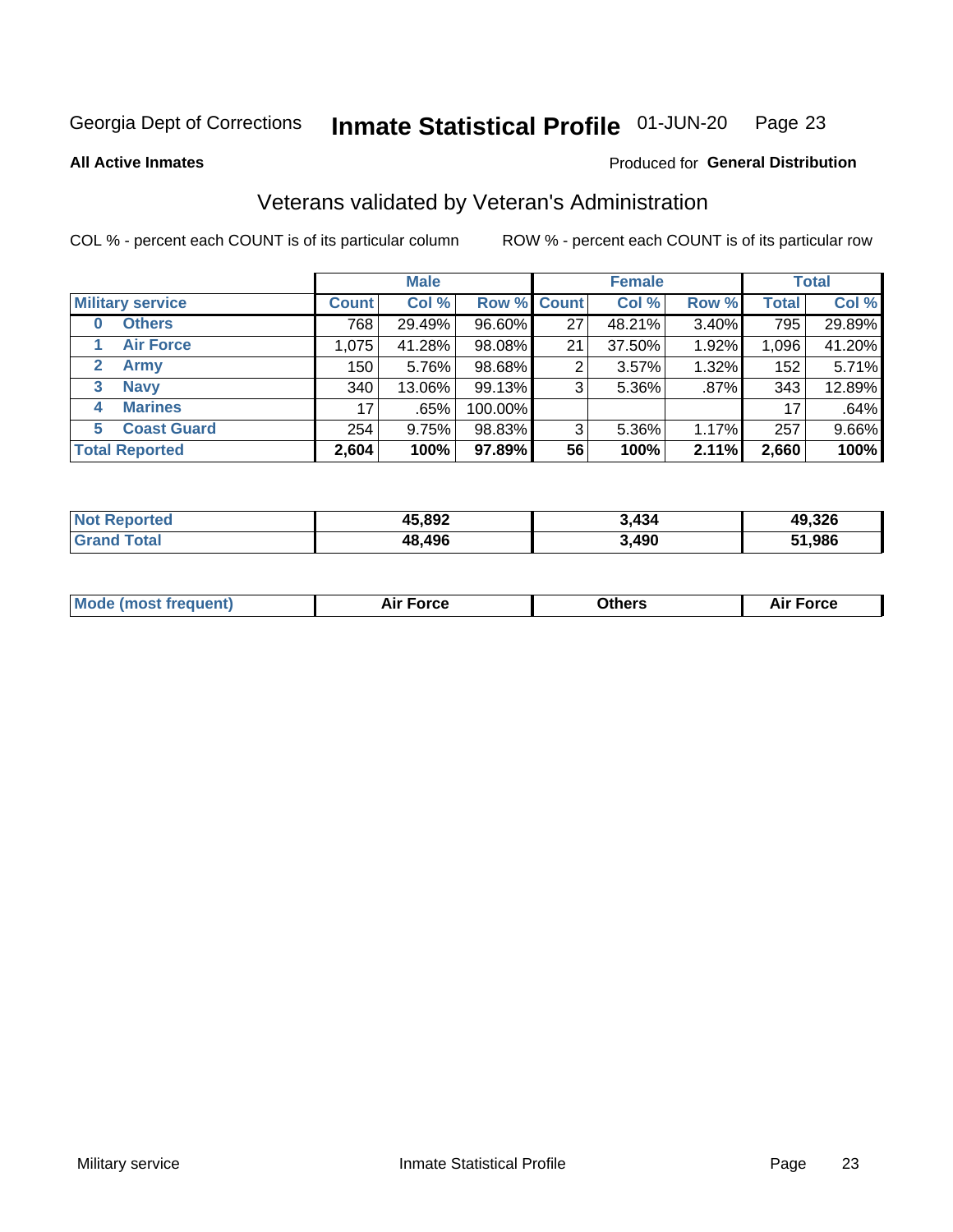### Inmate Statistical Profile 01-JUN-20 Page 23

**All Active Inmates** 

## Produced for General Distribution

## Veterans validated by Veteran's Administration

COL % - percent each COUNT is of its particular column

|                             |              | <b>Male</b> |             |    | <b>Female</b> |          |              | <b>Total</b> |
|-----------------------------|--------------|-------------|-------------|----|---------------|----------|--------------|--------------|
| <b>Military service</b>     | <b>Count</b> | Col %       | Row % Count |    | Col %         | Row %    | <b>Total</b> | Col %        |
| <b>Others</b><br>0          | 768          | 29.49%      | 96.60%      | 27 | 48.21%        | 3.40%    | 795          | 29.89%       |
| <b>Air Force</b>            | 1,075        | 41.28%      | 98.08%      | 21 | 37.50%        | 1.92%    | 1,096        | 41.20%       |
| <b>Army</b><br>$\mathbf{2}$ | 150          | 5.76%       | 98.68%      | 2  | 3.57%         | 1.32%    | 152          | 5.71%        |
| <b>Navy</b><br>3            | 340          | 13.06%      | 99.13%      | 3  | 5.36%         | .87%     | 343          | 12.89%       |
| <b>Marines</b><br>4         | 17           | .65%        | 100.00%     |    |               |          | 17           | .64%         |
| <b>Coast Guard</b><br>5.    | 254          | 9.75%       | 98.83%      | 3  | 5.36%         | $1.17\%$ | 257          | 9.66%        |
| <b>Total Reported</b>       | 2,604        | 100%        | 97.89%      | 56 | 100%          | 2.11%    | 2,660        | 100%         |

| ported<br><b>Not</b> | 45,892 | 3.434 | 49,326        |
|----------------------|--------|-------|---------------|
| <b>otal</b>          | 48,496 | 3,490 | <b>51,986</b> |

|  |  | <b>Mode (most frequent)</b> | <b>Force</b><br>Aır | วthers | orce |
|--|--|-----------------------------|---------------------|--------|------|
|--|--|-----------------------------|---------------------|--------|------|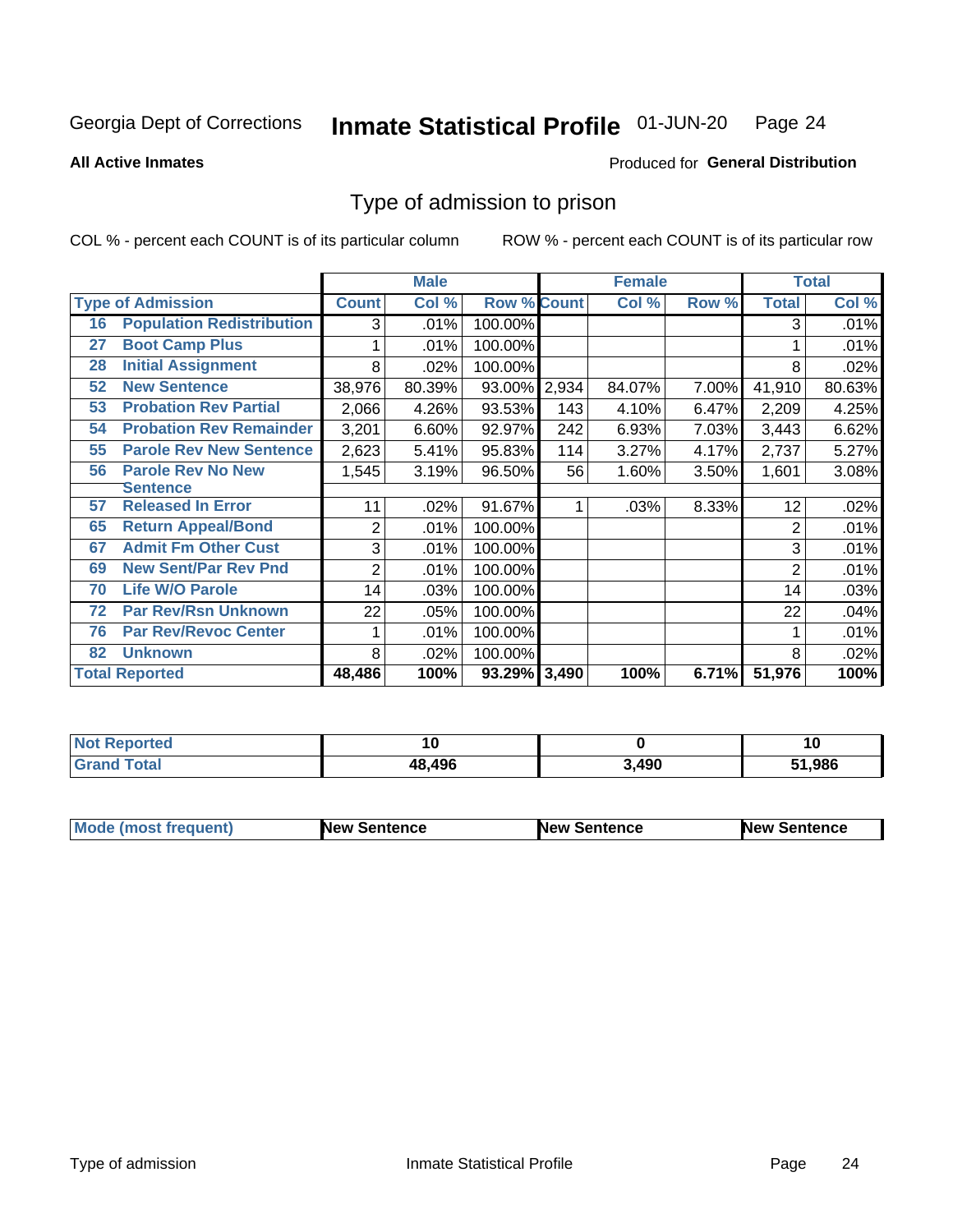### Inmate Statistical Profile 01-JUN-20 Page 24

**All Active Inmates** 

## Produced for General Distribution

## Type of admission to prison

COL % - percent each COUNT is of its particular column

|    |                                  |                | <b>Male</b> |                    |       | <b>Female</b> |       |                | <b>Total</b> |
|----|----------------------------------|----------------|-------------|--------------------|-------|---------------|-------|----------------|--------------|
|    | <b>Type of Admission</b>         | <b>Count</b>   | Col %       | <b>Row % Count</b> |       | Col %         | Row % | <b>Total</b>   | Col %        |
| 16 | <b>Population Redistribution</b> | 3              | .01%        | 100.00%            |       |               |       | 3              | .01%         |
| 27 | <b>Boot Camp Plus</b>            |                | .01%        | 100.00%            |       |               |       |                | .01%         |
| 28 | <b>Initial Assignment</b>        | 8              | .02%        | 100.00%            |       |               |       | 8              | .02%         |
| 52 | <b>New Sentence</b>              | 38,976         | 80.39%      | 93.00%             | 2,934 | 84.07%        | 7.00% | 41,910         | 80.63%       |
| 53 | <b>Probation Rev Partial</b>     | 2,066          | 4.26%       | 93.53%             | 143   | 4.10%         | 6.47% | 2,209          | 4.25%        |
| 54 | <b>Probation Rev Remainder</b>   | 3,201          | 6.60%       | 92.97%             | 242   | 6.93%         | 7.03% | 3,443          | 6.62%        |
| 55 | <b>Parole Rev New Sentence</b>   | 2,623          | 5.41%       | 95.83%             | 114   | 3.27%         | 4.17% | 2,737          | 5.27%        |
| 56 | <b>Parole Rev No New</b>         | 1,545          | 3.19%       | 96.50%             | 56    | 1.60%         | 3.50% | 1,601          | 3.08%        |
|    | Sentence                         |                |             |                    |       |               |       |                |              |
| 57 | <b>Released In Error</b>         | 11             | .02%        | 91.67%             | 1     | .03%          | 8.33% | 12             | .02%         |
| 65 | <b>Return Appeal/Bond</b>        | 2              | .01%        | 100.00%            |       |               |       | $\overline{2}$ | .01%         |
| 67 | <b>Admit Fm Other Cust</b>       | 3              | .01%        | 100.00%            |       |               |       | 3              | .01%         |
| 69 | <b>New Sent/Par Rev Pnd</b>      | $\overline{2}$ | .01%        | 100.00%            |       |               |       | 2              | .01%         |
| 70 | <b>Life W/O Parole</b>           | 14             | .03%        | 100.00%            |       |               |       | 14             | .03%         |
| 72 | <b>Par Rev/Rsn Unknown</b>       | 22             | .05%        | 100.00%            |       |               |       | 22             | .04%         |
| 76 | <b>Par Rev/Revoc Center</b>      |                | .01%        | 100.00%            |       |               |       |                | .01%         |
| 82 | <b>Unknown</b>                   | 8              | .02%        | 100.00%            |       |               |       | 8              | .02%         |
|    | <b>Total Reported</b>            | 48,486         | 100%        | 93.29% 3,490       |       | 100%          | 6.71% | 51,976         | 100%         |

| <b>Not Reported</b> |        |       | 10     |
|---------------------|--------|-------|--------|
| <b>Total</b>        | 48,496 | 3,490 | 51,986 |

| <b>Mode (most frequent)</b> | <b>New Sentence</b> | <b>New Sentence</b> | <b>New Sentence</b> |
|-----------------------------|---------------------|---------------------|---------------------|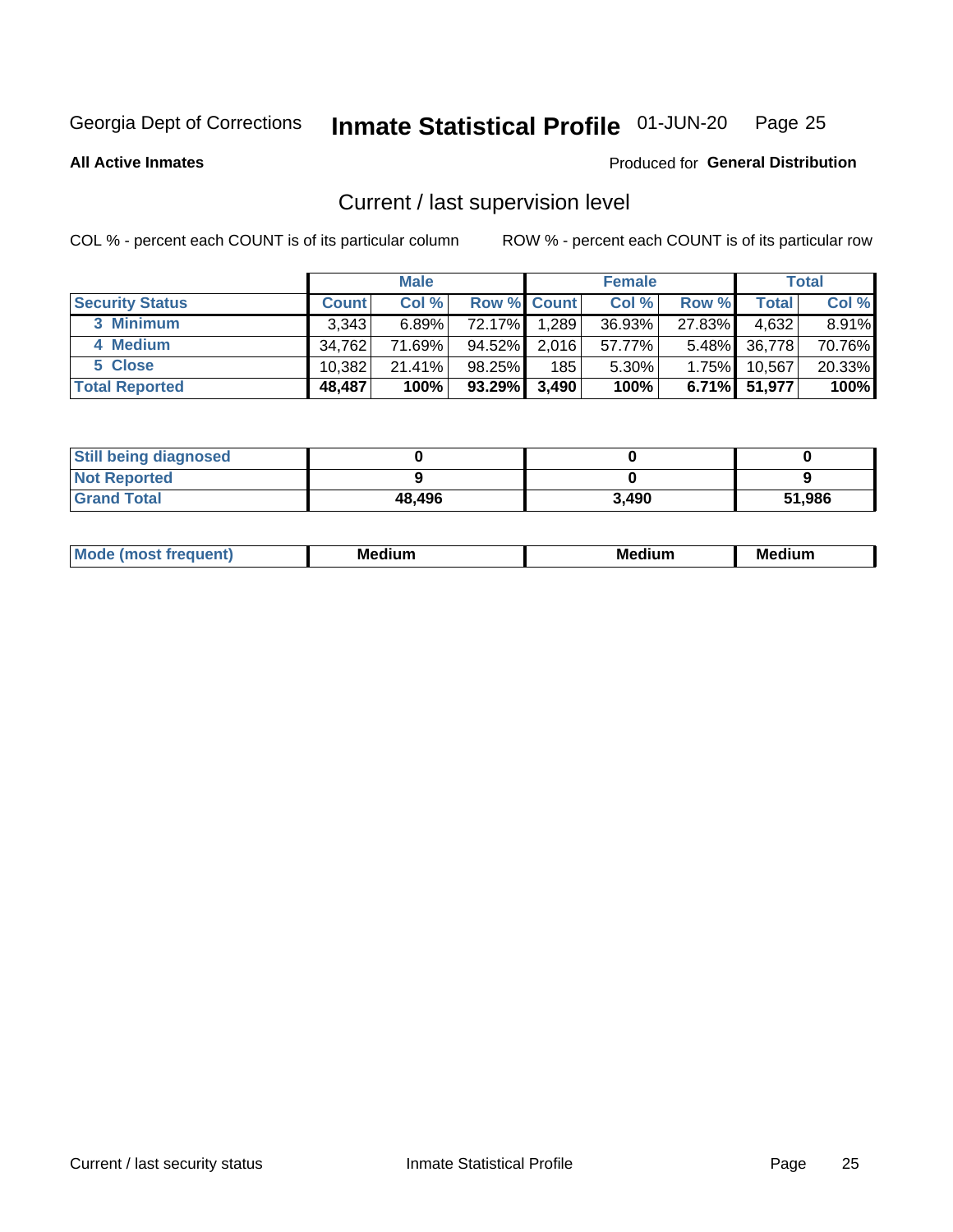### Inmate Statistical Profile 01-JUN-20 Page 25

**All Active Inmates** 

## Produced for General Distribution

## Current / last supervision level

COL % - percent each COUNT is of its particular column

|                        |              | <b>Male</b> |                    |       | <b>Female</b> |          |        | <b>Total</b> |
|------------------------|--------------|-------------|--------------------|-------|---------------|----------|--------|--------------|
| <b>Security Status</b> | <b>Count</b> | Col %       | <b>Row % Count</b> |       | Col %         | Row %    | Total  | Col %        |
| 3 Minimum              | 3.343        | $6.89\%$    | 72.17%I            | 1,289 | 36.93%        | 27.83%   | 4,632  | 8.91%        |
| 4 Medium               | 34,762       | 71.69%      | 94.52%             | 2,016 | 57.77%        | $5.48\%$ | 36,778 | 70.76%       |
| 5 Close                | 10.382       | 21.41%      | 98.25%             | 185   | 5.30%         | 1.75%    | 10.567 | 20.33%       |
| <b>Total Reported</b>  | 48,487       | 100%        | 93.29%             | 3,490 | 100%          | $6.71\%$ | 51,977 | 100%         |

| <b>Still being diagnosed</b> |        |       |        |
|------------------------------|--------|-------|--------|
| <b>Not Reported</b>          |        |       |        |
| <b>Grand Total</b>           | 48,496 | 3,490 | 51,986 |

| M | M | . . |
|---|---|-----|
|   |   |     |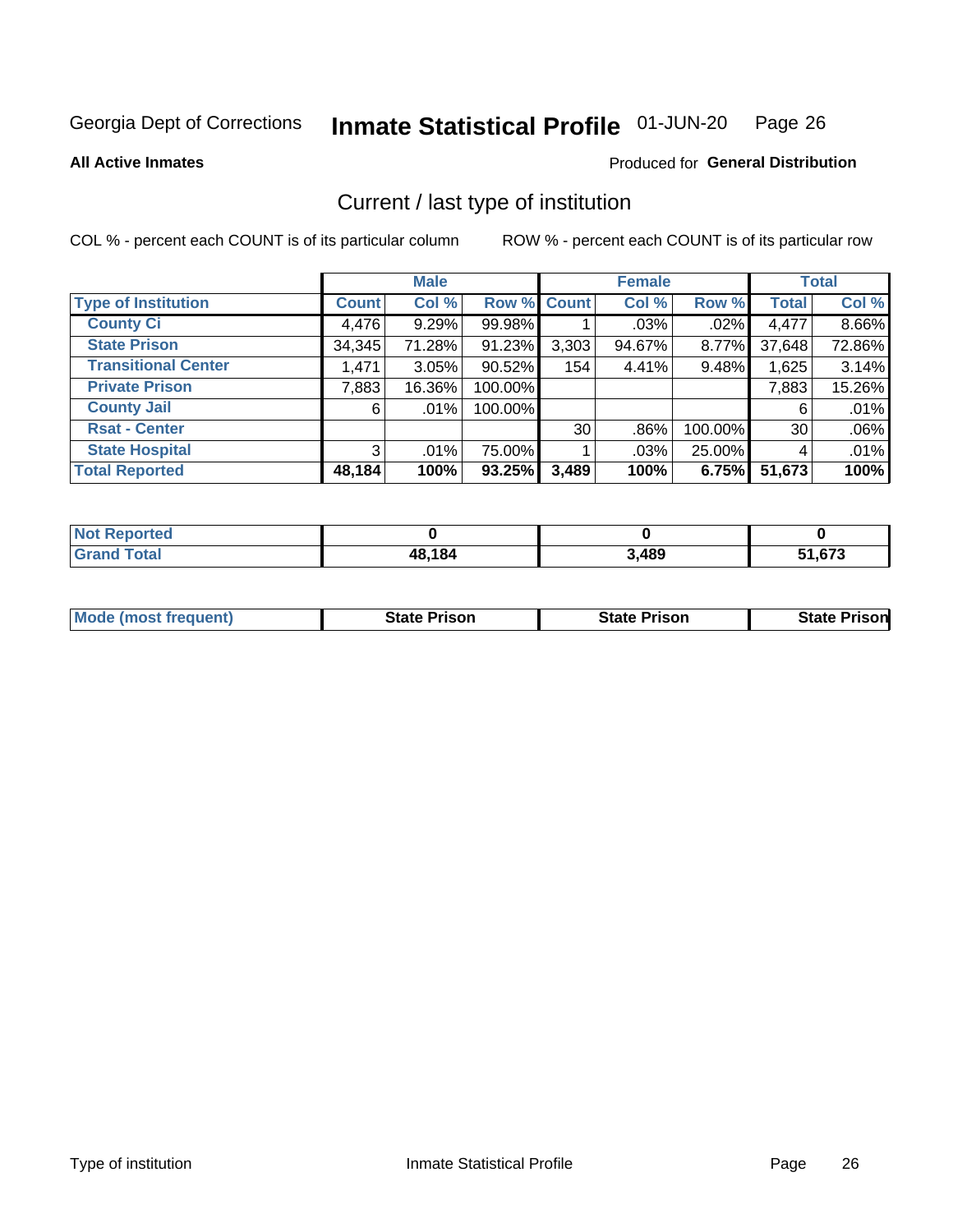### Inmate Statistical Profile 01-JUN-20 Page 26

**All Active Inmates** 

## Produced for General Distribution

## Current / last type of institution

COL % - percent each COUNT is of its particular column

|                            |              | <b>Male</b> |             |                 | <b>Female</b> |         |              | <b>Total</b> |
|----------------------------|--------------|-------------|-------------|-----------------|---------------|---------|--------------|--------------|
| <b>Type of Institution</b> | <b>Count</b> | Col %       | Row % Count |                 | Col %         | Row %   | <b>Total</b> | Col %        |
| <b>County Ci</b>           | 4,476        | 9.29%       | 99.98%      |                 | $.03\%$       | $.02\%$ | 4,477        | 8.66%        |
| <b>State Prison</b>        | 34,345       | 71.28%      | 91.23%      | 3,303           | 94.67%        | 8.77%   | 37,648       | 72.86%       |
| <b>Transitional Center</b> | 1,471        | 3.05%       | $90.52\%$   | 154             | 4.41%         | 9.48%   | 1,625        | 3.14%        |
| <b>Private Prison</b>      | 7,883        | 16.36%      | 100.00%     |                 |               |         | 7,883        | 15.26%       |
| <b>County Jail</b>         | 6            | $.01\%$     | 100.00%     |                 |               |         | 6            | .01%         |
| <b>Rsat - Center</b>       |              |             |             | 30 <sup>1</sup> | .86%          | 100.00% | 30           | .06%         |
| <b>State Hospital</b>      | 3            | $.01\%$     | 75.00%      |                 | .03%          | 25.00%  | 4            | .01%         |
| <b>Total Reported</b>      | 48,184       | 100%        | 93.25%      | 3,489           | 100%          | 6.75%   | 51,673       | 100%         |

| ported<br>' NOT |        |       |        |
|-----------------|--------|-------|--------|
| <b>otal</b>     | 48,184 | 3,489 | 51,673 |

| <b>Mode (most frequent)</b> | <b>State Prison</b> | <b>State Prison</b> | <b>State Prison</b> |
|-----------------------------|---------------------|---------------------|---------------------|
|                             |                     |                     |                     |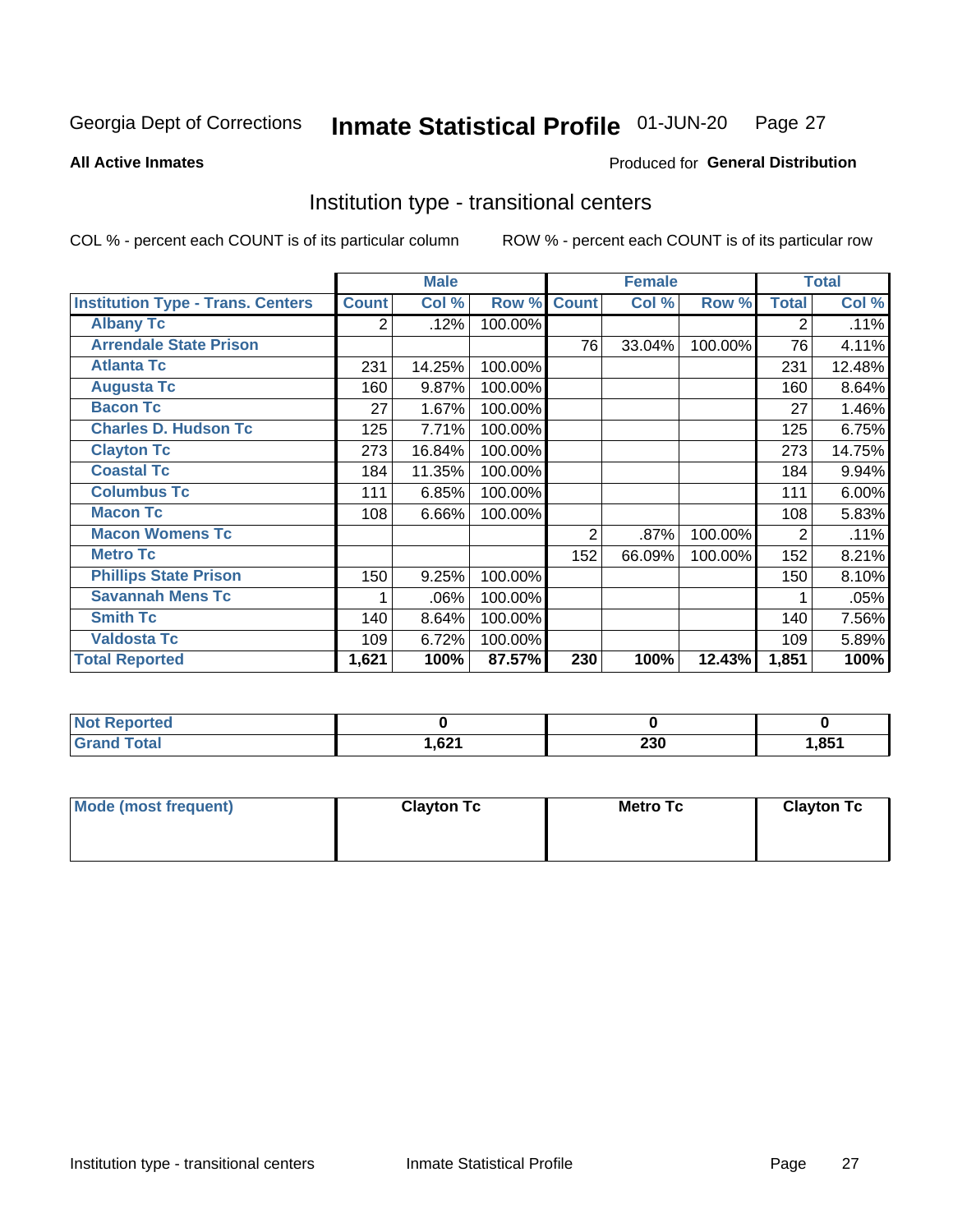### Inmate Statistical Profile 01-JUN-20 Page 27

**All Active Inmates** 

## Produced for General Distribution

## Institution type - transitional centers

COL % - percent each COUNT is of its particular column

|                                          |              | <b>Male</b> |         |              | <b>Female</b> |         |                | <b>Total</b> |
|------------------------------------------|--------------|-------------|---------|--------------|---------------|---------|----------------|--------------|
| <b>Institution Type - Trans. Centers</b> | <b>Count</b> | Col %       | Row %   | <b>Count</b> | Col %         | Row %   | <b>Total</b>   | Col %        |
| <b>Albany Tc</b>                         | 2            | .12%        | 100.00% |              |               |         | 2              | .11%         |
| <b>Arrendale State Prison</b>            |              |             |         | 76           | 33.04%        | 100.00% | 76             | 4.11%        |
| <b>Atlanta Tc</b>                        | 231          | 14.25%      | 100.00% |              |               |         | 231            | 12.48%       |
| <b>Augusta Tc</b>                        | 160          | 9.87%       | 100.00% |              |               |         | 160            | 8.64%        |
| <b>Bacon Tc</b>                          | 27           | 1.67%       | 100.00% |              |               |         | 27             | 1.46%        |
| <b>Charles D. Hudson Tc</b>              | 125          | 7.71%       | 100.00% |              |               |         | 125            | 6.75%        |
| <b>Clayton Tc</b>                        | 273          | 16.84%      | 100.00% |              |               |         | 273            | 14.75%       |
| <b>Coastal Tc</b>                        | 184          | 11.35%      | 100.00% |              |               |         | 184            | 9.94%        |
| <b>Columbus Tc</b>                       | 111          | 6.85%       | 100.00% |              |               |         | 111            | 6.00%        |
| <b>Macon Tc</b>                          | 108          | 6.66%       | 100.00% |              |               |         | 108            | 5.83%        |
| <b>Macon Womens Tc</b>                   |              |             |         | 2            | .87%          | 100.00% | $\overline{2}$ | .11%         |
| <b>Metro Tc</b>                          |              |             |         | 152          | 66.09%        | 100.00% | 152            | 8.21%        |
| <b>Phillips State Prison</b>             | 150          | 9.25%       | 100.00% |              |               |         | 150            | 8.10%        |
| <b>Savannah Mens Tc</b>                  | 1            | .06%        | 100.00% |              |               |         |                | $.05\%$      |
| <b>Smith Tc</b>                          | 140          | 8.64%       | 100.00% |              |               |         | 140            | 7.56%        |
| <b>Valdosta Tc</b>                       | 109          | 6.72%       | 100.00% |              |               |         | 109            | 5.89%        |
| <b>Total Reported</b>                    | 1,621        | 100%        | 87.57%  | 230          | 100%          | 12.43%  | 1,851          | 100%         |

| <b>Reported</b> |       |            |     |
|-----------------|-------|------------|-----|
| <b>otal</b>     | 1,621 | າາດ<br>25V | 851 |

| Mode (most frequent) | <b>Clayton Tc</b> | Metro Tc | <b>Clayton Tc</b> |
|----------------------|-------------------|----------|-------------------|
|                      |                   |          |                   |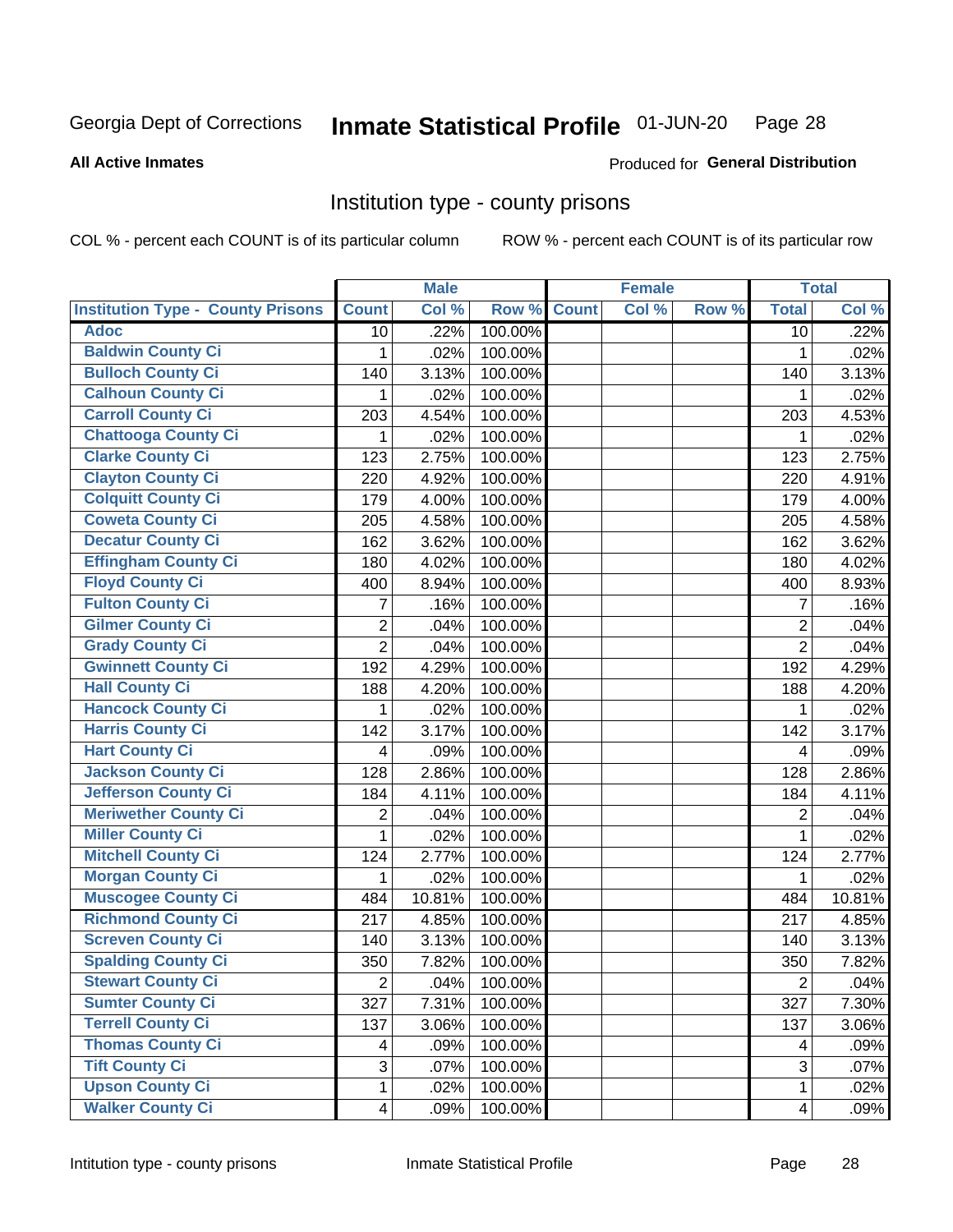### Inmate Statistical Profile 01-JUN-20 Page 28

**All Active Inmates** 

## Produced for General Distribution

## Institution type - county prisons

COL % - percent each COUNT is of its particular column

|                                          |                         | <b>Male</b> |         |             | <b>Female</b> |       |                         | <b>Total</b> |
|------------------------------------------|-------------------------|-------------|---------|-------------|---------------|-------|-------------------------|--------------|
| <b>Institution Type - County Prisons</b> | <b>Count</b>            | Col %       |         | Row % Count | Col %         | Row % | <b>Total</b>            | Col %        |
| <b>Adoc</b>                              | 10                      | .22%        | 100.00% |             |               |       | 10                      | .22%         |
| <b>Baldwin County Ci</b>                 | 1                       | .02%        | 100.00% |             |               |       | 1                       | .02%         |
| <b>Bulloch County Ci</b>                 | 140                     | 3.13%       | 100.00% |             |               |       | 140                     | 3.13%        |
| <b>Calhoun County Ci</b>                 | 1                       | .02%        | 100.00% |             |               |       | 1                       | .02%         |
| <b>Carroll County Ci</b>                 | 203                     | 4.54%       | 100.00% |             |               |       | 203                     | 4.53%        |
| <b>Chattooga County Ci</b>               | 1                       | .02%        | 100.00% |             |               |       | 1                       | .02%         |
| <b>Clarke County Ci</b>                  | 123                     | 2.75%       | 100.00% |             |               |       | 123                     | 2.75%        |
| <b>Clayton County Ci</b>                 | 220                     | 4.92%       | 100.00% |             |               |       | 220                     | 4.91%        |
| <b>Colquitt County Ci</b>                | 179                     | 4.00%       | 100.00% |             |               |       | 179                     | 4.00%        |
| <b>Coweta County Ci</b>                  | 205                     | 4.58%       | 100.00% |             |               |       | 205                     | 4.58%        |
| <b>Decatur County Ci</b>                 | 162                     | 3.62%       | 100.00% |             |               |       | 162                     | 3.62%        |
| <b>Effingham County Ci</b>               | 180                     | 4.02%       | 100.00% |             |               |       | 180                     | 4.02%        |
| <b>Floyd County Ci</b>                   | 400                     | 8.94%       | 100.00% |             |               |       | 400                     | 8.93%        |
| <b>Fulton County Ci</b>                  | 7                       | .16%        | 100.00% |             |               |       | $\overline{7}$          | .16%         |
| <b>Gilmer County Ci</b>                  | $\overline{2}$          | .04%        | 100.00% |             |               |       | $\boldsymbol{2}$        | .04%         |
| <b>Grady County Ci</b>                   | $\overline{2}$          | .04%        | 100.00% |             |               |       | $\overline{2}$          | .04%         |
| <b>Gwinnett County Ci</b>                | 192                     | 4.29%       | 100.00% |             |               |       | 192                     | 4.29%        |
| <b>Hall County Ci</b>                    | 188                     | 4.20%       | 100.00% |             |               |       | 188                     | 4.20%        |
| <b>Hancock County Ci</b>                 | 1                       | .02%        | 100.00% |             |               |       | 1                       | .02%         |
| <b>Harris County Ci</b>                  | 142                     | 3.17%       | 100.00% |             |               |       | 142                     | 3.17%        |
| <b>Hart County Ci</b>                    | 4                       | .09%        | 100.00% |             |               |       | 4                       | .09%         |
| <b>Jackson County Ci</b>                 | 128                     | 2.86%       | 100.00% |             |               |       | 128                     | 2.86%        |
| <b>Jefferson County Ci</b>               | 184                     | 4.11%       | 100.00% |             |               |       | 184                     | 4.11%        |
| <b>Meriwether County Ci</b>              | $\overline{2}$          | .04%        | 100.00% |             |               |       | 2                       | .04%         |
| <b>Miller County Ci</b>                  | 1                       | .02%        | 100.00% |             |               |       | $\mathbf{1}$            | .02%         |
| <b>Mitchell County Ci</b>                | 124                     | 2.77%       | 100.00% |             |               |       | 124                     | 2.77%        |
| <b>Morgan County Ci</b>                  | 1                       | .02%        | 100.00% |             |               |       | 1                       | .02%         |
| <b>Muscogee County Ci</b>                | 484                     | 10.81%      | 100.00% |             |               |       | 484                     | 10.81%       |
| <b>Richmond County Ci</b>                | 217                     | 4.85%       | 100.00% |             |               |       | 217                     | 4.85%        |
| <b>Screven County Ci</b>                 | 140                     | 3.13%       | 100.00% |             |               |       | 140                     | 3.13%        |
| <b>Spalding County Ci</b>                | 350                     | 7.82%       | 100.00% |             |               |       | 350                     | 7.82%        |
| <b>Stewart County Ci</b>                 | $\overline{2}$          | .04%        | 100.00% |             |               |       | $\overline{2}$          | .04%         |
| <b>Sumter County Ci</b>                  | 327                     | 7.31%       | 100.00% |             |               |       | 327                     | 7.30%        |
| <b>Terrell County Ci</b>                 | 137                     | 3.06%       | 100.00% |             |               |       | 137                     | 3.06%        |
| <b>Thomas County Ci</b>                  | 4                       | .09%        | 100.00% |             |               |       | 4                       | .09%         |
| <b>Tift County Ci</b>                    | 3                       | .07%        | 100.00% |             |               |       | 3                       | .07%         |
| <b>Upson County Ci</b>                   | 1                       | .02%        | 100.00% |             |               |       | 1                       | .02%         |
| <b>Walker County Ci</b>                  | $\overline{\mathbf{4}}$ | .09%        | 100.00% |             |               |       | $\overline{\mathbf{4}}$ | .09%         |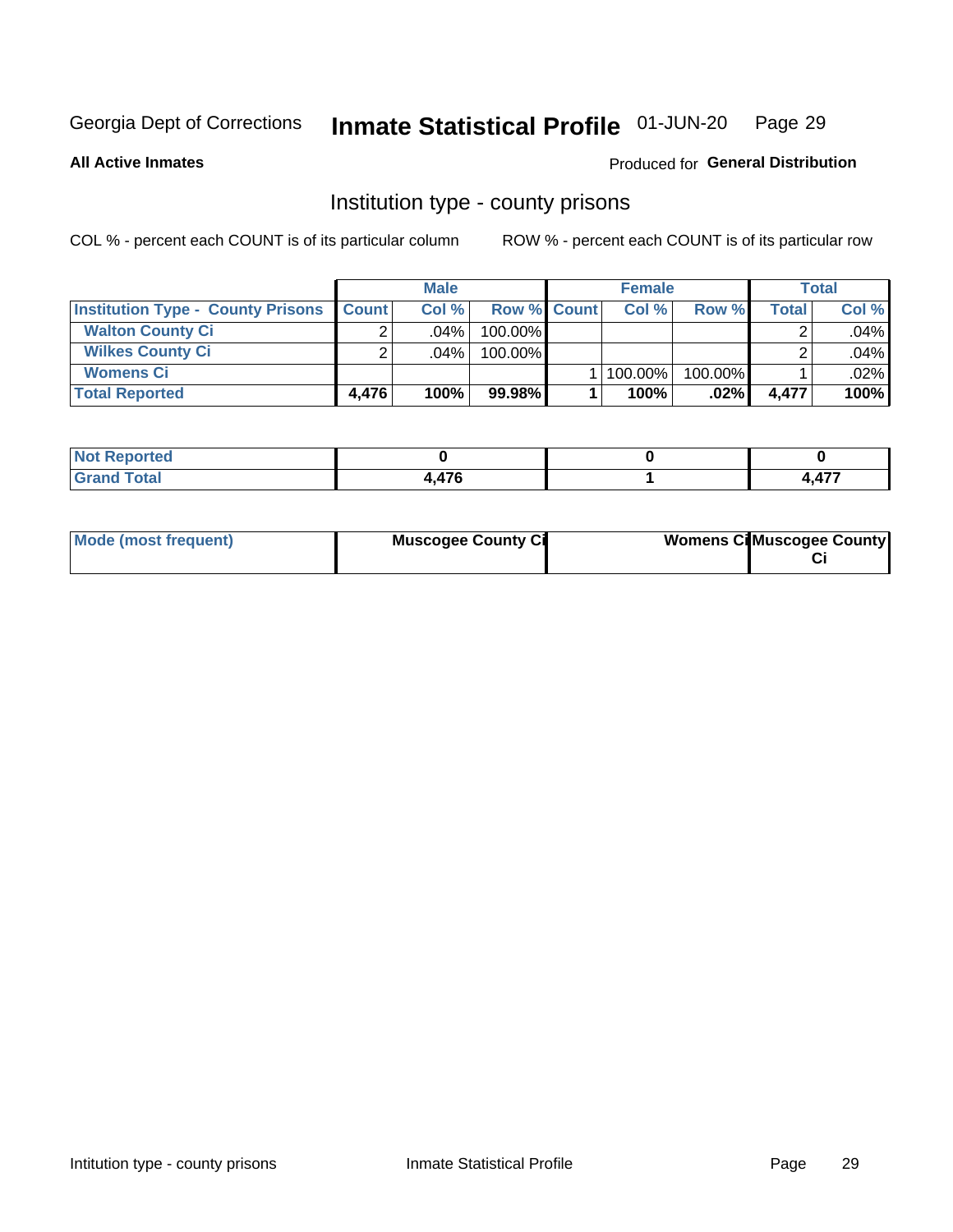### Inmate Statistical Profile 01-JUN-20 Page 29

### **All Active Inmates**

## Produced for General Distribution

## Institution type - county prisons

COL % - percent each COUNT is of its particular column

|                                          |              | <b>Male</b> |                    | <b>Female</b> |         |       | <b>Total</b> |
|------------------------------------------|--------------|-------------|--------------------|---------------|---------|-------|--------------|
| <b>Institution Type - County Prisons</b> | <b>Count</b> | Col%        | <b>Row % Count</b> | Col%          | Row %   | Total | Col %        |
| <b>Walton County Ci</b>                  | ⌒            | $.04\%$     | 100.00%            |               |         |       | .04%         |
| <b>Wilkes County Ci</b>                  |              | $.04\%$     | 100.00%            |               |         |       | .04%         |
| <b>Womens Ci</b>                         |              |             |                    | 100.00%       | 100.00% |       | .02%         |
| <b>Total Reported</b>                    | 4.476        | 100%        | 99.98%             | 100%          | $.02\%$ | 4.477 | 100%         |

| いこし                                |               |         |
|------------------------------------|---------------|---------|
| $\sim$ $\sim$ $\sim$ $\sim$ $\sim$ | $\rightarrow$ | $- - -$ |

| Mode (most frequent) | <b>Muscogee County Ci</b> | <b>Womens Cil Muscogee County</b> |
|----------------------|---------------------------|-----------------------------------|
|                      |                           |                                   |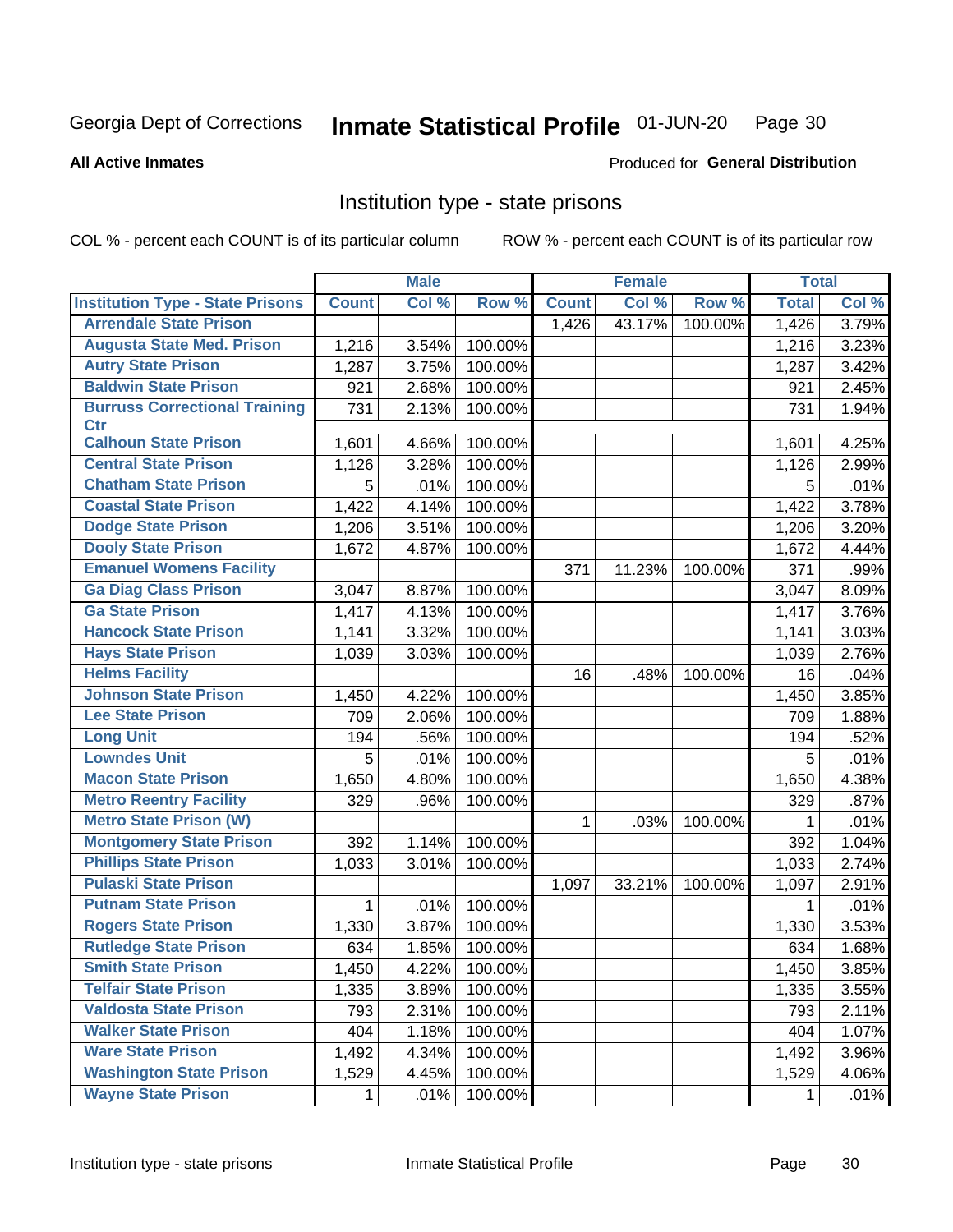### Inmate Statistical Profile 01-JUN-20 Page 30

Produced for General Distribution

### **All Active Inmates**

## Institution type - state prisons

COL % - percent each COUNT is of its particular column

|                                         |              | <b>Male</b> |         |              | <b>Female</b> |         | <b>Total</b> |       |
|-----------------------------------------|--------------|-------------|---------|--------------|---------------|---------|--------------|-------|
| <b>Institution Type - State Prisons</b> | <b>Count</b> | Col %       | Row %   | <b>Count</b> | Col %         | Row %   | <b>Total</b> | Col % |
| <b>Arrendale State Prison</b>           |              |             |         | 1,426        | 43.17%        | 100.00% | 1,426        | 3.79% |
| <b>Augusta State Med. Prison</b>        | 1,216        | 3.54%       | 100.00% |              |               |         | 1,216        | 3.23% |
| <b>Autry State Prison</b>               | 1,287        | 3.75%       | 100.00% |              |               |         | 1,287        | 3.42% |
| <b>Baldwin State Prison</b>             | 921          | 2.68%       | 100.00% |              |               |         | 921          | 2.45% |
| <b>Burruss Correctional Training</b>    | 731          | 2.13%       | 100.00% |              |               |         | 731          | 1.94% |
| <b>Ctr</b>                              |              |             |         |              |               |         |              |       |
| <b>Calhoun State Prison</b>             | 1,601        | 4.66%       | 100.00% |              |               |         | 1,601        | 4.25% |
| <b>Central State Prison</b>             | 1,126        | 3.28%       | 100.00% |              |               |         | 1,126        | 2.99% |
| <b>Chatham State Prison</b>             | 5            | .01%        | 100.00% |              |               |         | 5            | .01%  |
| <b>Coastal State Prison</b>             | 1,422        | 4.14%       | 100.00% |              |               |         | 1,422        | 3.78% |
| <b>Dodge State Prison</b>               | 1,206        | 3.51%       | 100.00% |              |               |         | 1,206        | 3.20% |
| <b>Dooly State Prison</b>               | 1,672        | 4.87%       | 100.00% |              |               |         | 1,672        | 4.44% |
| <b>Emanuel Womens Facility</b>          |              |             |         | 371          | 11.23%        | 100.00% | 371          | .99%  |
| <b>Ga Diag Class Prison</b>             | 3,047        | 8.87%       | 100.00% |              |               |         | 3,047        | 8.09% |
| <b>Ga State Prison</b>                  | 1,417        | 4.13%       | 100.00% |              |               |         | 1,417        | 3.76% |
| <b>Hancock State Prison</b>             | 1,141        | 3.32%       | 100.00% |              |               |         | 1,141        | 3.03% |
| <b>Hays State Prison</b>                | 1,039        | 3.03%       | 100.00% |              |               |         | 1,039        | 2.76% |
| <b>Helms Facility</b>                   |              |             |         | 16           | .48%          | 100.00% | 16           | .04%  |
| <b>Johnson State Prison</b>             | 1,450        | 4.22%       | 100.00% |              |               |         | 1,450        | 3.85% |
| <b>Lee State Prison</b>                 | 709          | 2.06%       | 100.00% |              |               |         | 709          | 1.88% |
| <b>Long Unit</b>                        | 194          | .56%        | 100.00% |              |               |         | 194          | .52%  |
| <b>Lowndes Unit</b>                     | 5            | .01%        | 100.00% |              |               |         | 5            | .01%  |
| <b>Macon State Prison</b>               | 1,650        | 4.80%       | 100.00% |              |               |         | 1,650        | 4.38% |
| <b>Metro Reentry Facility</b>           | 329          | .96%        | 100.00% |              |               |         | 329          | .87%  |
| <b>Metro State Prison (W)</b>           |              |             |         | 1            | .03%          | 100.00% | 1            | .01%  |
| <b>Montgomery State Prison</b>          | 392          | 1.14%       | 100.00% |              |               |         | 392          | 1.04% |
| <b>Phillips State Prison</b>            | 1,033        | 3.01%       | 100.00% |              |               |         | 1,033        | 2.74% |
| <b>Pulaski State Prison</b>             |              |             |         | 1,097        | 33.21%        | 100.00% | 1,097        | 2.91% |
| <b>Putnam State Prison</b>              | 1            | .01%        | 100.00% |              |               |         | 1            | .01%  |
| <b>Rogers State Prison</b>              | 1,330        | 3.87%       | 100.00% |              |               |         | 1,330        | 3.53% |
| <b>Rutledge State Prison</b>            | 634          | 1.85%       | 100.00% |              |               |         | 634          | 1.68% |
| <b>Smith State Prison</b>               | 1,450        | 4.22%       | 100.00% |              |               |         | 1,450        | 3.85% |
| <b>Telfair State Prison</b>             | 1,335        | 3.89%       | 100.00% |              |               |         | 1,335        | 3.55% |
| <b>Valdosta State Prison</b>            | 793          | 2.31%       | 100.00% |              |               |         | 793          | 2.11% |
| <b>Walker State Prison</b>              | 404          | 1.18%       | 100.00% |              |               |         | 404          | 1.07% |
| <b>Ware State Prison</b>                | 1,492        | 4.34%       | 100.00% |              |               |         | 1,492        | 3.96% |
| <b>Washington State Prison</b>          | 1,529        | 4.45%       | 100.00% |              |               |         | 1,529        | 4.06% |
| <b>Wayne State Prison</b>               | $\mathbf 1$  | .01%        | 100.00% |              |               |         | $\mathbf{1}$ | .01%  |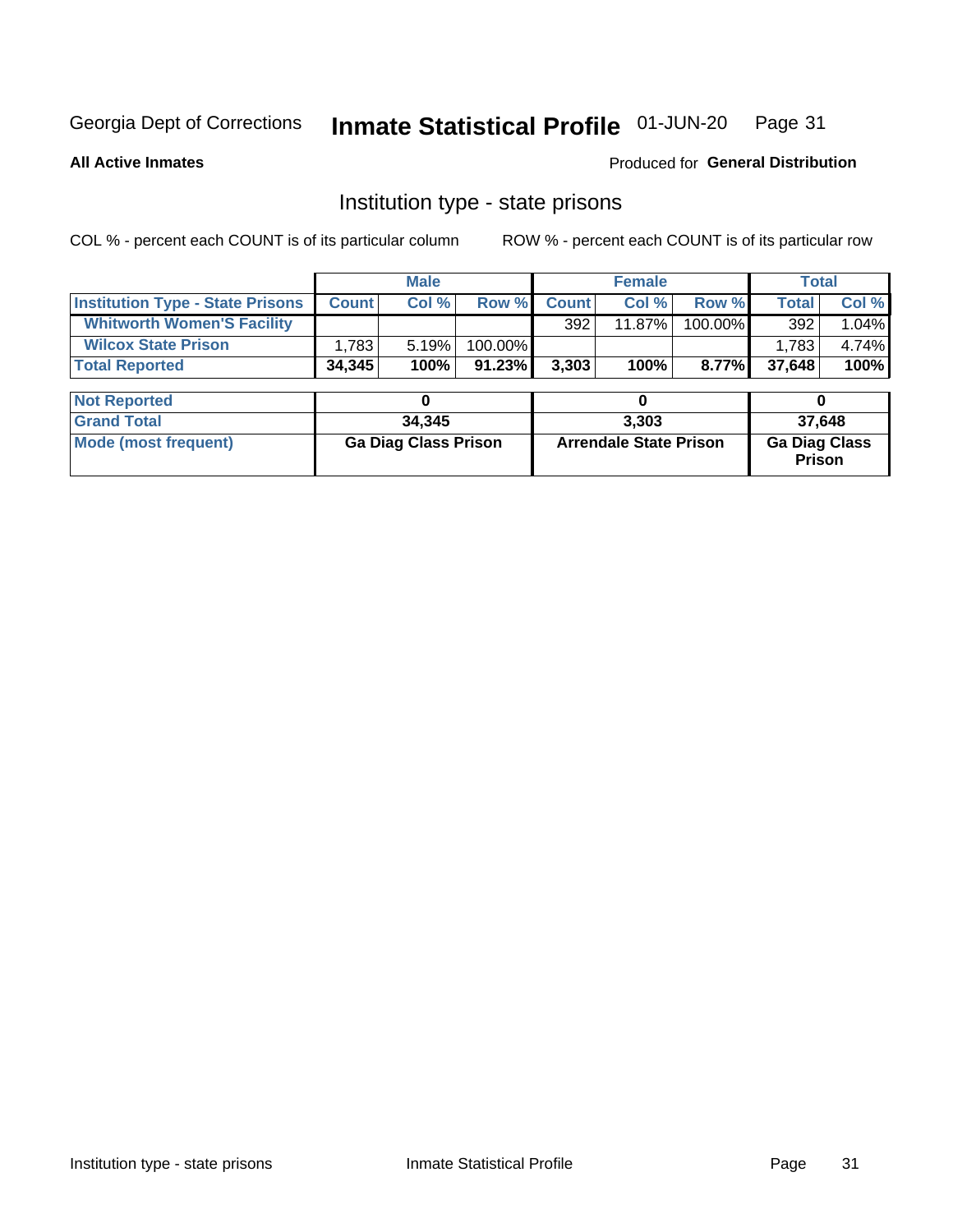### Inmate Statistical Profile 01-JUN-20 Page 31

**All Active Inmates** 

Produced for General Distribution

## Institution type - state prisons

COL % - percent each COUNT is of its particular column

|                                         |              | <b>Male</b>                 |         |              | <b>Female</b>                 |         | <b>Total</b>                   |       |
|-----------------------------------------|--------------|-----------------------------|---------|--------------|-------------------------------|---------|--------------------------------|-------|
| <b>Institution Type - State Prisons</b> | <b>Count</b> | Col %                       | Row %   | <b>Count</b> | Col %                         | Row %   | <b>Total</b>                   | Col % |
| <b>Whitworth Women'S Facility</b>       |              |                             |         | 392          | 11.87%                        | 100.00% | 392                            | 1.04% |
| <b>Wilcox State Prison</b>              | 1,783        | 5.19%                       | 100.00% |              |                               |         | 1,783                          | 4.74% |
| <b>Total Reported</b>                   | 34,345       | 100%                        | 91.23%  | 3,303        | 100%                          | 8.77%   | 37,648                         | 100%  |
|                                         |              |                             |         |              |                               |         |                                |       |
| <b>Not Reported</b>                     |              | 0                           |         |              | 0                             |         | 0                              |       |
| <b>Grand Total</b>                      |              | 34,345                      |         |              | 3,303                         |         | 37,648                         |       |
| <b>Mode (most frequent)</b>             |              | <b>Ga Diag Class Prison</b> |         |              | <b>Arrendale State Prison</b> |         | <b>Ga Diag Class</b><br>Prison |       |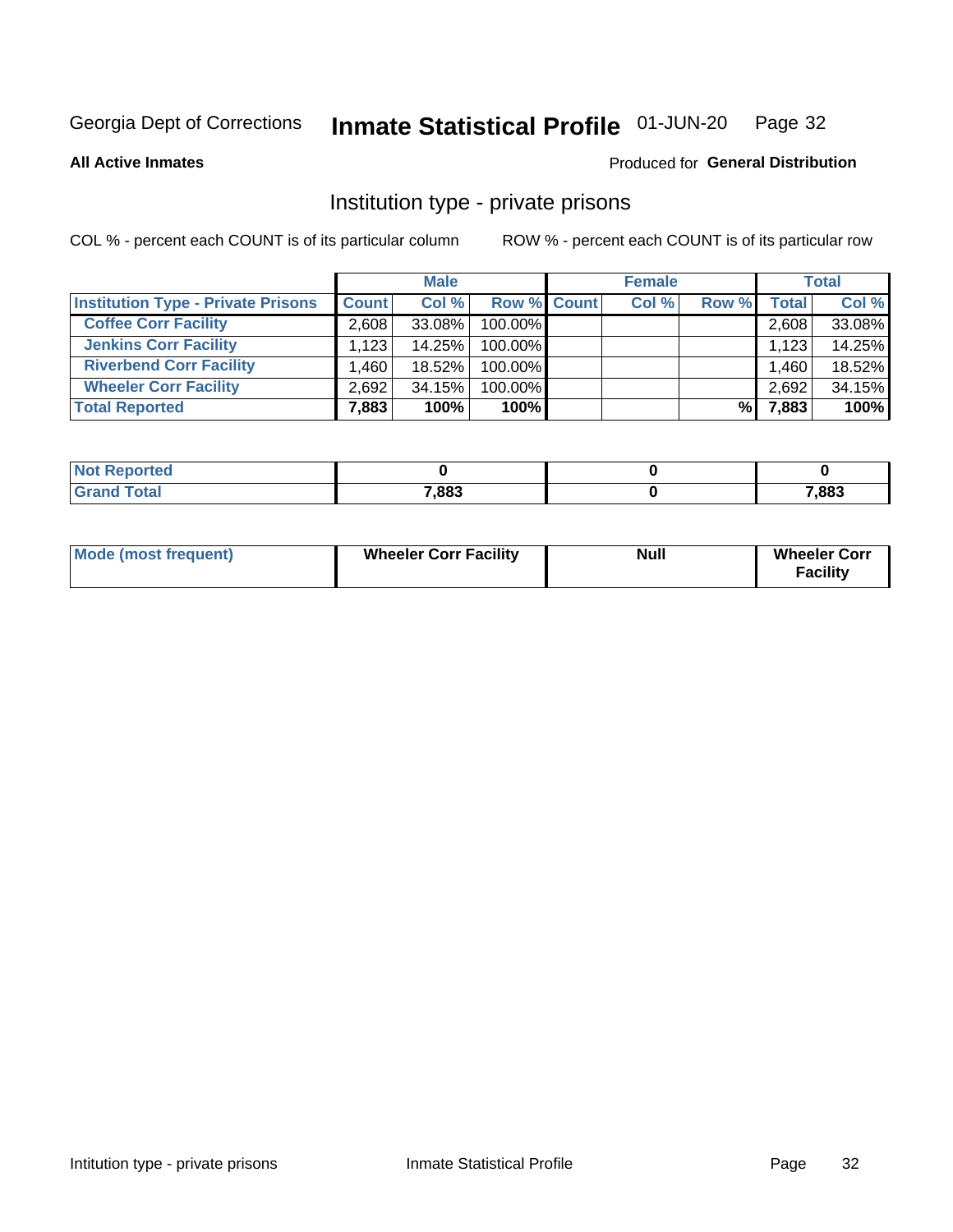### Inmate Statistical Profile 01-JUN-20 Page 32

**All Active Inmates** 

## Produced for General Distribution

## Institution type - private prisons

COL % - percent each COUNT is of its particular column

|                                           |              | <b>Male</b> |                    | <b>Female</b> |       |       | <b>Total</b> |
|-------------------------------------------|--------------|-------------|--------------------|---------------|-------|-------|--------------|
| <b>Institution Type - Private Prisons</b> | <b>Count</b> | Col %       | <b>Row % Count</b> | Col %         | Row % | Total | Col %        |
| <b>Coffee Corr Facility</b>               | 2.608        | 33.08%      | 100.00%            |               |       | 2,608 | 33.08%       |
| <b>Jenkins Corr Facility</b>              | 1,123        | 14.25%      | 100.00%            |               |       | 1,123 | 14.25%       |
| <b>Riverbend Corr Facility</b>            | .460         | 18.52%      | 100.00%            |               |       | 1,460 | 18.52%       |
| <b>Wheeler Corr Facility</b>              | 2.692        | 34.15%      | 100.00%            |               |       | 2,692 | 34.15%       |
| <b>Total Reported</b>                     | 7,883        | 100%        | $100\%$            |               | %     | 7,883 | 100%         |

| <b>Not</b><br>Reported |       |       |
|------------------------|-------|-------|
| <b>Total</b>           | 7,883 | 7,883 |

| <b>Mode (most frequent)</b> | <b>Wheeler Corr Facility</b> | <b>Null</b> | <b>Wheeler Corr</b><br><b>Facility</b> |
|-----------------------------|------------------------------|-------------|----------------------------------------|
|-----------------------------|------------------------------|-------------|----------------------------------------|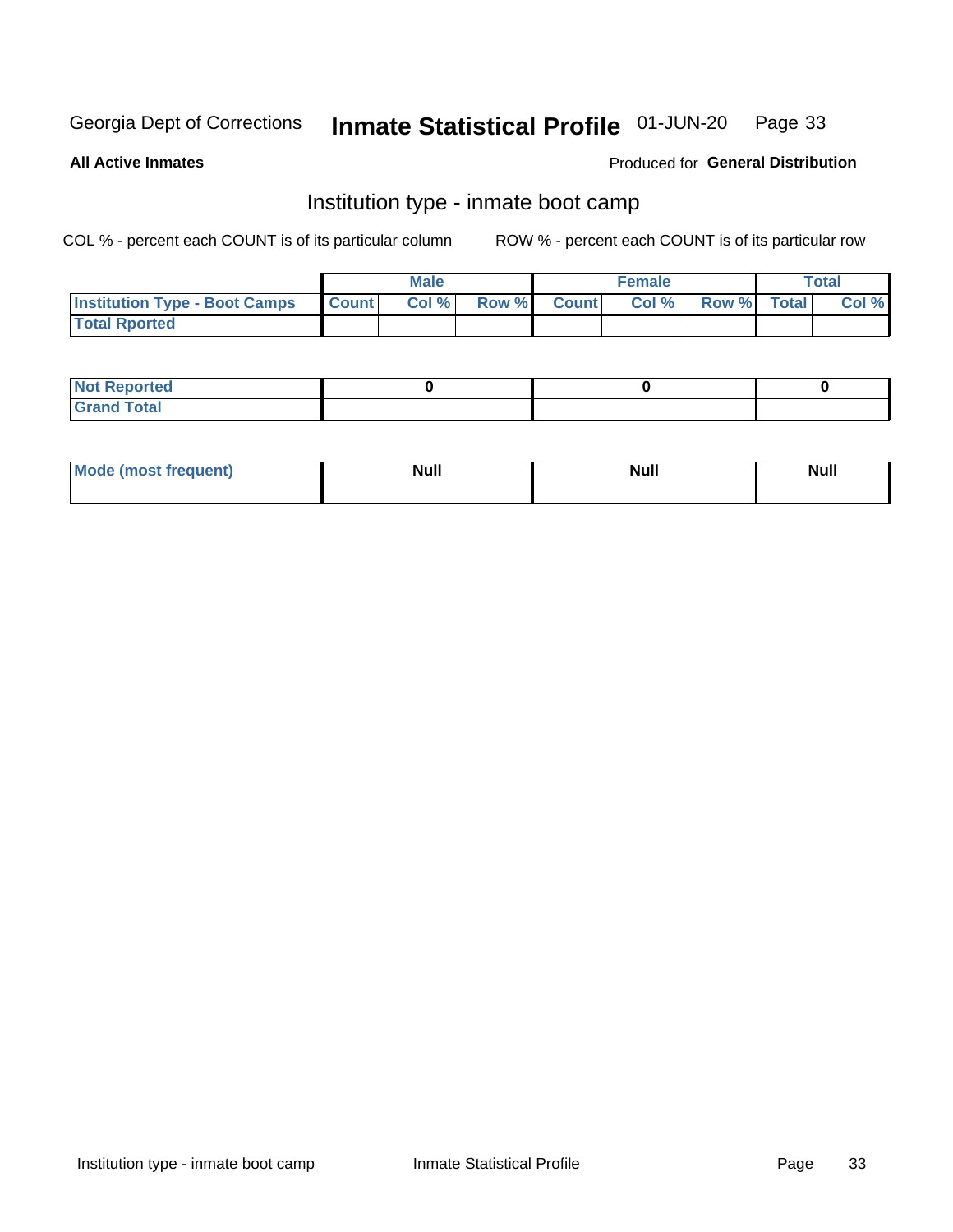### Inmate Statistical Profile 01-JUN-20 Page 33

**All Active Inmates** 

## Produced for General Distribution

## Institution type - inmate boot camp

COL % - percent each COUNT is of its particular column

|                                      |                  | <b>Male</b> |              |              | <b>Female</b> |             | <b>Total</b> |
|--------------------------------------|------------------|-------------|--------------|--------------|---------------|-------------|--------------|
| <b>Institution Type - Boot Camps</b> | <b>I</b> Count I | Col %       | <b>Row %</b> | <b>Count</b> | Col %         | Row % Total | Col %        |
| <b>Total Rported</b>                 |                  |             |              |              |               |             |              |

| <b>Not Reported</b>            |  |  |
|--------------------------------|--|--|
| <b>Total</b><br>C <sub>r</sub> |  |  |

| Mod<br>uamo | Nul.<br>$- - - - - -$ | <b>Null</b> | <br>uu.<br>------ |
|-------------|-----------------------|-------------|-------------------|
|             |                       |             |                   |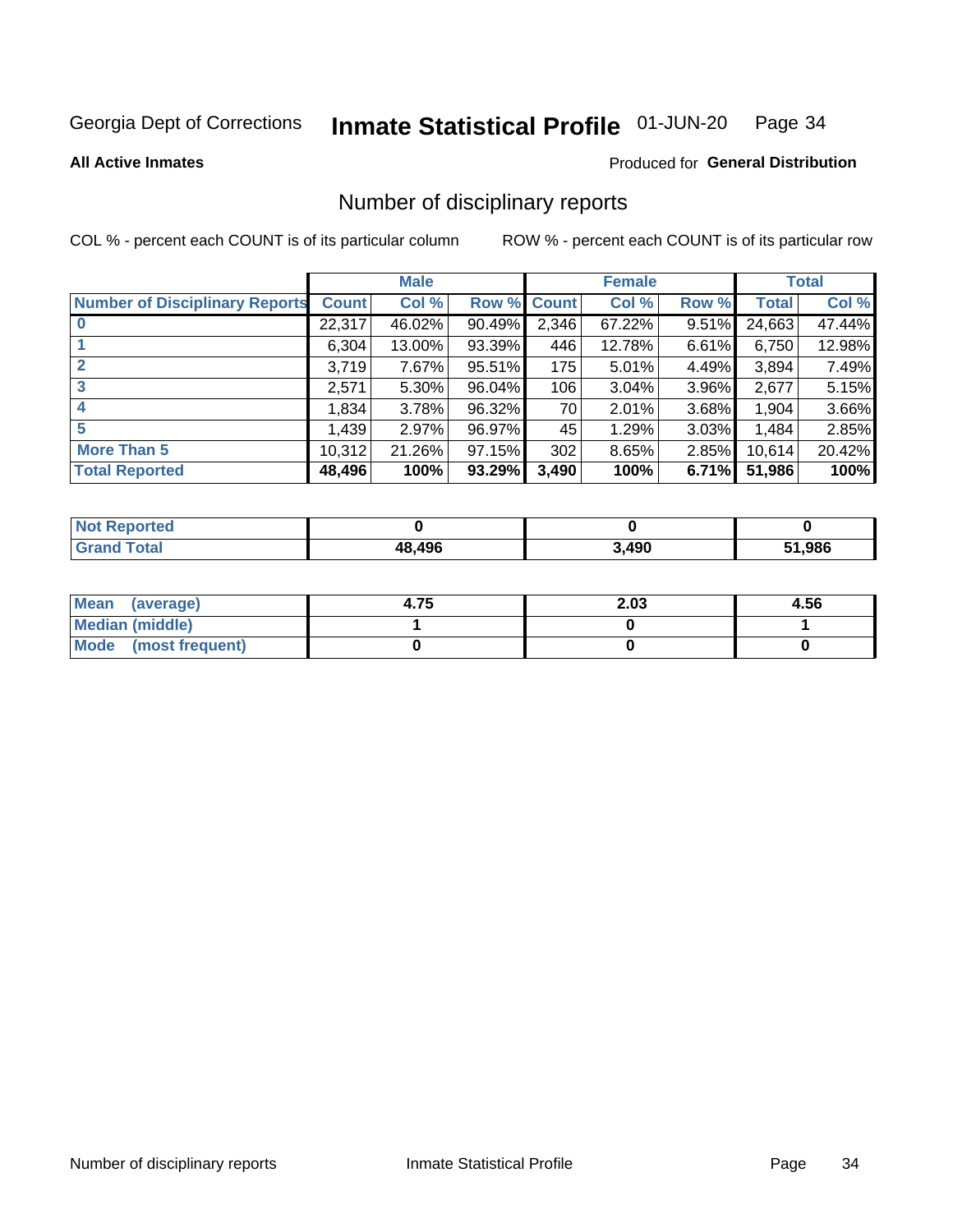### Inmate Statistical Profile 01-JUN-20 Page 34

### **All Active Inmates**

## Produced for General Distribution

## Number of disciplinary reports

COL % - percent each COUNT is of its particular column

|                                       |              | <b>Male</b> |        |              | <b>Female</b> |          |              | <b>Total</b> |
|---------------------------------------|--------------|-------------|--------|--------------|---------------|----------|--------------|--------------|
| <b>Number of Disciplinary Reports</b> | <b>Count</b> | Col %       | Row %  | <b>Count</b> | Col %         | Row %    | <b>Total</b> | Col %        |
|                                       | 22,317       | 46.02%      | 90.49% | 2,346        | 67.22%        | $9.51\%$ | 24,663       | 47.44%       |
|                                       | 6,304        | 13.00%      | 93.39% | 446          | 12.78%        | 6.61%    | 6,750        | 12.98%       |
| $\mathbf{2}$                          | 3,719        | 7.67%       | 95.51% | 175          | 5.01%         | 4.49%    | 3,894        | 7.49%        |
| 3                                     | 2,571        | $5.30\%$    | 96.04% | 106          | 3.04%         | 3.96%    | 2,677        | 5.15%        |
|                                       | 1,834        | 3.78%       | 96.32% | 70           | 2.01%         | 3.68%    | 1,904        | 3.66%        |
| 5                                     | 1,439        | 2.97%       | 96.97% | 45           | 1.29%         | $3.03\%$ | 1,484        | 2.85%        |
| <b>More Than 5</b>                    | 10,312       | 21.26%      | 97.15% | 302          | 8.65%         | 2.85%    | 10,614       | 20.42%       |
| <b>Total Reported</b>                 | 48,496       | 100%        | 93.29% | 3,490        | 100%          | 6.71%    | 51,986       | 100%         |

| Reported<br>Not <b>I</b> |        |       |        |
|--------------------------|--------|-------|--------|
| <b>Total</b>             | 48.496 | 3,490 | 51.986 |

| Mean (average)       | 4.75 | 2.03 | 4.56 |
|----------------------|------|------|------|
| Median (middle)      |      |      |      |
| Mode (most frequent) |      |      |      |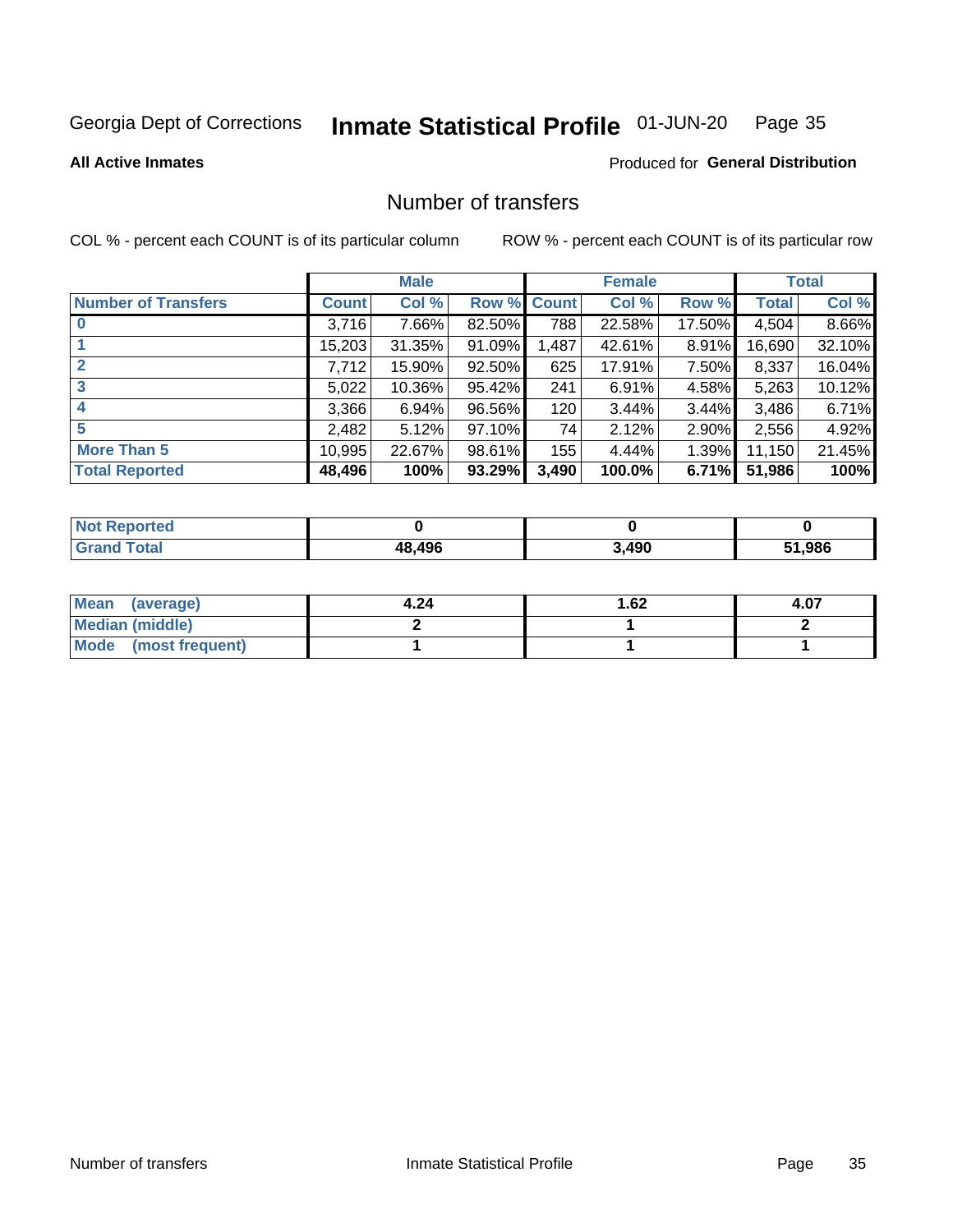### Inmate Statistical Profile 01-JUN-20 Page 35

**All Active Inmates** 

## **Produced for General Distribution**

## Number of transfers

COL % - percent each COUNT is of its particular column

|                            |              | <b>Male</b> |        |             | <b>Female</b> |        |        | <b>Total</b> |
|----------------------------|--------------|-------------|--------|-------------|---------------|--------|--------|--------------|
| <b>Number of Transfers</b> | <b>Count</b> | Col %       |        | Row % Count | Col %         | Row %  | Total  | Col %        |
| $\bf{0}$                   | 3,716        | 7.66%       | 82.50% | 788         | 22.58%        | 17.50% | 4,504  | 8.66%        |
|                            | 15,203       | 31.35%      | 91.09% | 1,487       | 42.61%        | 8.91%  | 16,690 | 32.10%       |
| $\mathbf{2}$               | 7,712        | 15.90%      | 92.50% | 625         | 17.91%        | 7.50%  | 8,337  | 16.04%       |
| 3                          | 5,022        | 10.36%      | 95.42% | 241         | 6.91%         | 4.58%  | 5,263  | 10.12%       |
|                            | 3,366        | 6.94%       | 96.56% | 120         | 3.44%         | 3.44%  | 3,486  | 6.71%        |
| 5                          | 2,482        | 5.12%       | 97.10% | 74          | 2.12%         | 2.90%  | 2,556  | 4.92%        |
| <b>More Than 5</b>         | 10,995       | 22.67%      | 98.61% | 155         | 4.44%         | 1.39%  | 11,150 | 21.45%       |
| <b>Total Reported</b>      | 48,496       | 100%        | 93.29% | 3,490       | 100.0%        | 6.71%  | 51,986 | 100%         |

| Reported<br>Not <b>I</b> |        |       |        |
|--------------------------|--------|-------|--------|
| <b>Total</b>             | 48.496 | 3,490 | 51.986 |

| Mean (average)         | 4.24 | 1.62 | 4.07 |
|------------------------|------|------|------|
| <b>Median (middle)</b> |      |      |      |
| Mode (most frequent)   |      |      |      |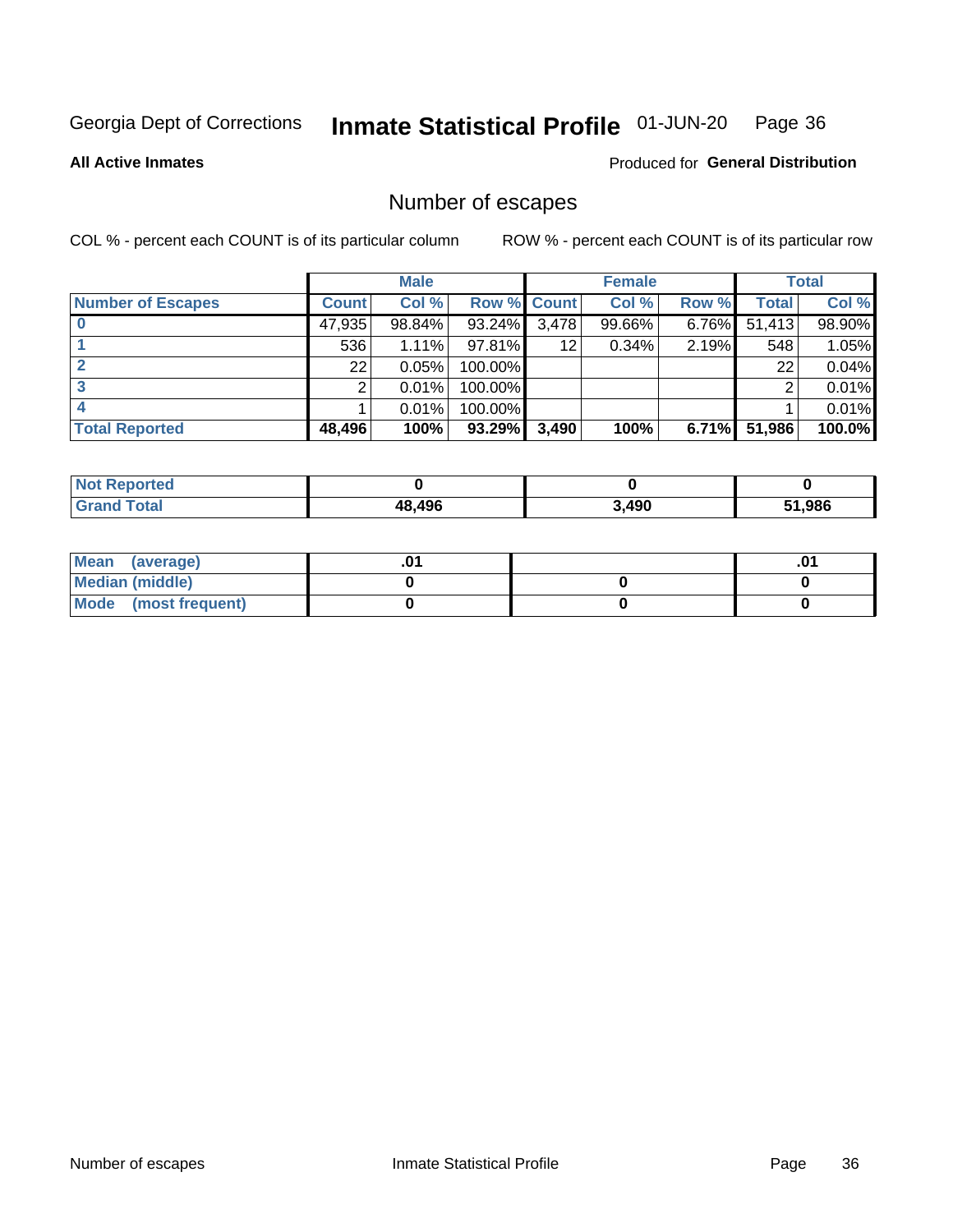### Inmate Statistical Profile 01-JUN-20 Page 36

**All Active Inmates** 

## Produced for General Distribution

## Number of escapes

COL % - percent each COUNT is of its particular column

|                          |              | <b>Male</b> |             |       | <b>Female</b> |       |        | <b>Total</b> |
|--------------------------|--------------|-------------|-------------|-------|---------------|-------|--------|--------------|
| <b>Number of Escapes</b> | <b>Count</b> | Col %       | Row % Count |       | Col %         | Row % | Total  | Col %        |
|                          | 47,935       | 98.84%      | $93.24\%$   | 3,478 | 99.66%        | 6.76% | 51,413 | 98.90%       |
|                          | 536          | 1.11%       | 97.81%      | 12    | 0.34%         | 2.19% | 548    | 1.05%        |
|                          | 22           | 0.05%       | 100.00%     |       |               |       | 22     | 0.04%        |
|                          |              | 0.01%       | 100.00%     |       |               |       | ⌒      | 0.01%        |
|                          |              | 0.01%       | 100.00%     |       |               |       |        | 0.01%        |
| <b>Total Reported</b>    | 48,496       | 100%        | 93.29%      | 3,490 | 100%          | 6.71% | 51,986 | 100.0%       |

| Reported |        |       |        |
|----------|--------|-------|--------|
| Total    | 48.496 | 3,490 | 51.986 |

| Mean (average)         |  | .0 <sup>4</sup> |
|------------------------|--|-----------------|
| <b>Median (middle)</b> |  |                 |
| Mode (most frequent)   |  |                 |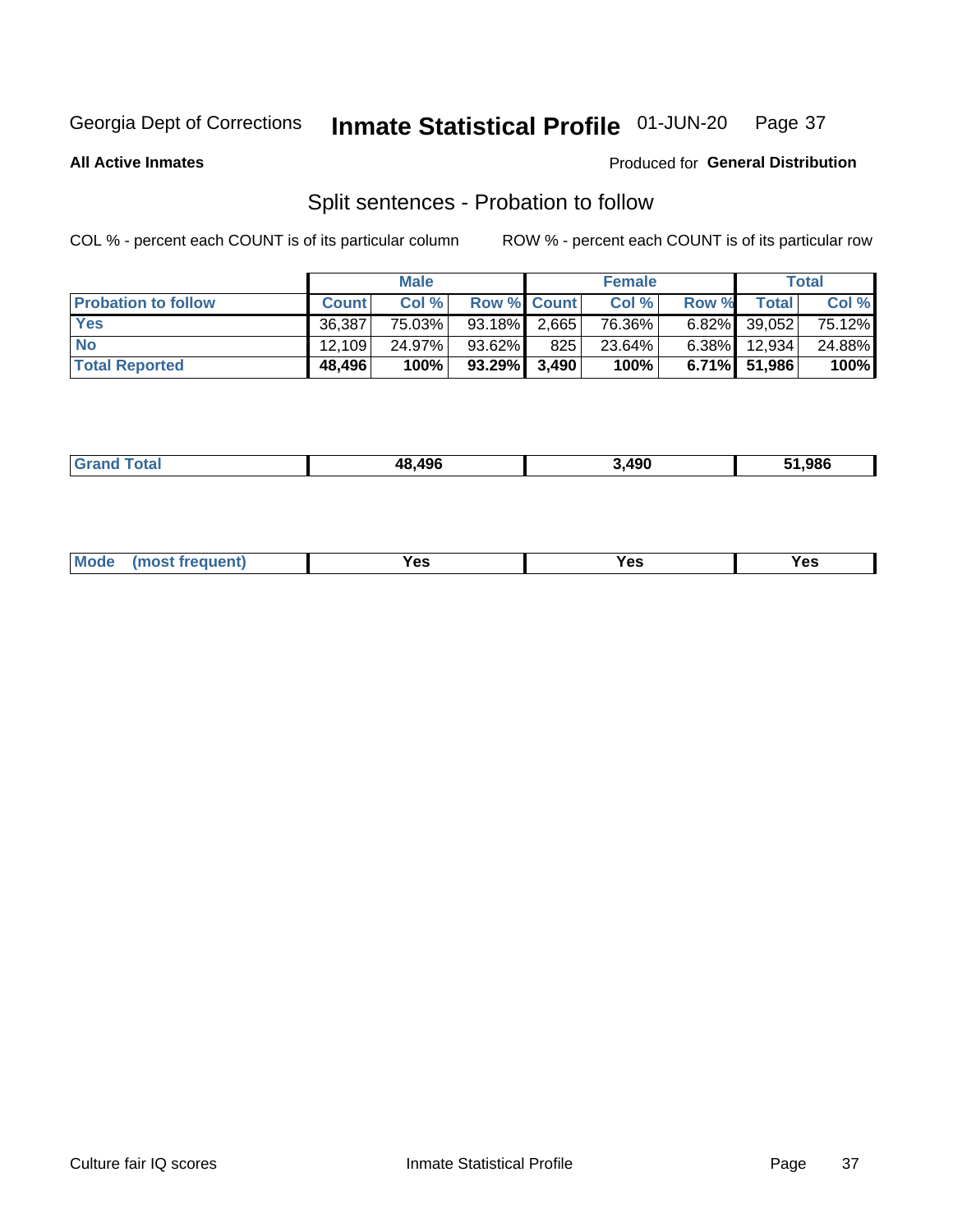### Inmate Statistical Profile 01-JUN-20 Page 37

**All Active Inmates** 

## Produced for General Distribution

## Split sentences - Probation to follow

COL % - percent each COUNT is of its particular column

|                            |              | <b>Male</b> |                    |     | <b>Female</b> |          |                 | <b>Total</b> |
|----------------------------|--------------|-------------|--------------------|-----|---------------|----------|-----------------|--------------|
| <b>Probation to follow</b> | <b>Count</b> | Col%        | <b>Row % Count</b> |     | Col %         | Row %    | Total           | Col %        |
| <b>Yes</b>                 | 36.387       | 75.03%      | $93.18\%$ 2.665    |     | 76.36%        |          | $6.82\%$ 39.052 | 75.12%       |
| <b>No</b>                  | 12.109       | 24.97%      | 93.62%             | 825 | 23.64%        | $6.38\%$ | 12.934          | 24.88%       |
| <b>Total Reported</b>      | 48,496       | 100%        | 93.29% 3,490       |     | 100%          |          | $6.71\%$ 51,986 | 100%         |

|  | _____ | AC<br>ля | .490 | .986 |
|--|-------|----------|------|------|
|--|-------|----------|------|------|

| $Moo$<br>requent<br>′es<br>Yes<br><b>YAC</b><br>. |
|---------------------------------------------------|
|---------------------------------------------------|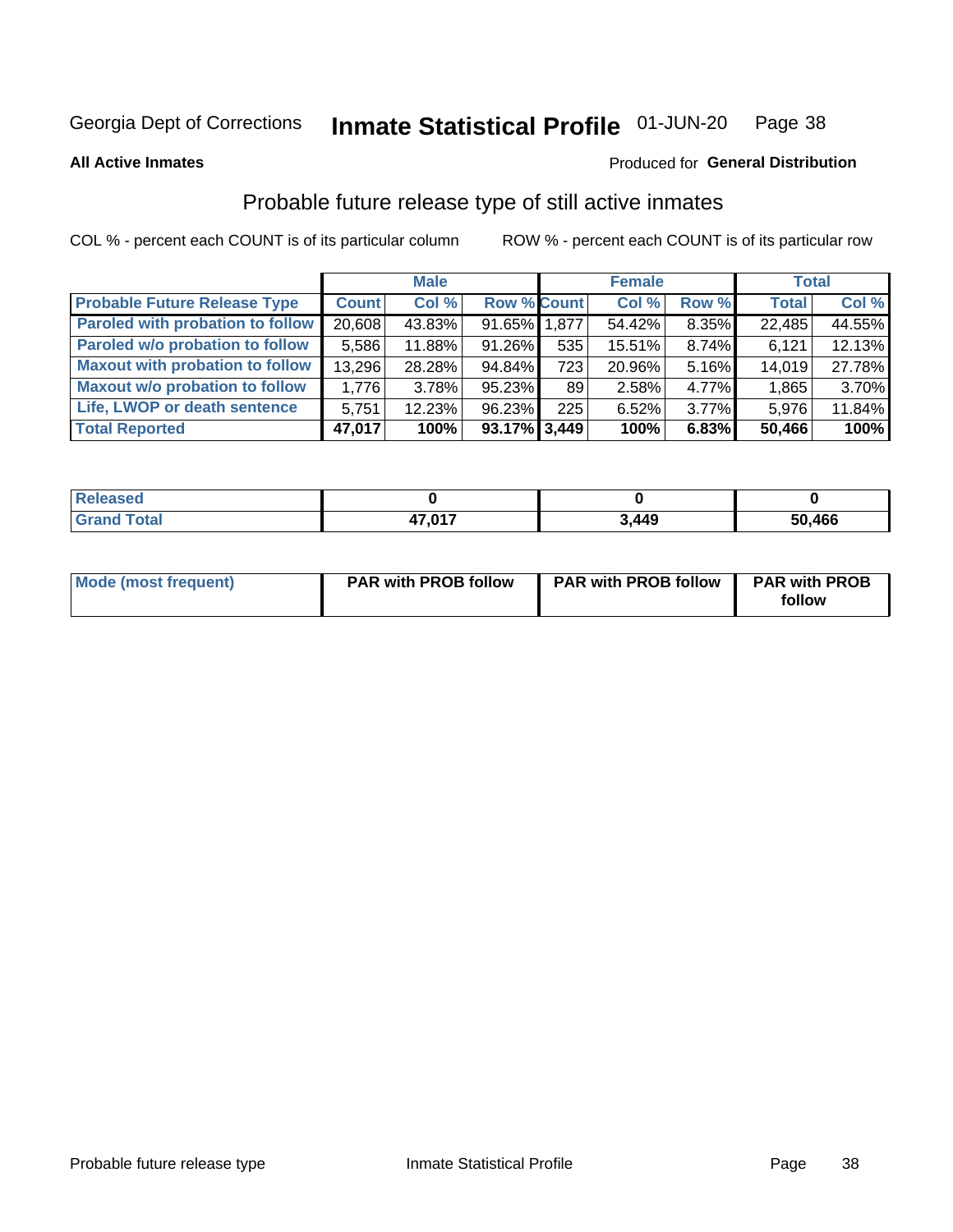#### Inmate Statistical Profile 01-JUN-20 Page 38

### **All Active Inmates**

# Produced for General Distribution

# Probable future release type of still active inmates

COL % - percent each COUNT is of its particular column

|                                         |              | <b>Male</b> |                    |     | <b>Female</b> |          | <b>Total</b> |        |
|-----------------------------------------|--------------|-------------|--------------------|-----|---------------|----------|--------------|--------|
| <b>Probable Future Release Type</b>     | <b>Count</b> | Col %       | <b>Row % Count</b> |     | Col %         | Row %    | <b>Total</b> | Col %  |
| <b>Paroled with probation to follow</b> | 20,608       | 43.83%      | 91.65% 1,877       |     | 54.42%        | 8.35%    | 22,485       | 44.55% |
| Paroled w/o probation to follow         | 5,586        | 11.88%      | 91.26%             | 535 | 15.51%        | 8.74%    | 6,121        | 12.13% |
| <b>Maxout with probation to follow</b>  | 13,296       | 28.28%      | 94.84%             | 723 | 20.96%        | 5.16%    | 14,019       | 27.78% |
| <b>Maxout w/o probation to follow</b>   | 1,776        | 3.78%       | 95.23%             | 89  | 2.58%         | 4.77%    | 1,865        | 3.70%  |
| Life, LWOP or death sentence            | 5,751        | 12.23%      | 96.23%             | 225 | 6.52%         | $3.77\%$ | 5,976        | 11.84% |
| <b>Total Reported</b>                   | 47,017       | 100%        | $93.17\%$ 3,449    |     | 100%          | 6.83%    | 50,466       | 100%   |

| <b>cotal</b> | 17 N17 | $\boldsymbol{\Lambda}$ $\boldsymbol{\Lambda}$<br>- 3 | ,466<br>50. |
|--------------|--------|------------------------------------------------------|-------------|

| Mode (most frequent) | <b>PAR with PROB follow</b> | <b>PAR with PROB follow</b> | <b>PAR with PROB</b><br>follow |
|----------------------|-----------------------------|-----------------------------|--------------------------------|
|                      |                             |                             |                                |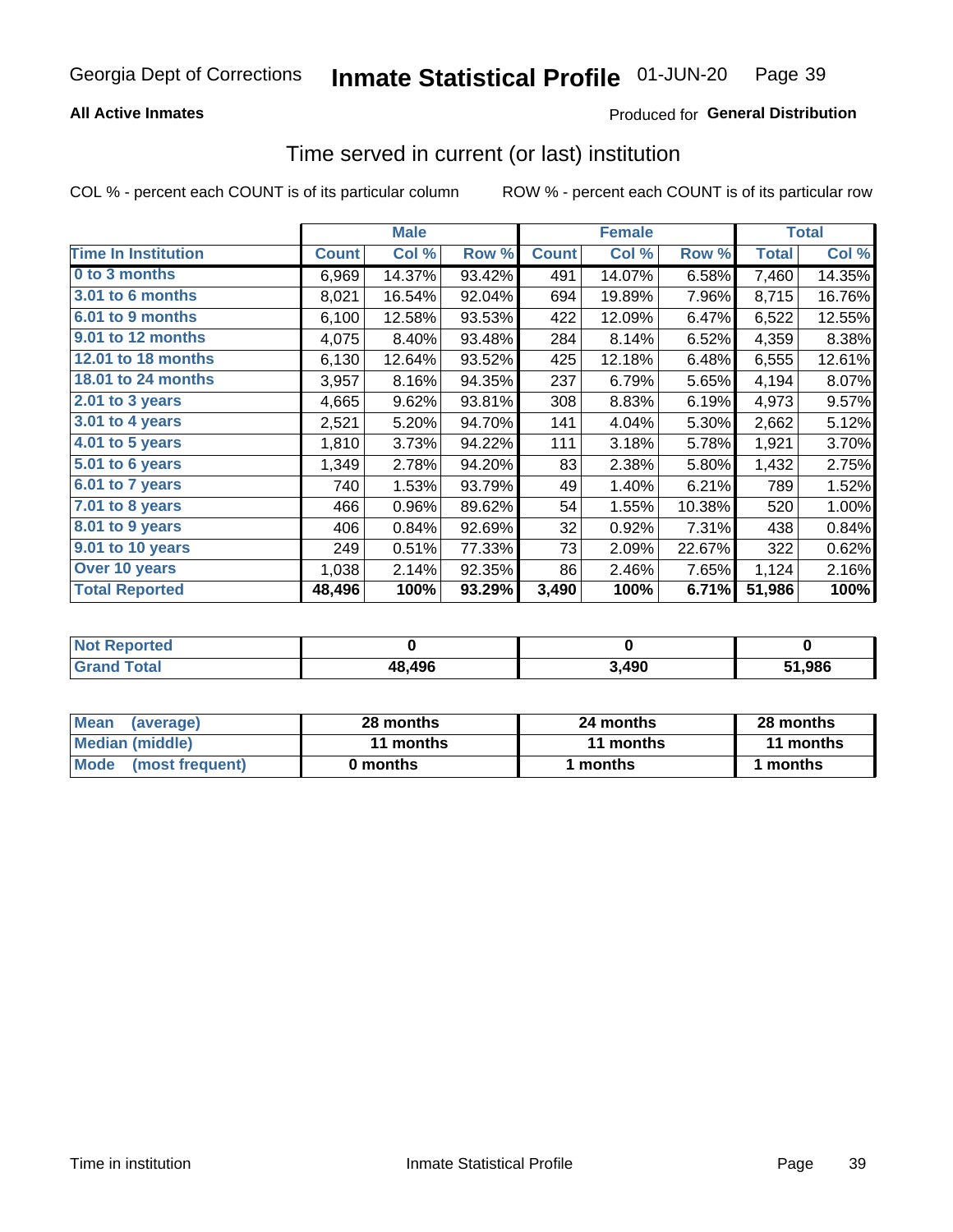# **All Active Inmates**

# Produced for General Distribution

# Time served in current (or last) institution

COL % - percent each COUNT is of its particular column

|                            |              | <b>Male</b> |        |              | <b>Female</b> |        |              | <b>Total</b> |
|----------------------------|--------------|-------------|--------|--------------|---------------|--------|--------------|--------------|
| <b>Time In Institution</b> | <b>Count</b> | Col %       | Row %  | <b>Count</b> | Col %         | Row %  | <b>Total</b> | Col %        |
| 0 to 3 months              | 6,969        | 14.37%      | 93.42% | 491          | 14.07%        | 6.58%  | 7,460        | 14.35%       |
| <b>3.01 to 6 months</b>    | 8,021        | 16.54%      | 92.04% | 694          | 19.89%        | 7.96%  | 8,715        | 16.76%       |
| 6.01 to 9 months           | 6,100        | 12.58%      | 93.53% | 422          | 12.09%        | 6.47%  | 6,522        | 12.55%       |
| 9.01 to 12 months          | 4,075        | 8.40%       | 93.48% | 284          | 8.14%         | 6.52%  | 4,359        | 8.38%        |
| 12.01 to 18 months         | 6,130        | 12.64%      | 93.52% | 425          | 12.18%        | 6.48%  | 6,555        | 12.61%       |
| <b>18.01 to 24 months</b>  | 3,957        | 8.16%       | 94.35% | 237          | 6.79%         | 5.65%  | 4,194        | 8.07%        |
| $2.01$ to 3 years          | 4,665        | 9.62%       | 93.81% | 308          | 8.83%         | 6.19%  | 4,973        | 9.57%        |
| 3.01 to 4 years            | 2,521        | 5.20%       | 94.70% | 141          | 4.04%         | 5.30%  | 2,662        | 5.12%        |
| $4.01$ to 5 years          | 1,810        | 3.73%       | 94.22% | 111          | 3.18%         | 5.78%  | 1,921        | 3.70%        |
| 5.01 to 6 years            | 1,349        | 2.78%       | 94.20% | 83           | 2.38%         | 5.80%  | 1,432        | 2.75%        |
| 6.01 to 7 years            | 740          | 1.53%       | 93.79% | 49           | 1.40%         | 6.21%  | 789          | 1.52%        |
| 7.01 to 8 years            | 466          | 0.96%       | 89.62% | 54           | 1.55%         | 10.38% | 520          | 1.00%        |
| $8.01$ to 9 years          | 406          | 0.84%       | 92.69% | 32           | 0.92%         | 7.31%  | 438          | 0.84%        |
| 9.01 to 10 years           | 249          | 0.51%       | 77.33% | 73           | 2.09%         | 22.67% | 322          | 0.62%        |
| Over 10 years              | 1,038        | 2.14%       | 92.35% | 86           | 2.46%         | 7.65%  | 1,124        | 2.16%        |
| <b>Total Reported</b>      | 48,496       | 100%        | 93.29% | 3,490        | 100%          | 6.71%  | 51,986       | 100%         |

| Not R<br>Renorted |        |       |        |
|-------------------|--------|-------|--------|
| Total             | 48,496 | 3.490 | 51,986 |

| <b>Mean</b><br>(average) | 28 months | 24 months | 28 months |
|--------------------------|-----------|-----------|-----------|
| Median (middle)          | 11 months | 11 months | 11 months |
| Mode (most frequent)     | 0 months  | months    | ∣ months  |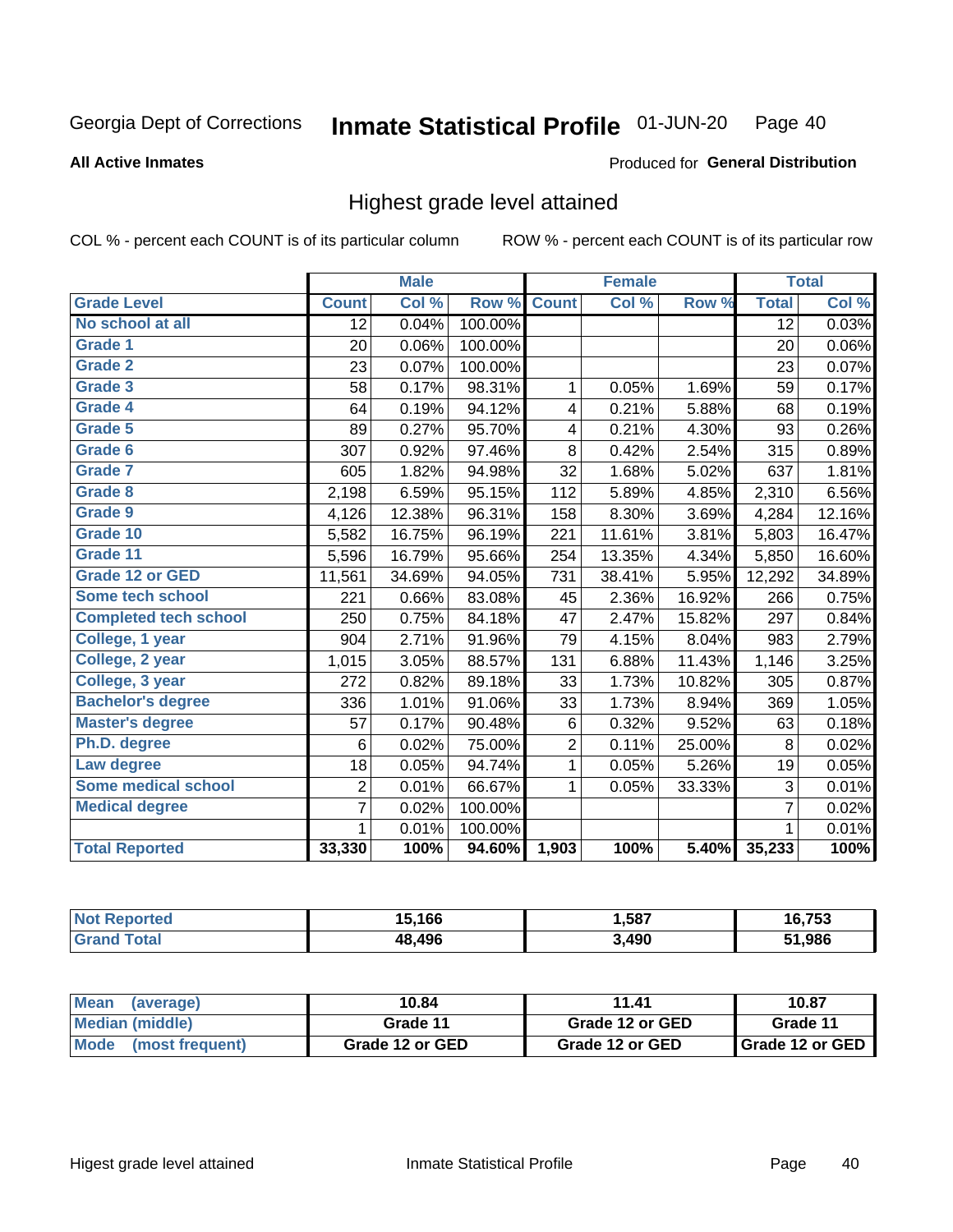### **All Active Inmates**

### Produced for General Distribution

# Highest grade level attained

COL % - percent each COUNT is of its particular column

|                              |                 | <b>Male</b> |         |                | <b>Female</b> |        |                 | <b>Total</b> |
|------------------------------|-----------------|-------------|---------|----------------|---------------|--------|-----------------|--------------|
| <b>Grade Level</b>           | <b>Count</b>    | Col %       | Row %   | <b>Count</b>   | Col %         | Row %  | <b>Total</b>    | Col %        |
| No school at all             | $\overline{12}$ | 0.04%       | 100.00% |                |               |        | $\overline{12}$ | 0.03%        |
| <b>Grade 1</b>               | 20              | 0.06%       | 100.00% |                |               |        | 20              | 0.06%        |
| <b>Grade 2</b>               | 23              | 0.07%       | 100.00% |                |               |        | 23              | 0.07%        |
| Grade 3                      | 58              | 0.17%       | 98.31%  | $\mathbf{1}$   | 0.05%         | 1.69%  | 59              | 0.17%        |
| Grade 4                      | 64              | 0.19%       | 94.12%  | 4              | 0.21%         | 5.88%  | 68              | 0.19%        |
| Grade 5                      | 89              | 0.27%       | 95.70%  | 4              | 0.21%         | 4.30%  | 93              | 0.26%        |
| Grade 6                      | 307             | 0.92%       | 97.46%  | 8              | 0.42%         | 2.54%  | 315             | 0.89%        |
| <b>Grade 7</b>               | 605             | 1.82%       | 94.98%  | 32             | 1.68%         | 5.02%  | 637             | 1.81%        |
| Grade 8                      | 2,198           | 6.59%       | 95.15%  | 112            | 5.89%         | 4.85%  | 2,310           | 6.56%        |
| Grade 9                      | 4,126           | 12.38%      | 96.31%  | 158            | 8.30%         | 3.69%  | 4,284           | 12.16%       |
| Grade 10                     | 5,582           | 16.75%      | 96.19%  | 221            | 11.61%        | 3.81%  | 5,803           | 16.47%       |
| Grade 11                     | 5,596           | 16.79%      | 95.66%  | 254            | 13.35%        | 4.34%  | 5,850           | 16.60%       |
| <b>Grade 12 or GED</b>       | 11,561          | 34.69%      | 94.05%  | 731            | 38.41%        | 5.95%  | 12,292          | 34.89%       |
| <b>Some tech school</b>      | 221             | 0.66%       | 83.08%  | 45             | 2.36%         | 16.92% | 266             | 0.75%        |
| <b>Completed tech school</b> | 250             | 0.75%       | 84.18%  | 47             | 2.47%         | 15.82% | 297             | 0.84%        |
| College, 1 year              | 904             | 2.71%       | 91.96%  | 79             | 4.15%         | 8.04%  | 983             | 2.79%        |
| College, 2 year              | 1,015           | 3.05%       | 88.57%  | 131            | 6.88%         | 11.43% | 1,146           | 3.25%        |
| College, 3 year              | 272             | 0.82%       | 89.18%  | 33             | 1.73%         | 10.82% | 305             | 0.87%        |
| <b>Bachelor's degree</b>     | 336             | 1.01%       | 91.06%  | 33             | 1.73%         | 8.94%  | 369             | 1.05%        |
| <b>Master's degree</b>       | 57              | 0.17%       | 90.48%  | $\,6$          | 0.32%         | 9.52%  | 63              | 0.18%        |
| Ph.D. degree                 | 6               | 0.02%       | 75.00%  | $\overline{2}$ | 0.11%         | 25.00% | 8               | 0.02%        |
| Law degree                   | 18              | 0.05%       | 94.74%  | $\mathbf{1}$   | 0.05%         | 5.26%  | 19              | 0.05%        |
| <b>Some medical school</b>   | $\overline{2}$  | 0.01%       | 66.67%  | 1              | 0.05%         | 33.33% | 3               | 0.01%        |
| <b>Medical degree</b>        | $\overline{7}$  | 0.02%       | 100.00% |                |               |        | $\overline{7}$  | 0.02%        |
|                              | $\mathbf 1$     | 0.01%       | 100.00% |                |               |        | 1               | 0.01%        |
| <b>Total Reported</b>        | 33,330          | 100%        | 94.60%  | 1,903          | 100%          | 5.40%  | 35,233          | 100%         |

| .166   | .,587 | 77 <sub>2</sub><br>753 |
|--------|-------|------------------------|
| 18.496 | 3,490 | .986<br>E4             |

| <b>Mean</b><br>(average) | 10.84           | 11.41           | 10.87           |
|--------------------------|-----------------|-----------------|-----------------|
| Median (middle)          | Grade 11        | Grade 12 or GED | Grade 11        |
| Mode<br>(most frequent)  | Grade 12 or GED | Grade 12 or GED | Grade 12 or GED |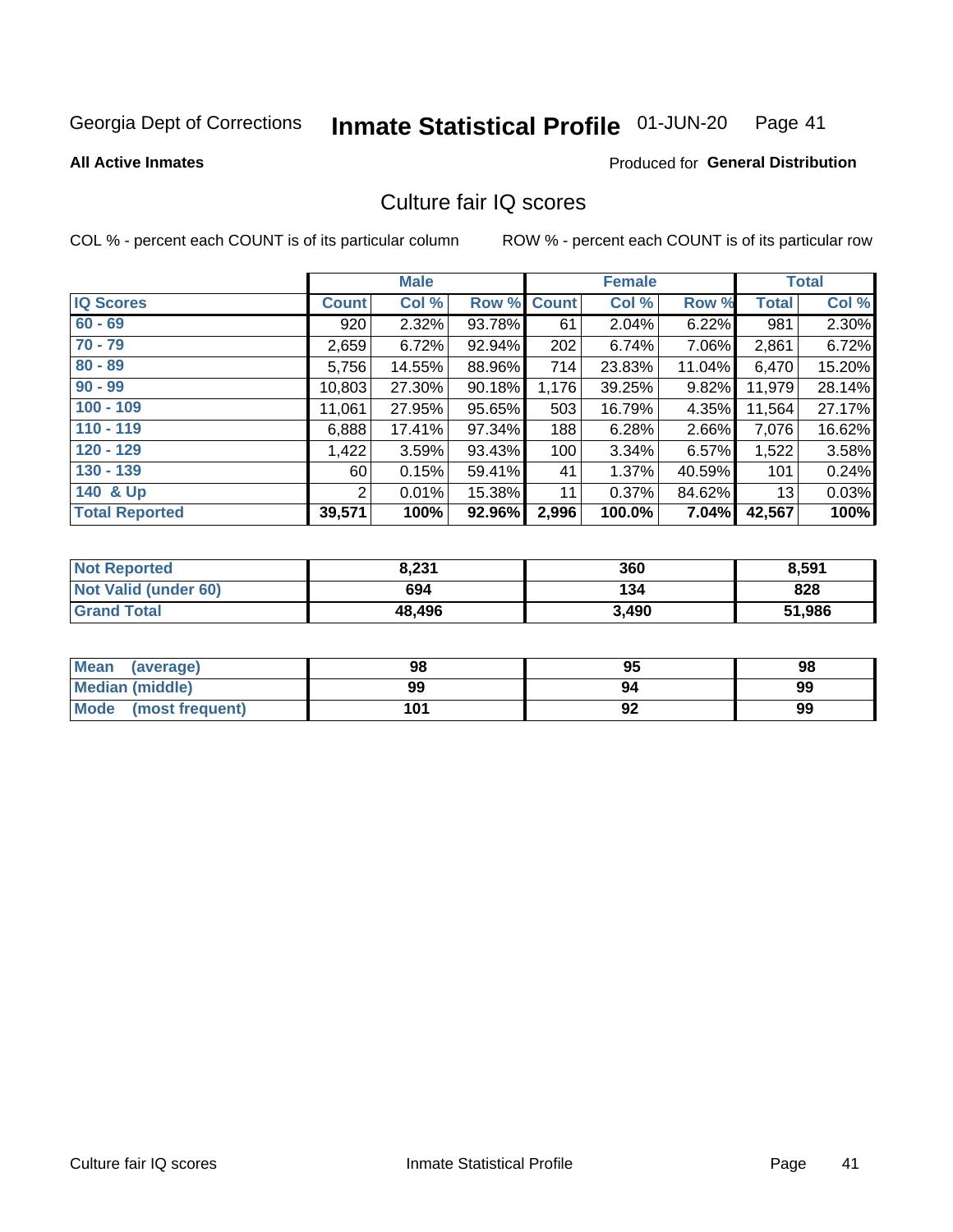#### Inmate Statistical Profile 01-JUN-20 Page 41

### **All Active Inmates**

# **Produced for General Distribution**

# Culture fair IQ scores

COL % - percent each COUNT is of its particular column

|                       |              | <b>Male</b> |        |              | <b>Female</b> |        |              | <b>Total</b> |
|-----------------------|--------------|-------------|--------|--------------|---------------|--------|--------------|--------------|
| <b>IQ Scores</b>      | <b>Count</b> | Col %       | Row %  | <b>Count</b> | Col %         | Row %  | <b>Total</b> | Col %        |
| $60 - 69$             | 920          | 2.32%       | 93.78% | 61           | 2.04%         | 6.22%  | 981          | 2.30%        |
| $70 - 79$             | 2,659        | 6.72%       | 92.94% | 202          | 6.74%         | 7.06%  | 2,861        | 6.72%        |
| $80 - 89$             | 5,756        | 14.55%      | 88.96% | 714          | 23.83%        | 11.04% | 6,470        | 15.20%       |
| $90 - 99$             | 10,803       | 27.30%      | 90.18% | 1,176        | 39.25%        | 9.82%  | 11,979       | 28.14%       |
| $100 - 109$           | 11,061       | 27.95%      | 95.65% | 503          | 16.79%        | 4.35%  | 11,564       | 27.17%       |
| $110 - 119$           | 6,888        | 17.41%      | 97.34% | 188          | 6.28%         | 2.66%  | 7,076        | 16.62%       |
| $120 - 129$           | 1,422        | 3.59%       | 93.43% | 100          | 3.34%         | 6.57%  | 1,522        | 3.58%        |
| $130 - 139$           | 60 l         | 0.15%       | 59.41% | 41           | 1.37%         | 40.59% | 101          | 0.24%        |
| 140 & Up              | 2            | 0.01%       | 15.38% | 11           | 0.37%         | 84.62% | 13           | 0.03%        |
| <b>Total Reported</b> | 39,571       | 100%        | 92.96% | 2,996        | 100.0%        | 7.04%  | 42,567       | 100%         |

| <b>Not Reported</b>         | 8,231  | 360   | 8,591  |
|-----------------------------|--------|-------|--------|
| <b>Not Valid (under 60)</b> | 694    | 134   | 828    |
| <b>Grand Total</b>          | 48,496 | 3,490 | 51,986 |

| <b>Mean</b><br>(average) | 98  | 95 | 98 |
|--------------------------|-----|----|----|
| Median (middle)          | 99  | 94 | 99 |
| Mode<br>(most frequent)  | 101 | 92 | 99 |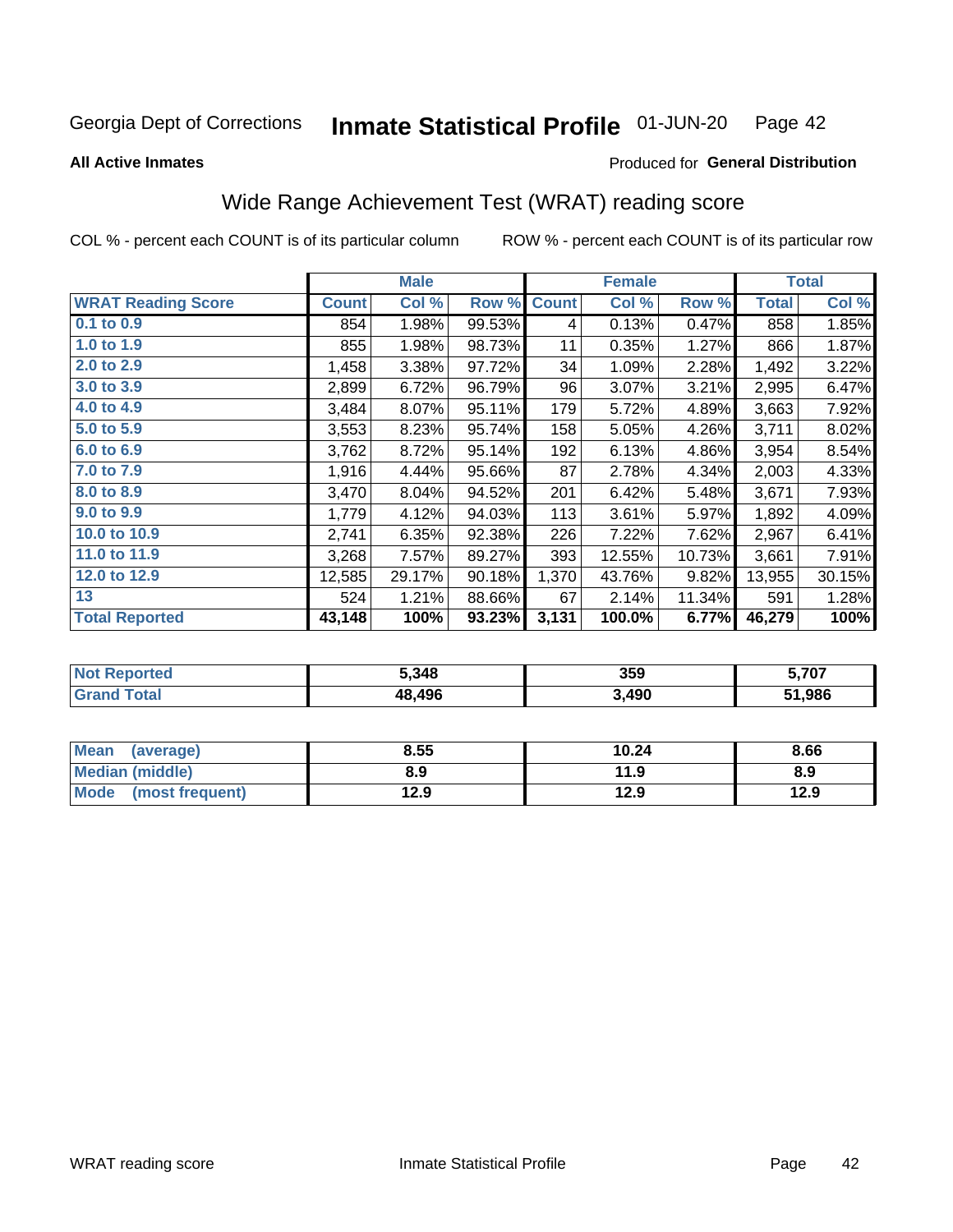#### Inmate Statistical Profile 01-JUN-20 Page 42

**All Active Inmates** 

# Produced for General Distribution

# Wide Range Achievement Test (WRAT) reading score

COL % - percent each COUNT is of its particular column

|                           |              | <b>Male</b> |        |              | <b>Female</b> |        |              | <b>Total</b> |
|---------------------------|--------------|-------------|--------|--------------|---------------|--------|--------------|--------------|
| <b>WRAT Reading Score</b> | <b>Count</b> | Col %       | Row %  | <b>Count</b> | Col %         | Row %  | <b>Total</b> | Col %        |
| 0.1 to 0.9                | 854          | 1.98%       | 99.53% | 4            | 0.13%         | 0.47%  | 858          | 1.85%        |
| 1.0 to 1.9                | 855          | 1.98%       | 98.73% | 11           | 0.35%         | 1.27%  | 866          | 1.87%        |
| 2.0 to 2.9                | 1,458        | 3.38%       | 97.72% | 34           | 1.09%         | 2.28%  | 1,492        | 3.22%        |
| 3.0 to 3.9                | 2,899        | 6.72%       | 96.79% | 96           | 3.07%         | 3.21%  | 2,995        | 6.47%        |
| 4.0 to 4.9                | 3,484        | 8.07%       | 95.11% | 179          | 5.72%         | 4.89%  | 3,663        | 7.92%        |
| 5.0 to 5.9                | 3,553        | 8.23%       | 95.74% | 158          | 5.05%         | 4.26%  | 3,711        | 8.02%        |
| 6.0 to 6.9                | 3,762        | 8.72%       | 95.14% | 192          | 6.13%         | 4.86%  | 3,954        | 8.54%        |
| 7.0 to 7.9                | 1,916        | 4.44%       | 95.66% | 87           | 2.78%         | 4.34%  | 2,003        | 4.33%        |
| 8.0 to 8.9                | 3,470        | 8.04%       | 94.52% | 201          | 6.42%         | 5.48%  | 3,671        | 7.93%        |
| 9.0 to 9.9                | 1,779        | 4.12%       | 94.03% | 113          | 3.61%         | 5.97%  | 1,892        | 4.09%        |
| 10.0 to 10.9              | 2,741        | 6.35%       | 92.38% | 226          | 7.22%         | 7.62%  | 2,967        | 6.41%        |
| 11.0 to 11.9              | 3,268        | 7.57%       | 89.27% | 393          | 12.55%        | 10.73% | 3,661        | 7.91%        |
| 12.0 to 12.9              | 12,585       | 29.17%      | 90.18% | 1,370        | 43.76%        | 9.82%  | 13,955       | 30.15%       |
| 13                        | 524          | 1.21%       | 88.66% | 67           | 2.14%         | 11.34% | 591          | 1.28%        |
| <b>Total Reported</b>     | 43,148       | 100%        | 93.23% | 3,131        | 100.0%        | 6.77%  | 46,279       | 100%         |

| <b>orted</b><br>NO | 5,348  | 359   | 5,707  |
|--------------------|--------|-------|--------|
| $T$ otol $T$       | 48.496 | 3,490 | 51,986 |

| <b>Mean</b><br>(average)       | 8.55 | 10.24 | 8.66 |
|--------------------------------|------|-------|------|
| <b>Median (middle)</b>         | 8.9  | 11.9  | 8.9  |
| <b>Mode</b><br>(most frequent) | 12.9 | 12.9  | 12.9 |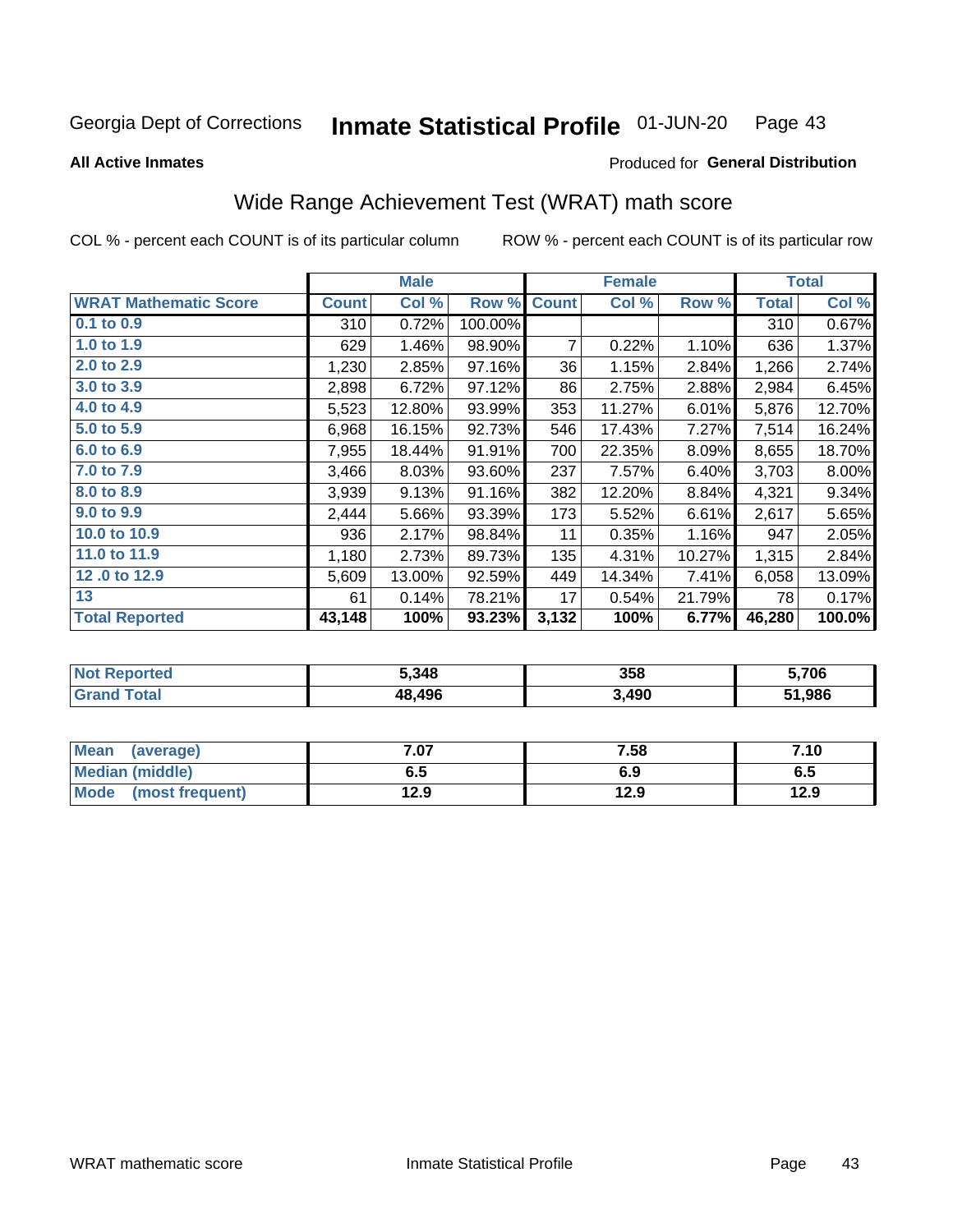#### Inmate Statistical Profile 01-JUN-20 Page 43

**All Active Inmates** 

### Produced for General Distribution

# Wide Range Achievement Test (WRAT) math score

COL % - percent each COUNT is of its particular column

|                              |              | <b>Male</b> |         |              | <b>Female</b> |        |              | <b>Total</b> |
|------------------------------|--------------|-------------|---------|--------------|---------------|--------|--------------|--------------|
| <b>WRAT Mathematic Score</b> | <b>Count</b> | Col %       | Row %   | <b>Count</b> | Col %         | Row %  | <b>Total</b> | Col %        |
| $0.1$ to $0.9$               | 310          | 0.72%       | 100.00% |              |               |        | 310          | 0.67%        |
| 1.0 to 1.9                   | 629          | 1.46%       | 98.90%  | 7            | 0.22%         | 1.10%  | 636          | 1.37%        |
| 2.0 to 2.9                   | 1,230        | 2.85%       | 97.16%  | 36           | 1.15%         | 2.84%  | 1,266        | 2.74%        |
| 3.0 to 3.9                   | 2,898        | 6.72%       | 97.12%  | 86           | 2.75%         | 2.88%  | 2,984        | 6.45%        |
| 4.0 to 4.9                   | 5,523        | 12.80%      | 93.99%  | 353          | 11.27%        | 6.01%  | 5,876        | 12.70%       |
| 5.0 to 5.9                   | 6,968        | 16.15%      | 92.73%  | 546          | 17.43%        | 7.27%  | 7,514        | 16.24%       |
| 6.0 to 6.9                   | 7,955        | 18.44%      | 91.91%  | 700          | 22.35%        | 8.09%  | 8,655        | 18.70%       |
| 7.0 to 7.9                   | 3,466        | 8.03%       | 93.60%  | 237          | 7.57%         | 6.40%  | 3,703        | $8.00\%$     |
| 8.0 to 8.9                   | 3,939        | 9.13%       | 91.16%  | 382          | 12.20%        | 8.84%  | 4,321        | 9.34%        |
| 9.0 to 9.9                   | 2,444        | 5.66%       | 93.39%  | 173          | 5.52%         | 6.61%  | 2,617        | 5.65%        |
| 10.0 to 10.9                 | 936          | 2.17%       | 98.84%  | 11           | 0.35%         | 1.16%  | 947          | 2.05%        |
| 11.0 to 11.9                 | 1,180        | 2.73%       | 89.73%  | 135          | 4.31%         | 10.27% | 1,315        | 2.84%        |
| 12.0 to 12.9                 | 5,609        | 13.00%      | 92.59%  | 449          | 14.34%        | 7.41%  | 6,058        | 13.09%       |
| 13                           | 61           | 0.14%       | 78.21%  | 17           | 0.54%         | 21.79% | 78           | 0.17%        |
| <b>Total Reported</b>        | 43,148       | 100%        | 93.23%  | 3,132        | 100%          | 6.77%  | 46,280       | 100.0%       |

| NO | 5,348  | 358   | ,706   |
|----|--------|-------|--------|
|    | 48.496 | 3,490 | 51,986 |

| <b>Mean</b><br>(average)       | $^{\circ}$ .07 | 7.58 | 7.10 |
|--------------------------------|----------------|------|------|
| Median (middle)                | 6.5            | 6.9  | ს.ე  |
| <b>Mode</b><br>(most frequent) | 12.9           | 12.9 | 12.9 |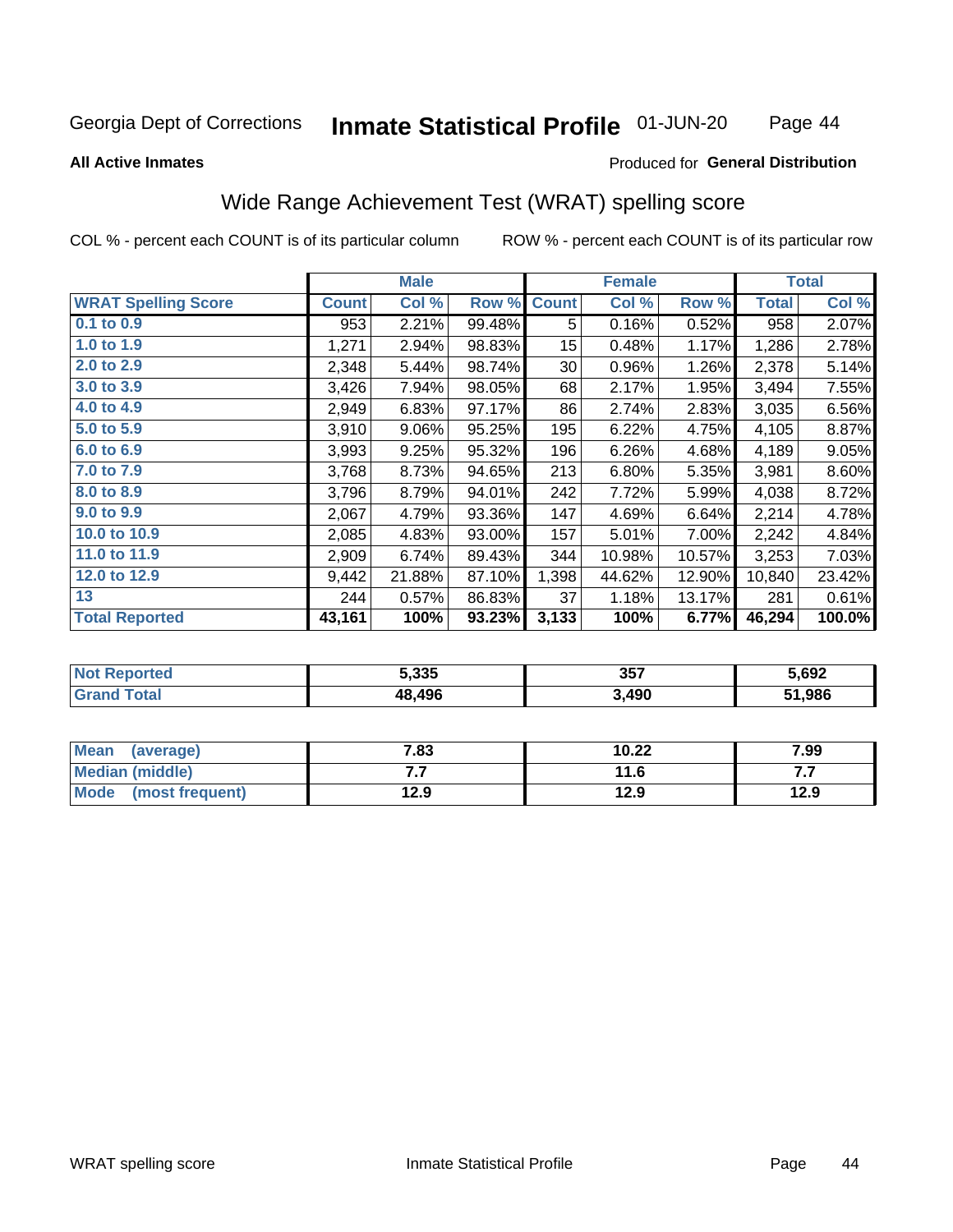#### Inmate Statistical Profile 01-JUN-20 Page 44

### **All Active Inmates**

### Produced for General Distribution

# Wide Range Achievement Test (WRAT) spelling score

COL % - percent each COUNT is of its particular column

|                            |              | <b>Male</b> |        |                 | <b>Female</b> |        |              | <b>Total</b> |
|----------------------------|--------------|-------------|--------|-----------------|---------------|--------|--------------|--------------|
| <b>WRAT Spelling Score</b> | <b>Count</b> | Col %       | Row %  | <b>Count</b>    | Col %         | Row %  | <b>Total</b> | Col %        |
| 0.1 to 0.9                 | 953          | 2.21%       | 99.48% | 5               | 0.16%         | 0.52%  | 958          | 2.07%        |
| 1.0 to 1.9                 | 1,271        | 2.94%       | 98.83% | 15 <sub>2</sub> | 0.48%         | 1.17%  | 1,286        | 2.78%        |
| 2.0 to 2.9                 | 2,348        | 5.44%       | 98.74% | 30              | 0.96%         | 1.26%  | 2,378        | 5.14%        |
| 3.0 to 3.9                 | 3,426        | 7.94%       | 98.05% | 68              | 2.17%         | 1.95%  | 3,494        | 7.55%        |
| 4.0 to 4.9                 | 2,949        | 6.83%       | 97.17% | 86              | 2.74%         | 2.83%  | 3,035        | 6.56%        |
| 5.0 to 5.9                 | 3,910        | 9.06%       | 95.25% | 195             | 6.22%         | 4.75%  | 4,105        | 8.87%        |
| 6.0 to 6.9                 | 3,993        | 9.25%       | 95.32% | 196             | 6.26%         | 4.68%  | 4,189        | 9.05%        |
| 7.0 to 7.9                 | 3,768        | 8.73%       | 94.65% | 213             | 6.80%         | 5.35%  | 3,981        | 8.60%        |
| 8.0 to 8.9                 | 3,796        | 8.79%       | 94.01% | 242             | 7.72%         | 5.99%  | 4,038        | 8.72%        |
| 9.0 to 9.9                 | 2,067        | 4.79%       | 93.36% | 147             | 4.69%         | 6.64%  | 2,214        | 4.78%        |
| 10.0 to 10.9               | 2,085        | 4.83%       | 93.00% | 157             | 5.01%         | 7.00%  | 2,242        | 4.84%        |
| 11.0 to 11.9               | 2,909        | 6.74%       | 89.43% | 344             | 10.98%        | 10.57% | 3,253        | 7.03%        |
| 12.0 to 12.9               | 9,442        | 21.88%      | 87.10% | 1,398           | 44.62%        | 12.90% | 10,840       | 23.42%       |
| 13                         | 244          | 0.57%       | 86.83% | 37              | 1.18%         | 13.17% | 281          | 0.61%        |
| <b>Total Reported</b>      | 43,161       | 100%        | 93.23% | 3,133           | 100%          | 6.77%  | 46,294       | 100.0%       |

| Reported<br>' NOT      | 5,335  | 357   | 5,692 |
|------------------------|--------|-------|-------|
| <b>Total</b><br>'Grand | 48.496 | 3,490 | ,986  |

| <b>Mean</b><br>(average) | 7.83 | 10.22 | 7.99 |
|--------------------------|------|-------|------|
| Median (middle)          | .    | 11.6  | .    |
| Mode<br>(most frequent)  | 12.9 | 12.9  | 12.9 |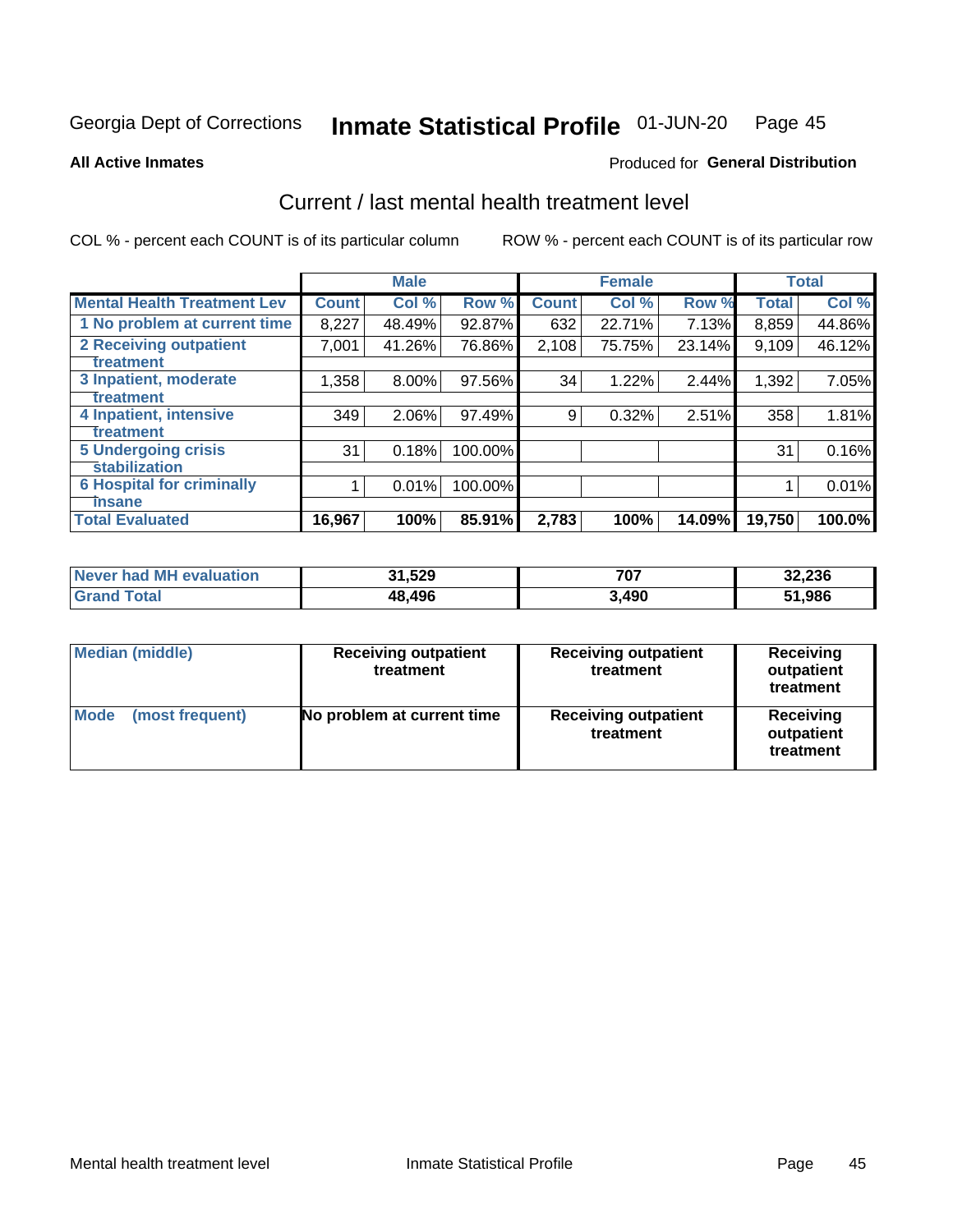#### Inmate Statistical Profile 01-JUN-20 Page 45

**All Active Inmates** 

# **Produced for General Distribution**

# Current / last mental health treatment level

COL % - percent each COUNT is of its particular column

|                                    |              | <b>Male</b> |         |              | <b>Female</b> |        |              | <b>Total</b> |
|------------------------------------|--------------|-------------|---------|--------------|---------------|--------|--------------|--------------|
| <b>Mental Health Treatment Lev</b> | <b>Count</b> | Col %       | Row %   | <b>Count</b> | Col %         | Row %  | <b>Total</b> | Col %        |
| 1 No problem at current time       | 8,227        | 48.49%      | 92.87%  | 632          | 22.71%        | 7.13%  | 8,859        | 44.86%       |
| 2 Receiving outpatient             | 7,001        | 41.26%      | 76.86%  | 2,108        | 75.75%        | 23.14% | 9,109        | 46.12%       |
| <b>Treatment</b>                   |              |             |         |              |               |        |              |              |
| 3 Inpatient, moderate              | 1,358        | 8.00%       | 97.56%  | 34           | 1.22%         | 2.44%  | 1,392        | 7.05%        |
| <b>Treatment</b>                   |              |             |         |              |               |        |              |              |
| 4 Inpatient, intensive             | 349          | 2.06%       | 97.49%  | 9            | 0.32%         | 2.51%  | 358          | 1.81%        |
| <b>Treatment</b>                   |              |             |         |              |               |        |              |              |
| <b>5 Undergoing crisis</b>         | 31           | 0.18%       | 100.00% |              |               |        | 31           | 0.16%        |
| <b>stabilization</b>               |              |             |         |              |               |        |              |              |
| <b>6 Hospital for criminally</b>   |              | 0.01%       | 100.00% |              |               |        |              | 0.01%        |
| <b>Tinsane</b>                     |              |             |         |              |               |        |              |              |
| <b>Total Evaluated</b>             | 16,967       | 100%        | 85.91%  | 2,783        | 100%          | 14.09% | 19,750       | 100.0%       |

| <b>Never had MH evaluation</b> | 31,529 | 707<br>ו טו | 32,236 |
|--------------------------------|--------|-------------|--------|
| <b>Grand Total</b>             | 48,496 | 3,490       | 51,986 |

| <b>Median (middle)</b>         | <b>Receiving outpatient</b><br>treatment | <b>Receiving outpatient</b><br>treatment | <b>Receiving</b><br>outpatient<br>treatment |  |
|--------------------------------|------------------------------------------|------------------------------------------|---------------------------------------------|--|
| <b>Mode</b><br>(most frequent) | No problem at current time               | <b>Receiving outpatient</b><br>treatment | Receiving<br>outpatient<br>treatment        |  |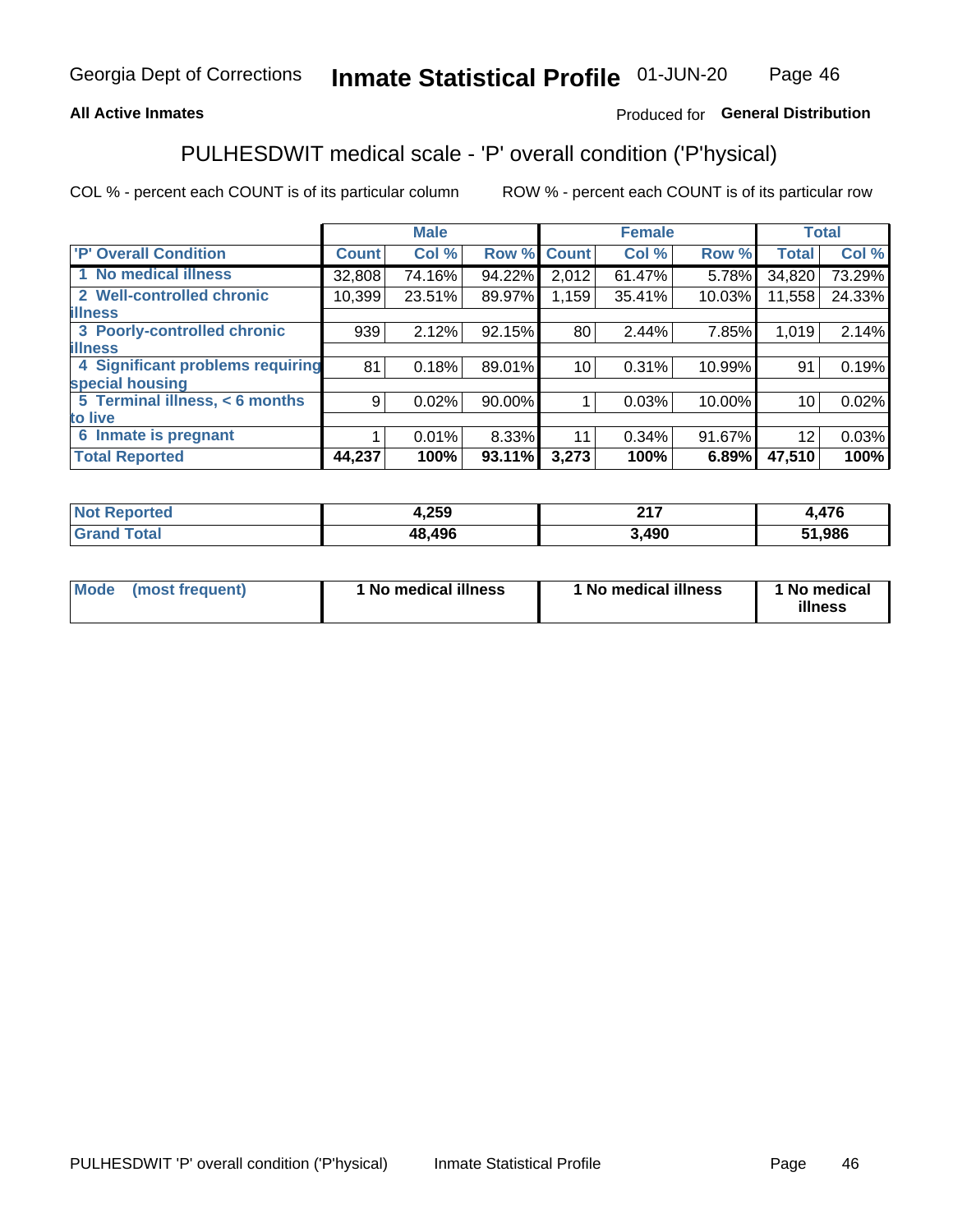# **All Active Inmates**

# Produced for General Distribution

# PULHESDWIT medical scale - 'P' overall condition ('P'hysical)

COL % - percent each COUNT is of its particular column

|                                  |              | <b>Male</b> |        |                 | <b>Female</b> |        |                 | <b>Total</b> |
|----------------------------------|--------------|-------------|--------|-----------------|---------------|--------|-----------------|--------------|
| <b>P' Overall Condition</b>      | <b>Count</b> | Col %       | Row %  | <b>Count</b>    | Col %         | Row %  | <b>Total</b>    | Col %        |
| 1 No medical illness             | 32,808       | 74.16%      | 94.22% | 2,012           | 61.47%        | 5.78%  | 34,820          | 73.29%       |
| 2 Well-controlled chronic        | 10,399       | 23.51%      | 89.97% | 1,159           | 35.41%        | 10.03% | 11,558          | 24.33%       |
| <b>lilness</b>                   |              |             |        |                 |               |        |                 |              |
| 3 Poorly-controlled chronic      | 939          | 2.12%       | 92.15% | 80              | 2.44%         | 7.85%  | 1,019           | 2.14%        |
| <b>illness</b>                   |              |             |        |                 |               |        |                 |              |
| 4 Significant problems requiring | 81           | 0.18%       | 89.01% | 10 <sup>1</sup> | 0.31%         | 10.99% | 91              | 0.19%        |
| special housing                  |              |             |        |                 |               |        |                 |              |
| 5 Terminal illness, < 6 months   | 9            | 0.02%       | 90.00% |                 | 0.03%         | 10.00% | 10              | 0.02%        |
| to live                          |              |             |        |                 |               |        |                 |              |
| 6 Inmate is pregnant             |              | 0.01%       | 8.33%  | 11              | $0.34\%$      | 91.67% | 12 <sup>2</sup> | 0.03%        |
| <b>Total Reported</b>            | 44,237       | 100%        | 93.11% | 3,273           | 100%          | 6.89%  | 47,510          | 100%         |

| orted      | 1,259  | 247<br>4 I I | 170  |
|------------|--------|--------------|------|
| <b>ota</b> | 48 496 | 490          | ,986 |

| Mode | (most frequent) | 1 No medical illness | 1 No medical illness | 1 No medical<br>illness |
|------|-----------------|----------------------|----------------------|-------------------------|
|------|-----------------|----------------------|----------------------|-------------------------|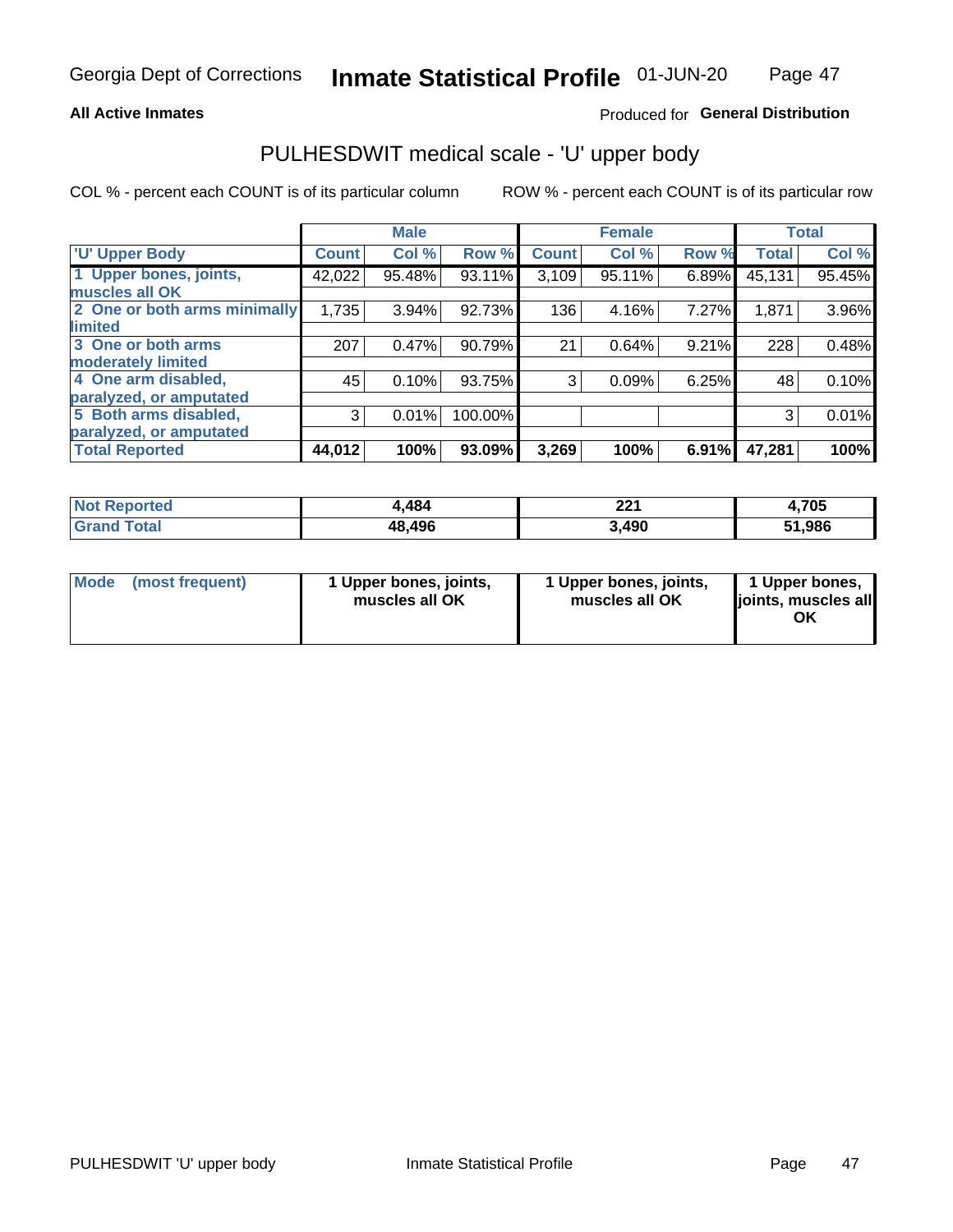### **All Active Inmates**

# Produced for General Distribution

# PULHESDWIT medical scale - 'U' upper body

COL % - percent each COUNT is of its particular column

|                              |               | <b>Male</b> |         |              | <b>Female</b> |       |              | <b>Total</b> |
|------------------------------|---------------|-------------|---------|--------------|---------------|-------|--------------|--------------|
| <b>U' Upper Body</b>         | <b>Count!</b> | Col %       | Row %   | <b>Count</b> | Col %         | Row % | <b>Total</b> | Col %        |
| 1 Upper bones, joints,       | 42,022        | 95.48%      | 93.11%  | 3,109        | 95.11%        | 6.89% | 45,131       | 95.45%       |
| muscles all OK               |               |             |         |              |               |       |              |              |
| 2 One or both arms minimally | 1,735         | 3.94%       | 92.73%  | 136          | 4.16%         | 7.27% | 1,871        | 3.96%        |
| limited                      |               |             |         |              |               |       |              |              |
| 3 One or both arms           | 207           | 0.47%       | 90.79%  | 21           | 0.64%         | 9.21% | 228          | 0.48%        |
| moderately limited           |               |             |         |              |               |       |              |              |
| 4 One arm disabled,          | 45            | 0.10%       | 93.75%  | 3            | 0.09%         | 6.25% | 48           | 0.10%        |
| paralyzed, or amputated      |               |             |         |              |               |       |              |              |
| 5 Both arms disabled,        | 3             | 0.01%       | 100.00% |              |               |       | 3            | 0.01%        |
| paralyzed, or amputated      |               |             |         |              |               |       |              |              |
| <b>Total Reported</b>        | 44,012        | 100%        | 93.09%  | 3,269        | 100%          | 6.91% | 47,281       | 100%         |

| <b>Not Reported</b> | 4,484  | つつ 1<br>44 I | 1,705  |
|---------------------|--------|--------------|--------|
| <b>Grand Total</b>  | 48,496 | 3,490        | 51,986 |

|  | Mode (most frequent) | 1 Upper bones, joints,<br>muscles all OK | 1 Upper bones, joints,<br>muscles all OK | 1 Upper bones,<br>ljoints, muscles all<br>ΟK |
|--|----------------------|------------------------------------------|------------------------------------------|----------------------------------------------|
|--|----------------------|------------------------------------------|------------------------------------------|----------------------------------------------|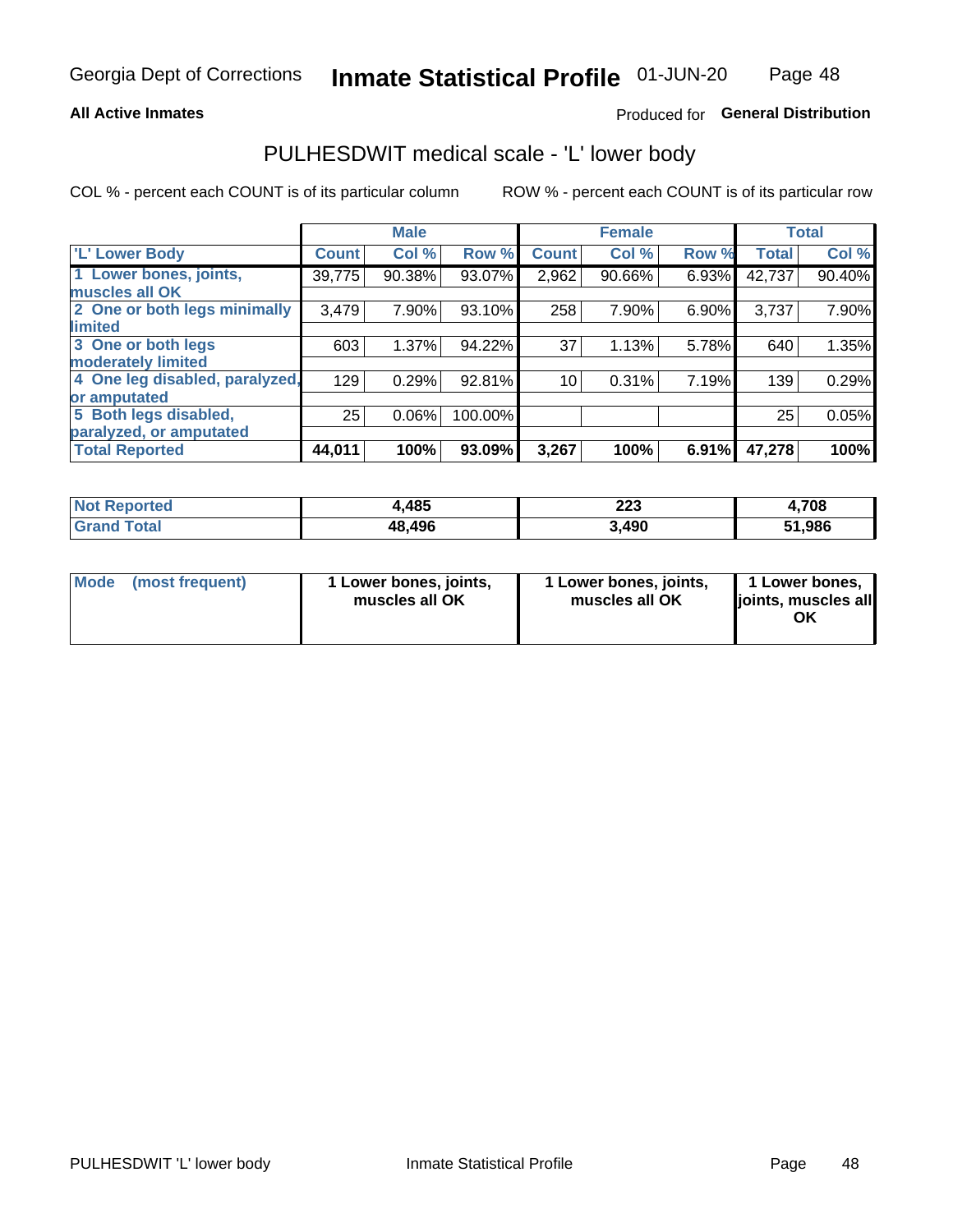### **All Active Inmates**

# Produced for General Distribution

# PULHESDWIT medical scale - 'L' lower body

COL % - percent each COUNT is of its particular column

|                                |              | <b>Male</b> |         |                 | <b>Female</b> |       |              | <b>Total</b> |
|--------------------------------|--------------|-------------|---------|-----------------|---------------|-------|--------------|--------------|
| 'L' Lower Body                 | <b>Count</b> | Col %       | Row %   | <b>Count</b>    | Col %         | Row % | <b>Total</b> | Col %        |
| 1 Lower bones, joints,         | 39,775       | 90.38%      | 93.07%  | 2,962           | 90.66%        | 6.93% | 42,737       | 90.40%       |
| muscles all OK                 |              |             |         |                 |               |       |              |              |
| 2 One or both legs minimally   | 3,479        | 7.90%       | 93.10%  | 258             | 7.90%         | 6.90% | 3,737        | 7.90%        |
| limited                        |              |             |         |                 |               |       |              |              |
| 3 One or both legs             | 603          | 1.37%       | 94.22%  | 37              | 1.13%         | 5.78% | 640          | 1.35%        |
| moderately limited             |              |             |         |                 |               |       |              |              |
| 4 One leg disabled, paralyzed, | 129          | 0.29%       | 92.81%  | 10 <sub>1</sub> | 0.31%         | 7.19% | 139          | 0.29%        |
| or amputated                   |              |             |         |                 |               |       |              |              |
| 5 Both legs disabled,          | 25           | 0.06%       | 100.00% |                 |               |       | 25           | 0.05%        |
| paralyzed, or amputated        |              |             |         |                 |               |       |              |              |
| <b>Total Reported</b>          | 44,011       | 100%        | 93.09%  | 3,267           | 100%          | 6.91% | 47,278       | 100%         |

| <b>Not Reported</b> | 4,485  | 223   | ,708   |
|---------------------|--------|-------|--------|
| <b>Total</b>        | 48,496 | 3,490 | 51,986 |

| Mode (most frequent) | 1 Lower bones, joints,<br>muscles all OK | 1 Lower bones, joints,<br>muscles all OK | 1 Lower bones,<br>joints, muscles all<br>ΟK |
|----------------------|------------------------------------------|------------------------------------------|---------------------------------------------|
|----------------------|------------------------------------------|------------------------------------------|---------------------------------------------|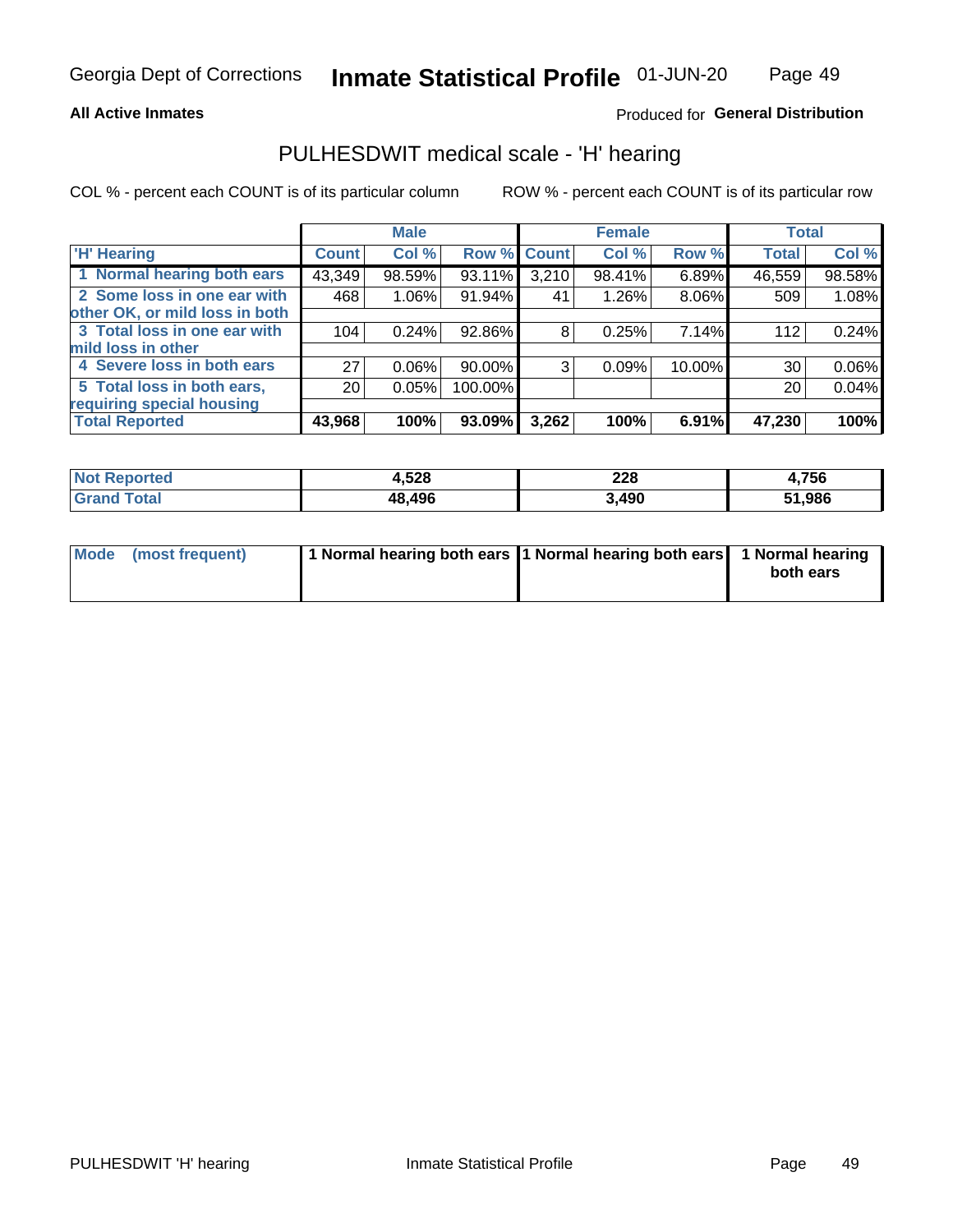### **All Active Inmates**

# Produced for General Distribution

# PULHESDWIT medical scale - 'H' hearing

COL % - percent each COUNT is of its particular column

|                                |              | <b>Male</b> |         |             | <b>Female</b> |        | <b>Total</b> |        |
|--------------------------------|--------------|-------------|---------|-------------|---------------|--------|--------------|--------|
| <b>H'</b> Hearing              | <b>Count</b> | Col %       |         | Row % Count | Col %         | Row %  | <b>Total</b> | Col %  |
| 1 Normal hearing both ears     | 43,349       | 98.59%      | 93.11%  | 3,210       | 98.41%        | 6.89%  | 46,559       | 98.58% |
| 2 Some loss in one ear with    | 468          | 1.06%       | 91.94%  | 41          | 1.26%         | 8.06%  | 509          | 1.08%  |
| other OK, or mild loss in both |              |             |         |             |               |        |              |        |
| 3 Total loss in one ear with   | 104          | 0.24%       | 92.86%  | 8           | 0.25%         | 7.14%  | 112          | 0.24%  |
| mild loss in other             |              |             |         |             |               |        |              |        |
| 4 Severe loss in both ears     | 27           | 0.06%       | 90.00%  | 3           | 0.09%         | 10.00% | 30           | 0.06%  |
| 5 Total loss in both ears,     | 20           | 0.05%       | 100.00% |             |               |        | 20           | 0.04%  |
| requiring special housing      |              |             |         |             |               |        |              |        |
| <b>Total Reported</b>          | 43,968       | 100%        | 93.09%  | 3,262       | 100%          | 6.91%  | 47,230       | 100%   |

| <b>Not Renc</b><br><b>oorted</b> | 1,528  | າາດ<br>ZZO | .,756 |
|----------------------------------|--------|------------|-------|
| Total                            | 48,496 | ,490       | 1,986 |

| Mode (most frequent) | 1 Normal hearing both ears 1 Normal hearing both ears 1 Normal hearing | both ears |
|----------------------|------------------------------------------------------------------------|-----------|
|                      |                                                                        |           |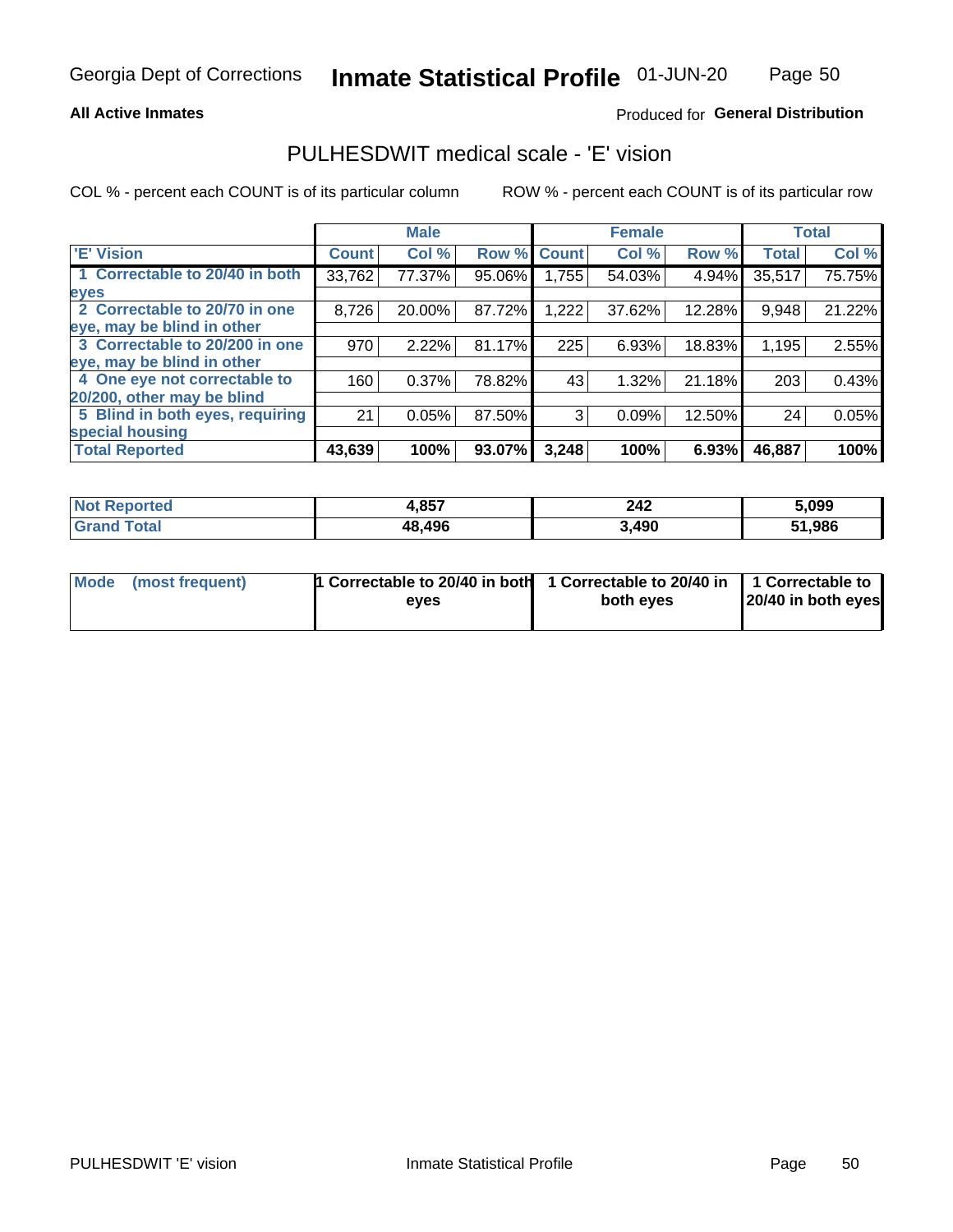### **All Active Inmates**

### Produced for General Distribution

# PULHESDWIT medical scale - 'E' vision

COL % - percent each COUNT is of its particular column

|                                 |              | <b>Male</b> |        |              | <b>Female</b> |        |              | <b>Total</b> |
|---------------------------------|--------------|-------------|--------|--------------|---------------|--------|--------------|--------------|
| 'E' Vision                      | <b>Count</b> | Col %       | Row %  | <b>Count</b> | Col %         | Row %  | <b>Total</b> | Col %        |
| 1 Correctable to 20/40 in both  | 33,762       | 77.37%      | 95.06% | ا 755.ا      | 54.03%        | 4.94%  | 35,517       | 75.75%       |
| eyes                            |              |             |        |              |               |        |              |              |
| 2 Correctable to 20/70 in one   | 8,726        | 20.00%      | 87.72% | 1,222        | 37.62%        | 12.28% | 9,948        | 21.22%       |
| eye, may be blind in other      |              |             |        |              |               |        |              |              |
| 3 Correctable to 20/200 in one  | 970          | 2.22%       | 81.17% | 225          | 6.93%         | 18.83% | 1,195        | 2.55%        |
| eye, may be blind in other      |              |             |        |              |               |        |              |              |
| 4 One eye not correctable to    | 160          | 0.37%       | 78.82% | 43           | 1.32%         | 21.18% | 203          | 0.43%        |
| 20/200, other may be blind      |              |             |        |              |               |        |              |              |
| 5 Blind in both eyes, requiring | 21           | 0.05%       | 87.50% | 3            | 0.09%         | 12.50% | 24           | 0.05%        |
| special housing                 |              |             |        |              |               |        |              |              |
| <b>Total Reported</b>           | 43,639       | 100%        | 93.07% | 3,248        | 100%          | 6.93%  | 46,887       | 100%         |

| <b>Not Reported</b> | 4,857  | 242   | 5,099  |
|---------------------|--------|-------|--------|
| <b>fota</b>         | 48,496 | 3,490 | 51,986 |

| Mode (most frequent) | 1 Correctable to 20/40 in both<br>eves | 1 Correctable to 20/40 in   1 Correctable to  <br>both eves | 20/40 in both eyes |
|----------------------|----------------------------------------|-------------------------------------------------------------|--------------------|
|                      |                                        |                                                             |                    |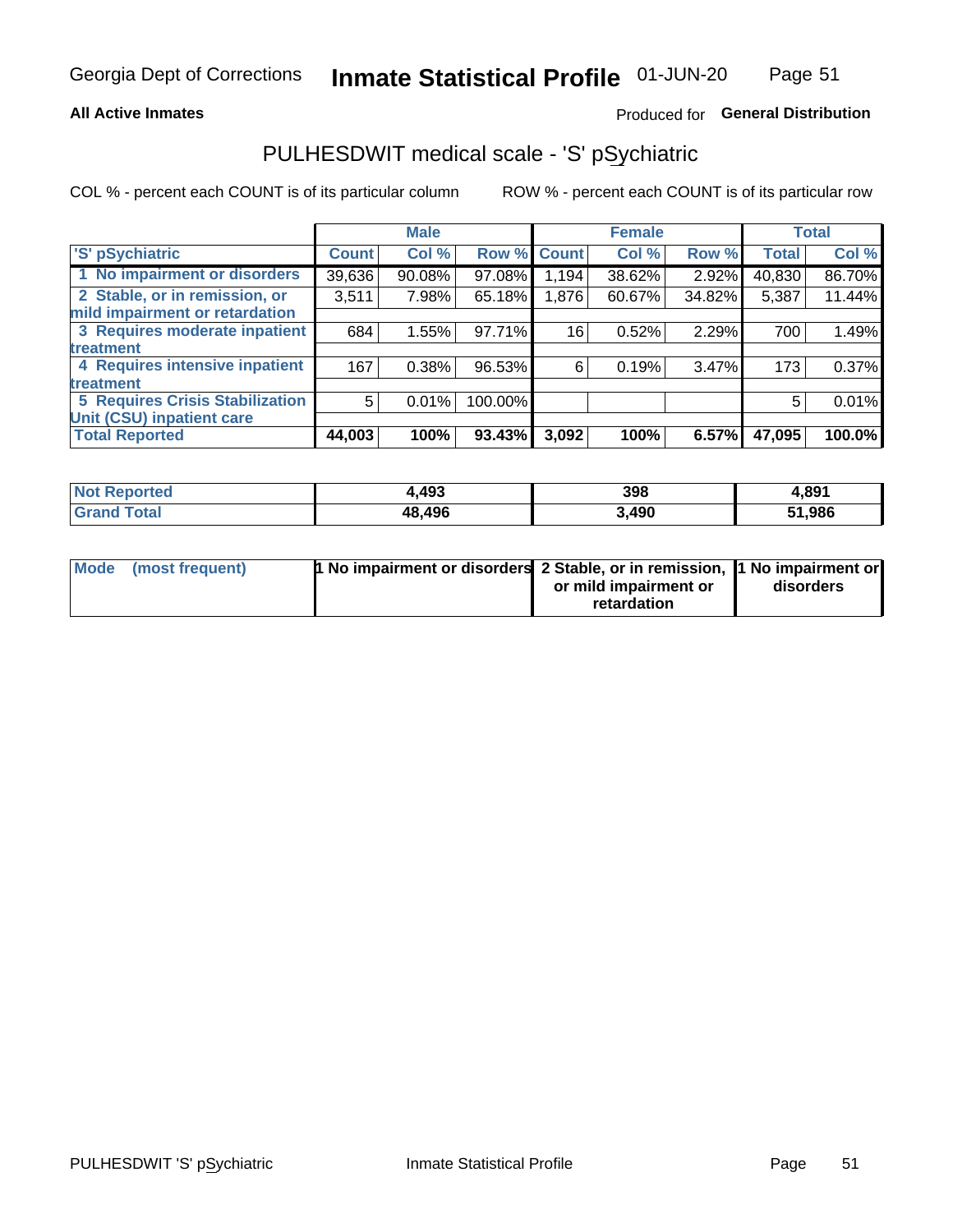### **All Active Inmates**

# Produced for General Distribution

# PULHESDWIT medical scale - 'S' pSychiatric

COL % - percent each COUNT is of its particular column

|                                        |              | <b>Male</b> |         |              | <b>Female</b> |        |              | <b>Total</b> |
|----------------------------------------|--------------|-------------|---------|--------------|---------------|--------|--------------|--------------|
| 'S' pSychiatric                        | <b>Count</b> | Col %       | Row %   | <b>Count</b> | Col %         | Row %  | <b>Total</b> | Col %        |
| 1 No impairment or disorders           | 39,636       | 90.08%      | 97.08%  | 194.ا        | 38.62%        | 2.92%  | 40,830       | 86.70%       |
| 2 Stable, or in remission, or          | 3,511        | 7.98%       | 65.18%  | 1,876        | 60.67%        | 34.82% | 5,387        | 11.44%       |
| mild impairment or retardation         |              |             |         |              |               |        |              |              |
| 3 Requires moderate inpatient          | 684          | 1.55%       | 97.71%  | 16           | 0.52%         | 2.29%  | 700          | 1.49%        |
| treatment                              |              |             |         |              |               |        |              |              |
| 4 Requires intensive inpatient         | 167          | 0.38%       | 96.53%  | 6            | 0.19%         | 3.47%  | 173          | 0.37%        |
| treatment                              |              |             |         |              |               |        |              |              |
| <b>5 Requires Crisis Stabilization</b> | 5            | 0.01%       | 100.00% |              |               |        | 5            | 0.01%        |
| Unit (CSU) inpatient care              |              |             |         |              |               |        |              |              |
| <b>Total Reported</b>                  | 44,003       | 100%        | 93.43%  | 3,092        | 100%          | 6.57%  | 47,095       | 100.0%       |

| <b>Not Reported</b>   | .,493  | 398   | 4,891  |
|-----------------------|--------|-------|--------|
| <b>Total</b><br>Grand | 48,496 | 3,490 | 51,986 |

| Mode (most frequent) | <b>t No impairment or disorders 2 Stable, or in remission, 1 No impairment or</b> |                       |           |
|----------------------|-----------------------------------------------------------------------------------|-----------------------|-----------|
|                      |                                                                                   | or mild impairment or | disorders |
|                      |                                                                                   | retardation           |           |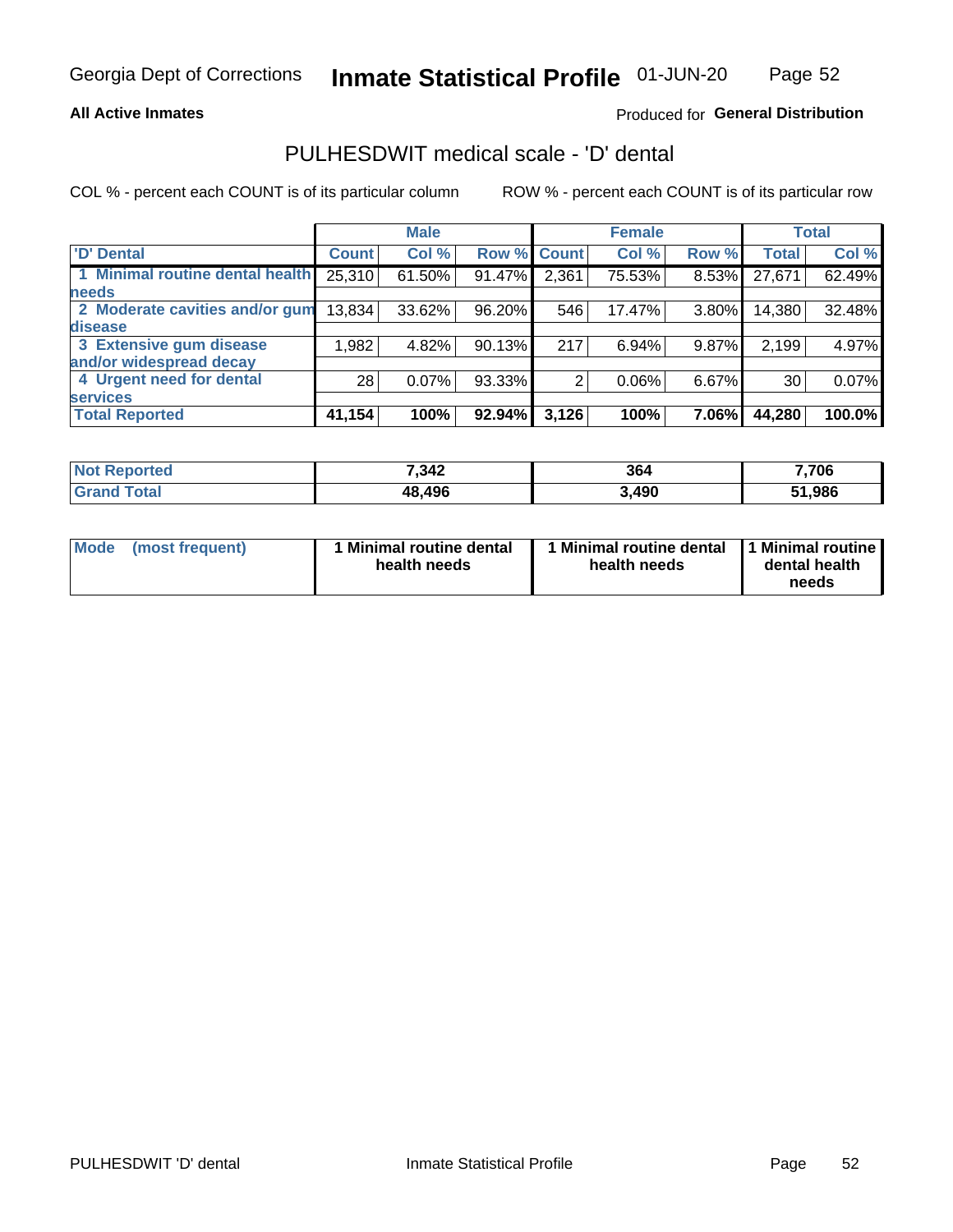### **All Active Inmates**

# Produced for General Distribution

# PULHESDWIT medical scale - 'D' dental

COL % - percent each COUNT is of its particular column

|                                 |              | <b>Male</b> |        |              | <b>Female</b> |          |              | <b>Total</b> |
|---------------------------------|--------------|-------------|--------|--------------|---------------|----------|--------------|--------------|
| <b>D'</b> Dental                | <b>Count</b> | Col %       | Row %  | <b>Count</b> | Col %         | Row %    | <b>Total</b> | Col %        |
| 1 Minimal routine dental health | 25,310       | 61.50%      | 91.47% | 2,361        | 75.53%        | $8.53\%$ | 27,671       | 62.49%       |
| <b>needs</b>                    |              |             |        |              |               |          |              |              |
| 2 Moderate cavities and/or gum  | 13,834       | 33.62%      | 96.20% | 546          | 17.47%        | 3.80%    | 14,380       | 32.48%       |
| disease                         |              |             |        |              |               |          |              |              |
| 3 Extensive gum disease         | 1,982        | 4.82%       | 90.13% | 217          | 6.94%         | 9.87%    | 2,199        | 4.97%        |
| and/or widespread decay         |              |             |        |              |               |          |              |              |
| 4 Urgent need for dental        | 28           | $0.07\%$    | 93.33% |              | 0.06%         | $6.67\%$ | 30           | 0.07%        |
| <b>services</b>                 |              |             |        |              |               |          |              |              |
| <b>Total Reported</b>           | 41,154       | 100%        | 92.94% | 3,126        | 100%          | 7.06%    | 44,280       | 100.0%       |

| <b>Not Reported</b> | 7,342  | 364   | 7,706  |
|---------------------|--------|-------|--------|
| Total<br>Grand      | 48,496 | 3,490 | 51,986 |

| <b>Mode</b> | (most frequent) | <b>Minimal routine dental</b><br>health needs | 1 Minimal routine dental   1 Minimal routine  <br>health needs | dental health<br>needs |
|-------------|-----------------|-----------------------------------------------|----------------------------------------------------------------|------------------------|
|-------------|-----------------|-----------------------------------------------|----------------------------------------------------------------|------------------------|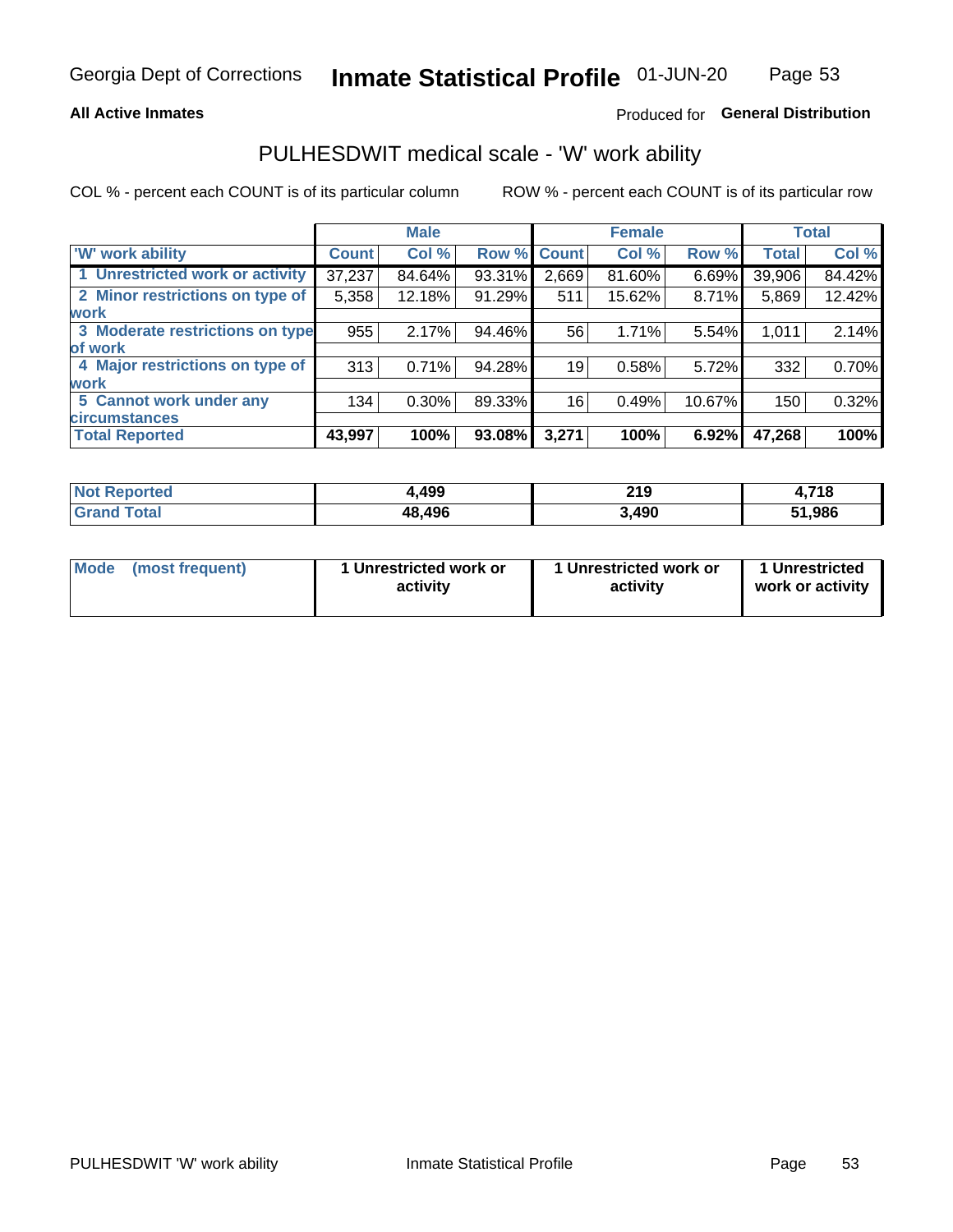### **All Active Inmates**

# Produced for General Distribution

# PULHESDWIT medical scale - 'W' work ability

COL % - percent each COUNT is of its particular column

|                                 |              | <b>Male</b> |        |             | <b>Female</b> |        |              | <b>Total</b> |
|---------------------------------|--------------|-------------|--------|-------------|---------------|--------|--------------|--------------|
| <b>W' work ability</b>          | <b>Count</b> | Col %       |        | Row % Count | Col %         | Row %  | <b>Total</b> | Col %        |
| 1 Unrestricted work or activity | 37,237       | 84.64%      | 93.31% | 2,669       | 81.60%        | 6.69%  | 39,906       | 84.42%       |
| 2 Minor restrictions on type of | 5,358        | 12.18%      | 91.29% | 511         | 15.62%        | 8.71%  | 5,869        | 12.42%       |
| <b>work</b>                     |              |             |        |             |               |        |              |              |
| 3 Moderate restrictions on type | 955          | 2.17%       | 94.46% | 56          | 1.71%         | 5.54%  | 1,011        | 2.14%        |
| lof work                        |              |             |        |             |               |        |              |              |
| 4 Major restrictions on type of | 313          | 0.71%       | 94.28% | 19          | 0.58%         | 5.72%  | 332          | 0.70%        |
| <b>work</b>                     |              |             |        |             |               |        |              |              |
| 5 Cannot work under any         | 134          | $0.30\%$    | 89.33% | 16          | 0.49%         | 10.67% | 150          | 0.32%        |
| <b>circumstances</b>            |              |             |        |             |               |        |              |              |
| <b>Total Reported</b>           | 43,997       | 100%        | 93.08% | 3,271       | 100%          | 6.92%  | 47,268       | 100%         |

| <b>Not Reported</b>    | ,499   | 219   | <b>740</b><br>- 10 |
|------------------------|--------|-------|--------------------|
| <b>Total</b><br>'Grand | 48,496 | 3,490 | 51,986             |

| Mode            | 1 Unrestricted work or | 1 Unrestricted work or | 1 Unrestricted   |
|-----------------|------------------------|------------------------|------------------|
| (most frequent) | activity               | activity               | work or activity |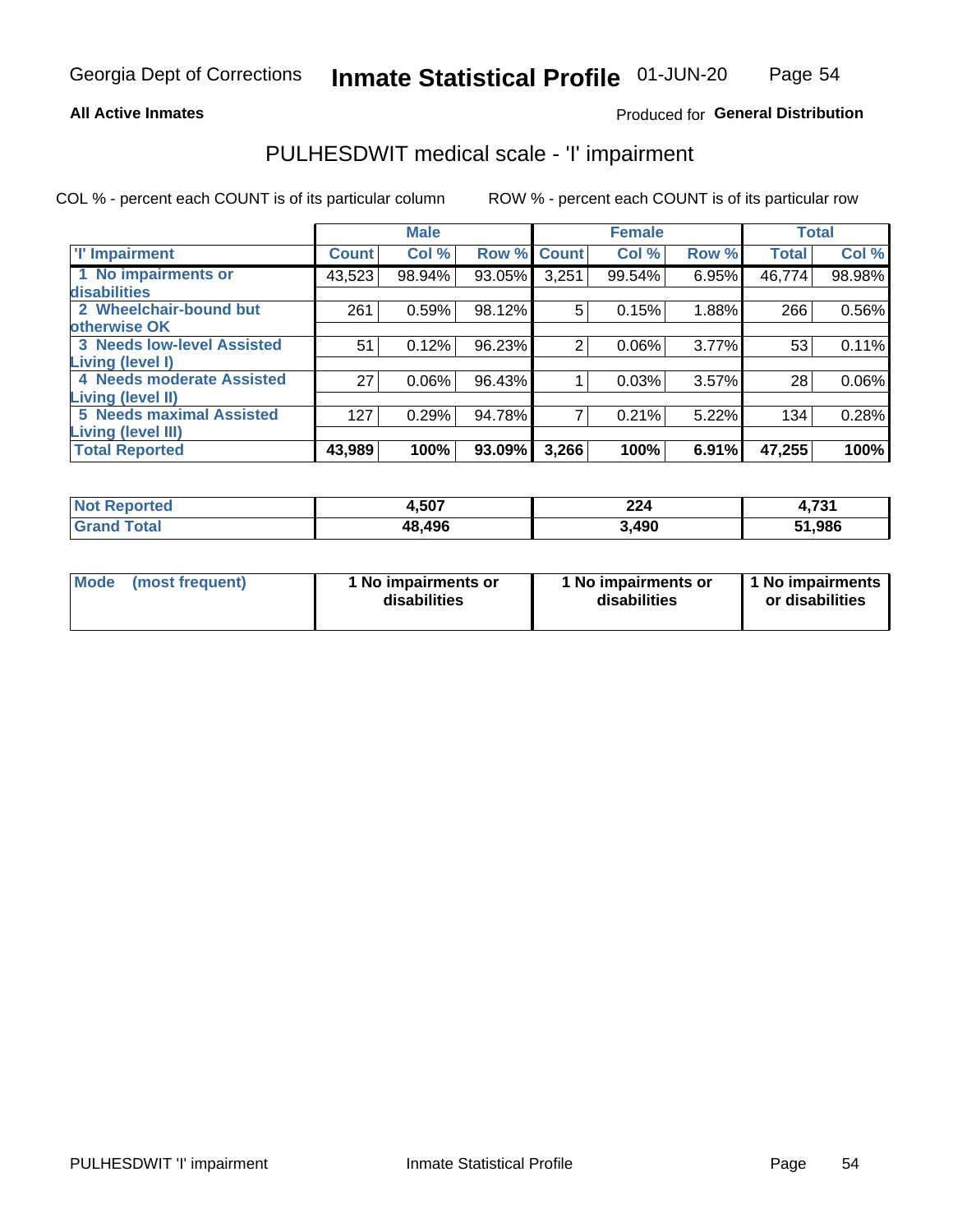### **All Active Inmates**

# Produced for General Distribution

# PULHESDWIT medical scale - 'I' impairment

COL % - percent each COUNT is of its particular column ROW % - percent each COUNT is of its particular row

|                                   |              | <b>Male</b> |        |             | <b>Female</b> |       |              | <b>Total</b> |
|-----------------------------------|--------------|-------------|--------|-------------|---------------|-------|--------------|--------------|
| <b>T</b> Impairment               | <b>Count</b> | Col %       |        | Row % Count | Col %         | Row % | <b>Total</b> | Col %        |
| 1 No impairments or               | 43,523       | 98.94%      | 93.05% | 3,251       | 99.54%        | 6.95% | 46,774       | 98.98%       |
| disabilities                      |              |             |        |             |               |       |              |              |
| 2 Wheelchair-bound but            | 261          | 0.59%       | 98.12% | 5           | 0.15%         | 1.88% | 266          | 0.56%        |
| otherwise OK                      |              |             |        |             |               |       |              |              |
| <b>3 Needs low-level Assisted</b> | 51           | 0.12%       | 96.23% | 2           | 0.06%         | 3.77% | 53           | 0.11%        |
| Living (level I)                  |              |             |        |             |               |       |              |              |
| 4 Needs moderate Assisted         | 27           | $0.06\%$    | 96.43% |             | 0.03%         | 3.57% | 28           | $0.06\%$     |
| <b>Living (level II)</b>          |              |             |        |             |               |       |              |              |
| <b>5 Needs maximal Assisted</b>   | 127          | 0.29%       | 94.78% | 7           | 0.21%         | 5.22% | 134          | 0.28%        |
| <b>Living (level III)</b>         |              |             |        |             |               |       |              |              |
| <b>Total Reported</b>             | 43,989       | 100%        | 93.09% | 3,266       | 100%          | 6.91% | 47,255       | 100%         |

| ported              | 4,507  | 224   | 724    |
|---------------------|--------|-------|--------|
| <b>NOT</b>          |        |       | 4,7J.  |
| <b>otal</b><br>. Gr | 48,496 | 3,490 | 51,986 |

| <b>Mode</b> | (most frequent) | <b>No impairments or</b><br>disabilities | 1 No impairments or<br>disabilities | 1 No impairments<br>or disabilities |
|-------------|-----------------|------------------------------------------|-------------------------------------|-------------------------------------|
|-------------|-----------------|------------------------------------------|-------------------------------------|-------------------------------------|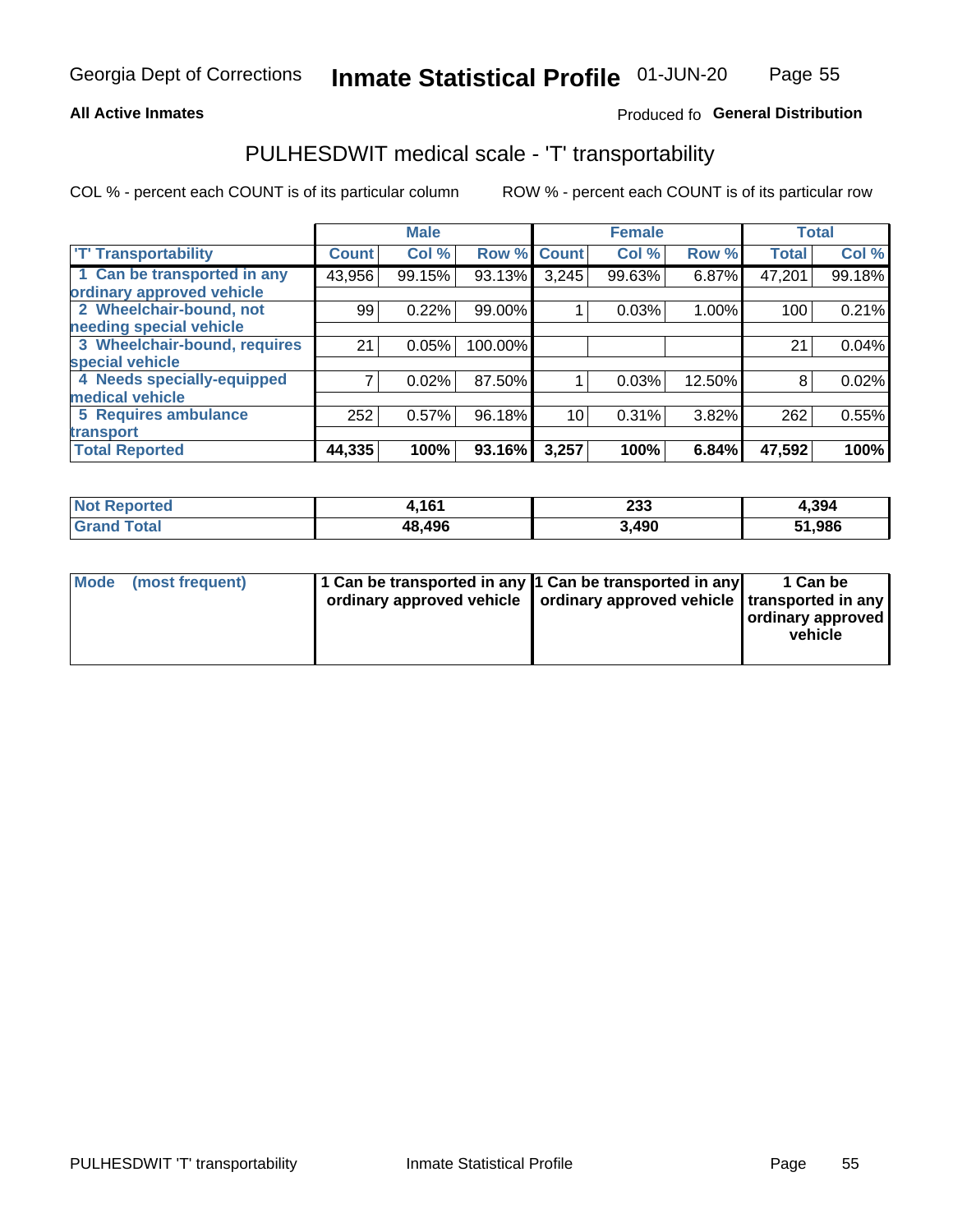### **All Active Inmates**

# Produced fo General Distribution

# PULHESDWIT medical scale - 'T' transportability

COL % - percent each COUNT is of its particular column

|                              |              | <b>Male</b> |         |              | <b>Female</b> |        |              | <b>Total</b> |
|------------------------------|--------------|-------------|---------|--------------|---------------|--------|--------------|--------------|
| <b>T' Transportability</b>   | <b>Count</b> | Col %       | Row %   | <b>Count</b> | Col %         | Row %  | <b>Total</b> | Col %        |
| 1 Can be transported in any  | 43,956       | 99.15%      | 93.13%  | 3,245        | 99.63%        | 6.87%  | 47,201       | 99.18%       |
| ordinary approved vehicle    |              |             |         |              |               |        |              |              |
| 2 Wheelchair-bound, not      | 99           | 0.22%       | 99.00%  |              | 0.03%         | 1.00%  | 100          | 0.21%        |
| needing special vehicle      |              |             |         |              |               |        |              |              |
| 3 Wheelchair-bound, requires | 21           | 0.05%       | 100.00% |              |               |        | 21           | 0.04%        |
| special vehicle              |              |             |         |              |               |        |              |              |
| 4 Needs specially-equipped   |              | 0.02%       | 87.50%  |              | 0.03%         | 12.50% | 8            | 0.02%        |
| medical vehicle              |              |             |         |              |               |        |              |              |
| <b>5 Requires ambulance</b>  | 252          | 0.57%       | 96.18%  | 10           | 0.31%         | 3.82%  | 262          | 0.55%        |
| transport                    |              |             |         |              |               |        |              |              |
| <b>Total Reported</b>        | 44,335       | 100%        | 93.16%  | 3,257        | 100%          | 6.84%  | 47,592       | 100%         |

| $'$ Not $_1$<br>Reported | 1C1<br>101 | 233   | 4,394  |
|--------------------------|------------|-------|--------|
| <b>Total</b><br>' Grang  | 48,496     | 3,490 | 51,986 |

|  | Mode (most frequent) | 1 Can be transported in any 1 Can be transported in any<br>ordinary approved vehicle   ordinary approved vehicle   transported in any |  | 1 Can be<br>  ordinary approved  <br>vehicle |
|--|----------------------|---------------------------------------------------------------------------------------------------------------------------------------|--|----------------------------------------------|
|--|----------------------|---------------------------------------------------------------------------------------------------------------------------------------|--|----------------------------------------------|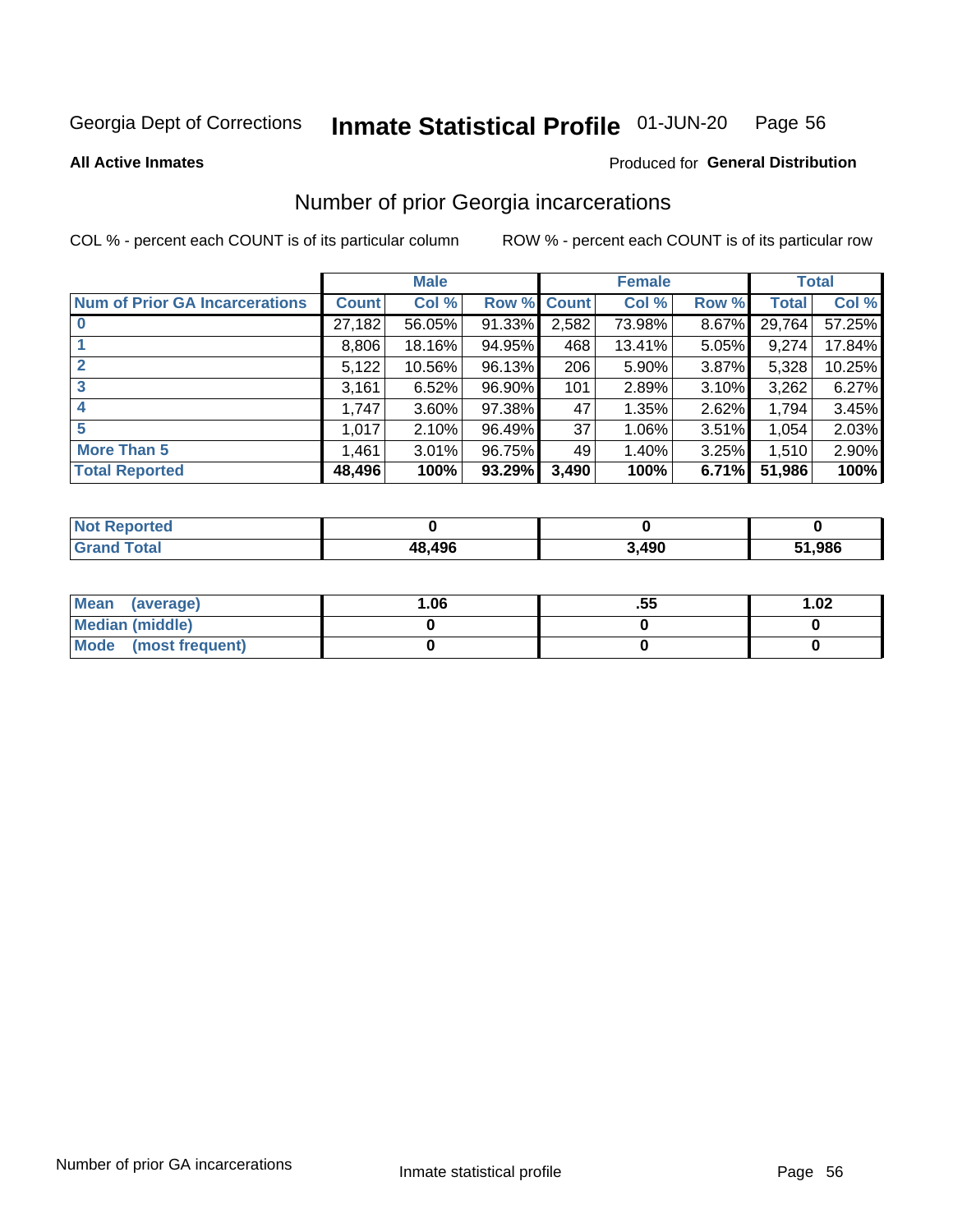#### Inmate Statistical Profile 01-JUN-20 Page 56

**All Active Inmates** 

### **Produced for General Distribution**

# Number of prior Georgia incarcerations

COL % - percent each COUNT is of its particular column

|                                       |              | <b>Male</b> |             |       | <b>Female</b> |       |        | <b>Total</b> |
|---------------------------------------|--------------|-------------|-------------|-------|---------------|-------|--------|--------------|
| <b>Num of Prior GA Incarcerations</b> | <b>Count</b> | Col %       | Row % Count |       | Col %         | Row % | Total  | Col %        |
|                                       | 27,182       | 56.05%      | 91.33%      | 2,582 | 73.98%        | 8.67% | 29,764 | 57.25%       |
|                                       | 8,806        | 18.16%      | 94.95%      | 468   | 13.41%        | 5.05% | 9,274  | 17.84%       |
| $\overline{2}$                        | 5,122        | 10.56%      | 96.13%      | 206   | 5.90%         | 3.87% | 5,328  | 10.25%       |
| 3                                     | 3,161        | 6.52%       | $96.90\%$   | 101   | 2.89%         | 3.10% | 3,262  | 6.27%        |
| $\boldsymbol{4}$                      | 1,747        | 3.60%       | 97.38%      | 47    | 1.35%         | 2.62% | 1,794  | 3.45%        |
| 5                                     | 1,017        | 2.10%       | 96.49%      | 37    | 1.06%         | 3.51% | 1,054  | 2.03%        |
| <b>More Than 5</b>                    | 1,461        | 3.01%       | 96.75%      | 49    | 1.40%         | 3.25% | 1,510  | 2.90%        |
| <b>Total Reported</b>                 | 48,496       | 100%        | 93.29%      | 3,490 | 100%          | 6.71% | 51,986 | 100%         |

| <b>Not Reported</b> |        |       |            |
|---------------------|--------|-------|------------|
| <b>Grand Total</b>  | 48,496 | 3,490 | ,986<br>C4 |

| Mean (average)         | 1.06 | .55 | 1.02 |
|------------------------|------|-----|------|
| <b>Median (middle)</b> |      |     |      |
| Mode (most frequent)   |      |     |      |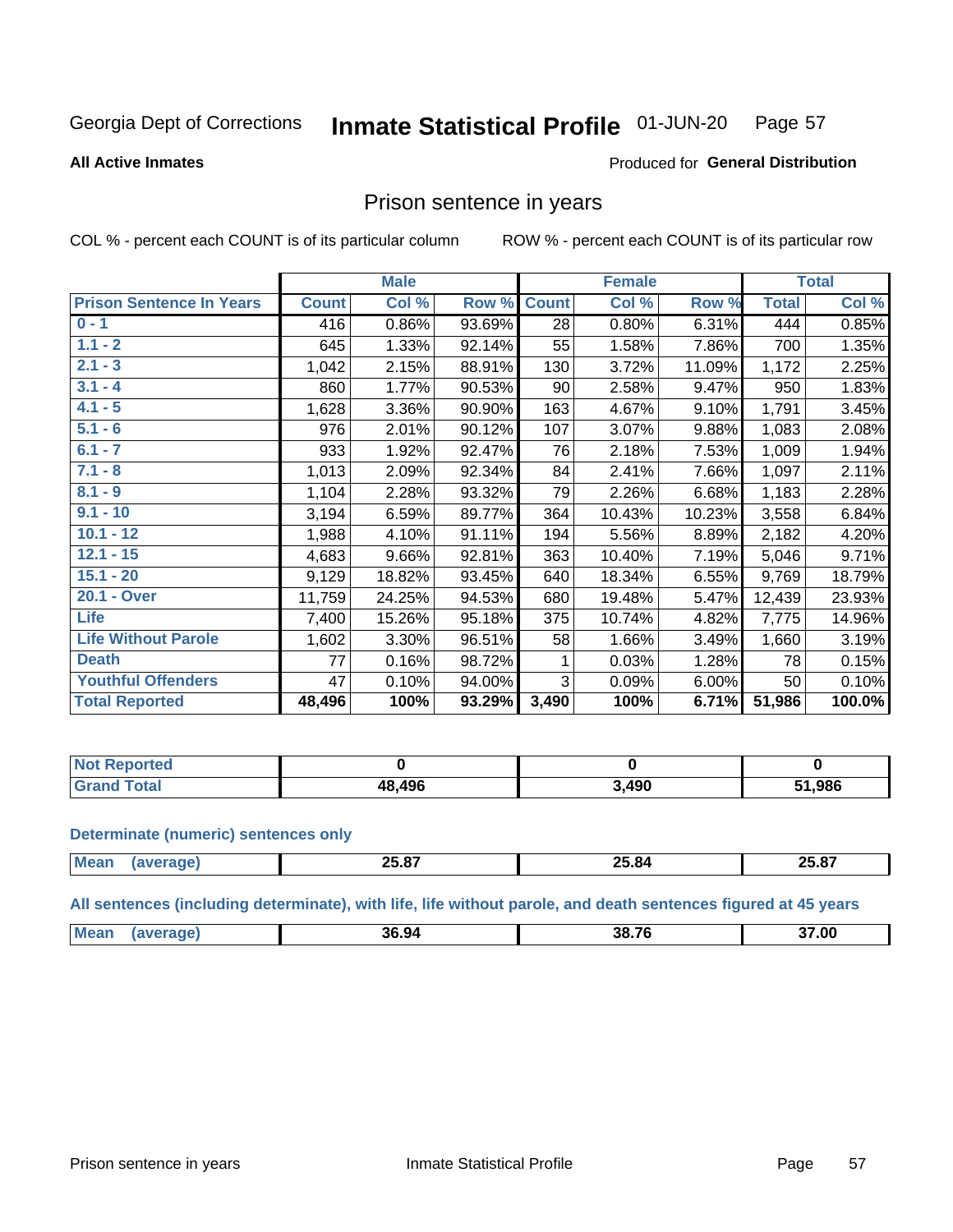#### Inmate Statistical Profile 01-JUN-20 Page 57

**All Active Inmates** 

### Produced for General Distribution

# Prison sentence in years

COL % - percent each COUNT is of its particular column

ROW % - percent each COUNT is of its particular row

|                                 |              | <b>Male</b> |        |              | <b>Female</b> |        |              | <b>Total</b> |
|---------------------------------|--------------|-------------|--------|--------------|---------------|--------|--------------|--------------|
| <b>Prison Sentence In Years</b> | <b>Count</b> | Col %       | Row %  | <b>Count</b> | Col %         | Row %  | <b>Total</b> | Col %        |
| $0 - 1$                         | 416          | 0.86%       | 93.69% | 28           | 0.80%         | 6.31%  | 444          | 0.85%        |
| $1.1 - 2$                       | 645          | 1.33%       | 92.14% | 55           | 1.58%         | 7.86%  | 700          | 1.35%        |
| $2.1 - 3$                       | 1,042        | 2.15%       | 88.91% | 130          | 3.72%         | 11.09% | 1,172        | 2.25%        |
| $3.1 - 4$                       | 860          | 1.77%       | 90.53% | 90           | 2.58%         | 9.47%  | 950          | 1.83%        |
| $4.1 - 5$                       | 1,628        | 3.36%       | 90.90% | 163          | 4.67%         | 9.10%  | 1,791        | 3.45%        |
| $5.1 - 6$                       | 976          | 2.01%       | 90.12% | 107          | 3.07%         | 9.88%  | 1,083        | 2.08%        |
| $6.1 - 7$                       | 933          | 1.92%       | 92.47% | 76           | 2.18%         | 7.53%  | 1,009        | 1.94%        |
| $7.1 - 8$                       | 1,013        | 2.09%       | 92.34% | 84           | 2.41%         | 7.66%  | 1,097        | 2.11%        |
| $8.1 - 9$                       | 1,104        | 2.28%       | 93.32% | 79           | 2.26%         | 6.68%  | 1,183        | 2.28%        |
| $9.1 - 10$                      | 3,194        | 6.59%       | 89.77% | 364          | 10.43%        | 10.23% | 3,558        | 6.84%        |
| $10.1 - 12$                     | 1,988        | 4.10%       | 91.11% | 194          | 5.56%         | 8.89%  | 2,182        | 4.20%        |
| $12.1 - 15$                     | 4,683        | 9.66%       | 92.81% | 363          | 10.40%        | 7.19%  | 5,046        | 9.71%        |
| $15.1 - 20$                     | 9,129        | 18.82%      | 93.45% | 640          | 18.34%        | 6.55%  | 9,769        | 18.79%       |
| 20.1 - Over                     | 11,759       | 24.25%      | 94.53% | 680          | 19.48%        | 5.47%  | 12,439       | 23.93%       |
| <b>Life</b>                     | 7,400        | 15.26%      | 95.18% | 375          | 10.74%        | 4.82%  | 7,775        | 14.96%       |
| <b>Life Without Parole</b>      | 1,602        | 3.30%       | 96.51% | 58           | 1.66%         | 3.49%  | 1,660        | 3.19%        |
| <b>Death</b>                    | 77           | 0.16%       | 98.72% |              | 0.03%         | 1.28%  | 78           | 0.15%        |
| <b>Youthful Offenders</b>       | 47           | 0.10%       | 94.00% | 3            | 0.09%         | 6.00%  | 50           | 0.10%        |
| <b>Total Reported</b>           | 48,496       | 100%        | 93.29% | 3,490        | 100%          | 6.71%  | 51,986       | 100.0%       |

| : Reported<br>I NOT |        |              |        |
|---------------------|--------|--------------|--------|
| <b>otal</b>         | 48.496 | . മറ<br>4J V | 51,986 |

### **Determinate (numeric) sentences only**

| <b>Mea</b> | 25.67 | ^^<br>____ | $\sim$ $\sim$<br>אפ<br>----<br>____ |
|------------|-------|------------|-------------------------------------|
|            |       |            |                                     |

All sentences (including determinate), with life, life without parole, and death sentences figured at 45 years

| <b>Me</b> | 36.94 | -- --<br>38<br>. . | 37.00 |
|-----------|-------|--------------------|-------|
|           |       |                    |       |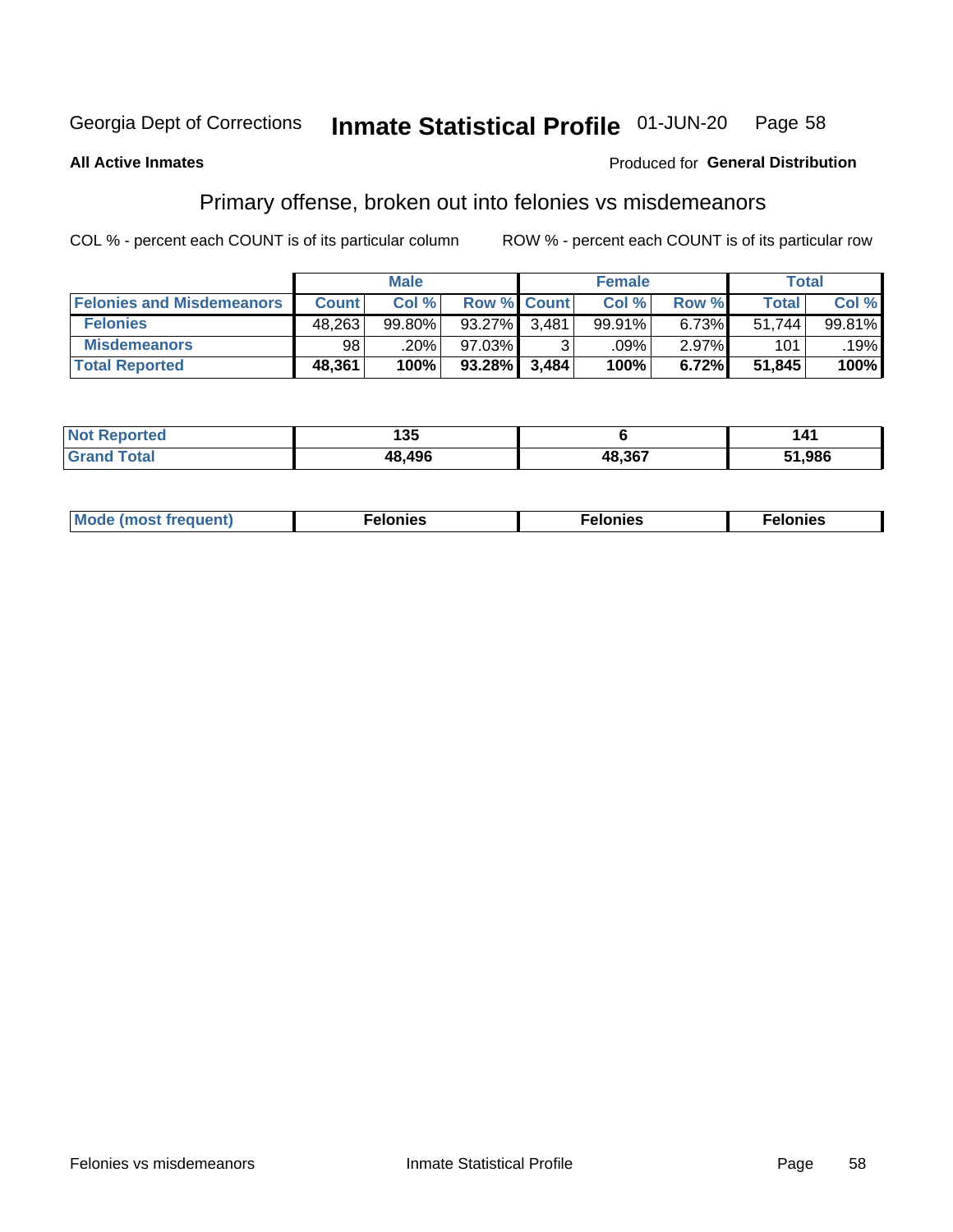#### Inmate Statistical Profile 01-JUN-20 Page 58

### **All Active Inmates**

### **Produced for General Distribution**

# Primary offense, broken out into felonies vs misdemeanors

COL % - percent each COUNT is of its particular column

|                                  |              | <b>Male</b> |           |             | <b>Female</b> |       | Total        |        |
|----------------------------------|--------------|-------------|-----------|-------------|---------------|-------|--------------|--------|
| <b>Felonies and Misdemeanors</b> | <b>Count</b> | Col %       |           | Row % Count | Col %         | Row % | <b>Total</b> | Col %  |
| <b>Felonies</b>                  | 48,263       | 99.80%      | 93.27%    | 3.481       | 99.91%        | 6.73% | 51.744       | 99.81% |
| <b>Misdemeanors</b>              | 98           | .20%        | 97.03%    |             | .09%          | 2.97% | 101          | .19%   |
| <b>Total Reported</b>            | 48,361       | 100%        | $93.28\%$ | 3,484       | 100%          | 6.72% | 51,845       | 100%   |

| <b>Not</b><br>Reported | 1 M F<br>טטו |        |        |
|------------------------|--------------|--------|--------|
| ™otal<br><b>Grand</b>  | 48.496       | 48,367 | 51,986 |

| M      | .    | nes | onies |
|--------|------|-----|-------|
| nuenti | ____ | .   | .     |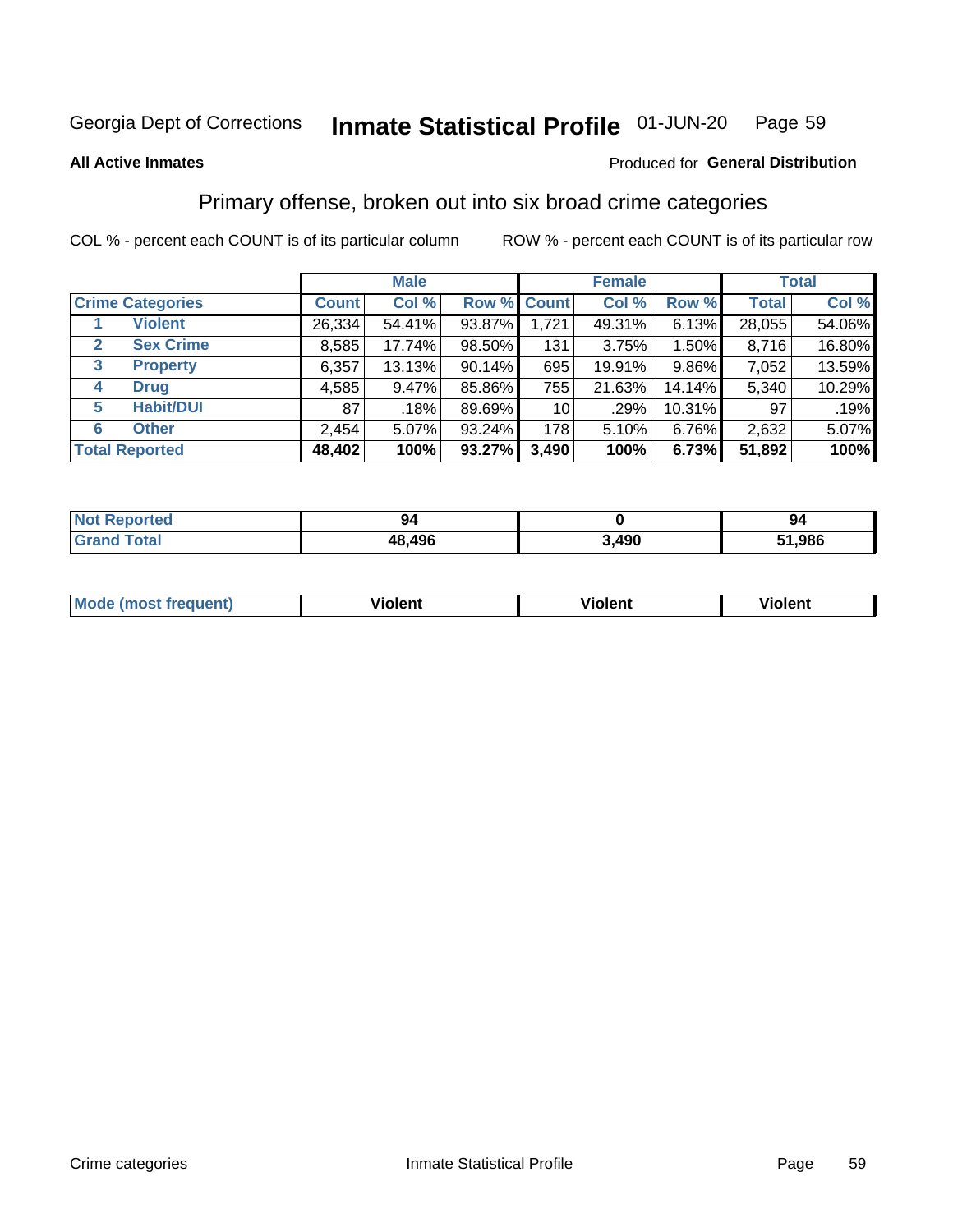#### Inmate Statistical Profile 01-JUN-20 Page 59

**All Active Inmates** 

### Produced for General Distribution

# Primary offense, broken out into six broad crime categories

COL % - percent each COUNT is of its particular column

|                                 | <b>Male</b>  |        |             | <b>Female</b>   |         |        | <b>Total</b> |        |
|---------------------------------|--------------|--------|-------------|-----------------|---------|--------|--------------|--------|
| <b>Crime Categories</b>         | <b>Count</b> | Col %  | Row % Count |                 | Col %   | Row %  | <b>Total</b> | Col %  |
| <b>Violent</b>                  | 26,334       | 54.41% | 93.87%      | 1,721           | 49.31%  | 6.13%  | 28,055       | 54.06% |
| <b>Sex Crime</b><br>2           | 8,585        | 17.74% | 98.50%      | 131             | 3.75%   | 1.50%  | 8,716        | 16.80% |
| $\mathbf{3}$<br><b>Property</b> | 6,357        | 13.13% | $90.14\%$   | 695             | 19.91%  | 9.86%  | 7,052        | 13.59% |
| <b>Drug</b><br>4                | 4,585        | 9.47%  | 85.86%      | 755             | 21.63%  | 14.14% | 5,340        | 10.29% |
| <b>Habit/DUI</b><br>5           | 87           | .18%   | 89.69%      | 10 <sup>1</sup> | $.29\%$ | 10.31% | 97           | .19%   |
| <b>Other</b><br>6               | 2,454        | 5.07%  | 93.24%      | 178             | 5.10%   | 6.76%  | 2,632        | 5.07%  |
| <b>Total Reported</b>           | 48,402       | 100%   | $93.27\%$   | 3,490           | 100%    | 6.73%  | 51,892       | 100%   |

| <b>Not Reported</b> | 94     |               | 94    |
|---------------------|--------|---------------|-------|
| <b>Total</b>        | 48,496 | חמו. ג<br>496 | 1,986 |

| M | - --<br>100011 | .<br><b>VIOIGIIL</b> | 1.91311 |
|---|----------------|----------------------|---------|
|   |                |                      |         |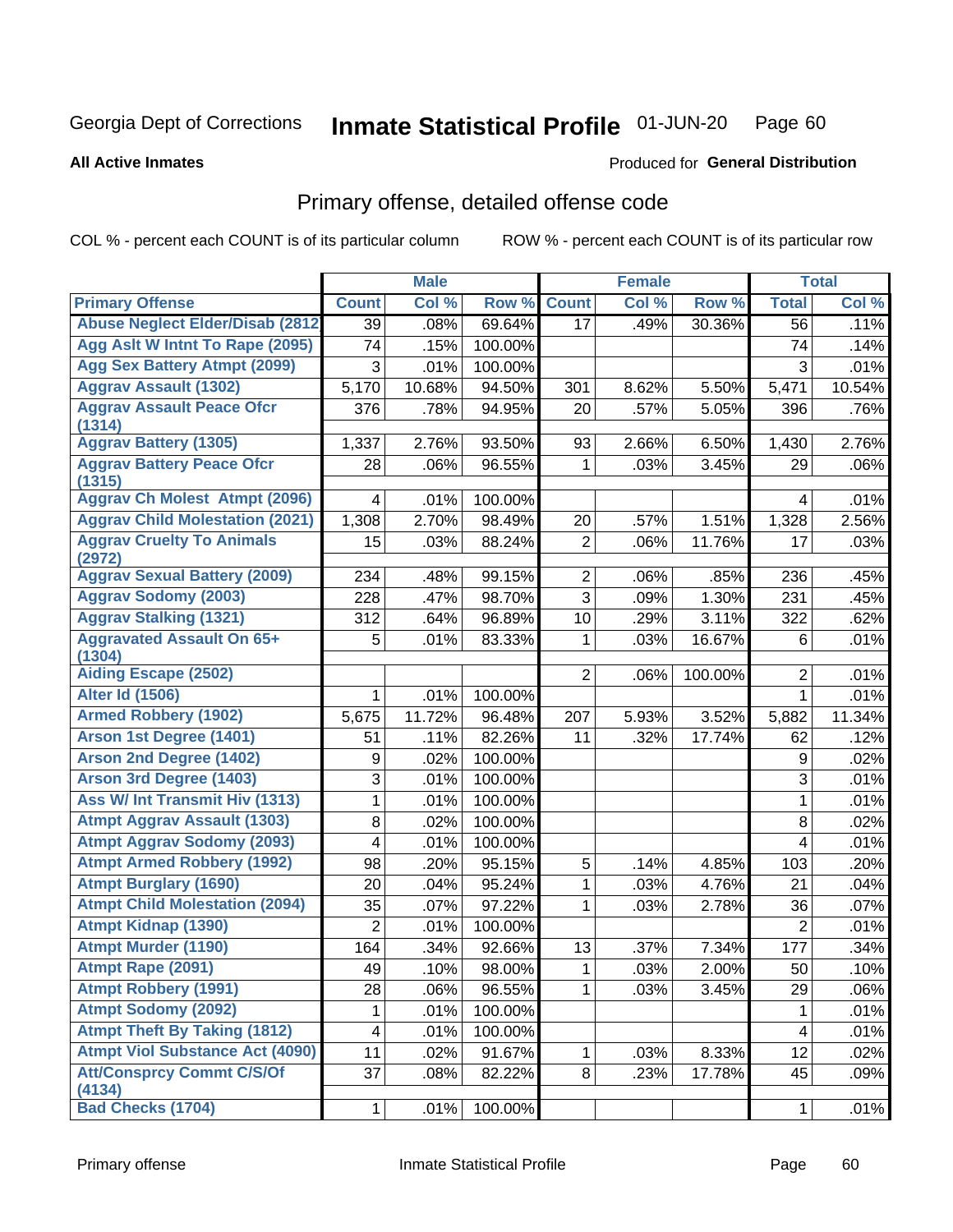#### Inmate Statistical Profile 01-JUN-20 Page 60

### **All Active Inmates**

# **Produced for General Distribution**

# Primary offense, detailed offense code

COL % - percent each COUNT is of its particular column

|                                            |                         | <b>Male</b> |         |                | <b>Female</b> |         |                           | <b>Total</b> |
|--------------------------------------------|-------------------------|-------------|---------|----------------|---------------|---------|---------------------------|--------------|
| <b>Primary Offense</b>                     | <b>Count</b>            | Col %       | Row %   | <b>Count</b>   | Col %         | Row %   | <b>Total</b>              | Col %        |
| <b>Abuse Neglect Elder/Disab (2812)</b>    | $\overline{39}$         | .08%        | 69.64%  | 17             | .49%          | 30.36%  | 56                        | .11%         |
| Agg Aslt W Intnt To Rape (2095)            | 74                      | .15%        | 100.00% |                |               |         | 74                        | .14%         |
| <b>Agg Sex Battery Atmpt (2099)</b>        | 3                       | .01%        | 100.00% |                |               |         | 3                         | .01%         |
| <b>Aggrav Assault (1302)</b>               | 5,170                   | 10.68%      | 94.50%  | 301            | 8.62%         | 5.50%   | 5,471                     | 10.54%       |
| <b>Aggrav Assault Peace Ofcr</b><br>(1314) | 376                     | .78%        | 94.95%  | 20             | .57%          | 5.05%   | 396                       | .76%         |
| <b>Aggrav Battery (1305)</b>               | 1,337                   | 2.76%       | 93.50%  | 93             | 2.66%         | 6.50%   | 1,430                     | 2.76%        |
| <b>Aggrav Battery Peace Ofcr</b><br>(1315) | 28                      | .06%        | 96.55%  | 1              | .03%          | 3.45%   | 29                        | .06%         |
| <b>Aggrav Ch Molest Atmpt (2096)</b>       | 4                       | .01%        | 100.00% |                |               |         | 4                         | .01%         |
| <b>Aggrav Child Molestation (2021)</b>     | 1,308                   | 2.70%       | 98.49%  | 20             | .57%          | 1.51%   | 1,328                     | 2.56%        |
| <b>Aggrav Cruelty To Animals</b><br>(2972) | 15                      | .03%        | 88.24%  | $\overline{2}$ | .06%          | 11.76%  | 17                        | .03%         |
| <b>Aggrav Sexual Battery (2009)</b>        | 234                     | .48%        | 99.15%  | $\overline{2}$ | .06%          | .85%    | 236                       | .45%         |
| <b>Aggrav Sodomy (2003)</b>                | 228                     | .47%        | 98.70%  | $\overline{3}$ | .09%          | 1.30%   | 231                       | .45%         |
| <b>Aggrav Stalking (1321)</b>              | 312                     | .64%        | 96.89%  | 10             | .29%          | 3.11%   | 322                       | .62%         |
| <b>Aggravated Assault On 65+</b><br>(1304) | 5                       | .01%        | 83.33%  | 1              | .03%          | 16.67%  | 6                         | .01%         |
| <b>Aiding Escape (2502)</b>                |                         |             |         | $\overline{2}$ | .06%          | 100.00% | $\overline{2}$            | .01%         |
| <b>Alter Id (1506)</b>                     | 1                       | .01%        | 100.00% |                |               |         | 1                         | .01%         |
| <b>Armed Robbery (1902)</b>                | 5,675                   | 11.72%      | 96.48%  | 207            | 5.93%         | 3.52%   | 5,882                     | 11.34%       |
| Arson 1st Degree (1401)                    | 51                      | .11%        | 82.26%  | 11             | .32%          | 17.74%  | 62                        | .12%         |
| <b>Arson 2nd Degree (1402)</b>             | 9                       | .02%        | 100.00% |                |               |         | 9                         | .02%         |
| <b>Arson 3rd Degree (1403)</b>             | 3                       | .01%        | 100.00% |                |               |         | $\ensuremath{\mathsf{3}}$ | .01%         |
| <b>Ass W/ Int Transmit Hiv (1313)</b>      | 1                       | .01%        | 100.00% |                |               |         | 1                         | .01%         |
| <b>Atmpt Aggrav Assault (1303)</b>         | 8                       | .02%        | 100.00% |                |               |         | 8                         | .02%         |
| <b>Atmpt Aggrav Sodomy (2093)</b>          | 4                       | .01%        | 100.00% |                |               |         | 4                         | .01%         |
| <b>Atmpt Armed Robbery (1992)</b>          | 98                      | .20%        | 95.15%  | 5              | .14%          | 4.85%   | 103                       | .20%         |
| <b>Atmpt Burglary (1690)</b>               | 20                      | .04%        | 95.24%  | 1              | .03%          | 4.76%   | 21                        | .04%         |
| <b>Atmpt Child Molestation (2094)</b>      | 35                      | .07%        | 97.22%  | 1              | .03%          | 2.78%   | 36                        | .07%         |
| <b>Atmpt Kidnap (1390)</b>                 | $\overline{2}$          | .01%        | 100.00% |                |               |         | $\overline{2}$            | .01%         |
| <b>Atmpt Murder (1190)</b>                 | 164                     | .34%        | 92.66%  | 13             | .37%          | 7.34%   | 177                       | .34%         |
| Atmpt Rape (2091)                          | 49                      | .10%        | 98.00%  | $\mathbf{1}$   | .03%          | 2.00%   | 50                        | .10%         |
| <b>Atmpt Robbery (1991)</b>                | 28                      | .06%        | 96.55%  | 1              | .03%          | 3.45%   | 29                        | .06%         |
| <b>Atmpt Sodomy (2092)</b>                 | 1                       | .01%        | 100.00% |                |               |         | $\mathbf 1$               | .01%         |
| <b>Atmpt Theft By Taking (1812)</b>        | $\overline{\mathbf{4}}$ | .01%        | 100.00% |                |               |         | $\overline{\mathbf{4}}$   | .01%         |
| <b>Atmpt Viol Substance Act (4090)</b>     | 11                      | .02%        | 91.67%  | 1              | .03%          | 8.33%   | 12                        | .02%         |
| <b>Att/Consprcy Commt C/S/Of</b><br>(4134) | 37                      | .08%        | 82.22%  | 8              | .23%          | 17.78%  | 45                        | .09%         |
| <b>Bad Checks (1704)</b>                   | 1                       | .01%        | 100.00% |                |               |         | $\mathbf{1}$              | .01%         |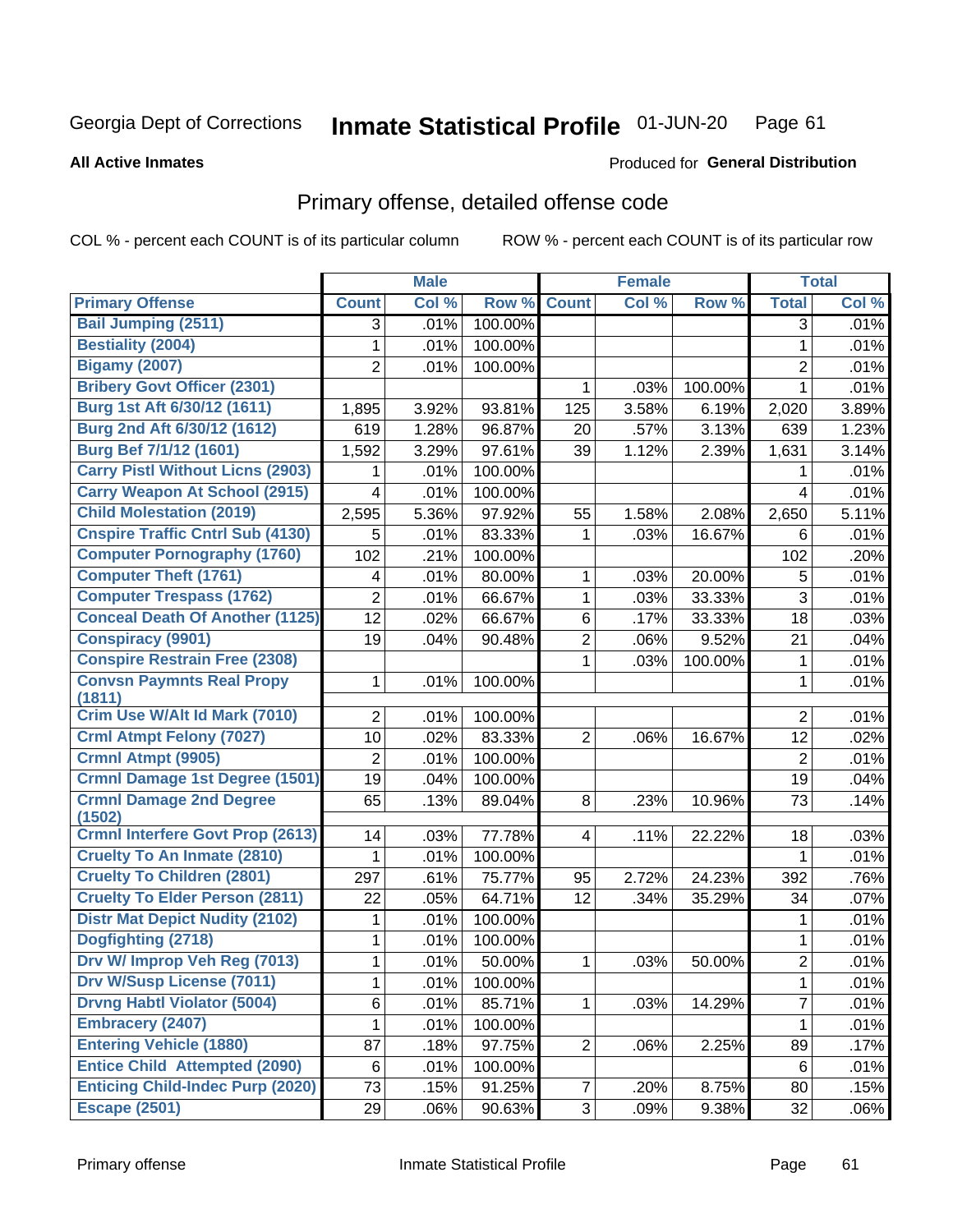#### Inmate Statistical Profile 01-JUN-20 Page 61

**All Active Inmates** 

### Produced for General Distribution

# Primary offense, detailed offense code

COL % - percent each COUNT is of its particular column

|                                            |                | <b>Male</b> |         |                | <b>Female</b> |         |                | <b>Total</b> |
|--------------------------------------------|----------------|-------------|---------|----------------|---------------|---------|----------------|--------------|
| <b>Primary Offense</b>                     | <b>Count</b>   | Col %       | Row %   | <b>Count</b>   | Col %         | Row %   | <b>Total</b>   | Col %        |
| <b>Bail Jumping (2511)</b>                 | 3              | .01%        | 100.00% |                |               |         | 3              | .01%         |
| <b>Bestiality (2004)</b>                   | 1              | .01%        | 100.00% |                |               |         | $\mathbf{1}$   | .01%         |
| <b>Bigamy (2007)</b>                       | 2              | .01%        | 100.00% |                |               |         | $\overline{2}$ | .01%         |
| <b>Bribery Govt Officer (2301)</b>         |                |             |         | 1              | .03%          | 100.00% | 1              | .01%         |
| Burg 1st Aft 6/30/12 (1611)                | 1,895          | 3.92%       | 93.81%  | 125            | 3.58%         | 6.19%   | 2,020          | 3.89%        |
| Burg 2nd Aft 6/30/12 (1612)                | 619            | 1.28%       | 96.87%  | 20             | .57%          | 3.13%   | 639            | 1.23%        |
| Burg Bef 7/1/12 (1601)                     | 1,592          | 3.29%       | 97.61%  | 39             | 1.12%         | 2.39%   | 1,631          | 3.14%        |
| <b>Carry Pistl Without Licns (2903)</b>    | 1              | .01%        | 100.00% |                |               |         | 1              | .01%         |
| <b>Carry Weapon At School (2915)</b>       | 4              | .01%        | 100.00% |                |               |         | 4              | .01%         |
| <b>Child Molestation (2019)</b>            | 2,595          | 5.36%       | 97.92%  | 55             | 1.58%         | 2.08%   | 2,650          | 5.11%        |
| <b>Cnspire Traffic Cntrl Sub (4130)</b>    | 5              | .01%        | 83.33%  | 1              | .03%          | 16.67%  | 6              | .01%         |
| <b>Computer Pornography (1760)</b>         | 102            | .21%        | 100.00% |                |               |         | 102            | .20%         |
| <b>Computer Theft (1761)</b>               | 4              | .01%        | 80.00%  | 1              | .03%          | 20.00%  | 5              | .01%         |
| <b>Computer Trespass (1762)</b>            | $\overline{2}$ | .01%        | 66.67%  | 1              | .03%          | 33.33%  | 3              | .01%         |
| <b>Conceal Death Of Another (1125)</b>     | 12             | .02%        | 66.67%  | 6              | .17%          | 33.33%  | 18             | .03%         |
| <b>Conspiracy (9901)</b>                   | 19             | .04%        | 90.48%  | $\overline{2}$ | .06%          | 9.52%   | 21             | .04%         |
| <b>Conspire Restrain Free (2308)</b>       |                |             |         | 1              | .03%          | 100.00% | 1              | .01%         |
| <b>Convsn Paymnts Real Propy</b><br>(1811) | 1              | .01%        | 100.00% |                |               |         | 1              | .01%         |
| Crim Use W/Alt Id Mark (7010)              | $\overline{2}$ | .01%        | 100.00% |                |               |         | $\overline{2}$ | .01%         |
| <b>Crml Atmpt Felony (7027)</b>            | 10             | .02%        | 83.33%  | $\overline{2}$ | .06%          | 16.67%  | 12             | .02%         |
| <b>Crmnl Atmpt (9905)</b>                  | 2              | .01%        | 100.00% |                |               |         | $\overline{2}$ | .01%         |
| Crmnl Damage 1st Degree (1501)             | 19             | .04%        | 100.00% |                |               |         | 19             | .04%         |
| <b>Crmnl Damage 2nd Degree</b>             | 65             | .13%        | 89.04%  | 8              | .23%          | 10.96%  | 73             | .14%         |
| (1502)                                     |                |             |         |                |               |         |                |              |
| Crmnl Interfere Govt Prop (2613)           | 14             | .03%        | 77.78%  | $\overline{4}$ | .11%          | 22.22%  | 18             | .03%         |
| <b>Cruelty To An Inmate (2810)</b>         | 1              | .01%        | 100.00% |                |               |         | 1              | .01%         |
| <b>Cruelty To Children (2801)</b>          | 297            | .61%        | 75.77%  | 95             | 2.72%         | 24.23%  | 392            | .76%         |
| <b>Cruelty To Elder Person (2811)</b>      | 22             | .05%        | 64.71%  | 12             | .34%          | 35.29%  | 34             | .07%         |
| <b>Distr Mat Depict Nudity (2102)</b>      | 1              | .01%        | 100.00% |                |               |         | 1              | .01%         |
| Dogfighting (2718)                         | 1              | .01%        | 100.00% |                |               |         | 1              | .01%         |
| Drv W/ Improp Veh Reg (7013)               | 1              | .01%        | 50.00%  | 1              | .03%          | 50.00%  | $\overline{2}$ | .01%         |
| <b>Drv W/Susp License (7011)</b>           | 1              | .01%        | 100.00% |                |               |         | 1              | .01%         |
| <b>Drvng Habtl Violator (5004)</b>         | 6              | .01%        | 85.71%  | 1              | .03%          | 14.29%  | 7              | .01%         |
| <b>Embracery (2407)</b>                    | 1              | .01%        | 100.00% |                |               |         | 1              | .01%         |
| <b>Entering Vehicle (1880)</b>             | 87             | .18%        | 97.75%  | $\overline{2}$ | .06%          | 2.25%   | 89             | .17%         |
| <b>Entice Child Attempted (2090)</b>       | 6              | .01%        | 100.00% |                |               |         | 6              | .01%         |
| <b>Enticing Child-Indec Purp (2020)</b>    | 73             | .15%        | 91.25%  | $\overline{7}$ | .20%          | 8.75%   | 80             | .15%         |
| <b>Escape (2501)</b>                       | 29             | .06%        | 90.63%  | 3              | .09%          | 9.38%   | 32             | .06%         |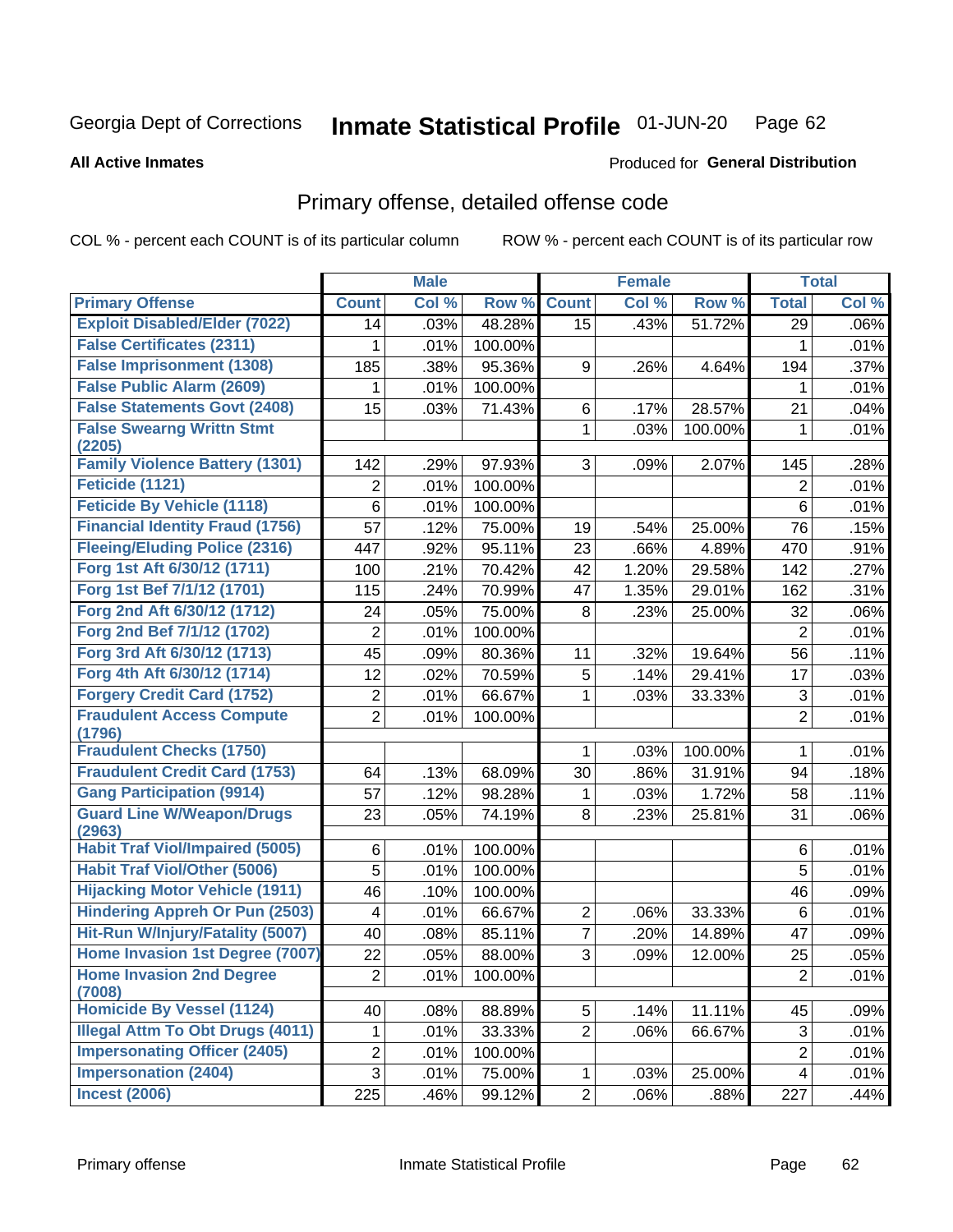#### Inmate Statistical Profile 01-JUN-20 Page 62

### **All Active Inmates**

# **Produced for General Distribution**

# Primary offense, detailed offense code

COL % - percent each COUNT is of its particular column

|                                                  |                 | <b>Male</b> |         |                 | <b>Female</b> |         |                | <b>Total</b> |
|--------------------------------------------------|-----------------|-------------|---------|-----------------|---------------|---------|----------------|--------------|
| <b>Primary Offense</b>                           | <b>Count</b>    | Col %       | Row %   | <b>Count</b>    | Col %         | Row %   | <b>Total</b>   | Col %        |
| <b>Exploit Disabled/Elder (7022)</b>             | 14              | .03%        | 48.28%  | $\overline{15}$ | .43%          | 51.72%  | 29             | .06%         |
| <b>False Certificates (2311)</b>                 | 1               | .01%        | 100.00% |                 |               |         | 1              | .01%         |
| <b>False Imprisonment (1308)</b>                 | 185             | .38%        | 95.36%  | 9               | .26%          | 4.64%   | 194            | .37%         |
| <b>False Public Alarm (2609)</b>                 | 1               | .01%        | 100.00% |                 |               |         | 1              | .01%         |
| <b>False Statements Govt (2408)</b>              | 15              | .03%        | 71.43%  | 6               | .17%          | 28.57%  | 21             | .04%         |
| <b>False Swearng Writtn Stmt</b><br>(2205)       |                 |             |         | 1               | .03%          | 100.00% | 1              | .01%         |
| <b>Family Violence Battery (1301)</b>            | 142             | .29%        | 97.93%  | 3               | .09%          | 2.07%   | 145            | .28%         |
| Feticide (1121)                                  | $\overline{2}$  | .01%        | 100.00% |                 |               |         | $\overline{2}$ | .01%         |
| <b>Feticide By Vehicle (1118)</b>                | 6               | .01%        | 100.00% |                 |               |         | 6              | .01%         |
| <b>Financial Identity Fraud (1756)</b>           | 57              | .12%        | 75.00%  | 19              | .54%          | 25.00%  | 76             | .15%         |
| <b>Fleeing/Eluding Police (2316)</b>             | 447             | .92%        | 95.11%  | 23              | .66%          | 4.89%   | 470            | .91%         |
| Forg 1st Aft 6/30/12 (1711)                      | 100             | .21%        | 70.42%  | 42              | 1.20%         | 29.58%  | 142            | .27%         |
| Forg 1st Bef 7/1/12 (1701)                       | 115             | .24%        | 70.99%  | 47              | 1.35%         | 29.01%  | 162            | .31%         |
| Forg 2nd Aft 6/30/12 (1712)                      | 24              | .05%        | 75.00%  | 8               | .23%          | 25.00%  | 32             | .06%         |
| Forg 2nd Bef 7/1/12 (1702)                       | 2               | .01%        | 100.00% |                 |               |         | $\overline{2}$ | .01%         |
| Forg 3rd Aft 6/30/12 (1713)                      | $\overline{45}$ | .09%        | 80.36%  | 11              | .32%          | 19.64%  | 56             | .11%         |
| Forg 4th Aft 6/30/12 (1714)                      | 12              | .02%        | 70.59%  | 5               | .14%          | 29.41%  | 17             | .03%         |
| <b>Forgery Credit Card (1752)</b>                | $\overline{c}$  | .01%        | 66.67%  | $\mathbf 1$     | .03%          | 33.33%  | $\sqrt{3}$     | .01%         |
| <b>Fraudulent Access Compute</b><br>(1796)       | $\overline{2}$  | .01%        | 100.00% |                 |               |         | $\overline{2}$ | .01%         |
| <b>Fraudulent Checks (1750)</b>                  |                 |             |         | 1               | .03%          | 100.00% | 1              | .01%         |
| <b>Fraudulent Credit Card (1753)</b>             | 64              | .13%        | 68.09%  | 30              | .86%          | 31.91%  | 94             | .18%         |
| <b>Gang Participation (9914)</b>                 | 57              | .12%        | 98.28%  | 1               | .03%          | 1.72%   | 58             | .11%         |
| <b>Guard Line W/Weapon/Drugs</b>                 | 23              | .05%        | 74.19%  | 8               | .23%          | 25.81%  | 31             | .06%         |
| (2963)<br><b>Habit Traf Viol/Impaired (5005)</b> | 6               | .01%        | 100.00% |                 |               |         | 6              | .01%         |
| <b>Habit Traf Viol/Other (5006)</b>              | 5               | .01%        | 100.00% |                 |               |         | 5              | .01%         |
| <b>Hijacking Motor Vehicle (1911)</b>            | 46              | .10%        | 100.00% |                 |               |         | 46             | .09%         |
| <b>Hindering Appreh Or Pun (2503)</b>            | 4               | .01%        | 66.67%  | $\overline{c}$  | .06%          | 33.33%  | 6              | .01%         |
| Hit-Run W/Injury/Fatality (5007)                 | 40              | .08%        | 85.11%  | $\overline{7}$  | .20%          | 14.89%  | 47             | .09%         |
| Home Invasion 1st Degree (7007)                  | 22              | .05%        | 88.00%  | 3               | .09%          | 12.00%  | 25             | .05%         |
| <b>Home Invasion 2nd Degree</b>                  | 2               | .01%        | 100.00% |                 |               |         | $\overline{c}$ | .01%         |
| (7008)                                           |                 |             |         |                 |               |         |                |              |
| <b>Homicide By Vessel (1124)</b>                 | 40              | .08%        | 88.89%  | 5               | .14%          | 11.11%  | 45             | .09%         |
| <b>Illegal Attm To Obt Drugs (4011)</b>          | 1               | .01%        | 33.33%  | $\overline{2}$  | .06%          | 66.67%  | $\sqrt{3}$     | .01%         |
| <b>Impersonating Officer (2405)</b>              | $\overline{c}$  | .01%        | 100.00% |                 |               |         | $\overline{2}$ | .01%         |
| <b>Impersonation (2404)</b>                      | $\overline{3}$  | .01%        | 75.00%  | $\mathbf{1}$    | .03%          | 25.00%  | 4              | .01%         |
| <b>Incest (2006)</b>                             | 225             | .46%        | 99.12%  | 2               | .06%          | .88%    | 227            | .44%         |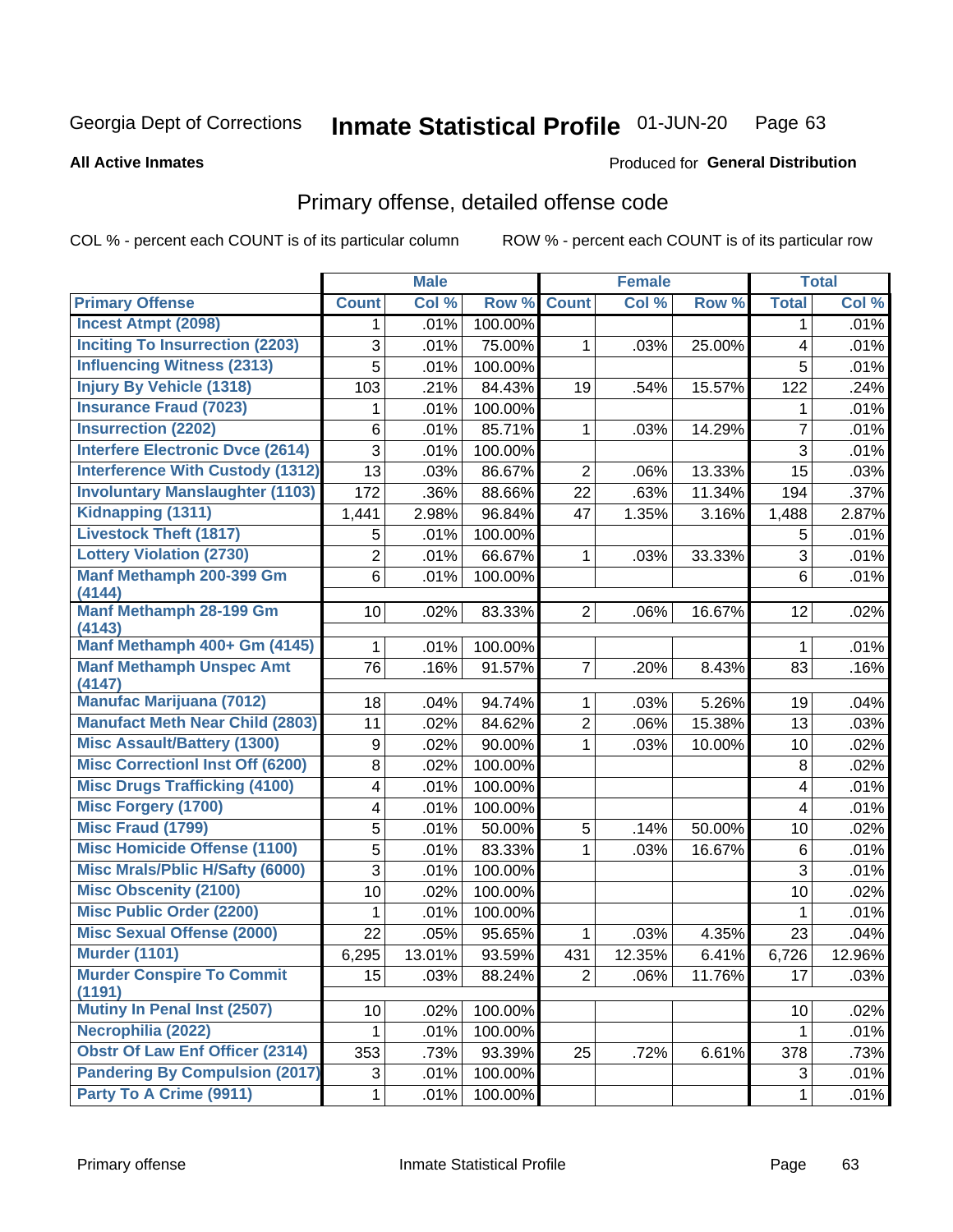**All Active Inmates** 

#### Inmate Statistical Profile 01-JUN-20 Page 63

**Produced for General Distribution** 

# Primary offense, detailed offense code

COL % - percent each COUNT is of its particular column

|                                            |                | <b>Male</b> |         |                | <b>Female</b> |        |                         | <b>Total</b> |
|--------------------------------------------|----------------|-------------|---------|----------------|---------------|--------|-------------------------|--------------|
| <b>Primary Offense</b>                     | <b>Count</b>   | Col %       | Row %   | <b>Count</b>   | Col %         | Row %  | <b>Total</b>            | Col %        |
| <b>Incest Atmpt (2098)</b>                 | 1.             | .01%        | 100.00% |                |               |        | $\mathbf 1$             | .01%         |
| <b>Inciting To Insurrection (2203)</b>     | 3              | .01%        | 75.00%  | 1              | .03%          | 25.00% | $\overline{\mathbf{4}}$ | .01%         |
| <b>Influencing Witness (2313)</b>          | 5              | .01%        | 100.00% |                |               |        | 5                       | .01%         |
| <b>Injury By Vehicle (1318)</b>            | 103            | .21%        | 84.43%  | 19             | .54%          | 15.57% | 122                     | .24%         |
| <b>Insurance Fraud (7023)</b>              | 1              | .01%        | 100.00% |                |               |        | 1                       | .01%         |
| <b>Insurrection (2202)</b>                 | 6              | .01%        | 85.71%  | $\mathbf{1}$   | .03%          | 14.29% | $\overline{7}$          | .01%         |
| <b>Interfere Electronic Dvce (2614)</b>    | 3              | .01%        | 100.00% |                |               |        | 3                       | .01%         |
| <b>Interference With Custody (1312)</b>    | 13             | .03%        | 86.67%  | $\overline{2}$ | .06%          | 13.33% | 15                      | .03%         |
| <b>Involuntary Manslaughter (1103)</b>     | 172            | .36%        | 88.66%  | 22             | .63%          | 11.34% | 194                     | .37%         |
| Kidnapping (1311)                          | 1,441          | 2.98%       | 96.84%  | 47             | 1.35%         | 3.16%  | 1,488                   | 2.87%        |
| <b>Livestock Theft (1817)</b>              | 5              | .01%        | 100.00% |                |               |        | 5                       | .01%         |
| <b>Lottery Violation (2730)</b>            | $\overline{2}$ | .01%        | 66.67%  | $\mathbf{1}$   | .03%          | 33.33% | 3                       | .01%         |
| Manf Methamph 200-399 Gm<br>(4144)         | 6              | .01%        | 100.00% |                |               |        | 6                       | .01%         |
| <b>Manf Methamph 28-199 Gm</b><br>(4143)   | 10             | .02%        | 83.33%  | $\overline{2}$ | .06%          | 16.67% | 12                      | .02%         |
| Manf Methamph 400+ Gm (4145)               | 1              | .01%        | 100.00% |                |               |        | 1                       | .01%         |
| <b>Manf Methamph Unspec Amt</b><br>(4147)  | 76             | .16%        | 91.57%  | $\overline{7}$ | .20%          | 8.43%  | 83                      | .16%         |
| <b>Manufac Marijuana (7012)</b>            | 18             | .04%        | 94.74%  | $\mathbf{1}$   | .03%          | 5.26%  | 19                      | .04%         |
| <b>Manufact Meth Near Child (2803)</b>     | 11             | .02%        | 84.62%  | $\overline{2}$ | .06%          | 15.38% | 13                      | .03%         |
| <b>Misc Assault/Battery (1300)</b>         | 9              | .02%        | 90.00%  | $\mathbf{1}$   | .03%          | 10.00% | 10                      | .02%         |
| <b>Misc Correctionl Inst Off (6200)</b>    | 8              | .02%        | 100.00% |                |               |        | 8                       | .02%         |
| <b>Misc Drugs Trafficking (4100)</b>       | 4              | .01%        | 100.00% |                |               |        | 4                       | .01%         |
| <b>Misc Forgery (1700)</b>                 | 4              | .01%        | 100.00% |                |               |        | 4                       | .01%         |
| <b>Misc Fraud (1799)</b>                   | 5              | .01%        | 50.00%  | 5              | .14%          | 50.00% | 10                      | .02%         |
| <b>Misc Homicide Offense (1100)</b>        | 5              | .01%        | 83.33%  | 1              | .03%          | 16.67% | 6                       | .01%         |
| <b>Misc Mrals/Pblic H/Safty (6000)</b>     | 3              | .01%        | 100.00% |                |               |        | 3                       | .01%         |
| <b>Misc Obscenity (2100)</b>               | 10             | .02%        | 100.00% |                |               |        | 10                      | .02%         |
| <b>Misc Public Order (2200)</b>            | 1              | .01%        | 100.00% |                |               |        | 1                       | .01%         |
| <b>Misc Sexual Offense (2000)</b>          | 22             | .05%        | 95.65%  | $\mathbf{1}$   | .03%          | 4.35%  | 23                      | .04%         |
| <b>Murder (1101)</b>                       | 6,295          | 13.01%      | 93.59%  | 431            | 12.35%        | 6.41%  | 6,726                   | 12.96%       |
| <b>Murder Conspire To Commit</b><br>(1191) | 15             | .03%        | 88.24%  | $2\vert$       | .06%          | 11.76% | 17                      | .03%         |
| Mutiny In Penal Inst (2507)                | 10             | .02%        | 100.00% |                |               |        | 10                      | .02%         |
| Necrophilia (2022)                         | 1              | .01%        | 100.00% |                |               |        | $\mathbf 1$             | .01%         |
| <b>Obstr Of Law Enf Officer (2314)</b>     | 353            | .73%        | 93.39%  | 25             | .72%          | 6.61%  | 378                     | .73%         |
| <b>Pandering By Compulsion (2017)</b>      | 3              | .01%        | 100.00% |                |               |        | 3                       | .01%         |
| Party To A Crime (9911)                    | $\mathbf 1$    | .01%        | 100.00% |                |               |        | $\mathbf{1}$            | .01%         |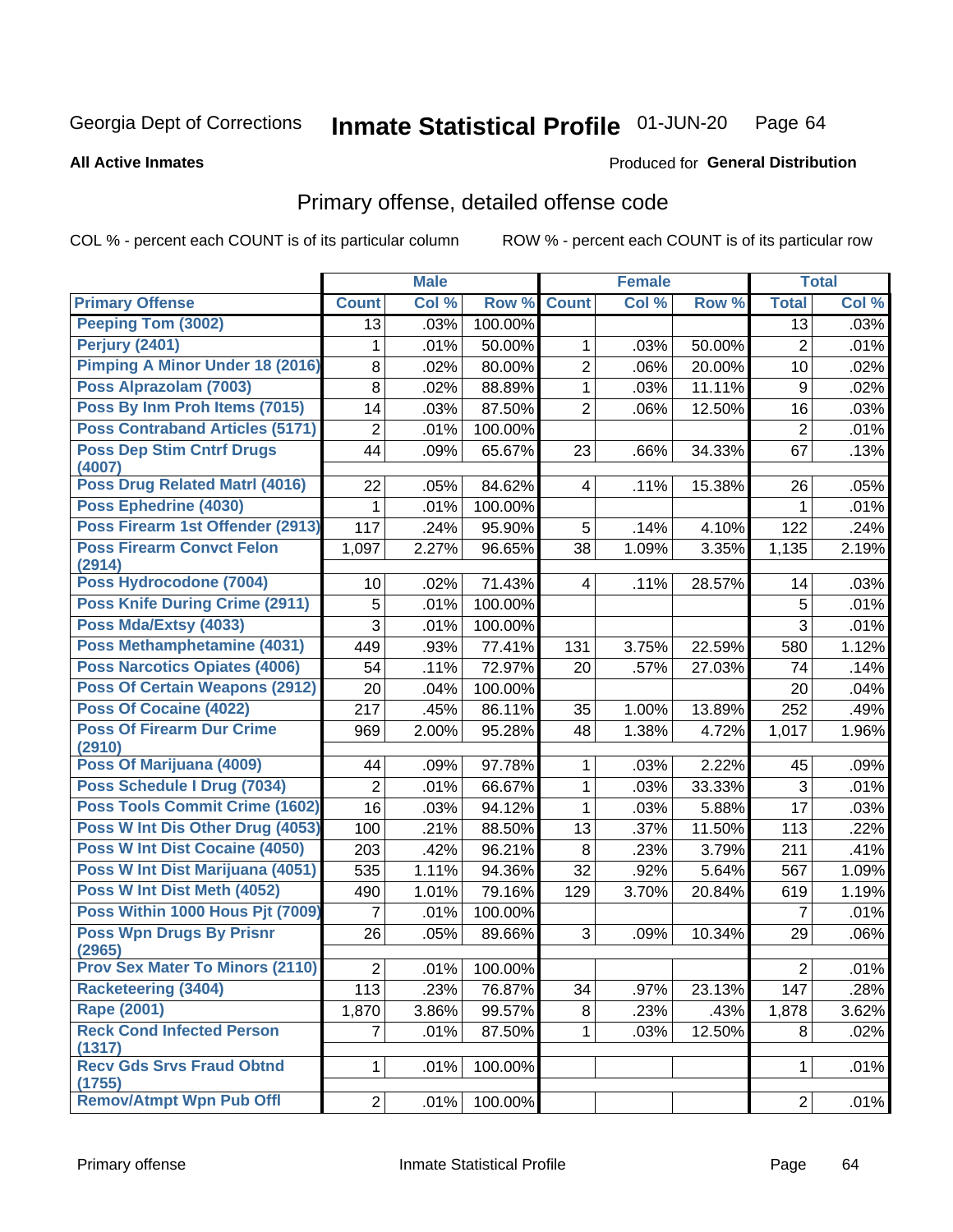#### Inmate Statistical Profile 01-JUN-20 Page 64

### **All Active Inmates**

# Produced for General Distribution

# Primary offense, detailed offense code

COL % - percent each COUNT is of its particular column

|                                            |                | <b>Male</b> |         |                | <b>Female</b> |        |                | <b>Total</b> |
|--------------------------------------------|----------------|-------------|---------|----------------|---------------|--------|----------------|--------------|
| <b>Primary Offense</b>                     | <b>Count</b>   | Col %       | Row %   | <b>Count</b>   | Col %         | Row %  | <b>Total</b>   | Col %        |
| <b>Peeping Tom (3002)</b>                  | 13             | .03%        | 100.00% |                |               |        | 13             | .03%         |
| <b>Perjury (2401)</b>                      | 1              | .01%        | 50.00%  | 1              | .03%          | 50.00% | $\overline{2}$ | .01%         |
| <b>Pimping A Minor Under 18 (2016)</b>     | 8              | .02%        | 80.00%  | $\overline{2}$ | .06%          | 20.00% | 10             | .02%         |
| Poss Alprazolam (7003)                     | 8              | .02%        | 88.89%  | 1              | .03%          | 11.11% | 9              | .02%         |
| Poss By Inm Proh Items (7015)              | 14             | .03%        | 87.50%  | $\overline{2}$ | .06%          | 12.50% | 16             | .03%         |
| <b>Poss Contraband Articles (5171)</b>     | $\overline{2}$ | .01%        | 100.00% |                |               |        | $\overline{2}$ | .01%         |
| <b>Poss Dep Stim Cntrf Drugs</b><br>(4007) | 44             | .09%        | 65.67%  | 23             | .66%          | 34.33% | 67             | .13%         |
| Poss Drug Related Matrl (4016)             | 22             | .05%        | 84.62%  | 4              | .11%          | 15.38% | 26             | .05%         |
| Poss Ephedrine (4030)                      | 1              | .01%        | 100.00% |                |               |        | 1              | .01%         |
| Poss Firearm 1st Offender (2913)           | 117            | .24%        | 95.90%  | 5              | .14%          | 4.10%  | 122            | .24%         |
| <b>Poss Firearm Convct Felon</b><br>(2914) | 1,097          | 2.27%       | 96.65%  | 38             | 1.09%         | 3.35%  | 1,135          | 2.19%        |
| Poss Hydrocodone (7004)                    | 10             | .02%        | 71.43%  | 4              | .11%          | 28.57% | 14             | .03%         |
| <b>Poss Knife During Crime (2911)</b>      | 5              | .01%        | 100.00% |                |               |        | 5              | .01%         |
| Poss Mda/Extsy (4033)                      | 3              | .01%        | 100.00% |                |               |        | 3              | .01%         |
| Poss Methamphetamine (4031)                | 449            | .93%        | 77.41%  | 131            | 3.75%         | 22.59% | 580            | 1.12%        |
| <b>Poss Narcotics Opiates (4006)</b>       | 54             | .11%        | 72.97%  | 20             | .57%          | 27.03% | 74             | .14%         |
| <b>Poss Of Certain Weapons (2912)</b>      | 20             | .04%        | 100.00% |                |               |        | 20             | .04%         |
| <b>Poss Of Cocaine (4022)</b>              | 217            | .45%        | 86.11%  | 35             | 1.00%         | 13.89% | 252            | .49%         |
| <b>Poss Of Firearm Dur Crime</b><br>(2910) | 969            | 2.00%       | 95.28%  | 48             | 1.38%         | 4.72%  | 1,017          | 1.96%        |
| Poss Of Marijuana (4009)                   | 44             | .09%        | 97.78%  | $\mathbf 1$    | .03%          | 2.22%  | 45             | .09%         |
| Poss Schedule I Drug (7034)                | 2              | .01%        | 66.67%  | 1              | .03%          | 33.33% | 3              | .01%         |
| <b>Poss Tools Commit Crime (1602)</b>      | 16             | .03%        | 94.12%  | 1              | .03%          | 5.88%  | 17             | .03%         |
| Poss W Int Dis Other Drug (4053)           | 100            | .21%        | 88.50%  | 13             | .37%          | 11.50% | 113            | .22%         |
| <b>Poss W Int Dist Cocaine (4050)</b>      | 203            | .42%        | 96.21%  | 8              | .23%          | 3.79%  | 211            | .41%         |
| Poss W Int Dist Marijuana (4051)           | 535            | 1.11%       | 94.36%  | 32             | .92%          | 5.64%  | 567            | 1.09%        |
| Poss W Int Dist Meth (4052)                | 490            | 1.01%       | 79.16%  | 129            | 3.70%         | 20.84% | 619            | 1.19%        |
| Poss Within 1000 Hous Pjt (7009)           | 7              | .01%        | 100.00% |                |               |        | 7              | .01%         |
| <b>Poss Wpn Drugs By Prisnr</b><br>(2965)  | 26             | .05%        | 89.66%  | 3              | .09%          | 10.34% | 29             | .06%         |
| <b>Prov Sex Mater To Minors (2110)</b>     | $\overline{c}$ | .01%        | 100.00% |                |               |        | $\sqrt{2}$     | .01%         |
| <b>Racketeering (3404)</b>                 | 113            | .23%        | 76.87%  | 34             | .97%          | 23.13% | 147            | .28%         |
| <b>Rape (2001)</b>                         | 1,870          | 3.86%       | 99.57%  | 8              | .23%          | .43%   | 1,878          | 3.62%        |
| <b>Reck Cond Infected Person</b><br>(1317) | $\overline{7}$ | .01%        | 87.50%  | $\mathbf 1$    | .03%          | 12.50% | 8              | .02%         |
| <b>Recv Gds Srvs Fraud Obtnd</b><br>(1755) | 1              | .01%        | 100.00% |                |               |        | 1              | .01%         |
| <b>Remov/Atmpt Wpn Pub Offl</b>            | $\overline{2}$ | .01%        | 100.00% |                |               |        | $\overline{2}$ | .01%         |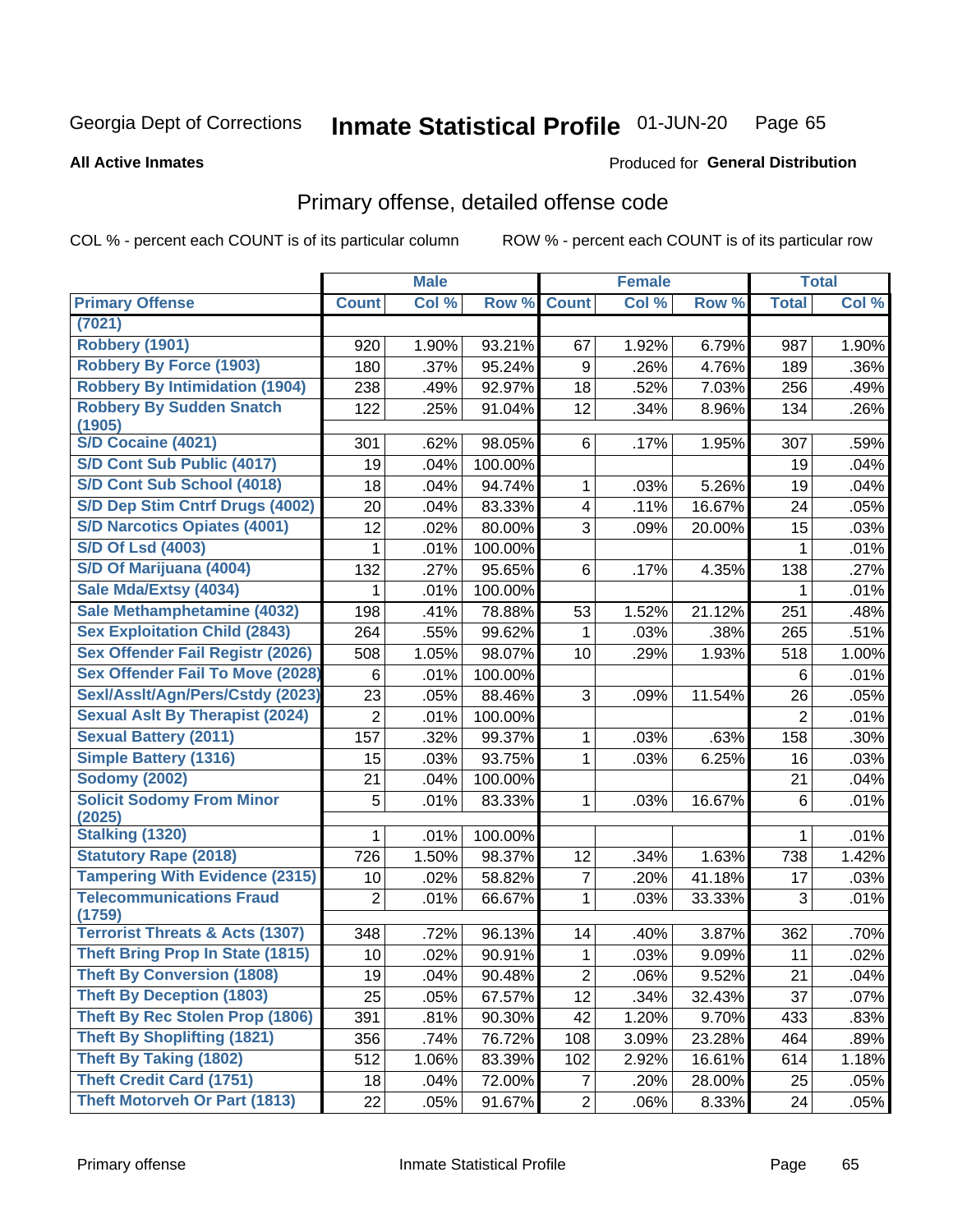#### Inmate Statistical Profile 01-JUN-20 Page 65

**All Active Inmates** 

### **Produced for General Distribution**

# Primary offense, detailed offense code

COL % - percent each COUNT is of its particular column

|                                            |                | <b>Male</b> |         |                  | <b>Female</b> |        |                | <b>Total</b> |
|--------------------------------------------|----------------|-------------|---------|------------------|---------------|--------|----------------|--------------|
| <b>Primary Offense</b>                     | <b>Count</b>   | Col %       | Row %   | <b>Count</b>     | Col %         | Row %  | <b>Total</b>   | Col %        |
| (7021)                                     |                |             |         |                  |               |        |                |              |
| Robbery (1901)                             | 920            | 1.90%       | 93.21%  | 67               | 1.92%         | 6.79%  | 987            | 1.90%        |
| <b>Robbery By Force (1903)</b>             | 180            | .37%        | 95.24%  | $\boldsymbol{9}$ | .26%          | 4.76%  | 189            | .36%         |
| <b>Robbery By Intimidation (1904)</b>      | 238            | .49%        | 92.97%  | 18               | .52%          | 7.03%  | 256            | .49%         |
| <b>Robbery By Sudden Snatch</b>            | 122            | .25%        | 91.04%  | 12               | .34%          | 8.96%  | 134            | .26%         |
| (1905)                                     |                |             |         |                  |               |        |                |              |
| <b>S/D Cocaine (4021)</b>                  | 301            | .62%        | 98.05%  | 6                | .17%          | 1.95%  | 307            | .59%         |
| S/D Cont Sub Public (4017)                 | 19             | .04%        | 100.00% |                  |               |        | 19             | .04%         |
| S/D Cont Sub School (4018)                 | 18             | .04%        | 94.74%  | 1                | .03%          | 5.26%  | 19             | .04%         |
| S/D Dep Stim Cntrf Drugs (4002)            | 20             | .04%        | 83.33%  | 4                | .11%          | 16.67% | 24             | .05%         |
| <b>S/D Narcotics Opiates (4001)</b>        | 12             | .02%        | 80.00%  | 3                | .09%          | 20.00% | 15             | .03%         |
| <b>S/D Of Lsd (4003)</b>                   | 1              | .01%        | 100.00% |                  |               |        | 1              | .01%         |
| S/D Of Marijuana (4004)                    | 132            | .27%        | 95.65%  | 6                | .17%          | 4.35%  | 138            | .27%         |
| Sale Mda/Extsy (4034)                      | 1              | .01%        | 100.00% |                  |               |        | 1              | .01%         |
| Sale Methamphetamine (4032)                | 198            | .41%        | 78.88%  | 53               | 1.52%         | 21.12% | 251            | .48%         |
| <b>Sex Exploitation Child (2843)</b>       | 264            | .55%        | 99.62%  | 1                | .03%          | .38%   | 265            | .51%         |
| <b>Sex Offender Fail Registr (2026)</b>    | 508            | 1.05%       | 98.07%  | 10               | .29%          | 1.93%  | 518            | 1.00%        |
| <b>Sex Offender Fail To Move (2028)</b>    | 6              | .01%        | 100.00% |                  |               |        | 6              | .01%         |
| Sexl/Assit/Agn/Pers/Cstdy (2023)           | 23             | .05%        | 88.46%  | 3                | .09%          | 11.54% | 26             | .05%         |
| <b>Sexual Aslt By Therapist (2024)</b>     | $\overline{2}$ | .01%        | 100.00% |                  |               |        | $\overline{2}$ | .01%         |
| <b>Sexual Battery (2011)</b>               | 157            | .32%        | 99.37%  | 1                | .03%          | .63%   | 158            | .30%         |
| <b>Simple Battery (1316)</b>               | 15             | .03%        | 93.75%  | 1                | .03%          | 6.25%  | 16             | .03%         |
| <b>Sodomy (2002)</b>                       | 21             | .04%        | 100.00% |                  |               |        | 21             | .04%         |
| <b>Solicit Sodomy From Minor</b>           | 5              | .01%        | 83.33%  | 1                | .03%          | 16.67% | 6              | .01%         |
| (2025)                                     |                |             |         |                  |               |        |                |              |
| <b>Stalking (1320)</b>                     | 1              | .01%        | 100.00% |                  |               |        | 1              | .01%         |
| <b>Statutory Rape (2018)</b>               | 726            | 1.50%       | 98.37%  | 12               | .34%          | 1.63%  | 738            | 1.42%        |
| <b>Tampering With Evidence (2315)</b>      | 10             | .02%        | 58.82%  | $\overline{7}$   | .20%          | 41.18% | 17             | .03%         |
| <b>Telecommunications Fraud</b><br>(1759)  | $\overline{2}$ | .01%        | 66.67%  | 1                | .03%          | 33.33% | 3              | .01%         |
| <b>Terrorist Threats &amp; Acts (1307)</b> | 348            | .72%        | 96.13%  | 14               | .40%          | 3.87%  | 362            | .70%         |
| <b>Theft Bring Prop In State (1815)</b>    | 10             | .02%        | 90.91%  | 1                | .03%          | 9.09%  | 11             | .02%         |
| <b>Theft By Conversion (1808)</b>          | 19             | .04%        | 90.48%  | $\overline{2}$   | .06%          | 9.52%  | 21             | .04%         |
| <b>Theft By Deception (1803)</b>           | 25             | .05%        | 67.57%  | 12               | .34%          | 32.43% | 37             | .07%         |
| Theft By Rec Stolen Prop (1806)            | 391            | .81%        | 90.30%  | 42               | 1.20%         | 9.70%  | 433            | .83%         |
| <b>Theft By Shoplifting (1821)</b>         | 356            | .74%        | 76.72%  | 108              | 3.09%         | 23.28% | 464            | .89%         |
| Theft By Taking (1802)                     | 512            | 1.06%       | 83.39%  | 102              | 2.92%         | 16.61% | 614            | 1.18%        |
| <b>Theft Credit Card (1751)</b>            | 18             | .04%        | 72.00%  | $\overline{7}$   | .20%          | 28.00% | 25             | .05%         |
| <b>Theft Motorveh Or Part (1813)</b>       |                |             |         | $\overline{2}$   |               |        |                |              |
|                                            | 22             | .05%        | 91.67%  |                  | .06%          | 8.33%  | 24             | .05%         |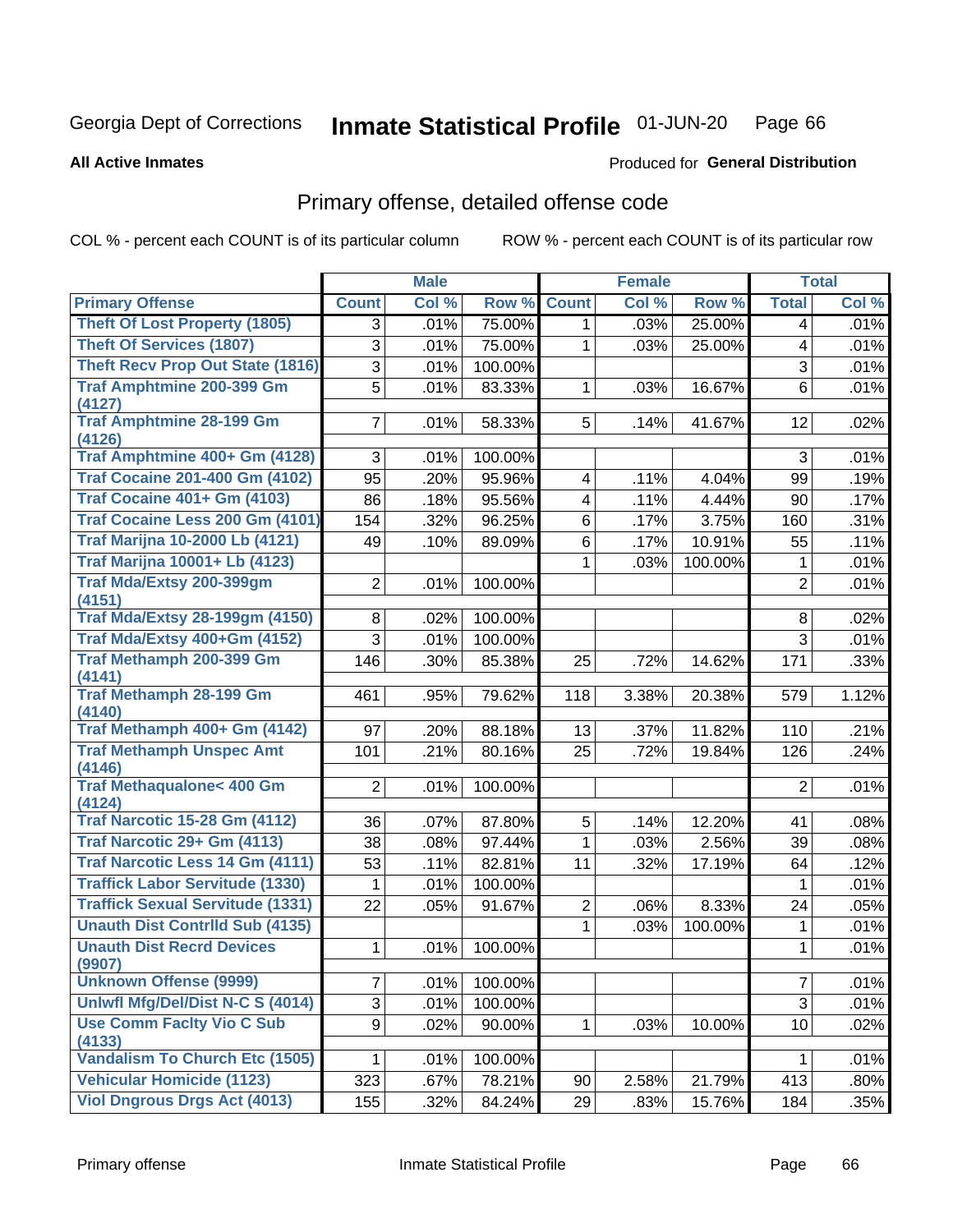#### Inmate Statistical Profile 01-JUN-20 Page 66

**Produced for General Distribution** 

### **All Active Inmates**

# Primary offense, detailed offense code

COL % - percent each COUNT is of its particular column

|                                               |                | <b>Male</b> |         |                         | <b>Female</b> |         |                | <b>Total</b> |
|-----------------------------------------------|----------------|-------------|---------|-------------------------|---------------|---------|----------------|--------------|
| <b>Primary Offense</b>                        | <b>Count</b>   | Col %       | Row %   | <b>Count</b>            | Col %         | Row %   | <b>Total</b>   | Col %        |
| <b>Theft Of Lost Property (1805)</b>          | 3              | .01%        | 75.00%  | 1                       | .03%          | 25.00%  | 4              | .01%         |
| <b>Theft Of Services (1807)</b>               | 3              | .01%        | 75.00%  | $\mathbf 1$             | .03%          | 25.00%  | 4              | .01%         |
| <b>Theft Recv Prop Out State (1816)</b>       | 3              | .01%        | 100.00% |                         |               |         | $\mathfrak{S}$ | .01%         |
| <b>Traf Amphtmine 200-399 Gm</b>              | $\overline{5}$ | .01%        | 83.33%  | $\mathbf{1}$            | .03%          | 16.67%  | 6              | .01%         |
| (4127)                                        |                |             |         |                         |               |         |                |              |
| <b>Traf Amphtmine 28-199 Gm</b><br>(4126)     | $\overline{7}$ | .01%        | 58.33%  | 5 <sup>1</sup>          | .14%          | 41.67%  | 12             | .02%         |
| Traf Amphtmine 400+ Gm (4128)                 | 3              | .01%        | 100.00% |                         |               |         | 3              | .01%         |
| <b>Traf Cocaine 201-400 Gm (4102)</b>         | 95             | .20%        | 95.96%  | 4                       | .11%          | 4.04%   | 99             | .19%         |
| <b>Traf Cocaine 401+ Gm (4103)</b>            | 86             | .18%        | 95.56%  | $\overline{\mathbf{4}}$ | .11%          | 4.44%   | 90             | .17%         |
| Traf Cocaine Less 200 Gm (4101)               | 154            | .32%        | 96.25%  | 6                       | .17%          | 3.75%   | 160            | .31%         |
| <b>Traf Marijna 10-2000 Lb (4121)</b>         | 49             | .10%        | 89.09%  | 6                       | .17%          | 10.91%  | 55             | .11%         |
| <b>Traf Marijna 10001+ Lb (4123)</b>          |                |             |         | 1                       | .03%          | 100.00% | $\mathbf 1$    | .01%         |
| <b>Traf Mda/Extsy 200-399gm</b>               | $\overline{2}$ | .01%        | 100.00% |                         |               |         | $\overline{2}$ | .01%         |
| (4151)                                        |                |             |         |                         |               |         |                |              |
| <b>Traf Mda/Extsy 28-199gm (4150)</b>         | 8              | .02%        | 100.00% |                         |               |         | 8              | .02%         |
| Traf Mda/Extsy 400+Gm (4152)                  | 3              | .01%        | 100.00% |                         |               |         | 3              | .01%         |
| <b>Traf Methamph 200-399 Gm</b><br>(4141)     | 146            | .30%        | 85.38%  | 25                      | .72%          | 14.62%  | 171            | .33%         |
| <b>Traf Methamph 28-199 Gm</b>                | 461            | .95%        | 79.62%  | 118                     | 3.38%         | 20.38%  | 579            | 1.12%        |
| (4140)                                        |                |             |         |                         |               |         |                |              |
| Traf Methamph 400+ Gm (4142)                  | 97             | .20%        | 88.18%  | 13                      | .37%          | 11.82%  | 110            | .21%         |
| <b>Traf Methamph Unspec Amt</b><br>(4146)     | 101            | .21%        | 80.16%  | 25                      | .72%          | 19.84%  | 126            | .24%         |
| <b>Traf Methaqualone&lt; 400 Gm</b><br>(4124) | $\overline{2}$ | .01%        | 100.00% |                         |               |         | $\overline{2}$ | .01%         |
| <b>Traf Narcotic 15-28 Gm (4112)</b>          | 36             | .07%        | 87.80%  | 5                       | .14%          | 12.20%  | 41             | .08%         |
| Traf Narcotic 29+ Gm (4113)                   | 38             | .08%        | 97.44%  | $\mathbf 1$             | .03%          | 2.56%   | 39             | .08%         |
| Traf Narcotic Less 14 Gm (4111)               | 53             | .11%        | 82.81%  | 11                      | .32%          | 17.19%  | 64             | .12%         |
| <b>Traffick Labor Servitude (1330)</b>        | 1              | .01%        | 100.00% |                         |               |         | 1              | .01%         |
| <b>Traffick Sexual Servitude (1331)</b>       | 22             | .05%        | 91.67%  | $\overline{2}$          | .06%          | 8.33%   | 24             | .05%         |
| <b>Unauth Dist Contrild Sub (4135)</b>        |                |             |         | $\mathbf 1$             | .03%          | 100.00% | 1              | .01%         |
| <b>Unauth Dist Recrd Devices</b><br>(9907)    | 1              | .01%        | 100.00% |                         |               |         | 1              | .01%         |
| <b>Unknown Offense (9999)</b>                 | 7              | .01%        | 100.00% |                         |               |         | $\overline{7}$ | .01%         |
| Uniwfl Mfg/Del/Dist N-C S (4014)              | 3              | .01%        | 100.00% |                         |               |         | $\sqrt{3}$     | .01%         |
| <b>Use Comm Facity Vio C Sub</b>              | 9              | .02%        | 90.00%  | $\mathbf{1}$            | .03%          | 10.00%  | 10             | .02%         |
| (4133)                                        |                |             |         |                         |               |         |                |              |
| <b>Vandalism To Church Etc (1505)</b>         | 1              | .01%        | 100.00% |                         |               |         | 1              | .01%         |
| <b>Vehicular Homicide (1123)</b>              | 323            | .67%        | 78.21%  | 90                      | 2.58%         | 21.79%  | 413            | .80%         |
| <b>Viol Dngrous Drgs Act (4013)</b>           | 155            | .32%        | 84.24%  | 29                      | .83%          | 15.76%  | 184            | .35%         |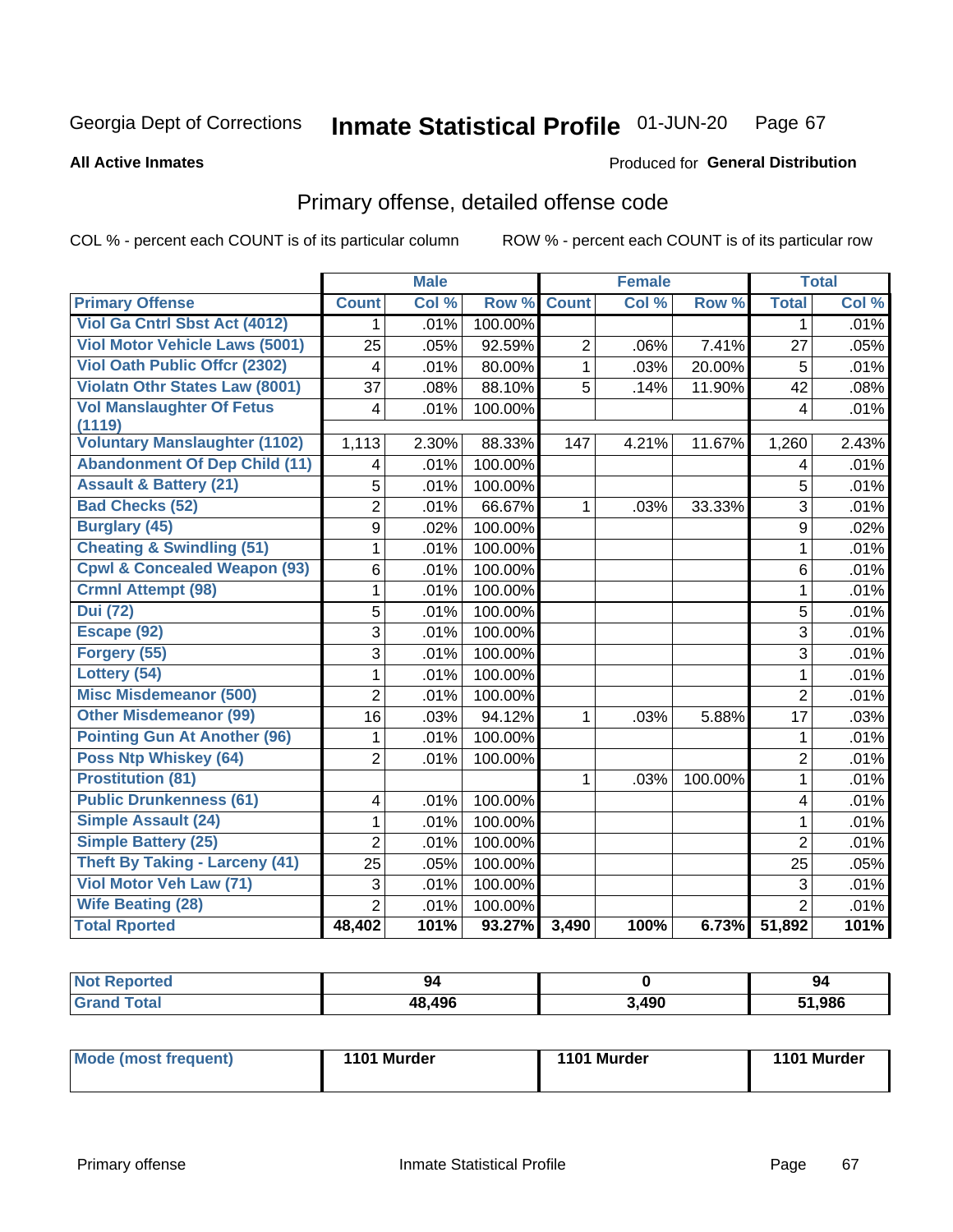#### Inmate Statistical Profile 01-JUN-20 Page 67

Produced for General Distribution

### **All Active Inmates**

# Primary offense, detailed offense code

COL % - percent each COUNT is of its particular column

|                                         |                | <b>Male</b> |         |                | <b>Female</b> |         |                | <b>Total</b> |
|-----------------------------------------|----------------|-------------|---------|----------------|---------------|---------|----------------|--------------|
| <b>Primary Offense</b>                  | <b>Count</b>   | Col %       | Row %   | <b>Count</b>   | Col %         | Row %   | <b>Total</b>   | Col %        |
| Viol Ga Cntrl Sbst Act (4012)           | 1              | .01%        | 100.00% |                |               |         | 1              | .01%         |
| <b>Viol Motor Vehicle Laws (5001)</b>   | 25             | .05%        | 92.59%  | $\overline{2}$ | .06%          | 7.41%   | 27             | .05%         |
| <b>Viol Oath Public Offer (2302)</b>    | $\overline{4}$ | .01%        | 80.00%  | $\mathbf{1}$   | .03%          | 20.00%  | 5              | .01%         |
| <b>Violatn Othr States Law (8001)</b>   | 37             | .08%        | 88.10%  | 5              | .14%          | 11.90%  | 42             | .08%         |
| <b>Vol Manslaughter Of Fetus</b>        | 4              | .01%        | 100.00% |                |               |         | 4              | .01%         |
| (1119)                                  |                |             |         |                |               |         |                |              |
| <b>Voluntary Manslaughter (1102)</b>    | 1,113          | 2.30%       | 88.33%  | 147            | 4.21%         | 11.67%  | 1,260          | 2.43%        |
| <b>Abandonment Of Dep Child (11)</b>    | 4              | .01%        | 100.00% |                |               |         | 4              | .01%         |
| <b>Assault &amp; Battery (21)</b>       | 5              | .01%        | 100.00% |                |               |         | 5              | .01%         |
| <b>Bad Checks (52)</b>                  | $\overline{2}$ | .01%        | 66.67%  | 1              | .03%          | 33.33%  | 3              | .01%         |
| <b>Burglary (45)</b>                    | 9              | .02%        | 100.00% |                |               |         | 9              | .02%         |
| <b>Cheating &amp; Swindling (51)</b>    | 1              | .01%        | 100.00% |                |               |         | $\mathbf{1}$   | .01%         |
| <b>Cpwl &amp; Concealed Weapon (93)</b> | 6              | .01%        | 100.00% |                |               |         | 6              | .01%         |
| <b>Crmnl Attempt (98)</b>               | 1              | .01%        | 100.00% |                |               |         | $\mathbf{1}$   | .01%         |
| <b>Dui (72)</b>                         | 5              | .01%        | 100.00% |                |               |         | 5              | .01%         |
| Escape (92)                             | 3              | .01%        | 100.00% |                |               |         | 3              | .01%         |
| Forgery (55)                            | 3              | .01%        | 100.00% |                |               |         | 3              | .01%         |
| Lottery (54)                            | 1              | .01%        | 100.00% |                |               |         | $\mathbf{1}$   | .01%         |
| <b>Misc Misdemeanor (500)</b>           | $\overline{2}$ | .01%        | 100.00% |                |               |         | $\overline{2}$ | .01%         |
| <b>Other Misdemeanor (99)</b>           | 16             | .03%        | 94.12%  | 1              | .03%          | 5.88%   | 17             | .03%         |
| <b>Pointing Gun At Another (96)</b>     | 1              | .01%        | 100.00% |                |               |         | 1              | .01%         |
| <b>Poss Ntp Whiskey (64)</b>            | $\overline{2}$ | .01%        | 100.00% |                |               |         | $\overline{2}$ | .01%         |
| <b>Prostitution (81)</b>                |                |             |         | 1              | .03%          | 100.00% | $\mathbf{1}$   | .01%         |
| <b>Public Drunkenness (61)</b>          | 4              | .01%        | 100.00% |                |               |         | 4              | .01%         |
| <b>Simple Assault (24)</b>              | 1              | .01%        | 100.00% |                |               |         | $\mathbf{1}$   | .01%         |
| <b>Simple Battery (25)</b>              | $\overline{2}$ | .01%        | 100.00% |                |               |         | $\overline{2}$ | .01%         |
| <b>Theft By Taking - Larceny (41)</b>   | 25             | .05%        | 100.00% |                |               |         | 25             | .05%         |
| Viol Motor Veh Law (71)                 | 3              | .01%        | 100.00% |                |               |         | 3              | .01%         |
| <b>Wife Beating (28)</b>                | $\overline{2}$ | .01%        | 100.00% |                |               |         | $\overline{2}$ | .01%         |
| <b>Total Rported</b>                    | 48,402         | 101%        | 93.27%  | 3,490          | 100%          | 6.73%   | 51,892         | 101%         |

| <b>Not Reported</b> | 94     |       | 94    |
|---------------------|--------|-------|-------|
| Total               | 48,496 | 3,490 | 1,986 |

| Mode (most frequent) | 1101 Murder | 1101 Murder | 1101 Murder |
|----------------------|-------------|-------------|-------------|
|                      |             |             |             |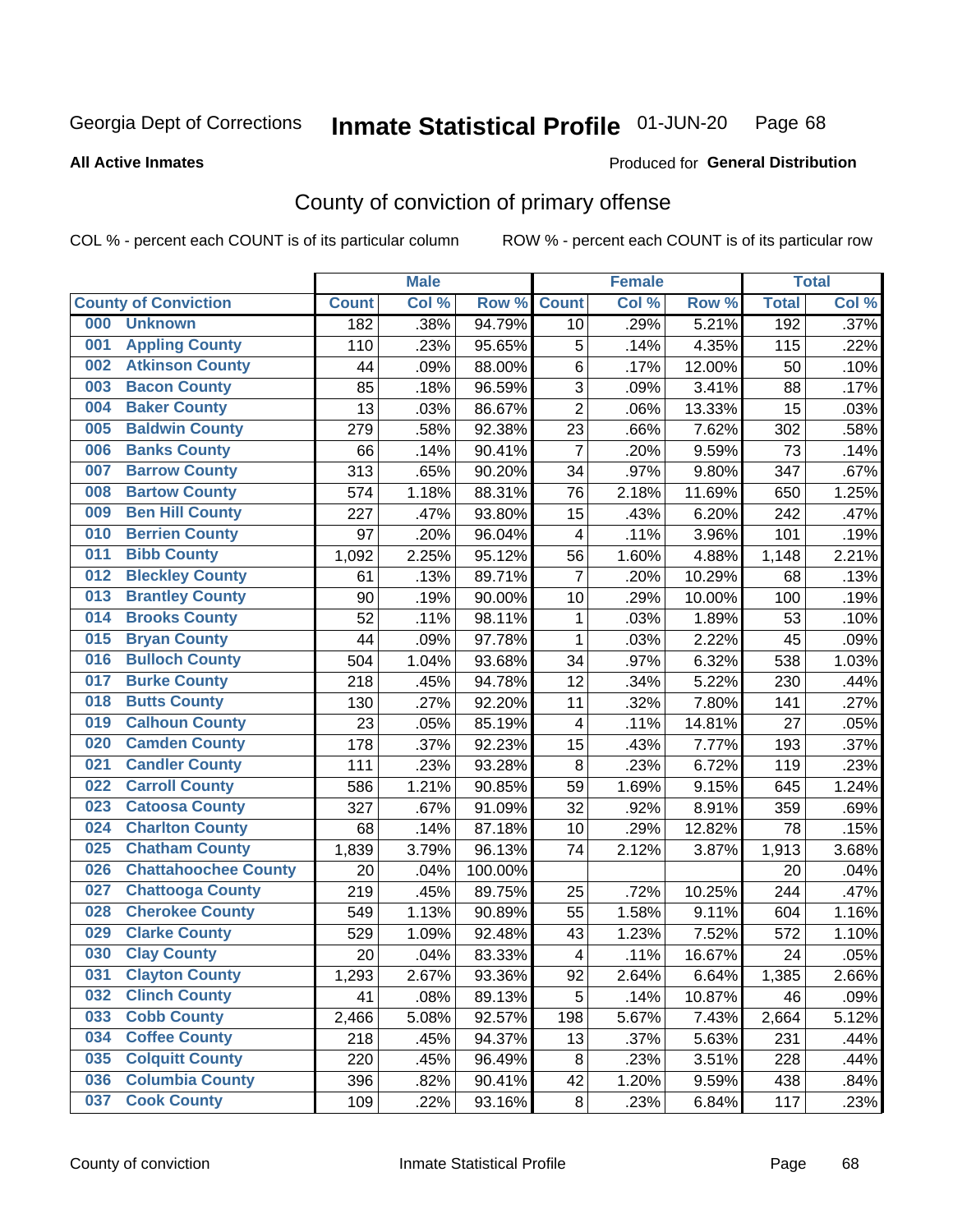#### Inmate Statistical Profile 01-JUN-20 Page 68

**Produced for General Distribution** 

#### **All Active Inmates**

# County of conviction of primary offense

COL % - percent each COUNT is of its particular column

|     |                             |              | <b>Male</b> |                  |                          | <b>Female</b> |        |              | <b>Total</b> |
|-----|-----------------------------|--------------|-------------|------------------|--------------------------|---------------|--------|--------------|--------------|
|     | <b>County of Conviction</b> | <b>Count</b> | Col %       | Row <sub>%</sub> | <b>Count</b>             | Col %         | Row %  | <b>Total</b> | Col %        |
| 000 | <b>Unknown</b>              | 182          | .38%        | 94.79%           | 10                       | .29%          | 5.21%  | 192          | .37%         |
| 001 | <b>Appling County</b>       | 110          | .23%        | 95.65%           | $\mathbf 5$              | .14%          | 4.35%  | 115          | .22%         |
| 002 | <b>Atkinson County</b>      | 44           | .09%        | 88.00%           | $\,6$                    | .17%          | 12.00% | 50           | .10%         |
| 003 | <b>Bacon County</b>         | 85           | .18%        | 96.59%           | $\overline{3}$           | .09%          | 3.41%  | 88           | .17%         |
| 004 | <b>Baker County</b>         | 13           | .03%        | 86.67%           | $\overline{2}$           | .06%          | 13.33% | 15           | .03%         |
| 005 | <b>Baldwin County</b>       | 279          | .58%        | 92.38%           | 23                       | .66%          | 7.62%  | 302          | .58%         |
| 006 | <b>Banks County</b>         | 66           | .14%        | 90.41%           | $\overline{7}$           | .20%          | 9.59%  | 73           | .14%         |
| 007 | <b>Barrow County</b>        | 313          | .65%        | 90.20%           | 34                       | .97%          | 9.80%  | 347          | .67%         |
| 008 | <b>Bartow County</b>        | 574          | 1.18%       | 88.31%           | 76                       | 2.18%         | 11.69% | 650          | 1.25%        |
| 009 | <b>Ben Hill County</b>      | 227          | .47%        | 93.80%           | 15                       | .43%          | 6.20%  | 242          | .47%         |
| 010 | <b>Berrien County</b>       | 97           | .20%        | 96.04%           | 4                        | .11%          | 3.96%  | 101          | .19%         |
| 011 | <b>Bibb County</b>          | 1,092        | 2.25%       | 95.12%           | 56                       | 1.60%         | 4.88%  | 1,148        | 2.21%        |
| 012 | <b>Bleckley County</b>      | 61           | .13%        | 89.71%           | $\overline{7}$           | .20%          | 10.29% | 68           | .13%         |
| 013 | <b>Brantley County</b>      | 90           | .19%        | 90.00%           | 10                       | .29%          | 10.00% | 100          | .19%         |
| 014 | <b>Brooks County</b>        | 52           | .11%        | 98.11%           | 1                        | .03%          | 1.89%  | 53           | .10%         |
| 015 | <b>Bryan County</b>         | 44           | .09%        | 97.78%           | 1                        | .03%          | 2.22%  | 45           | .09%         |
| 016 | <b>Bulloch County</b>       | 504          | 1.04%       | 93.68%           | 34                       | .97%          | 6.32%  | 538          | 1.03%        |
| 017 | <b>Burke County</b>         | 218          | .45%        | 94.78%           | 12                       | .34%          | 5.22%  | 230          | .44%         |
| 018 | <b>Butts County</b>         | 130          | .27%        | 92.20%           | 11                       | .32%          | 7.80%  | 141          | .27%         |
| 019 | <b>Calhoun County</b>       | 23           | .05%        | 85.19%           | $\overline{\mathcal{A}}$ | .11%          | 14.81% | 27           | .05%         |
| 020 | <b>Camden County</b>        | 178          | .37%        | 92.23%           | 15                       | .43%          | 7.77%  | 193          | .37%         |
| 021 | <b>Candler County</b>       | 111          | .23%        | 93.28%           | $\,8\,$                  | .23%          | 6.72%  | 119          | .23%         |
| 022 | <b>Carroll County</b>       | 586          | 1.21%       | 90.85%           | 59                       | 1.69%         | 9.15%  | 645          | 1.24%        |
| 023 | <b>Catoosa County</b>       | 327          | .67%        | 91.09%           | 32                       | .92%          | 8.91%  | 359          | .69%         |
| 024 | <b>Charlton County</b>      | 68           | .14%        | 87.18%           | 10                       | .29%          | 12.82% | 78           | .15%         |
| 025 | <b>Chatham County</b>       | 1,839        | 3.79%       | 96.13%           | 74                       | 2.12%         | 3.87%  | 1,913        | 3.68%        |
| 026 | <b>Chattahoochee County</b> | 20           | .04%        | 100.00%          |                          |               |        | 20           | .04%         |
| 027 | <b>Chattooga County</b>     | 219          | .45%        | 89.75%           | 25                       | .72%          | 10.25% | 244          | .47%         |
| 028 | <b>Cherokee County</b>      | 549          | 1.13%       | 90.89%           | 55                       | 1.58%         | 9.11%  | 604          | 1.16%        |
| 029 | <b>Clarke County</b>        | 529          | 1.09%       | 92.48%           | 43                       | 1.23%         | 7.52%  | 572          | 1.10%        |
| 030 | <b>Clay County</b>          | 20           | .04%        | 83.33%           | 4                        | .11%          | 16.67% | 24           | .05%         |
| 031 | <b>Clayton County</b>       | 1,293        | 2.67%       | 93.36%           | 92                       | 2.64%         | 6.64%  | 1,385        | 2.66%        |
| 032 | <b>Clinch County</b>        | 41           | .08%        | 89.13%           | 5                        | .14%          | 10.87% | 46           | .09%         |
| 033 | <b>Cobb County</b>          | 2,466        | 5.08%       | 92.57%           | 198                      | 5.67%         | 7.43%  | 2,664        | 5.12%        |
| 034 | <b>Coffee County</b>        | 218          | .45%        | 94.37%           | 13                       | .37%          | 5.63%  | 231          | .44%         |
| 035 | <b>Colquitt County</b>      | 220          | .45%        | 96.49%           | 8                        | .23%          | 3.51%  | 228          | .44%         |
| 036 | <b>Columbia County</b>      | 396          | .82%        | 90.41%           | 42                       | 1.20%         | 9.59%  | 438          | .84%         |
| 037 | <b>Cook County</b>          | 109          | .22%        | 93.16%           | 8                        | .23%          | 6.84%  | 117          | .23%         |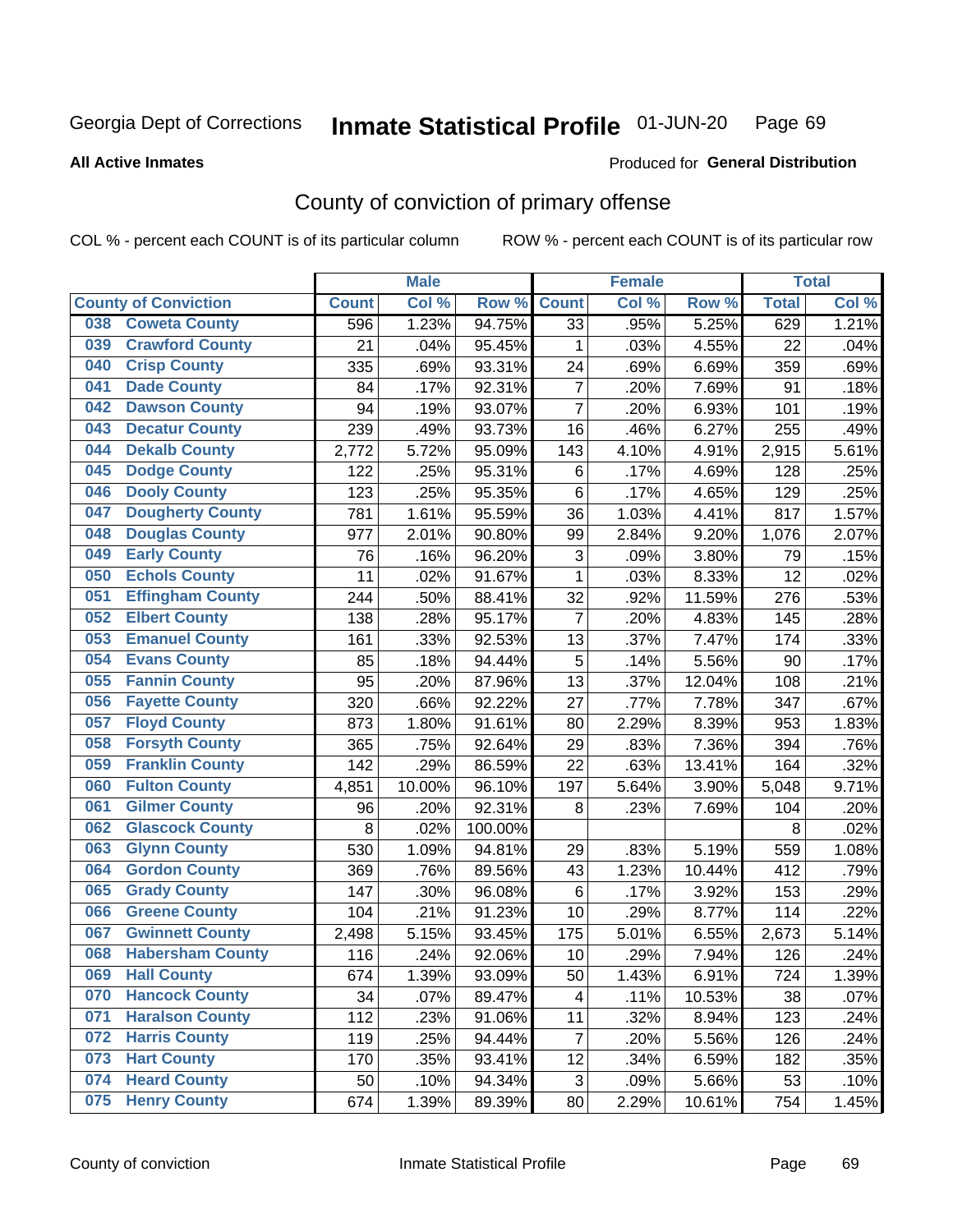#### Inmate Statistical Profile 01-JUN-20 Page 69

Produced for General Distribution

### **All Active Inmates**

# County of conviction of primary offense

COL % - percent each COUNT is of its particular column

|                                |              | <b>Male</b> |         |                | <b>Female</b> |        |              | <b>Total</b> |
|--------------------------------|--------------|-------------|---------|----------------|---------------|--------|--------------|--------------|
| <b>County of Conviction</b>    | <b>Count</b> | Col %       | Row %   | <b>Count</b>   | Col %         | Row %  | <b>Total</b> | Col %        |
| <b>Coweta County</b><br>038    | 596          | 1.23%       | 94.75%  | 33             | .95%          | 5.25%  | 629          | 1.21%        |
| <b>Crawford County</b><br>039  | 21           | .04%        | 95.45%  | 1              | .03%          | 4.55%  | 22           | .04%         |
| <b>Crisp County</b><br>040     | 335          | .69%        | 93.31%  | 24             | .69%          | 6.69%  | 359          | .69%         |
| <b>Dade County</b><br>041      | 84           | .17%        | 92.31%  | $\overline{7}$ | .20%          | 7.69%  | 91           | .18%         |
| <b>Dawson County</b><br>042    | 94           | .19%        | 93.07%  | $\overline{7}$ | .20%          | 6.93%  | 101          | .19%         |
| 043<br><b>Decatur County</b>   | 239          | .49%        | 93.73%  | 16             | .46%          | 6.27%  | 255          | .49%         |
| <b>Dekalb County</b><br>044    | 2,772        | 5.72%       | 95.09%  | 143            | 4.10%         | 4.91%  | 2,915        | 5.61%        |
| <b>Dodge County</b><br>045     | 122          | .25%        | 95.31%  | 6              | .17%          | 4.69%  | 128          | .25%         |
| <b>Dooly County</b><br>046     | 123          | .25%        | 95.35%  | 6              | .17%          | 4.65%  | 129          | .25%         |
| 047<br><b>Dougherty County</b> | 781          | 1.61%       | 95.59%  | 36             | 1.03%         | 4.41%  | 817          | 1.57%        |
| <b>Douglas County</b><br>048   | 977          | 2.01%       | 90.80%  | 99             | 2.84%         | 9.20%  | 1,076        | 2.07%        |
| <b>Early County</b><br>049     | 76           | .16%        | 96.20%  | 3              | .09%          | 3.80%  | 79           | .15%         |
| <b>Echols County</b><br>050    | 11           | .02%        | 91.67%  | $\mathbf{1}$   | .03%          | 8.33%  | 12           | .02%         |
| 051<br><b>Effingham County</b> | 244          | .50%        | 88.41%  | 32             | .92%          | 11.59% | 276          | .53%         |
| <b>Elbert County</b><br>052    | 138          | .28%        | 95.17%  | $\overline{7}$ | .20%          | 4.83%  | 145          | .28%         |
| <b>Emanuel County</b><br>053   | 161          | .33%        | 92.53%  | 13             | .37%          | 7.47%  | 174          | .33%         |
| <b>Evans County</b><br>054     | 85           | .18%        | 94.44%  | 5              | .14%          | 5.56%  | 90           | .17%         |
| <b>Fannin County</b><br>055    | 95           | .20%        | 87.96%  | 13             | .37%          | 12.04% | 108          | .21%         |
| <b>Fayette County</b><br>056   | 320          | .66%        | 92.22%  | 27             | .77%          | 7.78%  | 347          | .67%         |
| <b>Floyd County</b><br>057     | 873          | 1.80%       | 91.61%  | 80             | 2.29%         | 8.39%  | 953          | 1.83%        |
| <b>Forsyth County</b><br>058   | 365          | .75%        | 92.64%  | 29             | .83%          | 7.36%  | 394          | .76%         |
| <b>Franklin County</b><br>059  | 142          | .29%        | 86.59%  | 22             | .63%          | 13.41% | 164          | .32%         |
| <b>Fulton County</b><br>060    | 4,851        | 10.00%      | 96.10%  | 197            | 5.64%         | 3.90%  | 5,048        | 9.71%        |
| <b>Gilmer County</b><br>061    | 96           | .20%        | 92.31%  | 8              | .23%          | 7.69%  | 104          | .20%         |
| <b>Glascock County</b><br>062  | 8            | .02%        | 100.00% |                |               |        | 8            | .02%         |
| 063<br><b>Glynn County</b>     | 530          | 1.09%       | 94.81%  | 29             | .83%          | 5.19%  | 559          | 1.08%        |
| <b>Gordon County</b><br>064    | 369          | .76%        | 89.56%  | 43             | 1.23%         | 10.44% | 412          | .79%         |
| <b>Grady County</b><br>065     | 147          | .30%        | 96.08%  | 6              | .17%          | 3.92%  | 153          | .29%         |
| <b>Greene County</b><br>066    | 104          | .21%        | 91.23%  | 10             | .29%          | 8.77%  | 114          | .22%         |
| <b>Gwinnett County</b><br>067  | 2,498        | 5.15%       | 93.45%  | 175            | 5.01%         | 6.55%  | 2,673        | 5.14%        |
| <b>Habersham County</b><br>068 | 116          | .24%        | 92.06%  | 10             | .29%          | 7.94%  | 126          | .24%         |
| 069<br><b>Hall County</b>      | 674          | 1.39%       | 93.09%  | 50             | 1.43%         | 6.91%  | 724          | 1.39%        |
| <b>Hancock County</b><br>070   | 34           | .07%        | 89.47%  | 4              | .11%          | 10.53% | 38           | .07%         |
| <b>Haralson County</b><br>071  | 112          | .23%        | 91.06%  | 11             | .32%          | 8.94%  | 123          | .24%         |
| 072<br><b>Harris County</b>    | 119          | .25%        | 94.44%  | $\overline{7}$ | .20%          | 5.56%  | 126          | .24%         |
| <b>Hart County</b><br>073      | 170          | .35%        | 93.41%  | 12             | .34%          | 6.59%  | 182          | .35%         |
| <b>Heard County</b><br>074     | 50           | .10%        | 94.34%  | 3              | .09%          | 5.66%  | 53           | .10%         |
| <b>Henry County</b><br>075     | 674          | 1.39%       | 89.39%  | 80             | 2.29%         | 10.61% | 754          | 1.45%        |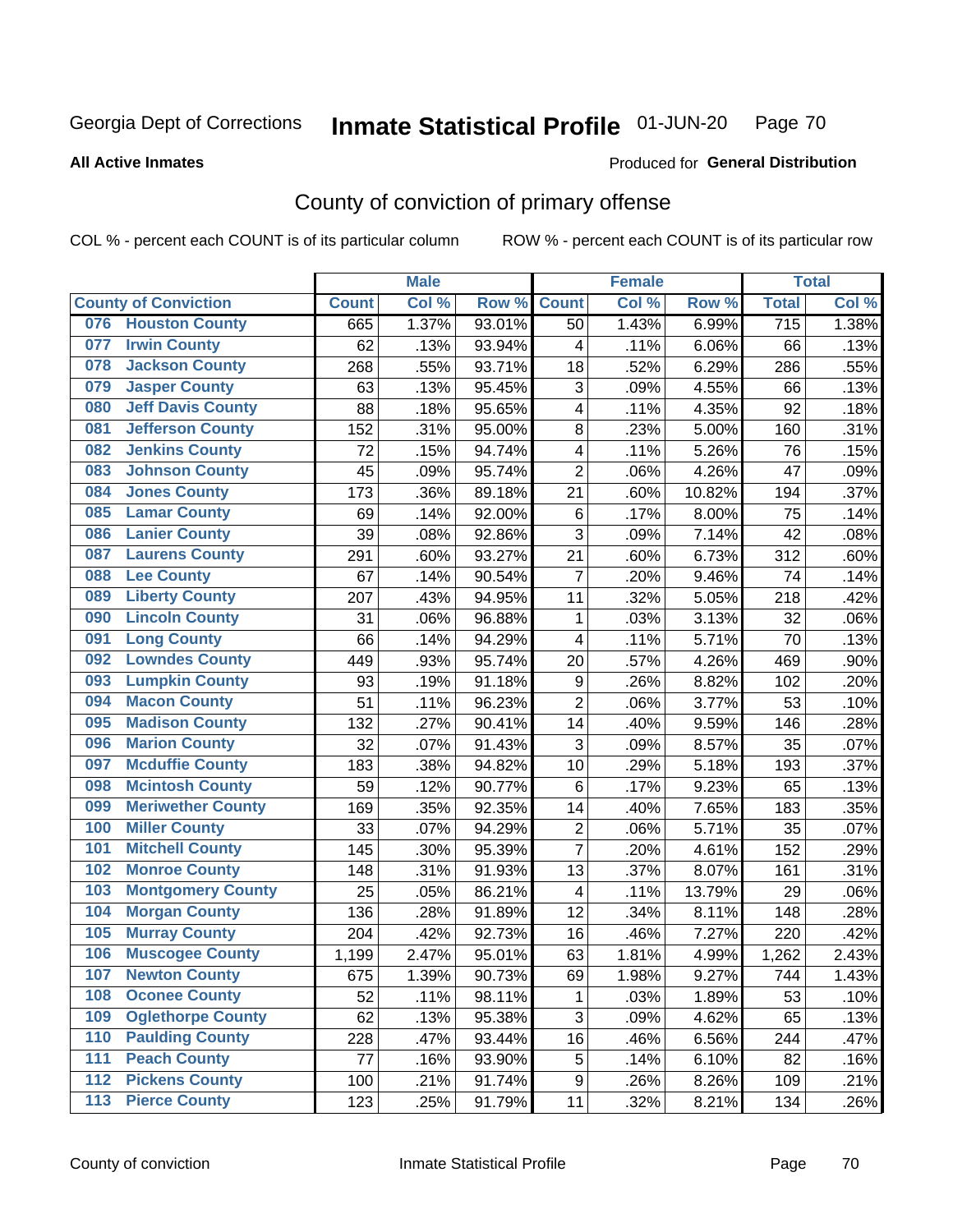#### Inmate Statistical Profile 01-JUN-20 Page 70

### **All Active Inmates**

# Produced for General Distribution

# County of conviction of primary offense

COL % - percent each COUNT is of its particular column

|                                 |              | <b>Male</b> |        |                | <b>Female</b> |        |                  | <b>Total</b> |
|---------------------------------|--------------|-------------|--------|----------------|---------------|--------|------------------|--------------|
| <b>County of Conviction</b>     | <b>Count</b> | Col %       | Row %  | <b>Count</b>   | Col %         | Row %  | <b>Total</b>     | Col %        |
| 076 Houston County              | 665          | 1.37%       | 93.01% | 50             | 1.43%         | 6.99%  | $\overline{715}$ | 1.38%        |
| <b>Irwin County</b><br>077      | 62           | .13%        | 93.94% | 4              | .11%          | 6.06%  | 66               | .13%         |
| <b>Jackson County</b><br>078    | 268          | .55%        | 93.71% | 18             | .52%          | 6.29%  | 286              | .55%         |
| <b>Jasper County</b><br>079     | 63           | .13%        | 95.45% | 3              | .09%          | 4.55%  | 66               | .13%         |
| <b>Jeff Davis County</b><br>080 | 88           | .18%        | 95.65% | 4              | .11%          | 4.35%  | 92               | .18%         |
| <b>Jefferson County</b><br>081  | 152          | .31%        | 95.00% | 8              | .23%          | 5.00%  | 160              | .31%         |
| <b>Jenkins County</b><br>082    | 72           | .15%        | 94.74% | 4              | .11%          | 5.26%  | 76               | .15%         |
| <b>Johnson County</b><br>083    | 45           | .09%        | 95.74% | $\overline{2}$ | .06%          | 4.26%  | 47               | .09%         |
| <b>Jones County</b><br>084      | 173          | .36%        | 89.18% | 21             | .60%          | 10.82% | 194              | .37%         |
| <b>Lamar County</b><br>085      | 69           | .14%        | 92.00% | 6              | .17%          | 8.00%  | 75               | .14%         |
| <b>Lanier County</b><br>086     | 39           | .08%        | 92.86% | 3              | .09%          | 7.14%  | 42               | .08%         |
| <b>Laurens County</b><br>087    | 291          | .60%        | 93.27% | 21             | .60%          | 6.73%  | 312              | .60%         |
| <b>Lee County</b><br>088        | 67           | .14%        | 90.54% | $\overline{7}$ | .20%          | 9.46%  | 74               | .14%         |
| <b>Liberty County</b><br>089    | 207          | .43%        | 94.95% | 11             | .32%          | 5.05%  | 218              | .42%         |
| <b>Lincoln County</b><br>090    | 31           | .06%        | 96.88% | 1              | .03%          | 3.13%  | 32               | .06%         |
| <b>Long County</b><br>091       | 66           | .14%        | 94.29% | 4              | .11%          | 5.71%  | 70               | .13%         |
| <b>Lowndes County</b><br>092    | 449          | .93%        | 95.74% | 20             | .57%          | 4.26%  | 469              | .90%         |
| <b>Lumpkin County</b><br>093    | 93           | .19%        | 91.18% | 9              | .26%          | 8.82%  | 102              | .20%         |
| <b>Macon County</b><br>094      | 51           | .11%        | 96.23% | $\overline{2}$ | .06%          | 3.77%  | 53               | .10%         |
| <b>Madison County</b><br>095    | 132          | .27%        | 90.41% | 14             | .40%          | 9.59%  | 146              | .28%         |
| <b>Marion County</b><br>096     | 32           | .07%        | 91.43% | 3              | .09%          | 8.57%  | 35               | .07%         |
| <b>Mcduffie County</b><br>097   | 183          | .38%        | 94.82% | 10             | .29%          | 5.18%  | 193              | .37%         |
| <b>Mcintosh County</b><br>098   | 59           | .12%        | 90.77% | 6              | .17%          | 9.23%  | 65               | .13%         |
| <b>Meriwether County</b><br>099 | 169          | .35%        | 92.35% | 14             | .40%          | 7.65%  | 183              | .35%         |
| <b>Miller County</b><br>100     | 33           | .07%        | 94.29% | $\overline{c}$ | .06%          | 5.71%  | 35               | .07%         |
| <b>Mitchell County</b><br>101   | 145          | .30%        | 95.39% | $\overline{7}$ | .20%          | 4.61%  | 152              | .29%         |
| <b>Monroe County</b><br>102     | 148          | .31%        | 91.93% | 13             | .37%          | 8.07%  | 161              | .31%         |
| 103<br><b>Montgomery County</b> | 25           | .05%        | 86.21% | 4              | .11%          | 13.79% | 29               | .06%         |
| 104<br><b>Morgan County</b>     | 136          | .28%        | 91.89% | 12             | .34%          | 8.11%  | 148              | .28%         |
| <b>Murray County</b><br>105     | 204          | .42%        | 92.73% | 16             | .46%          | 7.27%  | 220              | .42%         |
| <b>Muscogee County</b><br>106   | 1,199        | 2.47%       | 95.01% | 63             | 1.81%         | 4.99%  | 1,262            | 2.43%        |
| 107<br><b>Newton County</b>     | 675          | 1.39%       | 90.73% | 69             | 1.98%         | 9.27%  | 744              | 1.43%        |
| <b>Oconee County</b><br>108     | 52           | .11%        | 98.11% | 1              | .03%          | 1.89%  | 53               | .10%         |
| <b>Oglethorpe County</b><br>109 | 62           | .13%        | 95.38% | 3              | .09%          | 4.62%  | 65               | .13%         |
| <b>Paulding County</b><br>110   | 228          | .47%        | 93.44% | 16             | .46%          | 6.56%  | 244              | .47%         |
| <b>Peach County</b><br>111      | 77           | .16%        | 93.90% | 5              | .14%          | 6.10%  | 82               | .16%         |
| <b>Pickens County</b><br>112    | 100          | .21%        | 91.74% | 9              | .26%          | 8.26%  | 109              | .21%         |
| <b>Pierce County</b><br>113     | 123          | .25%        | 91.79% | 11             | .32%          | 8.21%  | 134              | .26%         |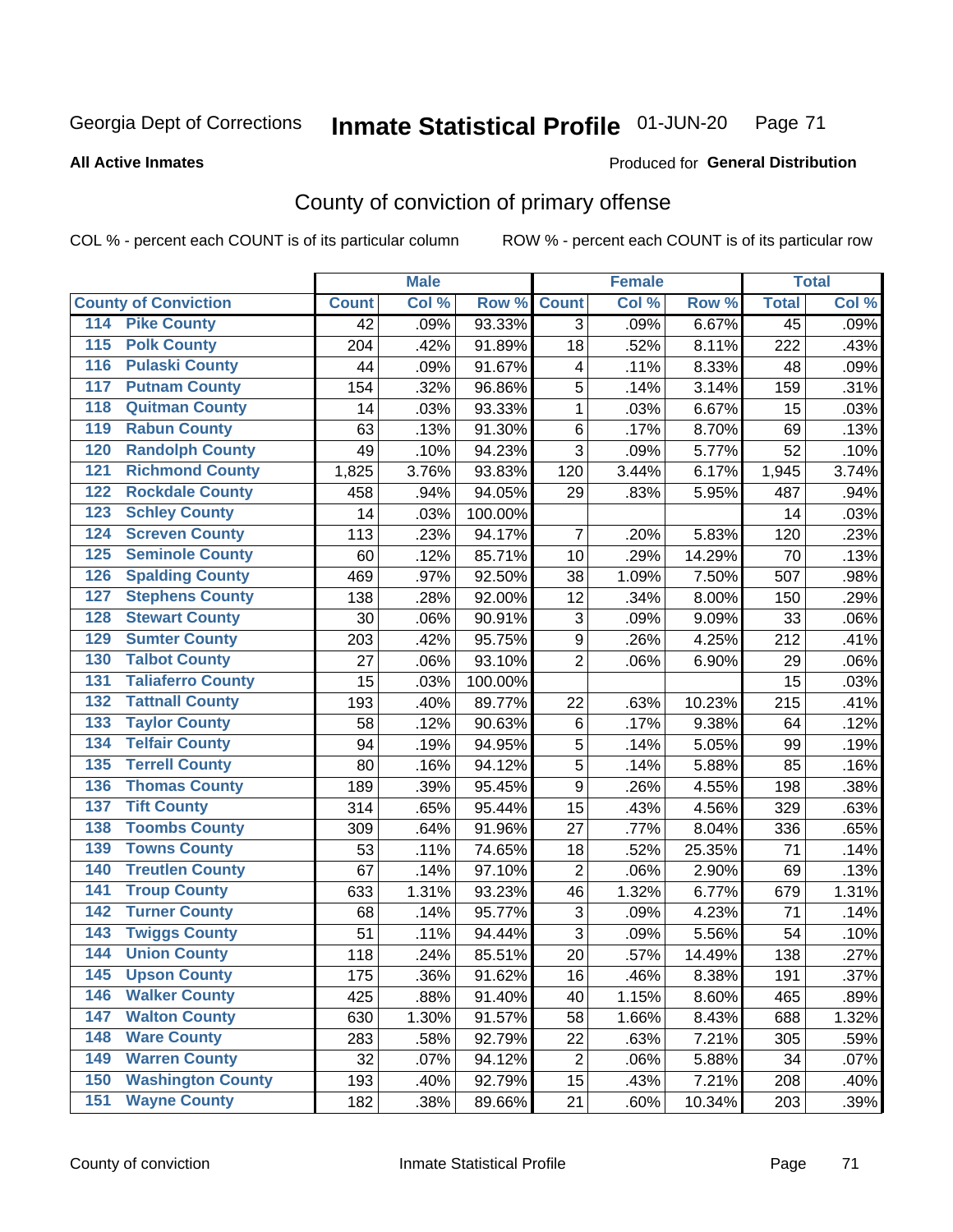#### Inmate Statistical Profile 01-JUN-20 Page 71

**All Active Inmates** 

### Produced for General Distribution

# County of conviction of primary offense

COL % - percent each COUNT is of its particular column

|                                          |              | <b>Male</b> |         |                | <b>Female</b> |        |                 | <b>Total</b> |
|------------------------------------------|--------------|-------------|---------|----------------|---------------|--------|-----------------|--------------|
| <b>County of Conviction</b>              | <b>Count</b> | Col %       | Row %   | <b>Count</b>   | Col %         | Row %  | <b>Total</b>    | Col %        |
| <b>Pike County</b><br>114                | 42           | .09%        | 93.33%  | 3              | .09%          | 6.67%  | $\overline{45}$ | .09%         |
| <b>Polk County</b><br>$\overline{115}$   | 204          | .42%        | 91.89%  | 18             | .52%          | 8.11%  | 222             | .43%         |
| <b>Pulaski County</b><br>116             | 44           | .09%        | 91.67%  | 4              | .11%          | 8.33%  | 48              | .09%         |
| <b>Putnam County</b><br>117              | 154          | .32%        | 96.86%  | 5              | .14%          | 3.14%  | 159             | .31%         |
| <b>Quitman County</b><br>118             | 14           | .03%        | 93.33%  | $\mathbf{1}$   | .03%          | 6.67%  | 15              | .03%         |
| <b>Rabun County</b><br>119               | 63           | .13%        | 91.30%  | 6              | .17%          | 8.70%  | 69              | .13%         |
| <b>Randolph County</b><br>120            | 49           | .10%        | 94.23%  | 3              | .09%          | 5.77%  | 52              | .10%         |
| <b>Richmond County</b><br>121            | 1,825        | 3.76%       | 93.83%  | 120            | 3.44%         | 6.17%  | 1,945           | 3.74%        |
| <b>Rockdale County</b><br>122            | 458          | .94%        | 94.05%  | 29             | .83%          | 5.95%  | 487             | .94%         |
| <b>Schley County</b><br>123              | 14           | .03%        | 100.00% |                |               |        | 14              | .03%         |
| <b>Screven County</b><br>124             | 113          | .23%        | 94.17%  | 7              | .20%          | 5.83%  | 120             | .23%         |
| <b>Seminole County</b><br>125            | 60           | .12%        | 85.71%  | 10             | .29%          | 14.29% | 70              | .13%         |
| <b>Spalding County</b><br>126            | 469          | .97%        | 92.50%  | 38             | 1.09%         | 7.50%  | 507             | .98%         |
| <b>Stephens County</b><br>127            | 138          | .28%        | 92.00%  | 12             | .34%          | 8.00%  | 150             | .29%         |
| <b>Stewart County</b><br>128             | 30           | .06%        | 90.91%  | 3              | .09%          | 9.09%  | 33              | .06%         |
| <b>Sumter County</b><br>129              | 203          | .42%        | 95.75%  | 9              | .26%          | 4.25%  | 212             | .41%         |
| <b>Talbot County</b><br>130              | 27           | .06%        | 93.10%  | $\overline{2}$ | .06%          | 6.90%  | 29              | .06%         |
| <b>Taliaferro County</b><br>131          | 15           | .03%        | 100.00% |                |               |        | 15              | .03%         |
| <b>Tattnall County</b><br>132            | 193          | .40%        | 89.77%  | 22             | .63%          | 10.23% | 215             | .41%         |
| <b>Taylor County</b><br>133              | 58           | .12%        | 90.63%  | $\,6$          | .17%          | 9.38%  | 64              | .12%         |
| <b>Telfair County</b><br>134             | 94           | .19%        | 94.95%  | 5              | .14%          | 5.05%  | 99              | .19%         |
| <b>Terrell County</b><br>135             | 80           | .16%        | 94.12%  | 5              | .14%          | 5.88%  | 85              | .16%         |
| <b>Thomas County</b><br>136              | 189          | .39%        | 95.45%  | 9              | .26%          | 4.55%  | 198             | .38%         |
| <b>Tift County</b><br>137                | 314          | .65%        | 95.44%  | 15             | .43%          | 4.56%  | 329             | .63%         |
| <b>Toombs County</b><br>138              | 309          | .64%        | 91.96%  | 27             | .77%          | 8.04%  | 336             | .65%         |
| <b>Towns County</b><br>139               | 53           | .11%        | 74.65%  | 18             | .52%          | 25.35% | 71              | .14%         |
| <b>Treutlen County</b><br>140            | 67           | .14%        | 97.10%  | $\overline{2}$ | .06%          | 2.90%  | 69              | .13%         |
| <b>Troup County</b><br>141               | 633          | 1.31%       | 93.23%  | 46             | 1.32%         | 6.77%  | 679             | 1.31%        |
| <b>Turner County</b><br>142              | 68           | .14%        | 95.77%  | 3              | .09%          | 4.23%  | 71              | .14%         |
| <b>Twiggs County</b><br>$\overline{143}$ | 51           | .11%        | 94.44%  | 3              | .09%          | 5.56%  | 54              | .10%         |
| <b>Union County</b><br>144               | 118          | .24%        | 85.51%  | 20             | .57%          | 14.49% | 138             | .27%         |
| 145<br><b>Upson County</b>               | 175          | .36%        | 91.62%  | 16             | .46%          | 8.38%  | 191             | .37%         |
| <b>Walker County</b><br>146              | 425          | .88%        | 91.40%  | 40             | 1.15%         | 8.60%  | 465             | .89%         |
| <b>Walton County</b><br>147              | 630          | 1.30%       | 91.57%  | 58             | 1.66%         | 8.43%  | 688             | 1.32%        |
| <b>Ware County</b><br>148                | 283          | .58%        | 92.79%  | 22             | .63%          | 7.21%  | 305             | .59%         |
| <b>Warren County</b><br>149              | 32           | .07%        | 94.12%  | $\overline{2}$ | .06%          | 5.88%  | 34              | .07%         |
| <b>Washington County</b><br>150          | 193          | .40%        | 92.79%  | 15             | .43%          | 7.21%  | 208             | .40%         |
| <b>Wayne County</b><br>151               | 182          | .38%        | 89.66%  | 21             | .60%          | 10.34% | 203             | .39%         |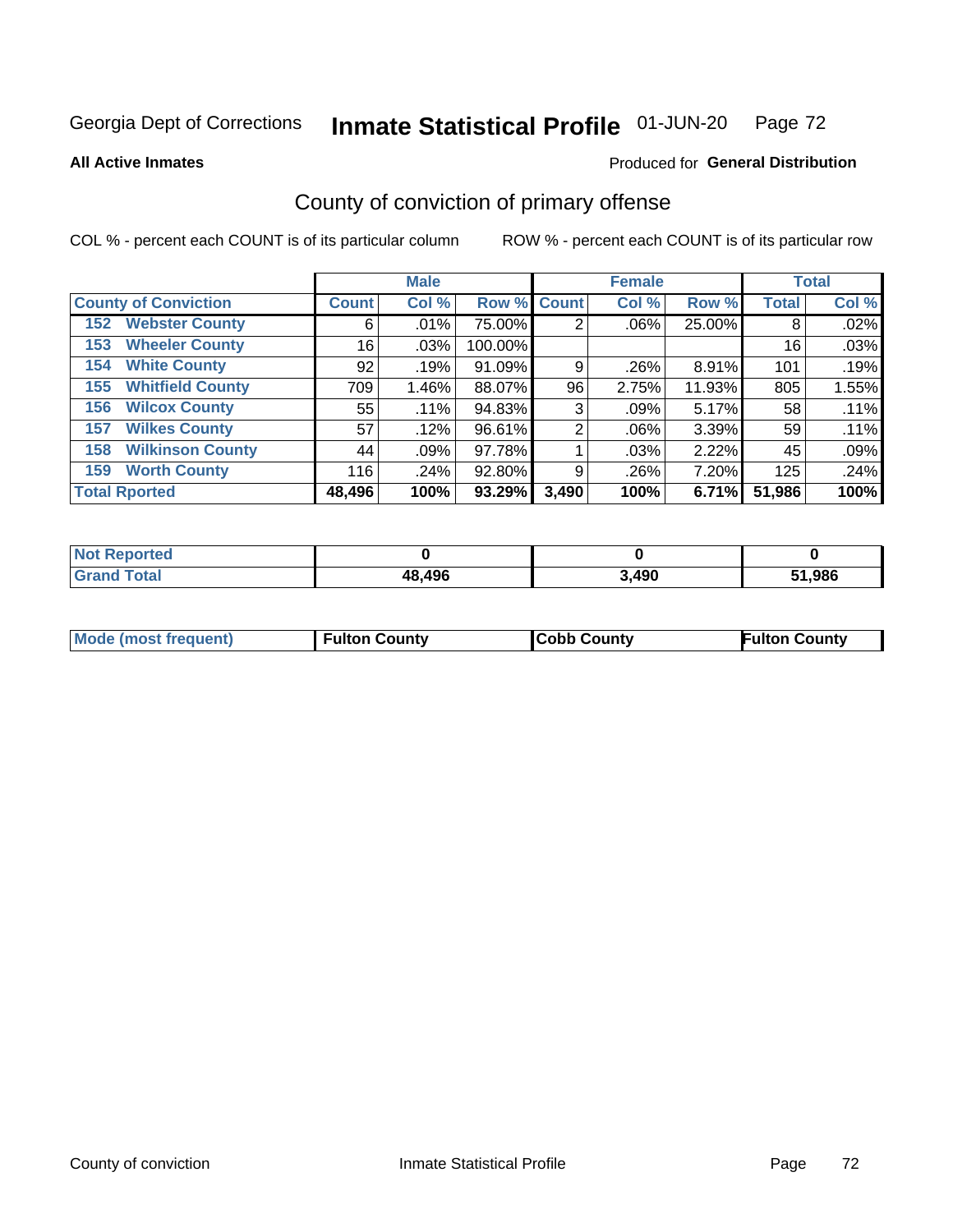#### Inmate Statistical Profile 01-JUN-20 Page 72

**All Active Inmates** 

### Produced for General Distribution

# County of conviction of primary offense

COL % - percent each COUNT is of its particular column

|                                |              | <b>Male</b> |             |       | <b>Female</b> |        |              | <b>Total</b> |
|--------------------------------|--------------|-------------|-------------|-------|---------------|--------|--------------|--------------|
| <b>County of Conviction</b>    | <b>Count</b> | Col %       | Row % Count |       | Col %         | Row %  | <b>Total</b> | Col %        |
| <b>Webster County</b><br>152   | 6            | $.01\%$     | 75.00%      | 2     | $.06\%$       | 25.00% | 8            | .02%         |
| <b>Wheeler County</b><br>153   | 16           | .03%        | 100.00%     |       |               |        | 16           | .03%         |
| <b>White County</b><br>154     | 92           | .19%        | 91.09%      | 9     | .26%          | 8.91%  | 101          | .19%         |
| <b>Whitfield County</b><br>155 | 709          | 1.46%       | 88.07%      | 96    | 2.75%         | 11.93% | 805          | 1.55%        |
| <b>Wilcox County</b><br>156    | 55           | $.11\%$     | 94.83%      | 3     | .09%          | 5.17%  | 58           | .11%         |
| <b>Wilkes County</b><br>157    | 57           | .12%        | 96.61%      | 2     | $.06\%$       | 3.39%  | 59           | .11%         |
| <b>Wilkinson County</b><br>158 | 44           | .09%        | 97.78%      |       | .03%          | 2.22%  | 45           | .09%         |
| <b>Worth County</b><br>159     | 116          | .24%        | 92.80%      | 9     | .26%          | 7.20%  | 125          | .24%         |
| <b>Total Rported</b>           | 48,496       | 100%        | 93.29%      | 3,490 | 100%          | 6.71%  | 51,986       | 100%         |

| <b>Not Reported</b> |        |       |        |
|---------------------|--------|-------|--------|
| <b>Grand Total</b>  | 48,496 | 3,490 | 51,986 |

| Mode (most frequent) | <b>Fulton County</b> | <b>Cobb County</b> | <b>Fulton County</b> |
|----------------------|----------------------|--------------------|----------------------|
|                      |                      |                    |                      |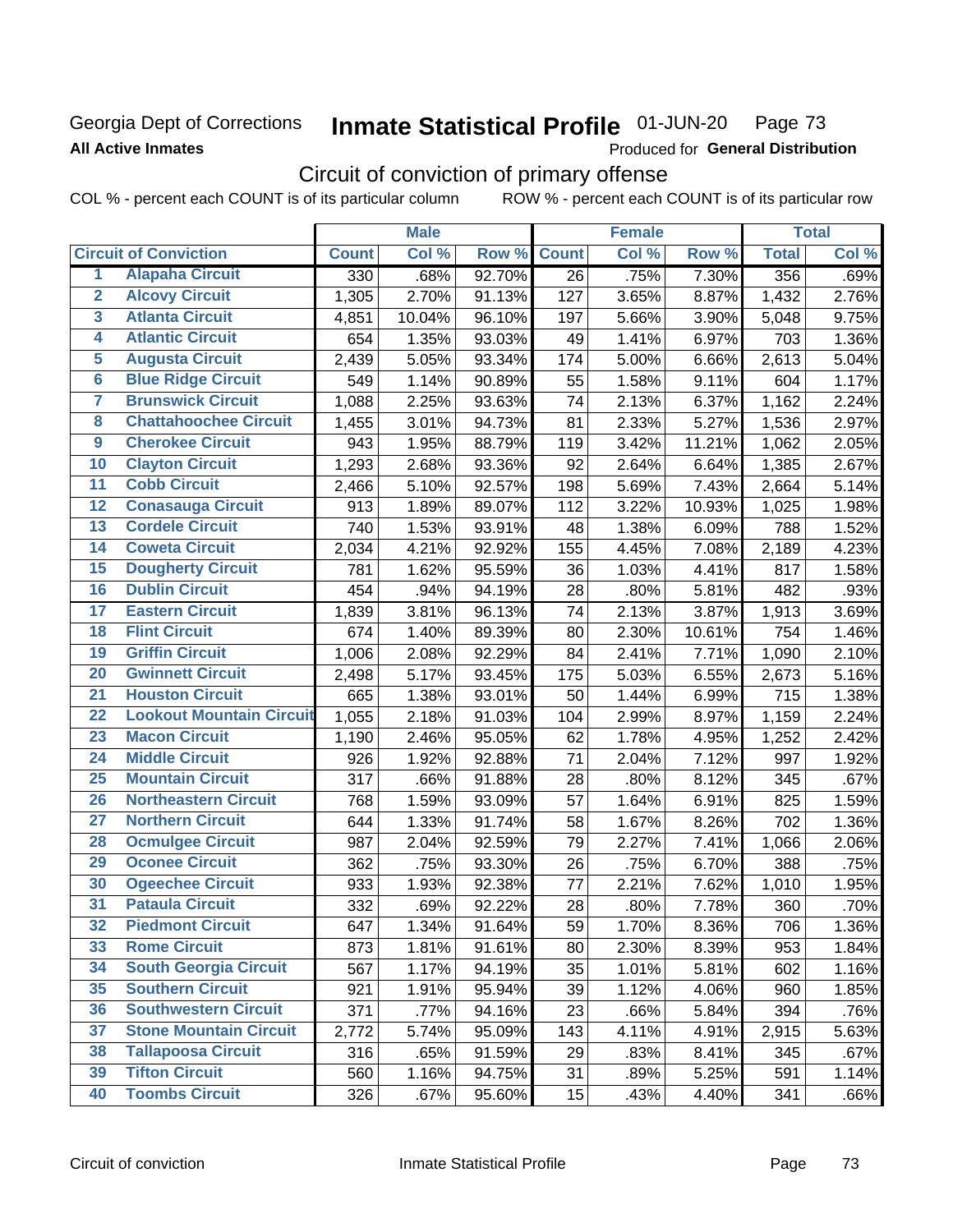# Georgia Dept of Corrections **All Active Inmates**

#### Inmate Statistical Profile 01-JUN-20 Page 73

Produced for General Distribution

# Circuit of conviction of primary offense

COL % - percent each COUNT is of its particular column ROW % - percent each COUNT is of its particular row

|                         |                                 | <b>Male</b>  |        |        | <b>Female</b> |       |          | <b>Total</b> |       |
|-------------------------|---------------------------------|--------------|--------|--------|---------------|-------|----------|--------------|-------|
|                         | <b>Circuit of Conviction</b>    | <b>Count</b> | Col %  | Row %  | <b>Count</b>  | Col % | Row %    | <b>Total</b> | Col % |
| 1                       | <b>Alapaha Circuit</b>          | 330          | .68%   | 92.70% | 26            | .75%  | 7.30%    | 356          | .69%  |
| $\overline{2}$          | <b>Alcovy Circuit</b>           | 1,305        | 2.70%  | 91.13% | 127           | 3.65% | 8.87%    | 1,432        | 2.76% |
| $\overline{\mathbf{3}}$ | <b>Atlanta Circuit</b>          | 4,851        | 10.04% | 96.10% | 197           | 5.66% | 3.90%    | 5,048        | 9.75% |
| 4                       | <b>Atlantic Circuit</b>         | 654          | 1.35%  | 93.03% | 49            | 1.41% | 6.97%    | 703          | 1.36% |
| 5                       | <b>Augusta Circuit</b>          | 2,439        | 5.05%  | 93.34% | 174           | 5.00% | 6.66%    | 2,613        | 5.04% |
| $\overline{6}$          | <b>Blue Ridge Circuit</b>       | 549          | 1.14%  | 90.89% | 55            | 1.58% | 9.11%    | 604          | 1.17% |
| $\overline{\mathbf{7}}$ | <b>Brunswick Circuit</b>        | 1,088        | 2.25%  | 93.63% | 74            | 2.13% | 6.37%    | 1,162        | 2.24% |
| $\overline{\mathbf{8}}$ | <b>Chattahoochee Circuit</b>    | 1,455        | 3.01%  | 94.73% | 81            | 2.33% | 5.27%    | 1,536        | 2.97% |
| $\overline{9}$          | <b>Cherokee Circuit</b>         | 943          | 1.95%  | 88.79% | 119           | 3.42% | 11.21%   | 1,062        | 2.05% |
| 10                      | <b>Clayton Circuit</b>          | 1,293        | 2.68%  | 93.36% | 92            | 2.64% | 6.64%    | 1,385        | 2.67% |
| $\overline{11}$         | <b>Cobb Circuit</b>             | 2,466        | 5.10%  | 92.57% | 198           | 5.69% | 7.43%    | 2,664        | 5.14% |
| $\overline{12}$         | <b>Conasauga Circuit</b>        | 913          | 1.89%  | 89.07% | 112           | 3.22% | 10.93%   | 1,025        | 1.98% |
| 13                      | <b>Cordele Circuit</b>          | 740          | 1.53%  | 93.91% | 48            | 1.38% | 6.09%    | 788          | 1.52% |
| 14                      | <b>Coweta Circuit</b>           | 2,034        | 4.21%  | 92.92% | 155           | 4.45% | 7.08%    | 2,189        | 4.23% |
| 15                      | <b>Dougherty Circuit</b>        | 781          | 1.62%  | 95.59% | 36            | 1.03% | 4.41%    | 817          | 1.58% |
| 16                      | <b>Dublin Circuit</b>           | 454          | .94%   | 94.19% | 28            | .80%  | 5.81%    | 482          | .93%  |
| 17                      | <b>Eastern Circuit</b>          | 1,839        | 3.81%  | 96.13% | 74            | 2.13% | 3.87%    | 1,913        | 3.69% |
| 18                      | <b>Flint Circuit</b>            | 674          | 1.40%  | 89.39% | 80            | 2.30% | 10.61%   | 754          | 1.46% |
| 19                      | <b>Griffin Circuit</b>          | 1,006        | 2.08%  | 92.29% | 84            | 2.41% | 7.71%    | 1,090        | 2.10% |
| $\overline{20}$         | <b>Gwinnett Circuit</b>         | 2,498        | 5.17%  | 93.45% | 175           | 5.03% | 6.55%    | 2,673        | 5.16% |
| $\overline{21}$         | <b>Houston Circuit</b>          | 665          | 1.38%  | 93.01% | 50            | 1.44% | 6.99%    | 715          | 1.38% |
| $\overline{22}$         | <b>Lookout Mountain Circuit</b> | 1,055        | 2.18%  | 91.03% | 104           | 2.99% | 8.97%    | 1,159        | 2.24% |
| 23                      | <b>Macon Circuit</b>            | 1,190        | 2.46%  | 95.05% | 62            | 1.78% | 4.95%    | 1,252        | 2.42% |
| $\overline{24}$         | <b>Middle Circuit</b>           | 926          | 1.92%  | 92.88% | 71            | 2.04% | 7.12%    | 997          | 1.92% |
| 25                      | <b>Mountain Circuit</b>         | 317          | .66%   | 91.88% | 28            | .80%  | 8.12%    | 345          | .67%  |
| 26                      | <b>Northeastern Circuit</b>     | 768          | 1.59%  | 93.09% | 57            | 1.64% | 6.91%    | 825          | 1.59% |
| $\overline{27}$         | <b>Northern Circuit</b>         | 644          | 1.33%  | 91.74% | 58            | 1.67% | 8.26%    | 702          | 1.36% |
| 28                      | <b>Ocmulgee Circuit</b>         | 987          | 2.04%  | 92.59% | 79            | 2.27% | 7.41%    | 1,066        | 2.06% |
| 29                      | <b>Oconee Circuit</b>           | 362          | .75%   | 93.30% | 26            | .75%  | 6.70%    | 388          | .75%  |
| 30                      | <b>Ogeechee Circuit</b>         | 933          | 1.93%  | 92.38% | 77            | 2.21% | 7.62%    | 1,010        | 1.95% |
| $\overline{31}$         | <b>Pataula Circuit</b>          | 332          | .69%   | 92.22% | 28            | .80%  | 7.78%    | 360          | .70%  |
| 32                      | <b>Piedmont Circuit</b>         | 647          | 1.34%  | 91.64% | 59            | 1.70% | $8.36\%$ | 706          | 1.36% |
| 33                      | <b>Rome Circuit</b>             | 873          | 1.81%  | 91.61% | 80            | 2.30% | 8.39%    | 953          | 1.84% |
| 34                      | <b>South Georgia Circuit</b>    | 567          | 1.17%  | 94.19% | 35            | 1.01% | 5.81%    | 602          | 1.16% |
| 35                      | <b>Southern Circuit</b>         | 921          | 1.91%  | 95.94% | 39            | 1.12% | 4.06%    | 960          | 1.85% |
| 36                      | <b>Southwestern Circuit</b>     | 371          | .77%   | 94.16% | 23            | .66%  | 5.84%    | 394          | .76%  |
| 37                      | <b>Stone Mountain Circuit</b>   | 2,772        | 5.74%  | 95.09% | 143           | 4.11% | 4.91%    | 2,915        | 5.63% |
| 38                      | <b>Tallapoosa Circuit</b>       | 316          | .65%   | 91.59% | 29            | .83%  | 8.41%    | 345          | .67%  |
| 39                      | <b>Tifton Circuit</b>           | 560          | 1.16%  | 94.75% | 31            | .89%  | 5.25%    | 591          | 1.14% |
| 40                      | <b>Toombs Circuit</b>           | 326          | .67%   | 95.60% | 15            | .43%  | 4.40%    | 341          | .66%  |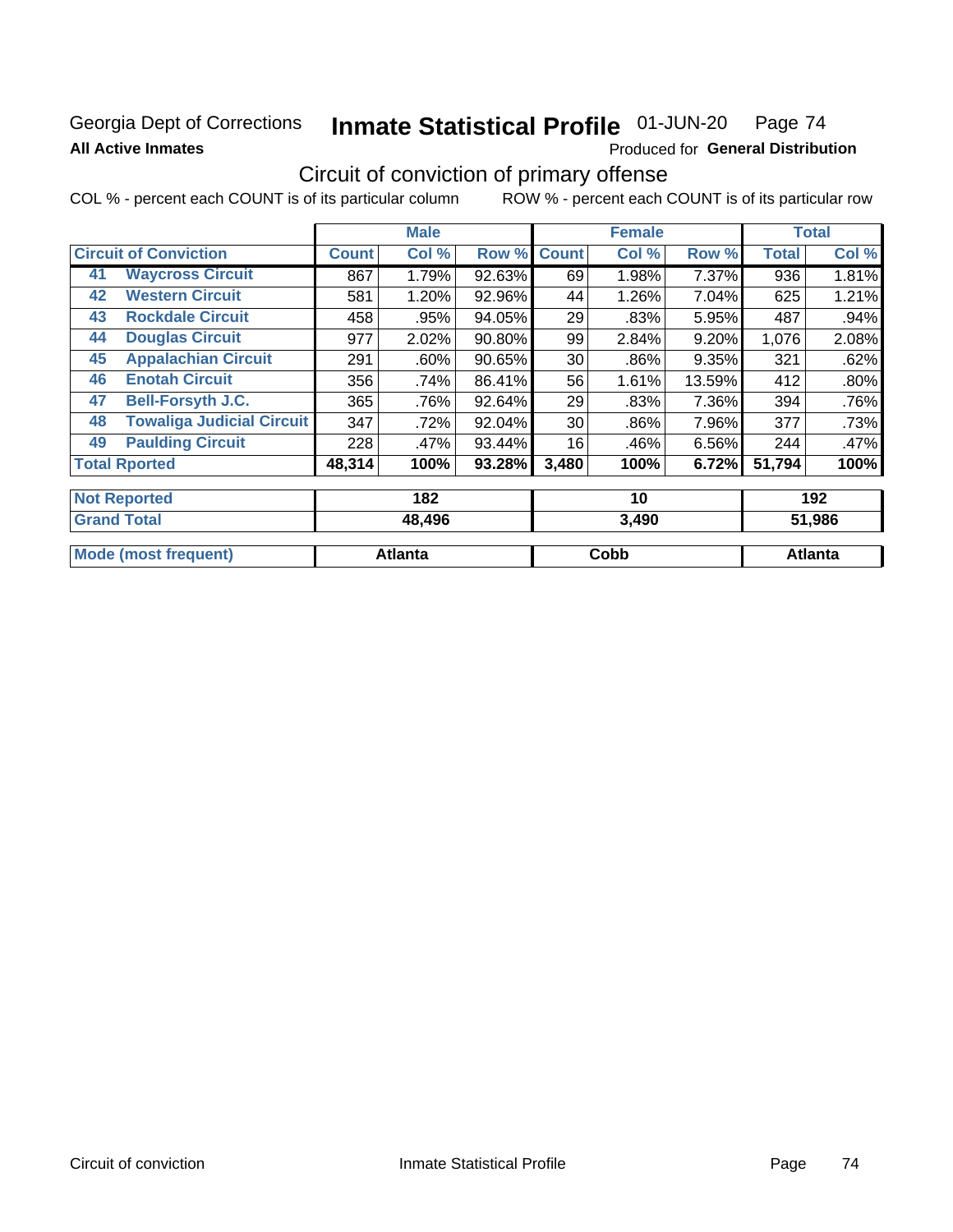### **Georgia Dept of Corrections All Active Inmates**

#### Inmate Statistical Profile 01-JUN-20 Page 74

Produced for General Distribution

# Circuit of conviction of primary offense

|                     |                                  |              | <b>Male</b> |        |              | <b>Female</b> |        |              | <b>Total</b> |  |
|---------------------|----------------------------------|--------------|-------------|--------|--------------|---------------|--------|--------------|--------------|--|
|                     | <b>Circuit of Conviction</b>     | <b>Count</b> | Col %       | Row %  | <b>Count</b> | Col %         | Row %  | <b>Total</b> | Col %        |  |
| 41                  | <b>Waycross Circuit</b>          | 867          | 1.79%       | 92.63% | 69           | 1.98%         | 7.37%  | 936          | 1.81%        |  |
| 42                  | <b>Western Circuit</b>           | 581          | 1.20%       | 92.96% | 44           | 1.26%         | 7.04%  | 625          | 1.21%        |  |
| 43                  | <b>Rockdale Circuit</b>          | 458          | .95%        | 94.05% | 29           | .83%          | 5.95%  | 487          | .94%         |  |
| 44                  | <b>Douglas Circuit</b>           | 977          | 2.02%       | 90.80% | 99           | 2.84%         | 9.20%  | 1,076        | 2.08%        |  |
| 45                  | <b>Appalachian Circuit</b>       | 291          | .60%        | 90.65% | 30           | .86%          | 9.35%  | 321          | .62%         |  |
| 46                  | <b>Enotah Circuit</b>            | 356          | .74%        | 86.41% | 56           | 1.61%         | 13.59% | 412          | .80%         |  |
| 47                  | <b>Bell-Forsyth J.C.</b>         | 365          | .76%        | 92.64% | 29           | .83%          | 7.36%  | 394          | .76%         |  |
| 48                  | <b>Towaliga Judicial Circuit</b> | 347          | .72%        | 92.04% | 30           | .86%          | 7.96%  | 377          | .73%         |  |
| 49                  | <b>Paulding Circuit</b>          | 228          | .47%        | 93.44% | 16           | .46%          | 6.56%  | 244          | .47%         |  |
|                     | <b>Total Rported</b>             | 48,314       | 100%        | 93.28% | 3,480        | 100%          | 6.72%  | 51,794       | 100%         |  |
| <b>Not Renorted</b> |                                  |              | 182         |        |              | 10            |        |              | 192          |  |

| $\blacksquare$       | IUZ     | יי    | 1 <i>34</i>    |
|----------------------|---------|-------|----------------|
| <b>Grand Total</b>   | 48,496  | 3,490 | 51,986         |
|                      |         |       |                |
| Mode (most frequent) | Atlanta | Cobb  | <b>Atlanta</b> |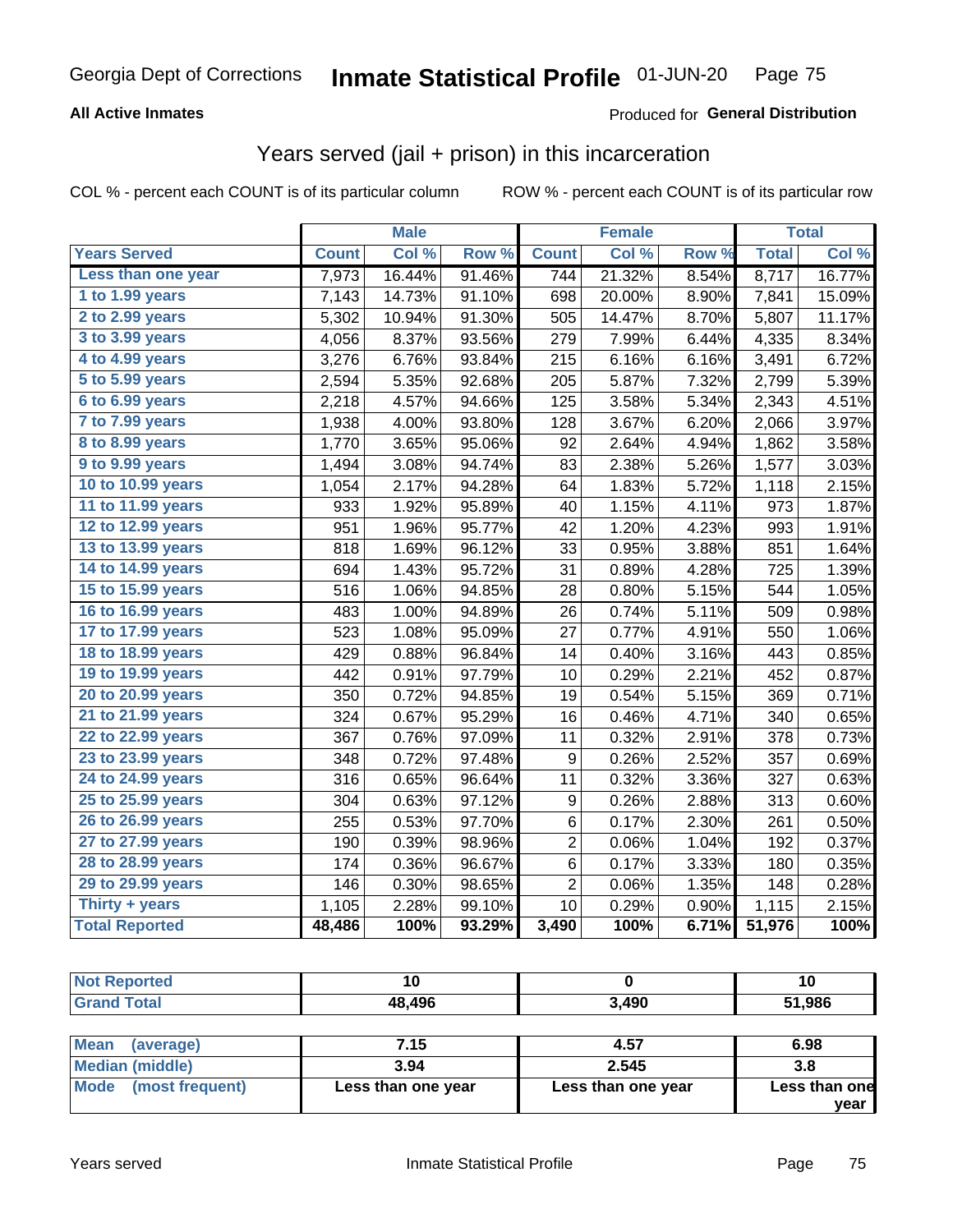### **All Active Inmates**

#### Produced for **General Distribution**

### Years served (jail + prison) in this incarceration

|                              |              | <b>Male</b> |        |                | <b>Female</b> |                  |              | <b>Total</b> |
|------------------------------|--------------|-------------|--------|----------------|---------------|------------------|--------------|--------------|
| <b>Years Served</b>          | <b>Count</b> | Col %       | Row %  | <b>Count</b>   | Col %         | Row <sub>%</sub> | <b>Total</b> | Col%         |
| Less than one year           | 7,973        | 16.44%      | 91.46% | 744            | 21.32%        | 8.54%            | 8,717        | 16.77%       |
| 1 to 1.99 years              | 7,143        | 14.73%      | 91.10% | 698            | 20.00%        | 8.90%            | 7,841        | 15.09%       |
| 2 to 2.99 years              | 5,302        | 10.94%      | 91.30% | 505            | 14.47%        | 8.70%            | 5,807        | 11.17%       |
| 3 to 3.99 years              | 4,056        | 8.37%       | 93.56% | 279            | 7.99%         | 6.44%            | 4,335        | 8.34%        |
| $\overline{4}$ to 4.99 years | 3,276        | 6.76%       | 93.84% | 215            | 6.16%         | 6.16%            | 3,491        | 6.72%        |
| 5 to 5.99 years              | 2,594        | 5.35%       | 92.68% | 205            | 5.87%         | 7.32%            | 2,799        | 5.39%        |
| 6 to 6.99 years              | 2,218        | 4.57%       | 94.66% | 125            | 3.58%         | 5.34%            | 2,343        | 4.51%        |
| 7 to 7.99 years              | 1,938        | 4.00%       | 93.80% | 128            | 3.67%         | 6.20%            | 2,066        | 3.97%        |
| 8 to 8.99 years              | 1,770        | 3.65%       | 95.06% | 92             | 2.64%         | 4.94%            | 1,862        | 3.58%        |
| 9 to 9.99 years              | 1,494        | 3.08%       | 94.74% | 83             | 2.38%         | 5.26%            | 1,577        | 3.03%        |
| 10 to 10.99 years            | 1,054        | 2.17%       | 94.28% | 64             | 1.83%         | 5.72%            | 1,118        | 2.15%        |
| 11 to 11.99 years            | 933          | 1.92%       | 95.89% | 40             | 1.15%         | 4.11%            | 973          | 1.87%        |
| 12 to 12.99 years            | 951          | 1.96%       | 95.77% | 42             | 1.20%         | 4.23%            | 993          | 1.91%        |
| 13 to 13.99 years            | 818          | 1.69%       | 96.12% | 33             | 0.95%         | 3.88%            | 851          | 1.64%        |
| 14 to 14.99 years            | 694          | 1.43%       | 95.72% | 31             | 0.89%         | 4.28%            | 725          | 1.39%        |
| 15 to 15.99 years            | 516          | 1.06%       | 94.85% | 28             | 0.80%         | 5.15%            | 544          | 1.05%        |
| 16 to 16.99 years            | 483          | 1.00%       | 94.89% | 26             | 0.74%         | 5.11%            | 509          | 0.98%        |
| 17 to 17.99 years            | 523          | 1.08%       | 95.09% | 27             | 0.77%         | 4.91%            | 550          | 1.06%        |
| 18 to 18.99 years            | 429          | 0.88%       | 96.84% | 14             | 0.40%         | 3.16%            | 443          | 0.85%        |
| 19 to 19.99 years            | 442          | 0.91%       | 97.79% | 10             | 0.29%         | 2.21%            | 452          | 0.87%        |
| 20 to 20.99 years            | 350          | 0.72%       | 94.85% | 19             | 0.54%         | 5.15%            | 369          | 0.71%        |
| 21 to 21.99 years            | 324          | 0.67%       | 95.29% | 16             | 0.46%         | 4.71%            | 340          | 0.65%        |
| 22 to 22.99 years            | 367          | 0.76%       | 97.09% | 11             | 0.32%         | 2.91%            | 378          | 0.73%        |
| 23 to 23.99 years            | 348          | 0.72%       | 97.48% | 9              | 0.26%         | 2.52%            | 357          | 0.69%        |
| 24 to 24.99 years            | 316          | 0.65%       | 96.64% | 11             | 0.32%         | 3.36%            | 327          | 0.63%        |
| 25 to 25.99 years            | 304          | 0.63%       | 97.12% | 9              | 0.26%         | 2.88%            | 313          | 0.60%        |
| 26 to 26.99 years            | 255          | 0.53%       | 97.70% | $\,6$          | 0.17%         | 2.30%            | 261          | 0.50%        |
| 27 to 27.99 years            | 190          | 0.39%       | 98.96% | $\overline{2}$ | 0.06%         | 1.04%            | 192          | 0.37%        |
| 28 to 28.99 years            | 174          | 0.36%       | 96.67% | 6              | 0.17%         | 3.33%            | 180          | 0.35%        |
| 29 to 29.99 years            | 146          | 0.30%       | 98.65% | $\overline{2}$ | 0.06%         | 1.35%            | 148          | 0.28%        |
| Thirty + years               | 1,105        | 2.28%       | 99.10% | 10             | 0.29%         | 0.90%            | 1,115        | 2.15%        |
| <b>Total Reported</b>        | 48,486       | 100%        | 93.29% | 3,490          | 100%          | 6.71%            | 51,976       | 100%         |

| <b>Not Reported</b>      |        |       | ่า บ   |
|--------------------------|--------|-------|--------|
| <b>Grand Total</b>       | 48,496 | 3,490 | 51,986 |
|                          |        |       |        |
| <b>Mean</b><br>(average) | 7.15   | 4.57  | 6.98   |

| N                       | 1 . I J            | 7.JI               | v.ju                  |
|-------------------------|--------------------|--------------------|-----------------------|
| Median (middle)         | 3.94               | 2.545              | 3.8                   |
| Mode<br>(most frequent) | Less than one year | Less than one year | Less than one<br>vear |
|                         |                    |                    |                       |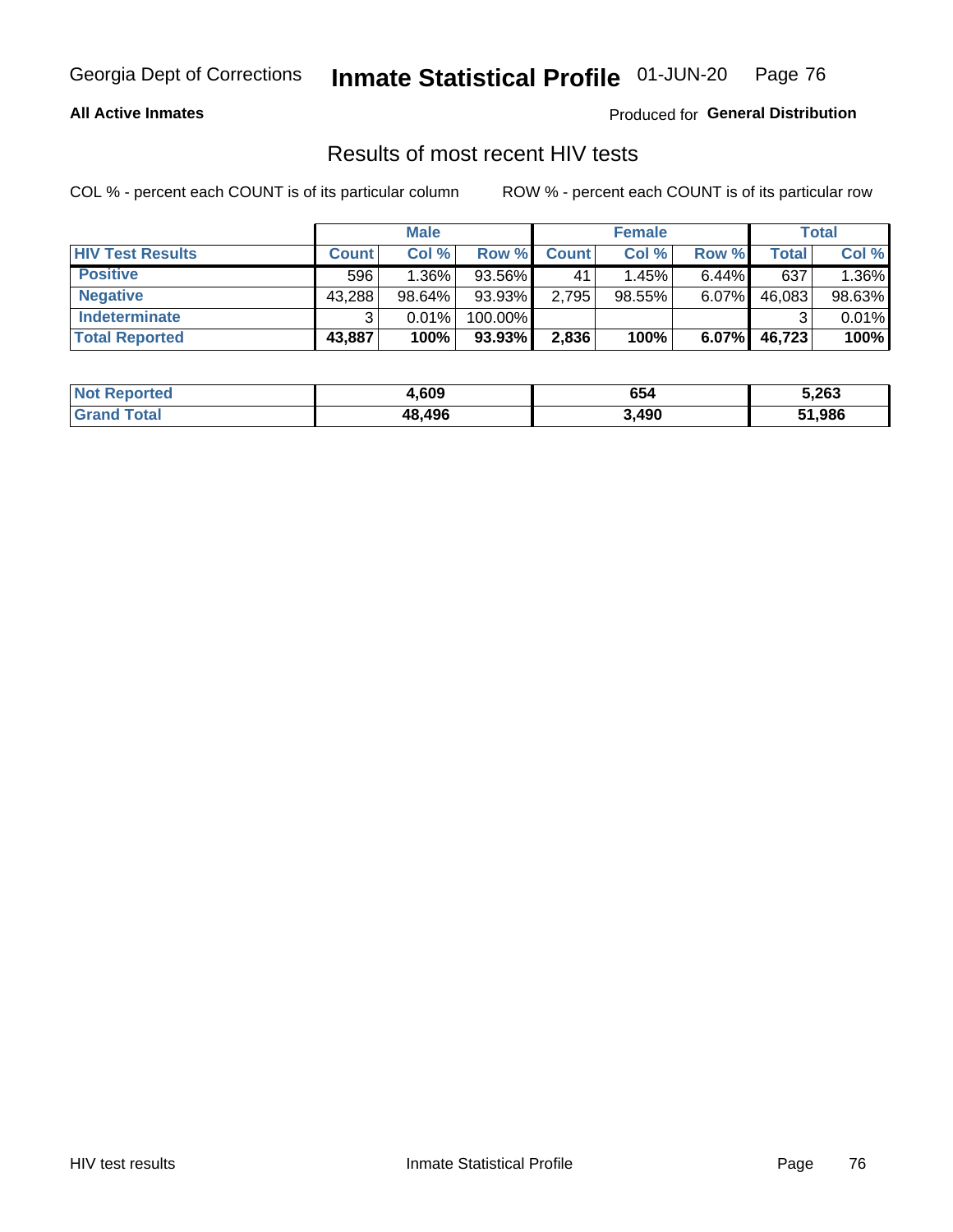#### **All Active Inmates**

Produced for **General Distribution**

### Results of most recent HIV tests

|                         | <b>Male</b>  |        | <b>Female</b> |              |        | Total    |        |        |
|-------------------------|--------------|--------|---------------|--------------|--------|----------|--------|--------|
| <b>HIV Test Results</b> | <b>Count</b> | Col %  | Row %I        | <b>Count</b> | Col %  | Row %    | Total  | Col %  |
| <b>Positive</b>         | 596          | 1.36%  | 93.56%        | 41           | 1.45%  | $6.44\%$ | 637    | 1.36%  |
| <b>Negative</b>         | 43,288       | 98.64% | 93.93%        | 2,795        | 98.55% | $6.07\%$ | 46,083 | 98.63% |
| Indeterminate           | ົ            | 0.01%  | 100.00%       |              |        |          |        | 0.01%  |
| <b>Total Reported</b>   | 43,887       | 100%   | $93.93\%$     | 2,836        | 100%   | $6.07\%$ | 46,723 | 100%   |

| <b>Not Reported</b> | 4,609  | 654   | 5,263  |
|---------------------|--------|-------|--------|
| Total<br>' Grano    | 48,496 | 3,490 | 51,986 |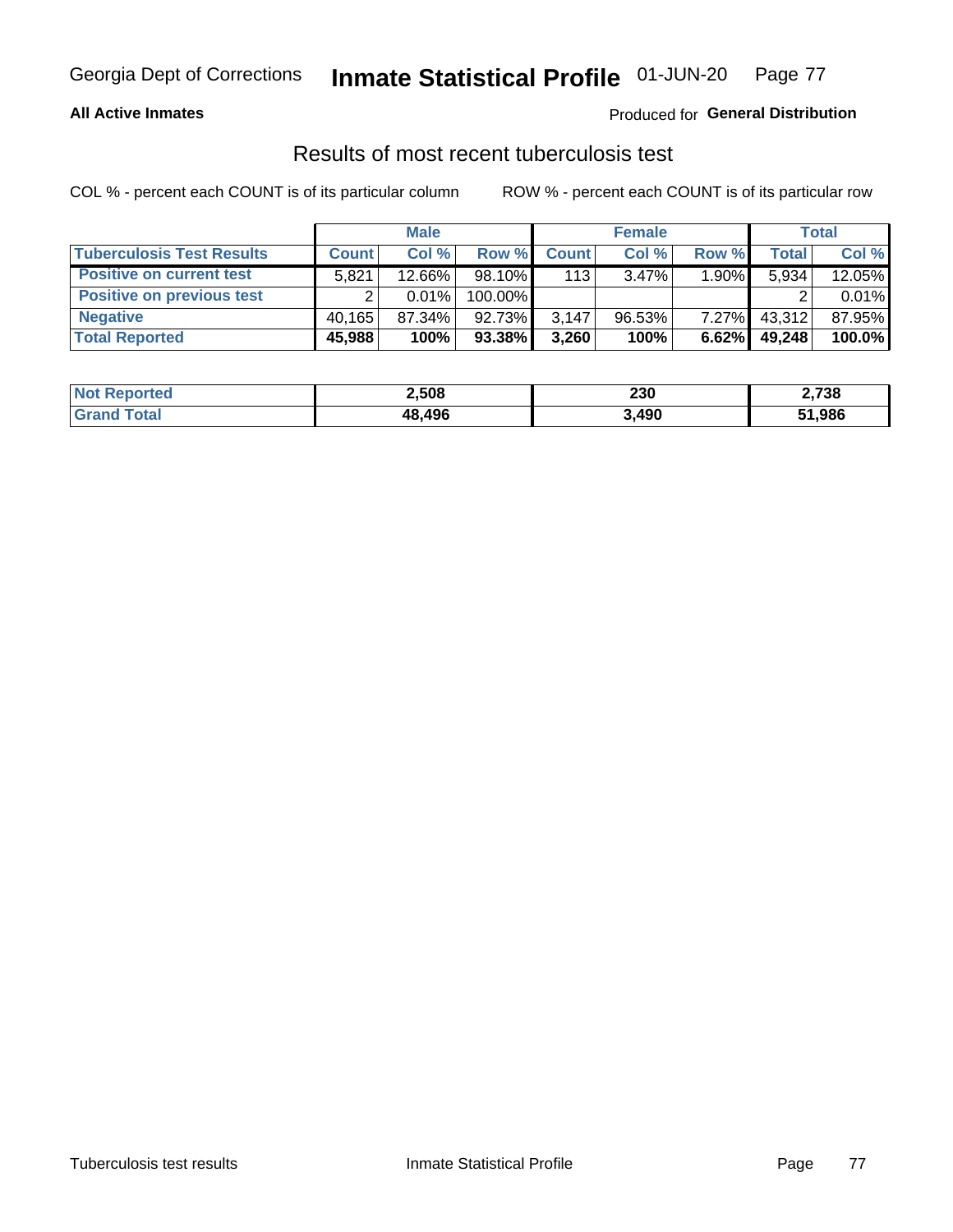#### **All Active Inmates**

#### Produced for **General Distribution**

### Results of most recent tuberculosis test

|                                  | <b>Male</b>  |        | <b>Female</b> |              |           | Total    |        |        |
|----------------------------------|--------------|--------|---------------|--------------|-----------|----------|--------|--------|
| <b>Tuberculosis Test Results</b> | <b>Count</b> | Col %  | Row %         | <b>Count</b> | Col %     | Row %    | Total  | Col %  |
| <b>Positive on current test</b>  | 5.821        | 12.66% | 98.10%        | 113          | $3.47\%$  | $1.90\%$ | 5,934  | 12.05% |
| <b>Positive on previous test</b> |              | 0.01%  | 100.00%       |              |           |          |        | 0.01%  |
| <b>Negative</b>                  | 40.165       | 87.34% | 92.73%        | 3,147        | $96.53\%$ | $7.27\%$ | 43,312 | 87.95% |
| <b>Total Reported</b>            | 45,988       | 100%   | 93.38%        | 3,260        | 100%      | 6.62%    | 49,248 | 100.0% |

| <b>Not Reported</b> | 2,508  | 230   | 2,738  |
|---------------------|--------|-------|--------|
| <b>Total</b>        | 48,496 | 3,490 | 51,986 |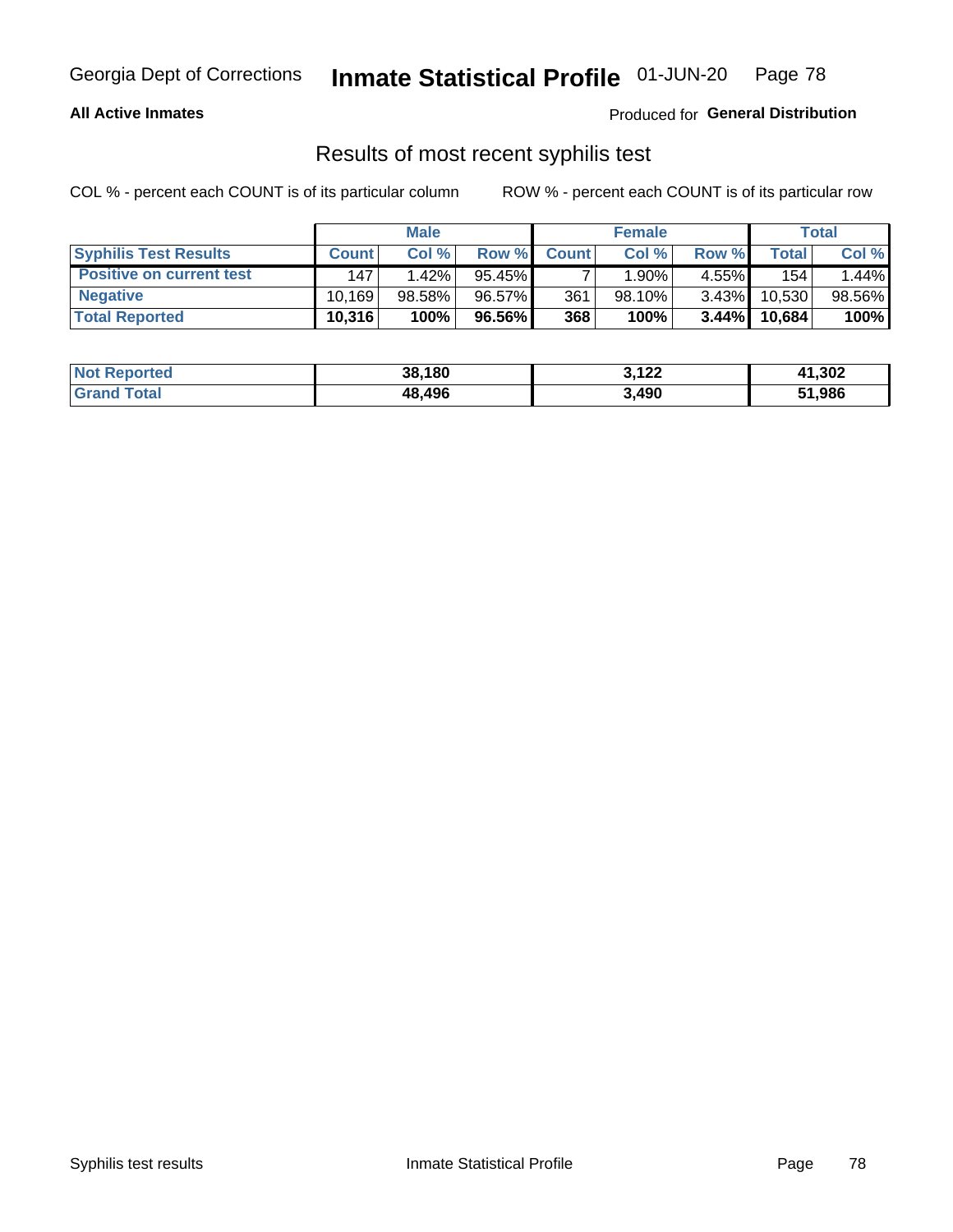#### **All Active Inmates**

Produced for **General Distribution**

### Results of most recent syphilis test

|                                 | <b>Male</b>  |        | <b>Female</b> |              |           | Total    |        |        |
|---------------------------------|--------------|--------|---------------|--------------|-----------|----------|--------|--------|
| <b>Syphilis Test Results</b>    | <b>Count</b> | Col%   | Row %         | <b>Count</b> | Col %     | Row %    | Total  | Col %  |
| <b>Positive on current test</b> | 147          | 1.42%  | 95.45%        |              | 1.90%     | $4.55\%$ | 154.   | 1.44%  |
| <b>Negative</b>                 | 10.169       | 98.58% | 96.57%        | 361          | $98.10\%$ | $3.43\%$ | 10,530 | 98.56% |
| <b>Total Reported</b>           | 10,316       | 100%   | 96.56% I      | 368          | 100%      | $3.44\%$ | 10,684 | 100%   |

| <b>Not Reported</b> | 38,180 | 3,122 | 41,302 |
|---------------------|--------|-------|--------|
| <b>Grand Total</b>  | 48,496 | 3,490 | 51,986 |